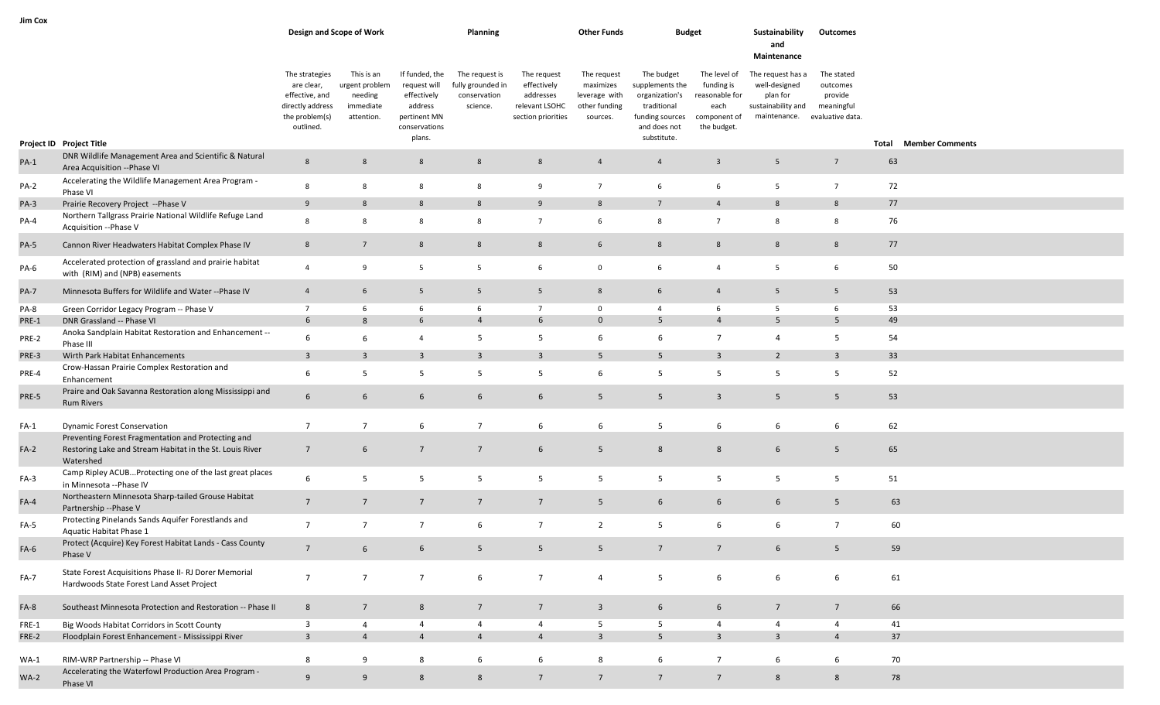| Jim Cox     |                                                                                                                             |                                                                                                   |                                                                    |                                                                                                     |                                                                 |                                                                                 |                                                                        |                                                                                                                  |                                                                                     |                                                                                                       |                                                 |       |                        |
|-------------|-----------------------------------------------------------------------------------------------------------------------------|---------------------------------------------------------------------------------------------------|--------------------------------------------------------------------|-----------------------------------------------------------------------------------------------------|-----------------------------------------------------------------|---------------------------------------------------------------------------------|------------------------------------------------------------------------|------------------------------------------------------------------------------------------------------------------|-------------------------------------------------------------------------------------|-------------------------------------------------------------------------------------------------------|-------------------------------------------------|-------|------------------------|
|             |                                                                                                                             |                                                                                                   | Design and Scope of Work                                           |                                                                                                     | Planning                                                        |                                                                                 | <b>Other Funds</b>                                                     | <b>Budget</b>                                                                                                    |                                                                                     | Sustainability<br>and<br>Maintenance                                                                  | Outcomes                                        |       |                        |
|             |                                                                                                                             | The strategies<br>are clear,<br>effective, and<br>directly address<br>the problem(s)<br>outlined. | This is an<br>urgent problem<br>needing<br>immediate<br>attention. | If funded, the<br>request will<br>effectively<br>address<br>pertinent MN<br>conservations<br>plans. | The request is<br>fully grounded in<br>conservation<br>science. | The request<br>effectively<br>addresses<br>relevant LSOHC<br>section priorities | The request<br>maximizes<br>leverage with<br>other funding<br>sources. | The budget<br>supplements the<br>organization's<br>traditional<br>funding sources<br>and does not<br>substitute. | The level of<br>funding is<br>reasonable for<br>each<br>component of<br>the budget. | The request has a<br>well-designed<br>plan for<br>sustainability and<br>maintenance. evaluative data. | The stated<br>outcomes<br>provide<br>meaningful |       |                        |
|             | Project ID Project Title                                                                                                    |                                                                                                   |                                                                    |                                                                                                     |                                                                 |                                                                                 |                                                                        |                                                                                                                  |                                                                                     |                                                                                                       |                                                 | Total | <b>Member Comments</b> |
| $PA-1$      | DNR Wildlife Management Area and Scientific & Natural<br>Area Acquisition -- Phase VI                                       | $8\phantom{1}$                                                                                    | 8                                                                  | $8\phantom{1}$                                                                                      | 8                                                               | 8                                                                               | $\overline{4}$                                                         | $\overline{4}$                                                                                                   | $\overline{\mathbf{3}}$                                                             | $5\overline{)}$                                                                                       | $\overline{7}$                                  | 63    |                        |
| $PA-2$      | Accelerating the Wildlife Management Area Program -<br>Phase VI                                                             | 8                                                                                                 | 8                                                                  | 8                                                                                                   | 8                                                               | 9                                                                               | $7\overline{ }$                                                        | 6                                                                                                                | 6                                                                                   | $5\overline{5}$                                                                                       | $\overline{7}$                                  | 72    |                        |
| $PA-3$      | Prairie Recovery Project -- Phase V                                                                                         | 9                                                                                                 | 8                                                                  | $8\phantom{1}$                                                                                      | 8                                                               | 9                                                                               | 8                                                                      | 7                                                                                                                | $\overline{4}$                                                                      | 8                                                                                                     | 8                                               | 77    |                        |
| PA-4        | Northern Tallgrass Prairie National Wildlife Refuge Land<br>Acquisition -- Phase V                                          | 8                                                                                                 | 8                                                                  | 8                                                                                                   | 8                                                               | $7\overline{ }$                                                                 | 6                                                                      | 8                                                                                                                | $\overline{7}$                                                                      | 8                                                                                                     | 8                                               | 76    |                        |
| $PA-5$      | Cannon River Headwaters Habitat Complex Phase IV                                                                            | $8\phantom{1}$                                                                                    | $\overline{7}$                                                     | $8\phantom{1}$                                                                                      | 8                                                               | 8                                                                               | 6                                                                      | $8\phantom{1}$                                                                                                   | $8\phantom{.}$                                                                      | $8\phantom{.}$                                                                                        | 8                                               | 77    |                        |
| PA-6        | Accelerated protection of grassland and prairie habitat<br>with (RIM) and (NPB) easements                                   | $\overline{4}$                                                                                    | 9                                                                  | 5                                                                                                   | 5                                                               | 6                                                                               | $\mathsf 0$                                                            | 6                                                                                                                | $\overline{4}$                                                                      | 5                                                                                                     | 6                                               | 50    |                        |
| <b>PA-7</b> | Minnesota Buffers for Wildlife and Water -- Phase IV                                                                        | $\overline{4}$                                                                                    | 6                                                                  | 5 <sup>5</sup>                                                                                      | $5\overline{5}$                                                 | $5\overline{5}$                                                                 | 8                                                                      | $6\overline{6}$                                                                                                  | $\overline{4}$                                                                      | $5\overline{5}$                                                                                       | $5\overline{)}$                                 | 53    |                        |
| PA-8        | Green Corridor Legacy Program -- Phase V                                                                                    | $7\overline{ }$                                                                                   | 6                                                                  | 6                                                                                                   | 6                                                               | $7\overline{ }$                                                                 | $\mathbf 0$                                                            | $\overline{4}$                                                                                                   | 6                                                                                   | 5                                                                                                     | 6                                               | 53    |                        |
| PRE-1       | DNR Grassland -- Phase VI                                                                                                   | 6                                                                                                 | 8                                                                  | 6                                                                                                   | $\overline{4}$                                                  | 6                                                                               | $\mathbf{0}$                                                           | 5                                                                                                                | $\overline{4}$                                                                      | 5 <sub>5</sub>                                                                                        | 5                                               | 49    |                        |
| PRE-2       | Anoka Sandplain Habitat Restoration and Enhancement --<br>Phase III                                                         | 6                                                                                                 | 6                                                                  | $\overline{4}$                                                                                      | 5                                                               | 5                                                                               | 6                                                                      | 6                                                                                                                | $\overline{7}$                                                                      | $\overline{4}$                                                                                        | 5                                               | 54    |                        |
| PRE-3       | Wirth Park Habitat Enhancements                                                                                             | $\overline{3}$                                                                                    | $\overline{\mathbf{3}}$                                            | $\overline{3}$                                                                                      | $\overline{3}$                                                  | $\overline{3}$                                                                  | 5                                                                      | 5                                                                                                                | $\overline{3}$                                                                      | $\overline{2}$                                                                                        | $\overline{3}$                                  | 33    |                        |
| PRE-4       | Crow-Hassan Prairie Complex Restoration and<br>Enhancement                                                                  | 6                                                                                                 | 5                                                                  | 5                                                                                                   | 5                                                               | 5                                                                               | 6                                                                      | 5                                                                                                                | 5                                                                                   | 5                                                                                                     | 5                                               | 52    |                        |
| PRE-5       | Praire and Oak Savanna Restoration along Mississippi and<br><b>Rum Rivers</b>                                               | 6                                                                                                 | 6                                                                  | 6                                                                                                   | 6                                                               | 6                                                                               | 5                                                                      | 5                                                                                                                | $\overline{3}$                                                                      | 5 <sub>5</sub>                                                                                        | 5                                               | 53    |                        |
| $FA-1$      | <b>Dynamic Forest Conservation</b>                                                                                          | $\overline{7}$                                                                                    | $7\overline{ }$                                                    | 6                                                                                                   | $7\overline{ }$                                                 | 6                                                                               | 6                                                                      | 5                                                                                                                | 6                                                                                   | 6                                                                                                     | 6                                               | 62    |                        |
| $FA-2$      | Preventing Forest Fragmentation and Protecting and<br>Restoring Lake and Stream Habitat in the St. Louis River<br>Watershed | $\overline{7}$                                                                                    | 6                                                                  | $7\overline{ }$                                                                                     | $7\overline{ }$                                                 | $6\overline{6}$                                                                 | 5                                                                      | $8\phantom{1}$                                                                                                   | 8                                                                                   | 6                                                                                                     | 5                                               | 65    |                        |
| $FA-3$      | Camp Ripley ACUBProtecting one of the last great places<br>in Minnesota -- Phase IV                                         | 6                                                                                                 | 5                                                                  | 5                                                                                                   | 5                                                               | 5                                                                               | 5                                                                      | 5                                                                                                                | 5                                                                                   | 5                                                                                                     | 5                                               | 51    |                        |
| $FA-4$      | Northeastern Minnesota Sharp-tailed Grouse Habitat<br>Partnership -- Phase V                                                | $7\overline{ }$                                                                                   | $7\overline{ }$                                                    | $7\overline{ }$                                                                                     | $7\overline{ }$                                                 | $\overline{7}$                                                                  | 5                                                                      | 6                                                                                                                | 6                                                                                   | $6\overline{6}$                                                                                       | 5                                               | 63    |                        |
| FA-5        | Protecting Pinelands Sands Aquifer Forestlands and<br>Aquatic Habitat Phase 1                                               | $\overline{7}$                                                                                    | $\overline{7}$                                                     | $\overline{7}$                                                                                      | 6                                                               | $\overline{7}$                                                                  | $\overline{2}$                                                         | 5                                                                                                                | 6                                                                                   | 6                                                                                                     | $\overline{7}$                                  | 60    |                        |
| $FA-6$      | Protect (Acquire) Key Forest Habitat Lands - Cass County<br>Phase V                                                         | $7\overline{ }$                                                                                   | $6\overline{6}$                                                    | 6                                                                                                   | 5 <sup>5</sup>                                                  | 5 <sup>5</sup>                                                                  | $5\overline{)}$                                                        | $7\overline{ }$                                                                                                  | $\overline{7}$                                                                      | $6\overline{6}$                                                                                       | 5 <sup>5</sup>                                  | 59    |                        |
| $FA-7$      | State Forest Acquisitions Phase II- RJ Dorer Memorial<br>Hardwoods State Forest Land Asset Project                          | $\overline{7}$                                                                                    | $7\overline{ }$                                                    | $7\overline{ }$                                                                                     | 6                                                               | $7\overline{ }$                                                                 | $\overline{4}$                                                         | $5\overline{)}$                                                                                                  | 6                                                                                   | 6                                                                                                     | 6                                               | 61    |                        |
| FA-8        | Southeast Minnesota Protection and Restoration -- Phase II                                                                  | $8\phantom{1}$                                                                                    | $7\overline{ }$                                                    | 8                                                                                                   | $7\overline{ }$                                                 | $7\overline{ }$                                                                 | $\overline{\mathbf{3}}$                                                | 6                                                                                                                | 6                                                                                   | $7\overline{ }$                                                                                       | $7\overline{ }$                                 | 66    |                        |
| FRE-1       | Big Woods Habitat Corridors in Scott County                                                                                 | $\overline{3}$                                                                                    | $\overline{4}$                                                     | $\overline{4}$                                                                                      | $\overline{4}$                                                  | $\overline{4}$                                                                  | 5                                                                      | $5\overline{5}$                                                                                                  | $\overline{4}$                                                                      | $\overline{4}$                                                                                        | $\overline{4}$                                  | 41    |                        |
| FRE-2       | Floodplain Forest Enhancement - Mississippi River                                                                           | $\overline{3}$                                                                                    | $\overline{4}$                                                     | $\overline{4}$                                                                                      | $\overline{4}$                                                  | $\overline{4}$                                                                  | $\overline{\mathbf{3}}$                                                | 5                                                                                                                | $\overline{3}$                                                                      | $\overline{\mathbf{3}}$                                                                               | $\overline{4}$                                  | 37    |                        |
| $WA-1$      | RIM-WRP Partnership -- Phase VI                                                                                             | 8                                                                                                 | 9                                                                  | 8                                                                                                   | 6                                                               | 6                                                                               | 8                                                                      | 6                                                                                                                | $\overline{7}$                                                                      | 6                                                                                                     | 6                                               | 70    |                        |
| $WA-2$      | Accelerating the Waterfowl Production Area Program -<br>Phase VI                                                            | 9                                                                                                 | 9                                                                  | 8                                                                                                   | 8                                                               | $7\overline{ }$                                                                 | $7\overline{ }$                                                        | $7\overline{ }$                                                                                                  | $7\overline{ }$                                                                     | 8                                                                                                     | $8\phantom{1}$                                  | 78    |                        |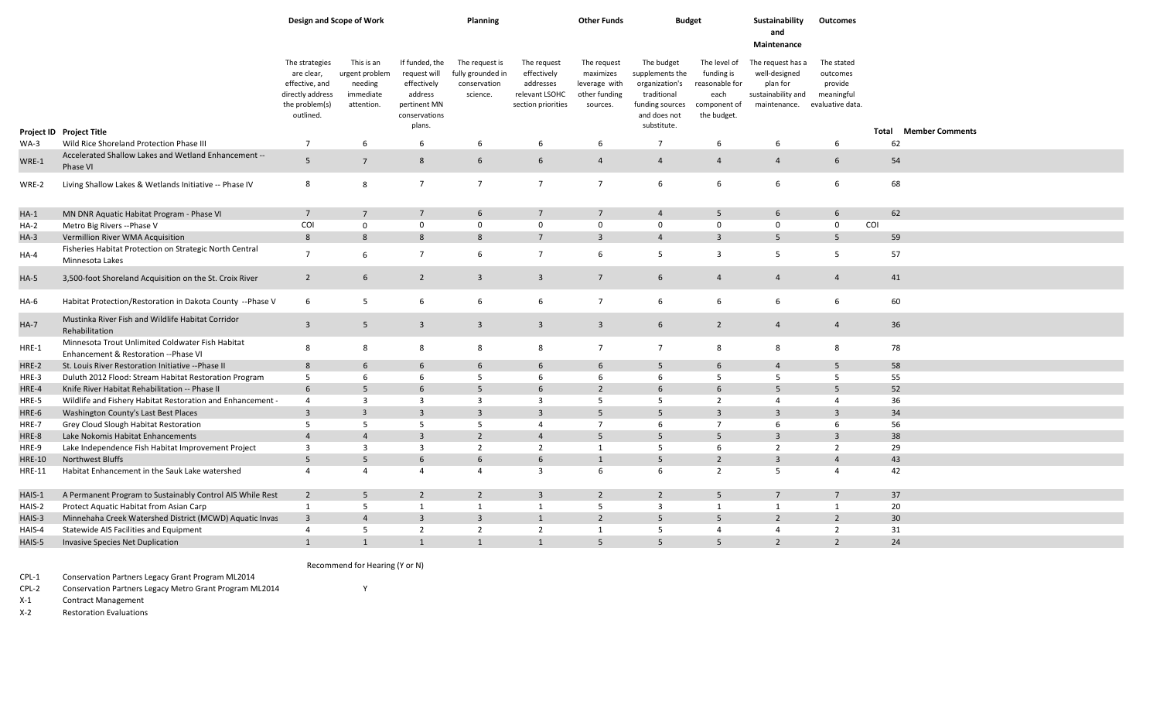|               |                                                                                           | Design and Scope of Work                                                                          |                                                                    |                                                                                                     | <b>Planning</b>                                                 |                                                                                 | <b>Other Funds</b>                                                     | <b>Budget</b>                                                                                                    |                                                                                    | Sustainability<br>and<br>Maintenance                                                                  | Outcomes                                        |             |                        |
|---------------|-------------------------------------------------------------------------------------------|---------------------------------------------------------------------------------------------------|--------------------------------------------------------------------|-----------------------------------------------------------------------------------------------------|-----------------------------------------------------------------|---------------------------------------------------------------------------------|------------------------------------------------------------------------|------------------------------------------------------------------------------------------------------------------|------------------------------------------------------------------------------------|-------------------------------------------------------------------------------------------------------|-------------------------------------------------|-------------|------------------------|
|               |                                                                                           | The strategies<br>are clear,<br>effective, and<br>directly address<br>the problem(s)<br>outlined. | This is an<br>urgent problem<br>needing<br>immediate<br>attention. | If funded, the<br>request will<br>effectively<br>address<br>pertinent MN<br>conservations<br>plans. | The request is<br>fully grounded in<br>conservation<br>science. | The request<br>effectively<br>addresses<br>relevant LSOHC<br>section priorities | The request<br>maximizes<br>leverage with<br>other funding<br>sources. | The budget<br>supplements the<br>organization's<br>traditional<br>funding sources<br>and does not<br>substitute. | The level of<br>funding is<br>reasonable for<br>each<br>component of<br>the budget | The request has a<br>well-designed<br>plan for<br>sustainability and<br>maintenance. evaluative data. | The stated<br>outcomes<br>provide<br>meaningful |             |                        |
| $WA-3$        | Project ID Project Title<br>Wild Rice Shoreland Protection Phase III                      | 7                                                                                                 | 6                                                                  | 6                                                                                                   | 6                                                               | 6                                                                               | 6                                                                      | $\overline{7}$                                                                                                   | 6                                                                                  | 6                                                                                                     | 6                                               | Total<br>62 | <b>Member Comments</b> |
| WRE-1         | Accelerated Shallow Lakes and Wetland Enhancement --<br>Phase VI                          | $\overline{5}$                                                                                    | $\overline{7}$                                                     | 8                                                                                                   | 6                                                               | $6\phantom{.}6$                                                                 | $\overline{4}$                                                         | $\overline{4}$                                                                                                   | $\overline{4}$                                                                     | $\overline{4}$                                                                                        | 6                                               | 54          |                        |
| WRE-2         | Living Shallow Lakes & Wetlands Initiative -- Phase IV                                    | 8                                                                                                 | 8                                                                  | $\overline{7}$                                                                                      | $\overline{7}$                                                  | $\overline{7}$                                                                  | $\overline{7}$                                                         | 6                                                                                                                | 6                                                                                  | 6                                                                                                     | 6                                               | 68          |                        |
| $HA-1$        | MN DNR Aquatic Habitat Program - Phase VI                                                 | $7\overline{ }$                                                                                   | $\overline{7}$                                                     | $\overline{7}$                                                                                      | 6                                                               | $7\overline{ }$                                                                 | $7\overline{ }$                                                        | $\overline{4}$                                                                                                   | 5                                                                                  | $6\overline{6}$                                                                                       | $6\overline{6}$                                 | 62          |                        |
| HA-2          | Metro Big Rivers -- Phase V                                                               | COI                                                                                               | $\mathbf 0$                                                        | $\mathbf 0$                                                                                         | $\mathbf 0$                                                     | $\mathbf 0$                                                                     | $\mathbf 0$                                                            | $\mathbf 0$                                                                                                      | $\mathbf 0$                                                                        | $\mathbf 0$                                                                                           | $\mathbf 0$                                     | COI         |                        |
| $HA-3$        | Vermillion River WMA Acquisition                                                          | 8                                                                                                 | 8                                                                  | 8                                                                                                   | 8                                                               | $\overline{7}$                                                                  | $\overline{3}$                                                         | $\overline{4}$                                                                                                   | $\overline{3}$                                                                     | $\overline{5}$                                                                                        | 5                                               | 59          |                        |
| $HA-4$        | Fisheries Habitat Protection on Strategic North Central<br>Minnesota Lakes                | $\overline{7}$                                                                                    | 6                                                                  | $\overline{7}$                                                                                      | 6                                                               | $\overline{7}$                                                                  | 6                                                                      | 5                                                                                                                | $\overline{3}$                                                                     | 5                                                                                                     | 5                                               | 57          |                        |
| $HA-5$        | 3,500-foot Shoreland Acquisition on the St. Croix River                                   | $\overline{2}$                                                                                    | $6\overline{6}$                                                    | $\overline{2}$                                                                                      | $\overline{\mathbf{3}}$                                         | $\overline{\mathbf{3}}$                                                         | $7\overline{ }$                                                        | $6\overline{6}$                                                                                                  | $\overline{4}$                                                                     | $\overline{4}$                                                                                        | $\overline{4}$                                  | 41          |                        |
| HA-6          | Habitat Protection/Restoration in Dakota County -- Phase V                                | 6                                                                                                 | 5                                                                  | 6                                                                                                   | 6                                                               | 6                                                                               | $\overline{7}$                                                         | 6                                                                                                                | 6                                                                                  | 6                                                                                                     | 6                                               | 60          |                        |
| <b>HA-7</b>   | Mustinka River Fish and Wildlife Habitat Corridor<br>Rehabilitation                       | $\overline{3}$                                                                                    | 5 <sup>5</sup>                                                     | $\overline{3}$                                                                                      | $\overline{3}$                                                  | $\overline{\mathbf{3}}$                                                         | $\overline{3}$                                                         | $6\overline{6}$                                                                                                  | $\overline{2}$                                                                     | $\overline{4}$                                                                                        | $\overline{4}$                                  | 36          |                        |
| $HRE-1$       | Minnesota Trout Unlimited Coldwater Fish Habitat<br>Enhancement & Restoration -- Phase VI | 8                                                                                                 | 8                                                                  | 8                                                                                                   | 8                                                               | 8                                                                               | $\overline{7}$                                                         | $\overline{7}$                                                                                                   | 8                                                                                  | 8                                                                                                     | 8                                               | 78          |                        |
| HRE-2         | St. Louis River Restoration Initiative -- Phase II                                        | 8                                                                                                 | 6                                                                  | 6                                                                                                   | 6                                                               | 6                                                                               | 6                                                                      | 5                                                                                                                | 6                                                                                  | $\overline{4}$                                                                                        | 5                                               | 58          |                        |
| HRE-3         | Duluth 2012 Flood: Stream Habitat Restoration Program                                     | 5                                                                                                 | 6                                                                  | 6                                                                                                   | 5                                                               | 6                                                                               | 6                                                                      | 6                                                                                                                | 5                                                                                  | 5                                                                                                     | 5                                               | 55          |                        |
| HRE-4         | Knife River Habitat Rehabilitation -- Phase II                                            | 6                                                                                                 | 5                                                                  | 6                                                                                                   | 5                                                               | 6                                                                               | 2                                                                      | 6                                                                                                                | 6                                                                                  | 5                                                                                                     | 5                                               | 52          |                        |
| HRE-5         | Wildlife and Fishery Habitat Restoration and Enhancement -                                | $\overline{4}$                                                                                    | $\overline{\mathbf{3}}$                                            | 3                                                                                                   | $\overline{\mathbf{3}}$                                         | 3                                                                               | -5                                                                     | 5                                                                                                                | $\overline{2}$                                                                     | $\overline{4}$                                                                                        | $\overline{4}$                                  | 36          |                        |
| HRE-6         | Washington County's Last Best Places                                                      | $\overline{3}$                                                                                    | $\overline{3}$                                                     | $\overline{3}$                                                                                      | $\overline{3}$                                                  | $\overline{3}$                                                                  | 5                                                                      | 5                                                                                                                | $\overline{3}$                                                                     | 3                                                                                                     | $\overline{3}$                                  | 34          |                        |
| HRE-7         | Grey Cloud Slough Habitat Restoration                                                     | 5                                                                                                 | 5                                                                  | 5                                                                                                   | 5                                                               | $\overline{4}$                                                                  | $\overline{7}$                                                         | 6                                                                                                                | $\overline{7}$                                                                     | 6                                                                                                     | 6                                               | 56          |                        |
| HRE-8         | Lake Nokomis Habitat Enhancements                                                         | $\overline{4}$                                                                                    | $\overline{4}$                                                     | $\overline{3}$                                                                                      | $\overline{2}$                                                  | $\overline{4}$                                                                  | 5                                                                      | 5                                                                                                                | 5                                                                                  | $\overline{3}$                                                                                        | $\overline{3}$                                  | 38          |                        |
| HRE-9         | Lake Independence Fish Habitat Improvement Project                                        | $\overline{3}$                                                                                    | $\overline{\mathbf{3}}$                                            | $\overline{3}$                                                                                      | $\overline{2}$                                                  | $\overline{2}$                                                                  | 1                                                                      | 5                                                                                                                | 6                                                                                  | $\overline{2}$                                                                                        | $\overline{2}$                                  | 29          |                        |
| <b>HRE-10</b> | Northwest Bluffs                                                                          | 5                                                                                                 | 5                                                                  | 6                                                                                                   | 6                                                               | $6\overline{6}$                                                                 | $\mathbf{1}$                                                           | 5                                                                                                                | $\overline{2}$                                                                     | $\overline{3}$                                                                                        | $\overline{4}$                                  | 43          |                        |
| <b>HRE-11</b> | Habitat Enhancement in the Sauk Lake watershed                                            | $\overline{4}$                                                                                    | $\overline{4}$                                                     | 4                                                                                                   | $\overline{4}$                                                  | $\overline{3}$                                                                  | 6                                                                      | 6                                                                                                                | $\overline{2}$                                                                     | 5                                                                                                     | $\overline{4}$                                  | 42          |                        |
| HAIS-1        | A Permanent Program to Sustainably Control AIS While Rest                                 | $\overline{2}$                                                                                    | 5                                                                  | $\overline{2}$                                                                                      | $\overline{2}$                                                  | $\overline{3}$                                                                  | $\overline{2}$                                                         | $\overline{2}$                                                                                                   | 5                                                                                  | 7                                                                                                     | $\overline{7}$                                  | 37          |                        |
| HAIS-2        | Protect Aquatic Habitat from Asian Carp                                                   | 1                                                                                                 | 5                                                                  | 1                                                                                                   | 1                                                               | 1                                                                               | 5                                                                      | $\overline{3}$                                                                                                   | 1                                                                                  | 1                                                                                                     | 1                                               | 20          |                        |
| HAIS-3        | Minnehaha Creek Watershed District (MCWD) Aquatic Invas                                   | $\overline{3}$                                                                                    | $\overline{4}$                                                     | $\overline{3}$                                                                                      | $\overline{3}$                                                  | $\mathbf{1}$                                                                    | $\overline{2}$                                                         | 5                                                                                                                | 5                                                                                  | $\overline{2}$                                                                                        | $\overline{2}$                                  | 30          |                        |
| HAIS-4        | Statewide AIS Facilities and Equipment                                                    | $\overline{4}$                                                                                    | 5                                                                  | $\overline{2}$                                                                                      | $\overline{2}$                                                  | $\overline{2}$                                                                  | 1                                                                      | 5                                                                                                                | $\overline{4}$                                                                     | $\overline{4}$                                                                                        | $\overline{2}$                                  | 31          |                        |
| HAIS-5        | Invasive Species Net Duplication                                                          | $\mathbf{1}$                                                                                      | $\mathbf{1}$                                                       | $\mathbf{1}$                                                                                        | $\mathbf{1}$                                                    | $\overline{1}$                                                                  | 5                                                                      | 5                                                                                                                | 5 <sup>5</sup>                                                                     | $\overline{2}$                                                                                        | $2^{\circ}$                                     | 24          |                        |

## Recommend for Hearing (Y or N)

CPL-1 Conservation Partners Legacy Grant Program ML2014

CPL-2 Conservation Partners Legacy Metro Grant Program ML2014 Y

X-1 Contract Management

X-2 Restoration Evaluations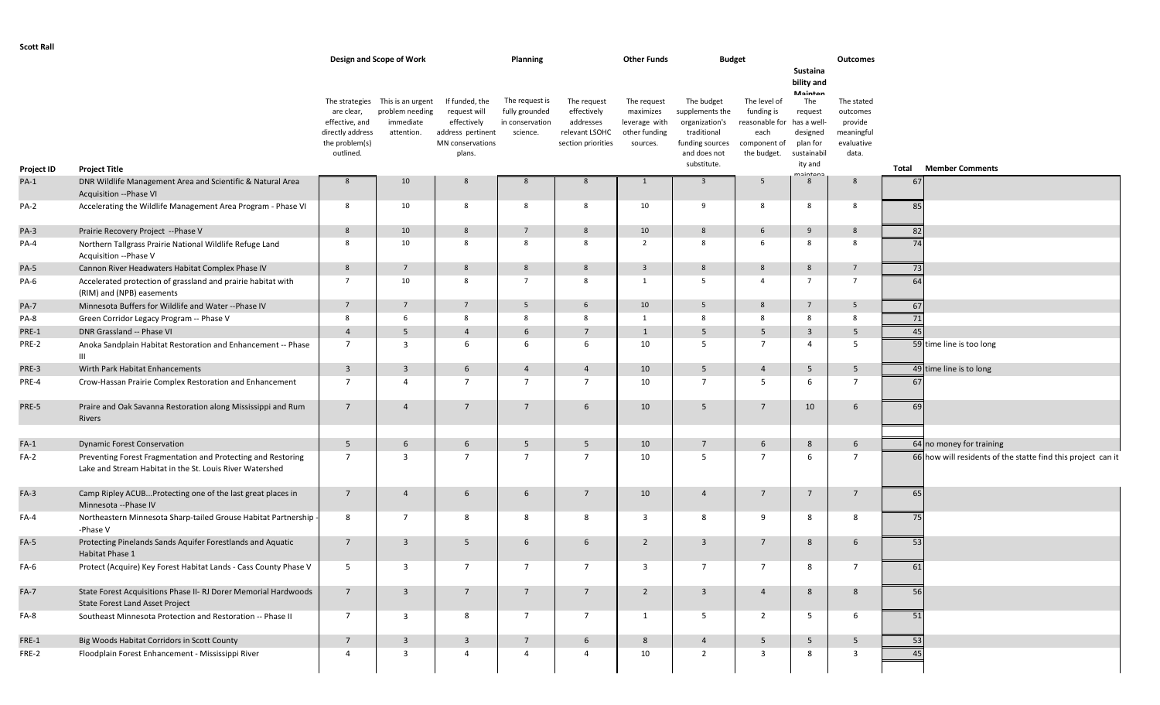| <b>Scott Rall</b> |                                                                                                                          |                                                                                      |                                                                 |                                                                                        |                                                                 |                                                                                 |                                                                        |                                                                                   |                                                                      |                                                                  |                                                               |       |                                                              |
|-------------------|--------------------------------------------------------------------------------------------------------------------------|--------------------------------------------------------------------------------------|-----------------------------------------------------------------|----------------------------------------------------------------------------------------|-----------------------------------------------------------------|---------------------------------------------------------------------------------|------------------------------------------------------------------------|-----------------------------------------------------------------------------------|----------------------------------------------------------------------|------------------------------------------------------------------|---------------------------------------------------------------|-------|--------------------------------------------------------------|
|                   |                                                                                                                          |                                                                                      | Design and Scope of Work                                        |                                                                                        | Planning                                                        |                                                                                 | <b>Other Funds</b>                                                     | <b>Budget</b>                                                                     |                                                                      | Sustaina<br>bility and                                           | <b>Outcomes</b>                                               |       |                                                              |
|                   |                                                                                                                          | The strategies<br>are clear,<br>effective, and<br>directly address<br>the problem(s) | This is an urgent<br>problem needing<br>immediate<br>attention. | If funded, the<br>request will<br>effectively<br>address pertinent<br>MN conservations | The request is<br>fully grounded<br>in conservation<br>science. | The request<br>effectively<br>addresses<br>relevant LSOHC<br>section priorities | The request<br>maximizes<br>leverage with<br>other funding<br>sources. | The budget<br>supplements the<br>organization's<br>traditional<br>funding sources | The level of<br>funding is<br>reasonable for<br>each<br>component of | Mainton<br>The<br>request<br>has a well-<br>designed<br>plan for | The stated<br>outcomes<br>provide<br>meaningful<br>evaluative |       |                                                              |
| Project ID        | <b>Project Title</b>                                                                                                     | outlined.                                                                            |                                                                 | plans.                                                                                 |                                                                 |                                                                                 |                                                                        | and does not<br>substitute.                                                       | the budget.                                                          | sustainabil<br>ity and                                           | data.                                                         | Total | <b>Member Comments</b>                                       |
| $PA-1$            | DNR Wildlife Management Area and Scientific & Natural Area<br>Acquisition -- Phase VI                                    | 8                                                                                    | 10                                                              | 8                                                                                      | 8                                                               | 8                                                                               | 1                                                                      | $\overline{3}$                                                                    | 5                                                                    | maintana<br>-8                                                   | 8                                                             | 67    |                                                              |
| <b>PA-2</b>       | Accelerating the Wildlife Management Area Program - Phase VI                                                             | 8                                                                                    | 10                                                              | 8                                                                                      | 8                                                               | 8                                                                               | 10                                                                     | 9                                                                                 | 8                                                                    | - 8                                                              | 8                                                             | 85    |                                                              |
| $PA-3$            | Prairie Recovery Project --Phase V                                                                                       | 8                                                                                    | 10                                                              | 8                                                                                      | $\overline{7}$                                                  | 8                                                                               | 10                                                                     | 8                                                                                 | 6                                                                    | 9                                                                | 8                                                             | 82    |                                                              |
| PA-4              | Northern Tallgrass Prairie National Wildlife Refuge Land<br>Acquisition --Phase V                                        | 8                                                                                    | 10                                                              | 8                                                                                      | 8                                                               | 8                                                                               | $\overline{2}$                                                         | 8                                                                                 | 6                                                                    | 8                                                                | 8                                                             | 74    |                                                              |
| <b>PA-5</b>       | Cannon River Headwaters Habitat Complex Phase IV                                                                         | 8                                                                                    | $7\overline{ }$                                                 | 8                                                                                      | 8                                                               | $8\phantom{.}$                                                                  | $\overline{3}$                                                         | $8\phantom{.}$                                                                    | $8\phantom{.}$                                                       | 8                                                                | $7\overline{ }$                                               | 73    |                                                              |
| PA-6              | Accelerated protection of grassland and prairie habitat with<br>(RIM) and (NPB) easements                                | $7\overline{ }$                                                                      | 10                                                              | 8                                                                                      | $\overline{7}$                                                  | 8                                                                               | 1                                                                      | 5                                                                                 | $\overline{4}$                                                       | $\overline{7}$                                                   | $7\overline{ }$                                               | 64    |                                                              |
| <b>PA-7</b>       | Minnesota Buffers for Wildlife and Water -- Phase IV                                                                     | $7\overline{ }$                                                                      | $7\overline{ }$                                                 | $7\overline{ }$                                                                        | 5                                                               | 6                                                                               | 10                                                                     | 5 <sub>5</sub>                                                                    | 8                                                                    | $\overline{7}$                                                   | 5                                                             | 67    |                                                              |
| PA-8              | Green Corridor Legacy Program -- Phase V                                                                                 | 8                                                                                    | 6                                                               | 8                                                                                      | 8                                                               | 8                                                                               | 1                                                                      | 8                                                                                 | 8                                                                    | - 8                                                              | 8                                                             | 71    |                                                              |
| PRE-1             | DNR Grassland -- Phase VI                                                                                                | $\overline{4}$                                                                       | 5                                                               | $\overline{4}$                                                                         | 6                                                               | 7                                                                               | 1                                                                      | 5                                                                                 | 5                                                                    | $\overline{3}$                                                   | 5                                                             | 45    |                                                              |
| PRE-2             | Anoka Sandplain Habitat Restoration and Enhancement -- Phase<br>III                                                      | $7\overline{ }$                                                                      | 3                                                               | 6                                                                                      | 6                                                               | 6                                                                               | 10                                                                     | 5                                                                                 | 7                                                                    | $\overline{4}$                                                   | 5                                                             |       | 59 time line is too long                                     |
| PRE-3             | Wirth Park Habitat Enhancements                                                                                          | $\overline{\mathbf{3}}$                                                              | $\overline{3}$                                                  | 6                                                                                      | $\overline{4}$                                                  | $\overline{4}$                                                                  | 10                                                                     | 5                                                                                 | $\overline{4}$                                                       | 5                                                                | 5                                                             |       | 49 time line is to long                                      |
| PRE-4             | Crow-Hassan Prairie Complex Restoration and Enhancement                                                                  | $\overline{7}$                                                                       | 4                                                               | $\overline{7}$                                                                         | $\overline{7}$                                                  | $\overline{7}$                                                                  | 10                                                                     | $\overline{7}$                                                                    | 5                                                                    | 6                                                                | $\overline{7}$                                                | 67    |                                                              |
| PRE-5             | Praire and Oak Savanna Restoration along Mississippi and Rum<br>Rivers                                                   | $\overline{7}$                                                                       | $\overline{4}$                                                  | 7                                                                                      | $\overline{7}$                                                  | 6                                                                               | 10                                                                     | 5                                                                                 | $7\overline{ }$                                                      | 10                                                               | 6                                                             | 69    |                                                              |
| $FA-1$            | <b>Dynamic Forest Conservation</b>                                                                                       | 5                                                                                    | 6                                                               | 6                                                                                      | 5 <sup>5</sup>                                                  | 5                                                                               | 10                                                                     | $7\overline{ }$                                                                   | 6                                                                    | 8                                                                | 6                                                             |       | 64 no money for training                                     |
| FA-2              | Preventing Forest Fragmentation and Protecting and Restoring<br>Lake and Stream Habitat in the St. Louis River Watershed | $7\overline{ }$                                                                      | 3                                                               | $\overline{7}$                                                                         | $\overline{7}$                                                  | $\overline{7}$                                                                  | 10                                                                     | 5                                                                                 | $\overline{7}$                                                       | 6                                                                | $\overline{7}$                                                |       | 66 how will residents of the statte find this project can it |
| $FA-3$            | Camp Ripley ACUBProtecting one of the last great places in<br>Minnesota -- Phase IV                                      | $7^{\circ}$                                                                          | $\overline{4}$                                                  | 6                                                                                      | 6                                                               | $7\overline{ }$                                                                 | 10                                                                     | $\overline{4}$                                                                    | $7\overline{ }$                                                      | $\overline{7}$                                                   | $7^{\circ}$                                                   | 65    |                                                              |
| FA-4              | Northeastern Minnesota Sharp-tailed Grouse Habitat Partnership -<br>-Phase V                                             | 8                                                                                    | $7\overline{ }$                                                 | 8                                                                                      | 8                                                               | 8                                                                               | $\overline{3}$                                                         | 8                                                                                 | 9                                                                    | 8                                                                | 8                                                             | 75    |                                                              |
| $FA-5$            | Protecting Pinelands Sands Aquifer Forestlands and Aquatic<br>Habitat Phase 1                                            | 7                                                                                    | $\overline{3}$                                                  | 5                                                                                      | 6                                                               | 6                                                                               | $\overline{2}$                                                         | $\overline{3}$                                                                    | 7                                                                    | 8                                                                | 6                                                             | 53    |                                                              |
| FA-6              | Protect (Acquire) Key Forest Habitat Lands - Cass County Phase V                                                         | 5                                                                                    | $\overline{\mathbf{3}}$                                         | $7\overline{ }$                                                                        | 7                                                               | 7                                                                               | $\overline{3}$                                                         | 7                                                                                 | 7                                                                    | 8                                                                | $\overline{7}$                                                | 61    |                                                              |
| $FA-7$            | State Forest Acquisitions Phase II- RJ Dorer Memorial Hardwoods<br>State Forest Land Asset Project                       | $\overline{7}$                                                                       | $\overline{3}$                                                  | $7\overline{ }$                                                                        | $7\overline{ }$                                                 | $7\overline{ }$                                                                 | $\overline{2}$                                                         | $\overline{3}$                                                                    | $\overline{4}$                                                       | 8                                                                | 8                                                             | 56    |                                                              |
| FA-8              | Southeast Minnesota Protection and Restoration -- Phase II                                                               | $7\overline{ }$                                                                      | $\overline{3}$                                                  | 8                                                                                      | $7\overline{ }$                                                 | $\overline{7}$                                                                  | 1                                                                      | 5                                                                                 | $\overline{2}$                                                       | 5                                                                | 6                                                             | 51    |                                                              |
| FRE-1             | Big Woods Habitat Corridors in Scott County                                                                              | $7\overline{ }$                                                                      | $\overline{3}$                                                  | $\overline{\mathbf{3}}$                                                                | $7\overline{ }$                                                 | $6\overline{6}$                                                                 | $8\phantom{.}$                                                         | $\overline{4}$                                                                    | 5                                                                    | 5 <sup>5</sup>                                                   | 5 <sup>5</sup>                                                | 53    |                                                              |
| FRE-2             | Floodplain Forest Enhancement - Mississippi River                                                                        | $\overline{4}$                                                                       | $\overline{3}$                                                  | $\overline{4}$                                                                         | $\overline{4}$                                                  | $\overline{4}$                                                                  | 10                                                                     | $\overline{2}$                                                                    | $\overline{3}$                                                       | 8                                                                | 3                                                             | 45    |                                                              |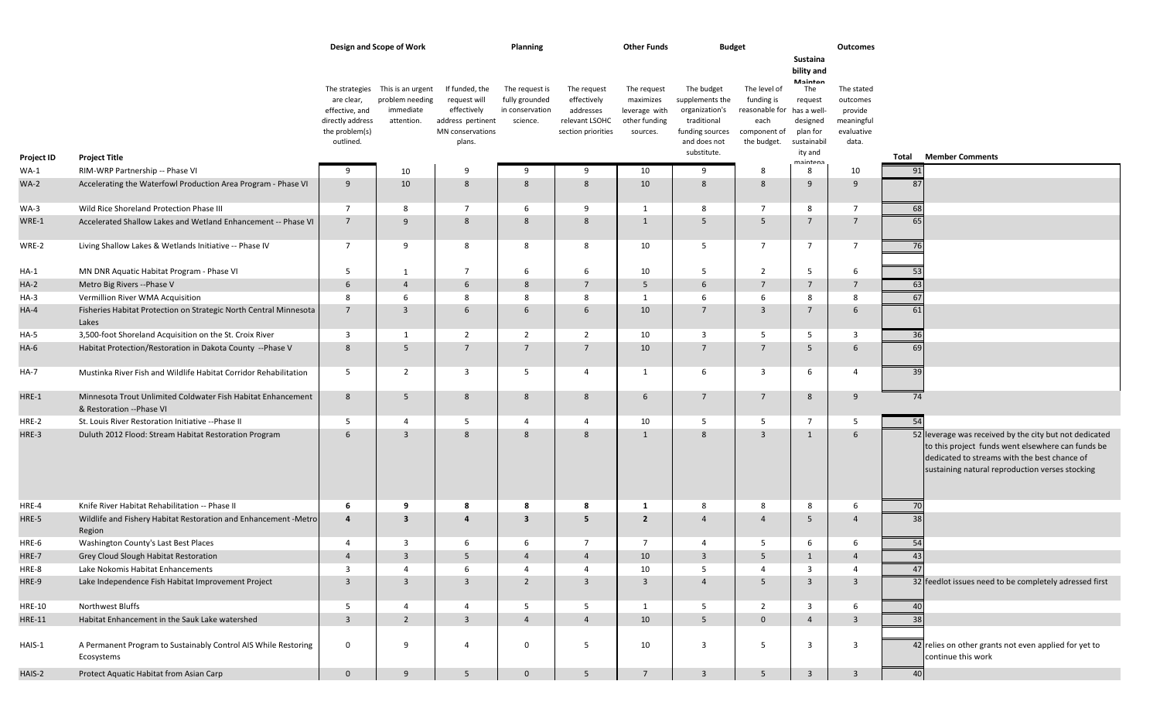|                   |                                                                                          |                                                                                                   | Design and Scope of Work                                        |                                                                                                  | Planning                                                        |                                                                                 | <b>Other Funds</b>                                                     | <b>Budget</b>                                                                                                    |                                                                                                 |                                                                                                                   | Outcomes                                                               |       |                                                                                                                                                                                                                |
|-------------------|------------------------------------------------------------------------------------------|---------------------------------------------------------------------------------------------------|-----------------------------------------------------------------|--------------------------------------------------------------------------------------------------|-----------------------------------------------------------------|---------------------------------------------------------------------------------|------------------------------------------------------------------------|------------------------------------------------------------------------------------------------------------------|-------------------------------------------------------------------------------------------------|-------------------------------------------------------------------------------------------------------------------|------------------------------------------------------------------------|-------|----------------------------------------------------------------------------------------------------------------------------------------------------------------------------------------------------------------|
| <b>Project ID</b> | <b>Project Title</b>                                                                     | The strategies<br>are clear,<br>effective, and<br>directly address<br>the problem(s)<br>outlined. | This is an urgent<br>problem needing<br>immediate<br>attention. | If funded, the<br>request will<br>effectively<br>address pertinent<br>MN conservations<br>plans. | The request is<br>fully grounded<br>in conservation<br>science. | The request<br>effectively<br>addresses<br>relevant LSOHC<br>section priorities | The request<br>maximizes<br>leverage with<br>other funding<br>sources. | The budget<br>supplements the<br>organization's<br>traditional<br>funding sources<br>and does not<br>substitute. | The level of<br>funding is<br>reasonable for has a well-<br>each<br>component of<br>the budget. | Sustaina<br>bility and<br>Mainton<br>The<br>request<br>designed<br>plan for<br>sustainabil<br>ity and<br>maintans | The stated<br>outcomes<br>provide<br>meaningful<br>evaluative<br>data. | Total | <b>Member Comments</b>                                                                                                                                                                                         |
| $WA-1$            | RIM-WRP Partnership -- Phase VI                                                          | 9                                                                                                 | 10                                                              | 9                                                                                                | 9                                                               | 9                                                                               | 10                                                                     | 9                                                                                                                | -8                                                                                              | 8                                                                                                                 | 10                                                                     | 91    |                                                                                                                                                                                                                |
| $WA-2$            | Accelerating the Waterfowl Production Area Program - Phase VI                            | 9                                                                                                 | 10                                                              | 8                                                                                                | 8                                                               | 8                                                                               | 10                                                                     | 8                                                                                                                | 8                                                                                               | 9                                                                                                                 | 9                                                                      | 87    |                                                                                                                                                                                                                |
| WA-3              | Wild Rice Shoreland Protection Phase III                                                 | $\overline{7}$                                                                                    | 8                                                               | $\overline{7}$                                                                                   | -6                                                              | 9                                                                               | 1                                                                      | 8                                                                                                                | $\overline{7}$                                                                                  | 8                                                                                                                 | $\overline{7}$                                                         | 68    |                                                                                                                                                                                                                |
| WRE-1             | Accelerated Shallow Lakes and Wetland Enhancement -- Phase VI                            | $7\overline{ }$                                                                                   | 9                                                               | 8                                                                                                | 8                                                               | 8                                                                               | $\overline{1}$                                                         | 5                                                                                                                | .5                                                                                              | $7\overline{ }$                                                                                                   | $\overline{7}$                                                         | 65    |                                                                                                                                                                                                                |
| WRE-2             | Living Shallow Lakes & Wetlands Initiative -- Phase IV                                   | $\overline{7}$                                                                                    | 9                                                               | 8                                                                                                | 8                                                               | 8                                                                               | 10                                                                     | 5                                                                                                                | $\overline{7}$                                                                                  | $\overline{7}$                                                                                                    | $\overline{7}$                                                         | 76    |                                                                                                                                                                                                                |
| HA-1              | MN DNR Aquatic Habitat Program - Phase VI                                                | 5                                                                                                 | 1                                                               | $\overline{7}$                                                                                   | 6                                                               | 6                                                                               | 10                                                                     | 5                                                                                                                | $\overline{2}$                                                                                  | 5                                                                                                                 | 6                                                                      | 53    |                                                                                                                                                                                                                |
| $HA-2$            | Metro Big Rivers -- Phase V                                                              | 6                                                                                                 | $\overline{4}$                                                  | 6                                                                                                | 8                                                               | 7                                                                               | 5                                                                      | 6                                                                                                                | $\overline{7}$                                                                                  | $7\overline{ }$                                                                                                   | $7^{\circ}$                                                            | 63    |                                                                                                                                                                                                                |
| HA-3              | Vermillion River WMA Acquisition                                                         | 8                                                                                                 | 6                                                               | 8                                                                                                | 8                                                               | 8                                                                               | 1                                                                      | 6                                                                                                                | 6                                                                                               | 8                                                                                                                 | 8                                                                      | 67    |                                                                                                                                                                                                                |
| $HA-4$            | Fisheries Habitat Protection on Strategic North Central Minnesota<br>Lakes               | $7\overline{ }$                                                                                   | $\overline{3}$                                                  | 6                                                                                                | 6                                                               | 6                                                                               | 10                                                                     | $7\overline{ }$                                                                                                  | $\overline{3}$                                                                                  | $7\overline{ }$                                                                                                   | 6                                                                      | 61    |                                                                                                                                                                                                                |
| $HA-5$            | 3,500-foot Shoreland Acquisition on the St. Croix River                                  | $\overline{\mathbf{3}}$                                                                           | 1                                                               | $\overline{2}$                                                                                   | $\overline{2}$                                                  | $\overline{2}$                                                                  | 10                                                                     | 3                                                                                                                | - 5                                                                                             | 5                                                                                                                 | $\overline{3}$                                                         | 36    |                                                                                                                                                                                                                |
| HA-6              | Habitat Protection/Restoration in Dakota County -- Phase V                               | 8                                                                                                 | 5                                                               | $7\overline{ }$                                                                                  | $\overline{7}$                                                  | $\overline{7}$                                                                  | 10                                                                     | $7\overline{ }$                                                                                                  | $\overline{7}$                                                                                  | 5                                                                                                                 | 6                                                                      | 69    |                                                                                                                                                                                                                |
| HA-7              | Mustinka River Fish and Wildlife Habitat Corridor Rehabilitation                         | 5                                                                                                 | $\overline{2}$                                                  | 3                                                                                                | - 5                                                             | $\overline{4}$                                                                  | 1                                                                      | 6                                                                                                                | 3                                                                                               | 6                                                                                                                 | $\overline{4}$                                                         | 39    |                                                                                                                                                                                                                |
| HRE-1             | Minnesota Trout Unlimited Coldwater Fish Habitat Enhancement<br>& Restoration --Phase VI | 8                                                                                                 | 5                                                               | 8                                                                                                | -8                                                              | 8                                                                               | 6                                                                      | $\overline{7}$                                                                                                   | $\overline{7}$                                                                                  | 8                                                                                                                 | 9                                                                      | 74    |                                                                                                                                                                                                                |
| HRE-2             | St. Louis River Restoration Initiative -- Phase II                                       | 5                                                                                                 | $\overline{4}$                                                  | 5                                                                                                | $\overline{4}$                                                  | $\overline{4}$                                                                  | 10                                                                     | 5                                                                                                                | 5                                                                                               | $7^{\circ}$                                                                                                       | 5                                                                      | 54    |                                                                                                                                                                                                                |
| HRE-3             | Duluth 2012 Flood: Stream Habitat Restoration Program                                    | 6                                                                                                 | $\overline{3}$                                                  | 8                                                                                                | 8                                                               | 8                                                                               | $\mathbf{1}$                                                           | 8                                                                                                                | $\overline{3}$                                                                                  | $\mathbf{1}$                                                                                                      | 6                                                                      |       | 52 leverage was received by the city but not dedicated<br>to this project funds went elsewhere can funds be<br>dedicated to streams with the best chance of<br>sustaining natural reproduction verses stocking |
| HRE-4             | Knife River Habitat Rehabilitation -- Phase II                                           | -6                                                                                                | 9                                                               | 8                                                                                                | -8                                                              | 8                                                                               | -1                                                                     | 8                                                                                                                | 8                                                                                               | 8                                                                                                                 | 6                                                                      | 70    |                                                                                                                                                                                                                |
| HRE-5             | Wildlife and Fishery Habitat Restoration and Enhancement - Metro<br>Region               | $\overline{a}$                                                                                    | $\overline{\mathbf{3}}$                                         | 4                                                                                                | $\overline{\mathbf{3}}$                                         | 5                                                                               | $\overline{2}$                                                         | $\overline{4}$                                                                                                   | $\overline{4}$                                                                                  | 5                                                                                                                 | $\overline{4}$                                                         | 38    |                                                                                                                                                                                                                |
| HRE-6             | Washington County's Last Best Places                                                     | $\overline{4}$                                                                                    | $\overline{3}$                                                  | 6                                                                                                | 6                                                               | $\overline{7}$                                                                  | $\overline{7}$                                                         | 4                                                                                                                | -5                                                                                              | 6                                                                                                                 | 6                                                                      | 54    |                                                                                                                                                                                                                |
| HRE-7             | Grey Cloud Slough Habitat Restoration                                                    | 4                                                                                                 | 3                                                               | 5                                                                                                | 4                                                               | -4                                                                              | 10                                                                     | 3                                                                                                                | -5                                                                                              | 1                                                                                                                 | $\overline{4}$                                                         | 43    |                                                                                                                                                                                                                |
| HRE-8             | Lake Nokomis Habitat Enhancements                                                        | $\overline{3}$                                                                                    | $\overline{a}$                                                  | 6                                                                                                | $\overline{4}$                                                  | $\overline{4}$                                                                  | 10                                                                     | 5                                                                                                                | $\overline{4}$                                                                                  | $\overline{3}$                                                                                                    | $\overline{4}$                                                         | 47    |                                                                                                                                                                                                                |
| HRE-9             | Lake Independence Fish Habitat Improvement Project                                       | $\overline{3}$                                                                                    | $\overline{3}$                                                  | $\overline{3}$                                                                                   | $\overline{2}$                                                  | $\overline{3}$                                                                  | $\overline{3}$                                                         | $\overline{4}$                                                                                                   | 5                                                                                               | $\overline{3}$                                                                                                    | $\overline{3}$                                                         |       | 32 feedlot issues need to be completely adressed first                                                                                                                                                         |
| <b>HRE-10</b>     | Northwest Bluffs                                                                         | 5                                                                                                 | $\overline{4}$                                                  | $\overline{4}$                                                                                   | 5                                                               | $5\overline{5}$                                                                 | 1                                                                      | 5                                                                                                                | $\overline{2}$                                                                                  | $\overline{3}$                                                                                                    | 6                                                                      | 40    |                                                                                                                                                                                                                |
| <b>HRE-11</b>     | Habitat Enhancement in the Sauk Lake watershed                                           | $\overline{3}$                                                                                    | $\overline{2}$                                                  | $\overline{3}$                                                                                   | $\overline{4}$                                                  | $\overline{4}$                                                                  | 10                                                                     | 5                                                                                                                | $\overline{0}$                                                                                  | $\overline{4}$                                                                                                    | $\overline{3}$                                                         | 38    |                                                                                                                                                                                                                |
| HAIS-1            | A Permanent Program to Sustainably Control AIS While Restoring<br>Ecosystems             | $\mathbf 0$                                                                                       | 9                                                               | $\overline{4}$                                                                                   | $\mathbf 0$                                                     | 5                                                                               | 10                                                                     | $\overline{3}$                                                                                                   | 5                                                                                               | $\overline{3}$                                                                                                    | $\overline{3}$                                                         |       | 42 relies on other grants not even applied for yet to<br>continue this work                                                                                                                                    |
| HAIS-2            | Protect Aquatic Habitat from Asian Carp                                                  | $\overline{0}$                                                                                    | 9                                                               | $5\overline{)}$                                                                                  | $\mathbf 0$                                                     | 5                                                                               | $7^{\circ}$                                                            | $\overline{3}$                                                                                                   | 5 <sup>5</sup>                                                                                  | $\overline{3}$                                                                                                    | $\overline{3}$                                                         | 40    |                                                                                                                                                                                                                |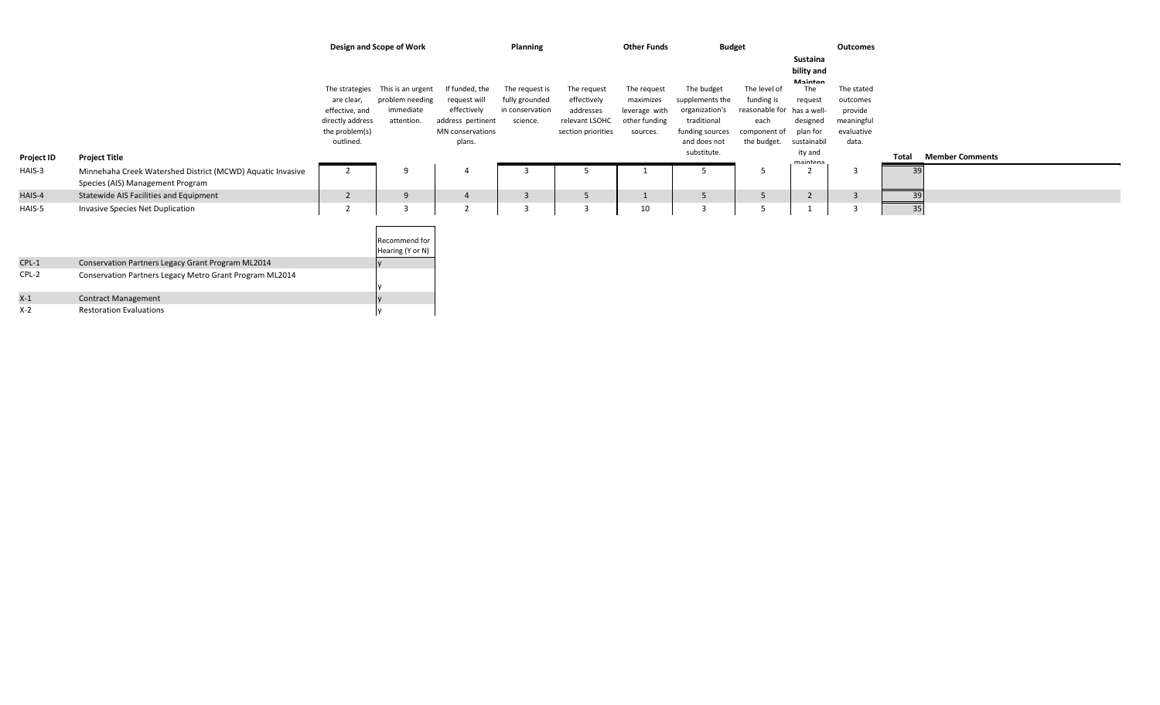|            |                                                                                                |                                                                                                   | Design and Scope of Work                                        |                                                                                                  | Planning                                                        |                                                                                 | <b>Other Funds</b>                                                     | <b>Budget</b>                                                                                                    |                                                                                     |                                                                                                                      | Outcomes                                                               |       |                        |
|------------|------------------------------------------------------------------------------------------------|---------------------------------------------------------------------------------------------------|-----------------------------------------------------------------|--------------------------------------------------------------------------------------------------|-----------------------------------------------------------------|---------------------------------------------------------------------------------|------------------------------------------------------------------------|------------------------------------------------------------------------------------------------------------------|-------------------------------------------------------------------------------------|----------------------------------------------------------------------------------------------------------------------|------------------------------------------------------------------------|-------|------------------------|
|            |                                                                                                | The strategies<br>are clear,<br>effective, and<br>directly address<br>the problem(s)<br>outlined. | This is an urgent<br>problem needing<br>immediate<br>attention. | If funded, the<br>request will<br>effectively<br>address pertinent<br>MN conservations<br>plans. | The request is<br>fully grounded<br>in conservation<br>science. | The request<br>effectively<br>addresses<br>relevant LSOHC<br>section priorities | The request<br>maximizes<br>leverage with<br>other funding<br>sources. | The budget<br>supplements the<br>organization's<br>traditional<br>funding sources<br>and does not<br>substitute. | The level of<br>funding is<br>reasonable for<br>each<br>component of<br>the budget. | Sustaina<br>bility and<br>Mainton<br>The<br>request<br>has a well-<br>designed<br>plan for<br>sustainabil<br>ity and | The stated<br>outcomes<br>provide<br>meaningful<br>evaluative<br>data. | Total | <b>Member Comments</b> |
| Project ID | <b>Project Title</b>                                                                           |                                                                                                   |                                                                 |                                                                                                  |                                                                 |                                                                                 |                                                                        |                                                                                                                  |                                                                                     | maintana                                                                                                             |                                                                        |       |                        |
| HAIS-3     | Minnehaha Creek Watershed District (MCWD) Aquatic Invasive<br>Species (AIS) Management Program | $\overline{2}$                                                                                    | 9                                                               |                                                                                                  | $\mathbf{3}$                                                    |                                                                                 |                                                                        |                                                                                                                  | -5                                                                                  |                                                                                                                      | $\overline{3}$                                                         | 39    |                        |
| HAIS-4     | Statewide AIS Facilities and Equipment                                                         | $\overline{2}$                                                                                    | 9                                                               | $\overline{4}$                                                                                   | $\overline{\mathbf{3}}$                                         | 5                                                                               | $\mathbf{1}$                                                           | 5                                                                                                                | 5                                                                                   |                                                                                                                      | $\overline{3}$                                                         | 39    |                        |
| HAIS-5     | Invasive Species Net Duplication                                                               | $\overline{2}$                                                                                    | ್ರ                                                              | $\overline{2}$                                                                                   | $\overline{3}$                                                  | 3                                                                               | 10                                                                     | $\overline{3}$                                                                                                   | 5                                                                                   |                                                                                                                      |                                                                        | 35    |                        |
|            |                                                                                                |                                                                                                   | Recommend for<br>Hearing (Y or N)                               |                                                                                                  |                                                                 |                                                                                 |                                                                        |                                                                                                                  |                                                                                     |                                                                                                                      |                                                                        |       |                        |
| $CPL-1$    | Conservation Partners Legacy Grant Program ML2014                                              |                                                                                                   |                                                                 |                                                                                                  |                                                                 |                                                                                 |                                                                        |                                                                                                                  |                                                                                     |                                                                                                                      |                                                                        |       |                        |
| $CPL-2$    | Conservation Partners Legacy Metro Grant Program ML2014                                        |                                                                                                   |                                                                 |                                                                                                  |                                                                 |                                                                                 |                                                                        |                                                                                                                  |                                                                                     |                                                                                                                      |                                                                        |       |                        |
| $X-1$      | <b>Contract Management</b>                                                                     |                                                                                                   |                                                                 |                                                                                                  |                                                                 |                                                                                 |                                                                        |                                                                                                                  |                                                                                     |                                                                                                                      |                                                                        |       |                        |
| X-2        | <b>Restoration Evaluations</b>                                                                 |                                                                                                   |                                                                 |                                                                                                  |                                                                 |                                                                                 |                                                                        |                                                                                                                  |                                                                                     |                                                                                                                      |                                                                        |       |                        |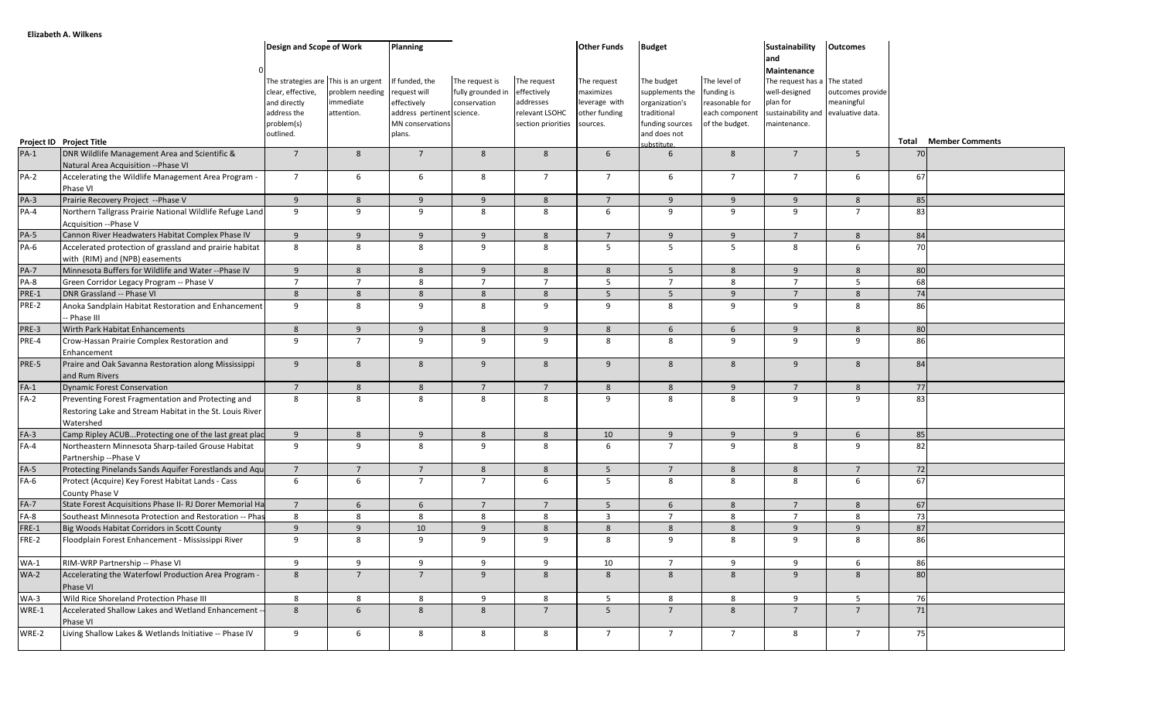|             |                                                                                                                             | Design and Scope of Work                                                                                            |                                            | <b>Planning</b>                                                                                           |                                                     |                                                                                          | <b>Other Funds</b>                                         | <b>Budget</b>                                                                                     |                                                                                  | <b>Sustainability</b><br>and<br>Maintenance                                                                      | <b>Outcomes</b>                |       |                        |
|-------------|-----------------------------------------------------------------------------------------------------------------------------|---------------------------------------------------------------------------------------------------------------------|--------------------------------------------|-----------------------------------------------------------------------------------------------------------|-----------------------------------------------------|------------------------------------------------------------------------------------------|------------------------------------------------------------|---------------------------------------------------------------------------------------------------|----------------------------------------------------------------------------------|------------------------------------------------------------------------------------------------------------------|--------------------------------|-------|------------------------|
|             |                                                                                                                             | The strategies are This is an urgent<br>clear, effective,<br>and directly<br>address the<br>problem(s)<br>outlined. | problem needing<br>immediate<br>attention. | If funded, the<br>request will<br>effectively<br>address pertinent science.<br>MN conservations<br>plans. | The request is<br>fully grounded in<br>conservation | The request<br>effectively<br>addresses<br>relevant LSOHC<br>section priorities sources. | The request<br>maximizes<br>leverage with<br>other funding | The budget<br>supplements the<br>organization's<br>traditional<br>funding sources<br>and does not | The level of<br>funding is<br>reasonable for<br>each component<br>of the budget. | The request has a The stated<br>well-designed<br>plan for<br>sustainability and evaluative data.<br>maintenance. | outcomes provide<br>meaningful |       |                        |
|             | Project ID Project Title                                                                                                    |                                                                                                                     |                                            |                                                                                                           |                                                     |                                                                                          |                                                            | substitute.                                                                                       |                                                                                  |                                                                                                                  |                                | Total | <b>Member Comments</b> |
| $PA-1$      | DNR Wildlife Management Area and Scientific &<br>Natural Area Acquisition -- Phase VI                                       | $\overline{7}$                                                                                                      | 8                                          | $\overline{7}$                                                                                            | 8                                                   | 8                                                                                        | 6                                                          | 6                                                                                                 | 8                                                                                | $\overline{7}$                                                                                                   | 5                              | 70    |                        |
| PA-2        | Accelerating the Wildlife Management Area Program -<br>Phase VI                                                             | $7^{\circ}$                                                                                                         | 6                                          | 6                                                                                                         | 8                                                   | $\overline{7}$                                                                           | $\overline{7}$                                             | 6                                                                                                 | $\overline{7}$                                                                   | $\overline{7}$                                                                                                   | 6                              | 67    |                        |
| PA-3        | Prairie Recovery Project -- Phase V                                                                                         | 9                                                                                                                   | 8                                          | 9                                                                                                         | 9                                                   | 8                                                                                        | $\overline{7}$                                             | 9                                                                                                 | 9                                                                                | 9                                                                                                                | 8                              | 85    |                        |
| $PA-4$      | Northern Tallgrass Prairie National Wildlife Refuge Land<br>Acquisition --Phase V                                           | 9                                                                                                                   | 9                                          | 9                                                                                                         | 8                                                   | 8                                                                                        | 6                                                          | 9                                                                                                 | 9                                                                                | 9                                                                                                                | $\overline{7}$                 | 83    |                        |
| $PA-5$      | Cannon River Headwaters Habitat Complex Phase IV                                                                            | 9                                                                                                                   | 9                                          | 9                                                                                                         | 9                                                   | 8                                                                                        | $7^{\circ}$                                                | 9                                                                                                 | 9                                                                                | $\overline{7}$                                                                                                   | 8                              | 84    |                        |
| PA-6        | Accelerated protection of grassland and prairie habitat<br>with (RIM) and (NPB) easements                                   | 8                                                                                                                   | 8                                          | 8                                                                                                         | 9                                                   | 8                                                                                        | 5                                                          | $5\overline{)}$                                                                                   | $5^{\circ}$                                                                      | 8                                                                                                                | 6                              | 70    |                        |
| <b>PA-7</b> | Minnesota Buffers for Wildlife and Water -- Phase IV                                                                        | 9                                                                                                                   | 8                                          | 8                                                                                                         | 9                                                   | 8                                                                                        | 8                                                          | 5                                                                                                 | 8                                                                                | 9                                                                                                                | 8                              | 80    |                        |
| PA-8        | Green Corridor Legacy Program -- Phase V                                                                                    | $\overline{7}$                                                                                                      | $\overline{7}$                             | 8                                                                                                         | $\overline{7}$                                      | $\overline{7}$                                                                           | $5\overline{)}$                                            | $\overline{7}$                                                                                    | 8                                                                                | $\overline{7}$                                                                                                   | 5                              | 68    |                        |
| PRE-1       | DNR Grassland -- Phase VI                                                                                                   | 8                                                                                                                   | 8                                          | 8                                                                                                         | 8                                                   | 8                                                                                        | 5 <sup>5</sup>                                             | $5^{\circ}$                                                                                       | 9                                                                                | $7^{\circ}$                                                                                                      | 8                              | 74    |                        |
| PRE-2       | Anoka Sandplain Habitat Restoration and Enhancement<br>- Phase III                                                          | 9                                                                                                                   | 8                                          | 9                                                                                                         | 8                                                   | 9                                                                                        | 9                                                          | 8                                                                                                 | 9                                                                                | 9                                                                                                                | 8                              | 86    |                        |
| PRE-3       | Wirth Park Habitat Enhancements                                                                                             | $8\phantom{1}$                                                                                                      | 9                                          | 9                                                                                                         | 8                                                   | 9                                                                                        | 8                                                          | 6                                                                                                 | $6\overline{6}$                                                                  | 9                                                                                                                | 8                              | 80    |                        |
| PRE-4       | Crow-Hassan Prairie Complex Restoration and                                                                                 | 9                                                                                                                   | $7\overline{ }$                            | 9                                                                                                         | 9                                                   | 9                                                                                        | 8                                                          | 8                                                                                                 | 9                                                                                | 9                                                                                                                | 9                              | 86    |                        |
|             | Enhancement                                                                                                                 |                                                                                                                     |                                            |                                                                                                           |                                                     |                                                                                          |                                                            |                                                                                                   |                                                                                  |                                                                                                                  |                                |       |                        |
| PRE-5       | Praire and Oak Savanna Restoration along Mississippi<br>and Rum Rivers                                                      | 9                                                                                                                   | 8                                          | 8                                                                                                         | 9                                                   | 8                                                                                        | 9                                                          | 8                                                                                                 | 8                                                                                | $\overline{9}$                                                                                                   | 8                              | 84    |                        |
| $FA-1$      | <b>Dynamic Forest Conservation</b>                                                                                          | $7^{\circ}$                                                                                                         | $8\phantom{1}$                             | 8                                                                                                         | $\overline{7}$                                      | $\overline{7}$                                                                           | $8\phantom{1}$                                             | 8                                                                                                 | 9                                                                                | $7^{\circ}$                                                                                                      | $8\phantom{1}$                 | 77    |                        |
| $FA-2$      | Preventing Forest Fragmentation and Protecting and<br>Restoring Lake and Stream Habitat in the St. Louis River<br>Watershed | 8                                                                                                                   | 8                                          | 8                                                                                                         | 8                                                   | 8                                                                                        | 9                                                          | 8                                                                                                 | 8                                                                                | 9                                                                                                                | 9                              | 83    |                        |
| $FA-3$      | Camp Ripley ACUBProtecting one of the last great plac                                                                       | 9                                                                                                                   | 8                                          | 9                                                                                                         | 8                                                   | 8                                                                                        | 10                                                         | 9                                                                                                 | 9                                                                                | 9                                                                                                                | $6\overline{6}$                | 85    |                        |
| $FA-4$      | Northeastern Minnesota Sharp-tailed Grouse Habitat<br>Partnership -- Phase V                                                | 9                                                                                                                   | 9                                          | 8                                                                                                         | 9                                                   | 8                                                                                        | 6                                                          | $\overline{7}$                                                                                    | 9                                                                                | 8                                                                                                                | 9                              | 82    |                        |
| $FA-5$      | Protecting Pinelands Sands Aquifer Forestlands and Aqu                                                                      | $\overline{7}$                                                                                                      | $\overline{7}$                             | $\overline{7}$                                                                                            | 8                                                   | 8                                                                                        | 5                                                          | $\overline{7}$                                                                                    | 8                                                                                | 8                                                                                                                | $\overline{7}$                 | 72    |                        |
| $FA-6$      | Protect (Acquire) Key Forest Habitat Lands - Cass<br>County Phase V                                                         | 6                                                                                                                   | 6                                          | $\overline{7}$                                                                                            | $\overline{7}$                                      | 6                                                                                        | 5                                                          | 8                                                                                                 | 8                                                                                | 8                                                                                                                | 6                              | 67    |                        |
| $FA-7$      | State Forest Acquisitions Phase II- RJ Dorer Memorial Ha                                                                    | $7^{\circ}$                                                                                                         | 6                                          | 6                                                                                                         | $\overline{7}$                                      | $\overline{7}$                                                                           | $5\overline{5}$                                            | 6                                                                                                 | 8                                                                                | $\overline{7}$                                                                                                   | 8                              | 67    |                        |
| FA-8        | Southeast Minnesota Protection and Restoration -- Phas                                                                      | 8                                                                                                                   | 8                                          | 8                                                                                                         | 8                                                   | 8                                                                                        | $\overline{3}$                                             | $\overline{7}$                                                                                    | 8                                                                                | $\overline{7}$                                                                                                   | 8                              | 73    |                        |
| $FRE-1$     | Big Woods Habitat Corridors in Scott County                                                                                 | 9                                                                                                                   | 9                                          | 10                                                                                                        | 9                                                   | 8                                                                                        | $8\phantom{1}$                                             | 8                                                                                                 | 8                                                                                | 9                                                                                                                | 9                              | 87    |                        |
| FRE-2       | Floodplain Forest Enhancement - Mississippi River                                                                           | 9                                                                                                                   | 8                                          | 9                                                                                                         | 9                                                   | 9                                                                                        | 8                                                          | 9                                                                                                 | 8                                                                                | 9                                                                                                                | 8                              | 86    |                        |
| $WA-1$      | RIM-WRP Partnership -- Phase VI                                                                                             | 9                                                                                                                   | 9                                          | 9                                                                                                         | 9                                                   | 9                                                                                        | 10                                                         | 7                                                                                                 | 9                                                                                | 9                                                                                                                | 6                              | 86    |                        |
| $WA-2$      | Accelerating the Waterfowl Production Area Program -<br>Phase VI                                                            | 8                                                                                                                   | $7^{\circ}$                                | $7^{\circ}$                                                                                               | 9                                                   | 8                                                                                        | 8                                                          | 8                                                                                                 | 8                                                                                | 9                                                                                                                | 8                              | 80    |                        |
| $WA-3$      | Wild Rice Shoreland Protection Phase III                                                                                    | 8                                                                                                                   | 8                                          | 8                                                                                                         | 9                                                   | 8                                                                                        | 5 <sub>1</sub>                                             | 8                                                                                                 | 8                                                                                | 9                                                                                                                | 5 <sub>1</sub>                 | 76    |                        |
| WRE-1       | Accelerated Shallow Lakes and Wetland Enhancement -<br>Phase VI                                                             | 8                                                                                                                   | $6\overline{6}$                            | 8                                                                                                         | 8                                                   | $7\overline{ }$                                                                          | 5 <sup>5</sup>                                             | $\overline{7}$                                                                                    | 8                                                                                | $7\overline{ }$                                                                                                  | $7^{\circ}$                    | 71    |                        |
| WRE-2       | Living Shallow Lakes & Wetlands Initiative -- Phase IV                                                                      | 9                                                                                                                   | 6                                          | 8                                                                                                         | 8                                                   | 8                                                                                        | $7^{\circ}$                                                | $7\overline{ }$                                                                                   | $7\overline{ }$                                                                  | 8                                                                                                                | $7^{\circ}$                    | 75    |                        |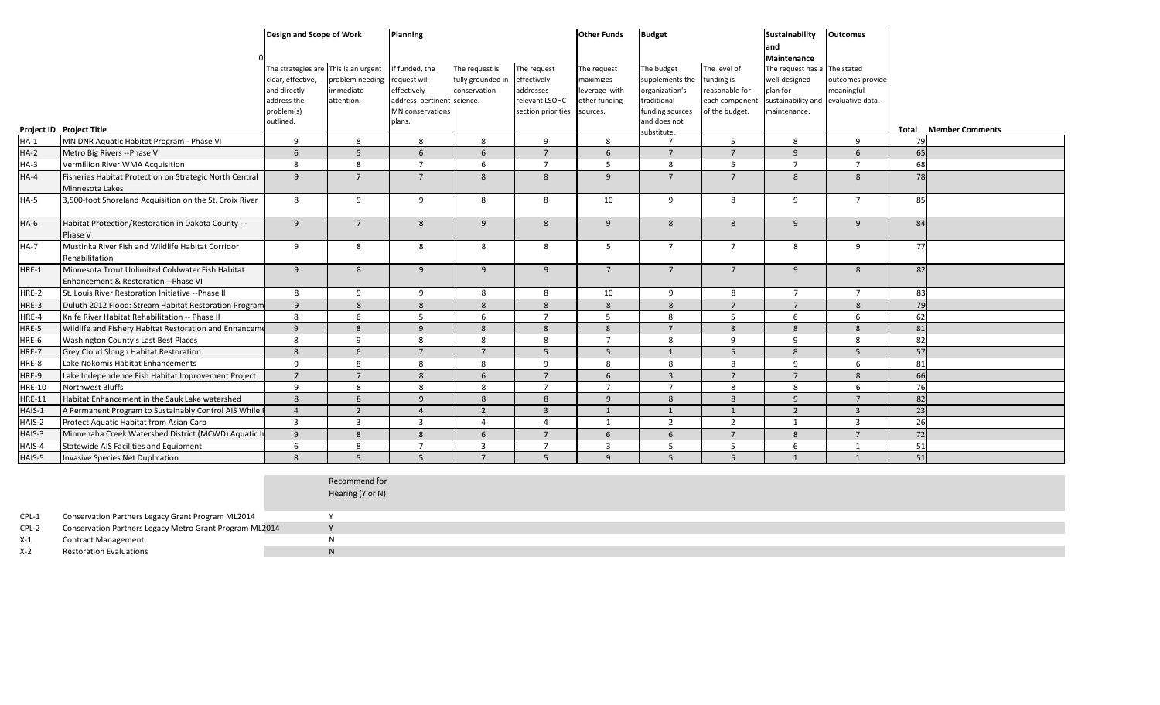| The strategies are This is an urgent<br>If funded, the<br>The request is<br>The level of<br>The request<br>The budget<br>The request has a The stated<br>The request<br>clear, effective,<br>problem needing<br>request will<br>fully grounded in<br>effectively<br>maximizes<br>supplements the<br>funding is<br>well-designed<br>outcomes provide<br>immediate<br>effectively<br>conservation<br>addresses<br>organization's<br>reasonable for<br>plan for<br>meaningful<br>and directly<br>leverage with<br>relevant LSOHC<br>sustainability and evaluative data.<br>address the<br>attention.<br>address pertinent science.<br>other funding<br>traditional<br>each component<br>MN conservations<br>problem(s)<br>section priorities<br>funding sources<br>of the budget.<br>maintenance.<br>sources.<br>plans.<br>and does not<br>outlined.<br>Total<br><b>Member Comments</b><br>Project ID Project Title<br>substitute.<br>MN DNR Aquatic Habitat Program - Phase VI<br>9<br>8<br>8<br>8<br>9<br>8<br>5<br>8<br>9<br>79<br>$\overline{7}$<br>$HA-1$<br>65<br>$HA-2$<br>5<br>$\overline{7}$<br>6<br>$\overline{7}$<br>$\overline{7}$<br>Metro Big Rivers -- Phase V<br>6<br>6<br>6<br>9<br>6<br>68<br>$HA-3$<br>8<br>$\overline{7}$<br>6<br>5<br>8<br>5<br>$\overline{7}$<br>Vermillion River WMA Acquisition<br>8<br>$\overline{7}$<br>$\overline{7}$<br>$\overline{7}$<br>$\overline{7}$<br>8<br>$\overline{8}$<br>9<br>$\overline{7}$<br>$\overline{7}$<br>78<br>9<br>8<br>8<br>$HA-4$<br>Fisheries Habitat Protection on Strategic North Central<br>Minnesota Lakes<br>3,500-foot Shoreland Acquisition on the St. Croix River<br>8<br>9<br>9<br>HA-5<br>9<br>8<br>8<br>10<br>9<br>8<br>$\overline{7}$<br>85<br>$\overline{9}$<br>$\overline{7}$<br>8<br>9<br>8<br>$\overline{9}$<br>8<br>8<br>9<br>84<br>HA-6<br>Habitat Protection/Restoration in Dakota County --<br>9<br>Phase V<br>Mustinka River Fish and Wildlife Habitat Corridor<br>5<br>$\overline{7}$<br>77<br>HA-7<br>9<br>8<br>8<br>8<br>8<br>$7^{\circ}$<br>8<br>9<br>Rehabilitation<br>9<br>8<br>9<br>$\overline{7}$<br>$\overline{7}$<br>9<br>82<br>HRE-1<br>Minnesota Trout Unlimited Coldwater Fish Habitat<br>9<br>9<br>$\overline{7}$<br>8<br>Enhancement & Restoration --Phase VI<br>8<br>9<br>9<br>8<br>8<br>10<br>9<br>8<br>$\overline{7}$<br>$7\overline{ }$<br>83<br>HRE-2<br>St. Louis River Restoration Initiative -- Phase II<br>79<br>HRE-3<br>Duluth 2012 Flood: Stream Habitat Restoration Program<br>8<br>8<br>8<br>8<br>$\overline{7}$<br>9<br>8<br>8<br>$7\overline{ }$<br>8<br>62<br>HRE-4<br>Knife River Habitat Rehabilitation -- Phase II<br>8<br>6<br>5<br>6<br>$\overline{7}$<br>5<br>8<br>5<br>6<br>6<br>Wildlife and Fishery Habitat Restoration and Enhanceme<br>9<br>8<br>9<br>8<br>8<br>8<br>$\overline{7}$<br>8<br>8<br>8<br>81<br>HRE-5<br>82<br>9<br>8<br>8<br>$\overline{7}$<br>9<br>9<br>HRE-6<br>Washington County's Last Best Places<br>8<br>-8<br>8<br>8<br>57<br>$\overline{7}$<br>$\overline{7}$<br>5<br>$5\overline{)}$<br>5 <sup>5</sup><br>HRE-7<br>8<br>6<br>$\mathbf{1}$<br>5 <sup>1</sup><br>8<br>Grey Cloud Slough Habitat Restoration<br>Lake Nokomis Habitat Enhancements<br>9<br>8<br>HRE-8<br>9<br>8<br>8<br>8<br>8<br>8<br>9<br>6<br>81<br>66<br>HRE-9<br>Lake Independence Fish Habitat Improvement Project<br>$\overline{7}$<br>$\overline{7}$<br>$\overline{7}$<br>6<br>$\overline{3}$<br>$\overline{7}$<br>$7\overline{ }$<br>8<br>6<br>8<br>76<br>9<br>8<br>8<br>8<br>$\overline{7}$<br>$\overline{7}$<br>$\overline{7}$<br>8<br>6<br>Northwest Bluffs<br>8<br><b>HRE-10</b><br>82<br>$\overline{9}$<br>Habitat Enhancement in the Sauk Lake watershed<br>8<br>8<br>9<br>8<br>8<br>8<br>8<br>9<br>$7^{\circ}$<br><b>HRE-11</b><br>23<br>$\overline{2}$<br>$\overline{2}$<br>$\overline{3}$<br>$\overline{2}$<br>HAIS-1<br>A Permanent Program to Sustainably Control AIS While I<br>$\overline{4}$<br>$\overline{4}$<br>1<br>1<br>1<br>$\overline{3}$<br>26<br>HAIS-2<br>Protect Aquatic Habitat from Asian Carp<br>$\overline{3}$<br>$\overline{3}$<br>$\overline{3}$<br>$\overline{4}$<br>$\overline{2}$<br>$\overline{2}$<br>$\overline{3}$<br>$\overline{4}$<br>1<br>$\overline{1}$<br>$\overline{7}$<br>72<br>HAIS-3<br>Minnehaha Creek Watershed District (MCWD) Aquatic In<br>$\overline{9}$<br>8<br>$\mathbf{8}$<br>6<br>$\overline{7}$<br>6<br>$6\overline{6}$<br>8<br>$\overline{7}$<br>HAIS-4<br>8<br>$\overline{7}$<br>$\overline{3}$<br>$\overline{7}$<br>$\overline{3}$<br>5<br>5<br>6<br>51<br><b>Statewide AIS Facilities and Equipment</b><br>6<br>$\mathbf{1}$<br>51<br>8<br>$5^{\circ}$<br>5<br>$\overline{7}$<br>5<br>9<br>5<br>5 <sup>1</sup><br>HAIS-5<br>$\mathbf{1}$<br>Invasive Species Net Duplication<br>$\overline{1}$<br>Recommend for<br>Hearing (Y or N)<br>Conservation Partners Legacy Grant Program ML2014<br>$CPL-1$<br>Y<br>Y<br>Conservation Partners Legacy Metro Grant Program ML2014<br>CPL-2<br>$\mathsf{N}$<br>$X-1$<br><b>Contract Management</b> |  | Design and Scope of Work | Planning |  | <b>Other Funds</b> | <b>Budget</b> | Sustainability<br>and<br>Maintenance | <b>Outcomes</b> |  |
|---------------------------------------------------------------------------------------------------------------------------------------------------------------------------------------------------------------------------------------------------------------------------------------------------------------------------------------------------------------------------------------------------------------------------------------------------------------------------------------------------------------------------------------------------------------------------------------------------------------------------------------------------------------------------------------------------------------------------------------------------------------------------------------------------------------------------------------------------------------------------------------------------------------------------------------------------------------------------------------------------------------------------------------------------------------------------------------------------------------------------------------------------------------------------------------------------------------------------------------------------------------------------------------------------------------------------------------------------------------------------------------------------------------------------------------------------------------------------------------------------------------------------------------------------------------------------------------------------------------------------------------------------------------------------------------------------------------------------------------------------------------------------------------------------------------------------------------------------------------------------------------------------------------------------------------------------------------------------------------------------------------------------------------------------------------------------------------------------------------------------------------------------------------------------------------------------------------------------------------------------------------------------------------------------------------------------------------------------------------------------------------------------------------------------------------------------------------------------------------------------------------------------------------------------------------------------------------------------------------------------------------------------------------------------------------------------------------------------------------------------------------------------------------------------------------------------------------------------------------------------------------------------------------------------------------------------------------------------------------------------------------------------------------------------------------------------------------------------------------------------------------------------------------------------------------------------------------------------------------------------------------------------------------------------------------------------------------------------------------------------------------------------------------------------------------------------------------------------------------------------------------------------------------------------------------------------------------------------------------------------------------------------------------------------------------------------------------------------------------------------------------------------------------------------------------------------------------------------------------------------------------------------------------------------------------------------------------------------------------------------------------------------------------------------------------------------------------------------------------------------------------------------------------------------------------------------------------------------------------------------------------------------------------------------------------------------------------------------------------------------------------------------------------------------------------------------------------------------------------------------------------------------------------------------------------------------------------------------------------------------------------------------------------------------------------------------------------------------------------------------------------------------------------------------------------------------------------------------------------------------------------------------------------------------------------------------------------------------------------------------------------------------------|--|--------------------------|----------|--|--------------------|---------------|--------------------------------------|-----------------|--|
|                                                                                                                                                                                                                                                                                                                                                                                                                                                                                                                                                                                                                                                                                                                                                                                                                                                                                                                                                                                                                                                                                                                                                                                                                                                                                                                                                                                                                                                                                                                                                                                                                                                                                                                                                                                                                                                                                                                                                                                                                                                                                                                                                                                                                                                                                                                                                                                                                                                                                                                                                                                                                                                                                                                                                                                                                                                                                                                                                                                                                                                                                                                                                                                                                                                                                                                                                                                                                                                                                                                                                                                                                                                                                                                                                                                                                                                                                                                                                                                                                                                                                                                                                                                                                                                                                                                                                                                                                                                                                                                                                                                                                                                                                                                                                                                                                                                                                                                                                                                                                                 |  |                          |          |  |                    |               |                                      |                 |  |
|                                                                                                                                                                                                                                                                                                                                                                                                                                                                                                                                                                                                                                                                                                                                                                                                                                                                                                                                                                                                                                                                                                                                                                                                                                                                                                                                                                                                                                                                                                                                                                                                                                                                                                                                                                                                                                                                                                                                                                                                                                                                                                                                                                                                                                                                                                                                                                                                                                                                                                                                                                                                                                                                                                                                                                                                                                                                                                                                                                                                                                                                                                                                                                                                                                                                                                                                                                                                                                                                                                                                                                                                                                                                                                                                                                                                                                                                                                                                                                                                                                                                                                                                                                                                                                                                                                                                                                                                                                                                                                                                                                                                                                                                                                                                                                                                                                                                                                                                                                                                                                 |  |                          |          |  |                    |               |                                      |                 |  |
|                                                                                                                                                                                                                                                                                                                                                                                                                                                                                                                                                                                                                                                                                                                                                                                                                                                                                                                                                                                                                                                                                                                                                                                                                                                                                                                                                                                                                                                                                                                                                                                                                                                                                                                                                                                                                                                                                                                                                                                                                                                                                                                                                                                                                                                                                                                                                                                                                                                                                                                                                                                                                                                                                                                                                                                                                                                                                                                                                                                                                                                                                                                                                                                                                                                                                                                                                                                                                                                                                                                                                                                                                                                                                                                                                                                                                                                                                                                                                                                                                                                                                                                                                                                                                                                                                                                                                                                                                                                                                                                                                                                                                                                                                                                                                                                                                                                                                                                                                                                                                                 |  |                          |          |  |                    |               |                                      |                 |  |
|                                                                                                                                                                                                                                                                                                                                                                                                                                                                                                                                                                                                                                                                                                                                                                                                                                                                                                                                                                                                                                                                                                                                                                                                                                                                                                                                                                                                                                                                                                                                                                                                                                                                                                                                                                                                                                                                                                                                                                                                                                                                                                                                                                                                                                                                                                                                                                                                                                                                                                                                                                                                                                                                                                                                                                                                                                                                                                                                                                                                                                                                                                                                                                                                                                                                                                                                                                                                                                                                                                                                                                                                                                                                                                                                                                                                                                                                                                                                                                                                                                                                                                                                                                                                                                                                                                                                                                                                                                                                                                                                                                                                                                                                                                                                                                                                                                                                                                                                                                                                                                 |  |                          |          |  |                    |               |                                      |                 |  |
|                                                                                                                                                                                                                                                                                                                                                                                                                                                                                                                                                                                                                                                                                                                                                                                                                                                                                                                                                                                                                                                                                                                                                                                                                                                                                                                                                                                                                                                                                                                                                                                                                                                                                                                                                                                                                                                                                                                                                                                                                                                                                                                                                                                                                                                                                                                                                                                                                                                                                                                                                                                                                                                                                                                                                                                                                                                                                                                                                                                                                                                                                                                                                                                                                                                                                                                                                                                                                                                                                                                                                                                                                                                                                                                                                                                                                                                                                                                                                                                                                                                                                                                                                                                                                                                                                                                                                                                                                                                                                                                                                                                                                                                                                                                                                                                                                                                                                                                                                                                                                                 |  |                          |          |  |                    |               |                                      |                 |  |
|                                                                                                                                                                                                                                                                                                                                                                                                                                                                                                                                                                                                                                                                                                                                                                                                                                                                                                                                                                                                                                                                                                                                                                                                                                                                                                                                                                                                                                                                                                                                                                                                                                                                                                                                                                                                                                                                                                                                                                                                                                                                                                                                                                                                                                                                                                                                                                                                                                                                                                                                                                                                                                                                                                                                                                                                                                                                                                                                                                                                                                                                                                                                                                                                                                                                                                                                                                                                                                                                                                                                                                                                                                                                                                                                                                                                                                                                                                                                                                                                                                                                                                                                                                                                                                                                                                                                                                                                                                                                                                                                                                                                                                                                                                                                                                                                                                                                                                                                                                                                                                 |  |                          |          |  |                    |               |                                      |                 |  |
|                                                                                                                                                                                                                                                                                                                                                                                                                                                                                                                                                                                                                                                                                                                                                                                                                                                                                                                                                                                                                                                                                                                                                                                                                                                                                                                                                                                                                                                                                                                                                                                                                                                                                                                                                                                                                                                                                                                                                                                                                                                                                                                                                                                                                                                                                                                                                                                                                                                                                                                                                                                                                                                                                                                                                                                                                                                                                                                                                                                                                                                                                                                                                                                                                                                                                                                                                                                                                                                                                                                                                                                                                                                                                                                                                                                                                                                                                                                                                                                                                                                                                                                                                                                                                                                                                                                                                                                                                                                                                                                                                                                                                                                                                                                                                                                                                                                                                                                                                                                                                                 |  |                          |          |  |                    |               |                                      |                 |  |
|                                                                                                                                                                                                                                                                                                                                                                                                                                                                                                                                                                                                                                                                                                                                                                                                                                                                                                                                                                                                                                                                                                                                                                                                                                                                                                                                                                                                                                                                                                                                                                                                                                                                                                                                                                                                                                                                                                                                                                                                                                                                                                                                                                                                                                                                                                                                                                                                                                                                                                                                                                                                                                                                                                                                                                                                                                                                                                                                                                                                                                                                                                                                                                                                                                                                                                                                                                                                                                                                                                                                                                                                                                                                                                                                                                                                                                                                                                                                                                                                                                                                                                                                                                                                                                                                                                                                                                                                                                                                                                                                                                                                                                                                                                                                                                                                                                                                                                                                                                                                                                 |  |                          |          |  |                    |               |                                      |                 |  |
|                                                                                                                                                                                                                                                                                                                                                                                                                                                                                                                                                                                                                                                                                                                                                                                                                                                                                                                                                                                                                                                                                                                                                                                                                                                                                                                                                                                                                                                                                                                                                                                                                                                                                                                                                                                                                                                                                                                                                                                                                                                                                                                                                                                                                                                                                                                                                                                                                                                                                                                                                                                                                                                                                                                                                                                                                                                                                                                                                                                                                                                                                                                                                                                                                                                                                                                                                                                                                                                                                                                                                                                                                                                                                                                                                                                                                                                                                                                                                                                                                                                                                                                                                                                                                                                                                                                                                                                                                                                                                                                                                                                                                                                                                                                                                                                                                                                                                                                                                                                                                                 |  |                          |          |  |                    |               |                                      |                 |  |
|                                                                                                                                                                                                                                                                                                                                                                                                                                                                                                                                                                                                                                                                                                                                                                                                                                                                                                                                                                                                                                                                                                                                                                                                                                                                                                                                                                                                                                                                                                                                                                                                                                                                                                                                                                                                                                                                                                                                                                                                                                                                                                                                                                                                                                                                                                                                                                                                                                                                                                                                                                                                                                                                                                                                                                                                                                                                                                                                                                                                                                                                                                                                                                                                                                                                                                                                                                                                                                                                                                                                                                                                                                                                                                                                                                                                                                                                                                                                                                                                                                                                                                                                                                                                                                                                                                                                                                                                                                                                                                                                                                                                                                                                                                                                                                                                                                                                                                                                                                                                                                 |  |                          |          |  |                    |               |                                      |                 |  |
|                                                                                                                                                                                                                                                                                                                                                                                                                                                                                                                                                                                                                                                                                                                                                                                                                                                                                                                                                                                                                                                                                                                                                                                                                                                                                                                                                                                                                                                                                                                                                                                                                                                                                                                                                                                                                                                                                                                                                                                                                                                                                                                                                                                                                                                                                                                                                                                                                                                                                                                                                                                                                                                                                                                                                                                                                                                                                                                                                                                                                                                                                                                                                                                                                                                                                                                                                                                                                                                                                                                                                                                                                                                                                                                                                                                                                                                                                                                                                                                                                                                                                                                                                                                                                                                                                                                                                                                                                                                                                                                                                                                                                                                                                                                                                                                                                                                                                                                                                                                                                                 |  |                          |          |  |                    |               |                                      |                 |  |
|                                                                                                                                                                                                                                                                                                                                                                                                                                                                                                                                                                                                                                                                                                                                                                                                                                                                                                                                                                                                                                                                                                                                                                                                                                                                                                                                                                                                                                                                                                                                                                                                                                                                                                                                                                                                                                                                                                                                                                                                                                                                                                                                                                                                                                                                                                                                                                                                                                                                                                                                                                                                                                                                                                                                                                                                                                                                                                                                                                                                                                                                                                                                                                                                                                                                                                                                                                                                                                                                                                                                                                                                                                                                                                                                                                                                                                                                                                                                                                                                                                                                                                                                                                                                                                                                                                                                                                                                                                                                                                                                                                                                                                                                                                                                                                                                                                                                                                                                                                                                                                 |  |                          |          |  |                    |               |                                      |                 |  |
|                                                                                                                                                                                                                                                                                                                                                                                                                                                                                                                                                                                                                                                                                                                                                                                                                                                                                                                                                                                                                                                                                                                                                                                                                                                                                                                                                                                                                                                                                                                                                                                                                                                                                                                                                                                                                                                                                                                                                                                                                                                                                                                                                                                                                                                                                                                                                                                                                                                                                                                                                                                                                                                                                                                                                                                                                                                                                                                                                                                                                                                                                                                                                                                                                                                                                                                                                                                                                                                                                                                                                                                                                                                                                                                                                                                                                                                                                                                                                                                                                                                                                                                                                                                                                                                                                                                                                                                                                                                                                                                                                                                                                                                                                                                                                                                                                                                                                                                                                                                                                                 |  |                          |          |  |                    |               |                                      |                 |  |
|                                                                                                                                                                                                                                                                                                                                                                                                                                                                                                                                                                                                                                                                                                                                                                                                                                                                                                                                                                                                                                                                                                                                                                                                                                                                                                                                                                                                                                                                                                                                                                                                                                                                                                                                                                                                                                                                                                                                                                                                                                                                                                                                                                                                                                                                                                                                                                                                                                                                                                                                                                                                                                                                                                                                                                                                                                                                                                                                                                                                                                                                                                                                                                                                                                                                                                                                                                                                                                                                                                                                                                                                                                                                                                                                                                                                                                                                                                                                                                                                                                                                                                                                                                                                                                                                                                                                                                                                                                                                                                                                                                                                                                                                                                                                                                                                                                                                                                                                                                                                                                 |  |                          |          |  |                    |               |                                      |                 |  |
|                                                                                                                                                                                                                                                                                                                                                                                                                                                                                                                                                                                                                                                                                                                                                                                                                                                                                                                                                                                                                                                                                                                                                                                                                                                                                                                                                                                                                                                                                                                                                                                                                                                                                                                                                                                                                                                                                                                                                                                                                                                                                                                                                                                                                                                                                                                                                                                                                                                                                                                                                                                                                                                                                                                                                                                                                                                                                                                                                                                                                                                                                                                                                                                                                                                                                                                                                                                                                                                                                                                                                                                                                                                                                                                                                                                                                                                                                                                                                                                                                                                                                                                                                                                                                                                                                                                                                                                                                                                                                                                                                                                                                                                                                                                                                                                                                                                                                                                                                                                                                                 |  |                          |          |  |                    |               |                                      |                 |  |
|                                                                                                                                                                                                                                                                                                                                                                                                                                                                                                                                                                                                                                                                                                                                                                                                                                                                                                                                                                                                                                                                                                                                                                                                                                                                                                                                                                                                                                                                                                                                                                                                                                                                                                                                                                                                                                                                                                                                                                                                                                                                                                                                                                                                                                                                                                                                                                                                                                                                                                                                                                                                                                                                                                                                                                                                                                                                                                                                                                                                                                                                                                                                                                                                                                                                                                                                                                                                                                                                                                                                                                                                                                                                                                                                                                                                                                                                                                                                                                                                                                                                                                                                                                                                                                                                                                                                                                                                                                                                                                                                                                                                                                                                                                                                                                                                                                                                                                                                                                                                                                 |  |                          |          |  |                    |               |                                      |                 |  |
|                                                                                                                                                                                                                                                                                                                                                                                                                                                                                                                                                                                                                                                                                                                                                                                                                                                                                                                                                                                                                                                                                                                                                                                                                                                                                                                                                                                                                                                                                                                                                                                                                                                                                                                                                                                                                                                                                                                                                                                                                                                                                                                                                                                                                                                                                                                                                                                                                                                                                                                                                                                                                                                                                                                                                                                                                                                                                                                                                                                                                                                                                                                                                                                                                                                                                                                                                                                                                                                                                                                                                                                                                                                                                                                                                                                                                                                                                                                                                                                                                                                                                                                                                                                                                                                                                                                                                                                                                                                                                                                                                                                                                                                                                                                                                                                                                                                                                                                                                                                                                                 |  |                          |          |  |                    |               |                                      |                 |  |
|                                                                                                                                                                                                                                                                                                                                                                                                                                                                                                                                                                                                                                                                                                                                                                                                                                                                                                                                                                                                                                                                                                                                                                                                                                                                                                                                                                                                                                                                                                                                                                                                                                                                                                                                                                                                                                                                                                                                                                                                                                                                                                                                                                                                                                                                                                                                                                                                                                                                                                                                                                                                                                                                                                                                                                                                                                                                                                                                                                                                                                                                                                                                                                                                                                                                                                                                                                                                                                                                                                                                                                                                                                                                                                                                                                                                                                                                                                                                                                                                                                                                                                                                                                                                                                                                                                                                                                                                                                                                                                                                                                                                                                                                                                                                                                                                                                                                                                                                                                                                                                 |  |                          |          |  |                    |               |                                      |                 |  |
|                                                                                                                                                                                                                                                                                                                                                                                                                                                                                                                                                                                                                                                                                                                                                                                                                                                                                                                                                                                                                                                                                                                                                                                                                                                                                                                                                                                                                                                                                                                                                                                                                                                                                                                                                                                                                                                                                                                                                                                                                                                                                                                                                                                                                                                                                                                                                                                                                                                                                                                                                                                                                                                                                                                                                                                                                                                                                                                                                                                                                                                                                                                                                                                                                                                                                                                                                                                                                                                                                                                                                                                                                                                                                                                                                                                                                                                                                                                                                                                                                                                                                                                                                                                                                                                                                                                                                                                                                                                                                                                                                                                                                                                                                                                                                                                                                                                                                                                                                                                                                                 |  |                          |          |  |                    |               |                                      |                 |  |
|                                                                                                                                                                                                                                                                                                                                                                                                                                                                                                                                                                                                                                                                                                                                                                                                                                                                                                                                                                                                                                                                                                                                                                                                                                                                                                                                                                                                                                                                                                                                                                                                                                                                                                                                                                                                                                                                                                                                                                                                                                                                                                                                                                                                                                                                                                                                                                                                                                                                                                                                                                                                                                                                                                                                                                                                                                                                                                                                                                                                                                                                                                                                                                                                                                                                                                                                                                                                                                                                                                                                                                                                                                                                                                                                                                                                                                                                                                                                                                                                                                                                                                                                                                                                                                                                                                                                                                                                                                                                                                                                                                                                                                                                                                                                                                                                                                                                                                                                                                                                                                 |  |                          |          |  |                    |               |                                      |                 |  |
|                                                                                                                                                                                                                                                                                                                                                                                                                                                                                                                                                                                                                                                                                                                                                                                                                                                                                                                                                                                                                                                                                                                                                                                                                                                                                                                                                                                                                                                                                                                                                                                                                                                                                                                                                                                                                                                                                                                                                                                                                                                                                                                                                                                                                                                                                                                                                                                                                                                                                                                                                                                                                                                                                                                                                                                                                                                                                                                                                                                                                                                                                                                                                                                                                                                                                                                                                                                                                                                                                                                                                                                                                                                                                                                                                                                                                                                                                                                                                                                                                                                                                                                                                                                                                                                                                                                                                                                                                                                                                                                                                                                                                                                                                                                                                                                                                                                                                                                                                                                                                                 |  |                          |          |  |                    |               |                                      |                 |  |
|                                                                                                                                                                                                                                                                                                                                                                                                                                                                                                                                                                                                                                                                                                                                                                                                                                                                                                                                                                                                                                                                                                                                                                                                                                                                                                                                                                                                                                                                                                                                                                                                                                                                                                                                                                                                                                                                                                                                                                                                                                                                                                                                                                                                                                                                                                                                                                                                                                                                                                                                                                                                                                                                                                                                                                                                                                                                                                                                                                                                                                                                                                                                                                                                                                                                                                                                                                                                                                                                                                                                                                                                                                                                                                                                                                                                                                                                                                                                                                                                                                                                                                                                                                                                                                                                                                                                                                                                                                                                                                                                                                                                                                                                                                                                                                                                                                                                                                                                                                                                                                 |  |                          |          |  |                    |               |                                      |                 |  |
|                                                                                                                                                                                                                                                                                                                                                                                                                                                                                                                                                                                                                                                                                                                                                                                                                                                                                                                                                                                                                                                                                                                                                                                                                                                                                                                                                                                                                                                                                                                                                                                                                                                                                                                                                                                                                                                                                                                                                                                                                                                                                                                                                                                                                                                                                                                                                                                                                                                                                                                                                                                                                                                                                                                                                                                                                                                                                                                                                                                                                                                                                                                                                                                                                                                                                                                                                                                                                                                                                                                                                                                                                                                                                                                                                                                                                                                                                                                                                                                                                                                                                                                                                                                                                                                                                                                                                                                                                                                                                                                                                                                                                                                                                                                                                                                                                                                                                                                                                                                                                                 |  |                          |          |  |                    |               |                                      |                 |  |
|                                                                                                                                                                                                                                                                                                                                                                                                                                                                                                                                                                                                                                                                                                                                                                                                                                                                                                                                                                                                                                                                                                                                                                                                                                                                                                                                                                                                                                                                                                                                                                                                                                                                                                                                                                                                                                                                                                                                                                                                                                                                                                                                                                                                                                                                                                                                                                                                                                                                                                                                                                                                                                                                                                                                                                                                                                                                                                                                                                                                                                                                                                                                                                                                                                                                                                                                                                                                                                                                                                                                                                                                                                                                                                                                                                                                                                                                                                                                                                                                                                                                                                                                                                                                                                                                                                                                                                                                                                                                                                                                                                                                                                                                                                                                                                                                                                                                                                                                                                                                                                 |  |                          |          |  |                    |               |                                      |                 |  |
|                                                                                                                                                                                                                                                                                                                                                                                                                                                                                                                                                                                                                                                                                                                                                                                                                                                                                                                                                                                                                                                                                                                                                                                                                                                                                                                                                                                                                                                                                                                                                                                                                                                                                                                                                                                                                                                                                                                                                                                                                                                                                                                                                                                                                                                                                                                                                                                                                                                                                                                                                                                                                                                                                                                                                                                                                                                                                                                                                                                                                                                                                                                                                                                                                                                                                                                                                                                                                                                                                                                                                                                                                                                                                                                                                                                                                                                                                                                                                                                                                                                                                                                                                                                                                                                                                                                                                                                                                                                                                                                                                                                                                                                                                                                                                                                                                                                                                                                                                                                                                                 |  |                          |          |  |                    |               |                                      |                 |  |
|                                                                                                                                                                                                                                                                                                                                                                                                                                                                                                                                                                                                                                                                                                                                                                                                                                                                                                                                                                                                                                                                                                                                                                                                                                                                                                                                                                                                                                                                                                                                                                                                                                                                                                                                                                                                                                                                                                                                                                                                                                                                                                                                                                                                                                                                                                                                                                                                                                                                                                                                                                                                                                                                                                                                                                                                                                                                                                                                                                                                                                                                                                                                                                                                                                                                                                                                                                                                                                                                                                                                                                                                                                                                                                                                                                                                                                                                                                                                                                                                                                                                                                                                                                                                                                                                                                                                                                                                                                                                                                                                                                                                                                                                                                                                                                                                                                                                                                                                                                                                                                 |  |                          |          |  |                    |               |                                      |                 |  |
|                                                                                                                                                                                                                                                                                                                                                                                                                                                                                                                                                                                                                                                                                                                                                                                                                                                                                                                                                                                                                                                                                                                                                                                                                                                                                                                                                                                                                                                                                                                                                                                                                                                                                                                                                                                                                                                                                                                                                                                                                                                                                                                                                                                                                                                                                                                                                                                                                                                                                                                                                                                                                                                                                                                                                                                                                                                                                                                                                                                                                                                                                                                                                                                                                                                                                                                                                                                                                                                                                                                                                                                                                                                                                                                                                                                                                                                                                                                                                                                                                                                                                                                                                                                                                                                                                                                                                                                                                                                                                                                                                                                                                                                                                                                                                                                                                                                                                                                                                                                                                                 |  |                          |          |  |                    |               |                                      |                 |  |
|                                                                                                                                                                                                                                                                                                                                                                                                                                                                                                                                                                                                                                                                                                                                                                                                                                                                                                                                                                                                                                                                                                                                                                                                                                                                                                                                                                                                                                                                                                                                                                                                                                                                                                                                                                                                                                                                                                                                                                                                                                                                                                                                                                                                                                                                                                                                                                                                                                                                                                                                                                                                                                                                                                                                                                                                                                                                                                                                                                                                                                                                                                                                                                                                                                                                                                                                                                                                                                                                                                                                                                                                                                                                                                                                                                                                                                                                                                                                                                                                                                                                                                                                                                                                                                                                                                                                                                                                                                                                                                                                                                                                                                                                                                                                                                                                                                                                                                                                                                                                                                 |  |                          |          |  |                    |               |                                      |                 |  |

X-2 Restoration Evaluations N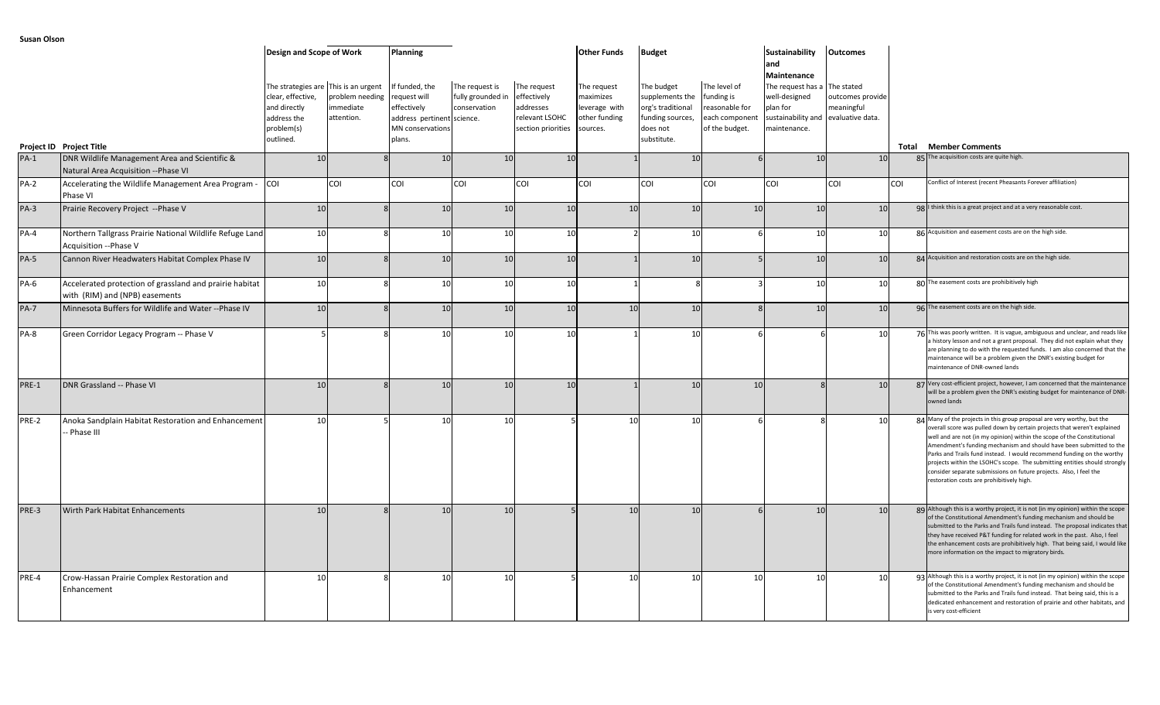|             |                                                                                           | Design and Scope of Work                                                    |                                                                                    | Planning                                                                                                  |                                                     |                                                                                 | <b>Other Funds</b>                                                     | <b>Budget</b>                                                                                     |                                                                                  | Sustainability<br>and                                                                                                           | <b>Outcomes</b>                |            |                                                                                                                                                                                                                                                                                                                                                                                                                                                                                                                                                                                  |
|-------------|-------------------------------------------------------------------------------------------|-----------------------------------------------------------------------------|------------------------------------------------------------------------------------|-----------------------------------------------------------------------------------------------------------|-----------------------------------------------------|---------------------------------------------------------------------------------|------------------------------------------------------------------------|---------------------------------------------------------------------------------------------------|----------------------------------------------------------------------------------|---------------------------------------------------------------------------------------------------------------------------------|--------------------------------|------------|----------------------------------------------------------------------------------------------------------------------------------------------------------------------------------------------------------------------------------------------------------------------------------------------------------------------------------------------------------------------------------------------------------------------------------------------------------------------------------------------------------------------------------------------------------------------------------|
|             |                                                                                           | clear, effective,<br>and directly<br>address the<br>problem(s)<br>outlined. | The strategies are This is an urgent<br>problem needing<br>immediate<br>attention. | If funded, the<br>request will<br>effectively<br>address pertinent science.<br>MN conservations<br>plans. | The request is<br>fully grounded in<br>conservation | The request<br>effectively<br>addresses<br>relevant LSOHC<br>section priorities | The request<br>maximizes<br>leverage with<br>other funding<br>sources. | The budget<br>supplements the<br>org's traditional<br>funding sources,<br>does not<br>substitute. | The level of<br>funding is<br>reasonable for<br>each component<br>of the budget. | Maintenance<br>The request has a The stated<br>well-designed<br>plan for<br>sustainability and evaluative data.<br>maintenance. | outcomes provide<br>meaningful |            |                                                                                                                                                                                                                                                                                                                                                                                                                                                                                                                                                                                  |
|             | Project ID Project Title                                                                  |                                                                             |                                                                                    |                                                                                                           |                                                     |                                                                                 |                                                                        |                                                                                                   |                                                                                  |                                                                                                                                 |                                | Total      | <b>Member Comments</b>                                                                                                                                                                                                                                                                                                                                                                                                                                                                                                                                                           |
| $PA-1$      | DNR Wildlife Management Area and Scientific &<br>Natural Area Acquisition -- Phase VI     | 10                                                                          | $\mathbf{R}$                                                                       | 10                                                                                                        | 10                                                  | 10 <sup>1</sup>                                                                 |                                                                        | 10                                                                                                | 6 <sup>1</sup>                                                                   | 10                                                                                                                              | 10                             |            | 85 The acquisition costs are quite high                                                                                                                                                                                                                                                                                                                                                                                                                                                                                                                                          |
| $PA-2$      | Accelerating the Wildlife Management Area Program -<br>Phase VI                           | <b>COI</b>                                                                  | COI                                                                                | COI                                                                                                       | COI                                                 | COI                                                                             | COI                                                                    | COI                                                                                               | COI                                                                              | <b>COI</b>                                                                                                                      | COI                            | <b>COI</b> | Conflict of Interest (recent Pheasants Forever affiliation)                                                                                                                                                                                                                                                                                                                                                                                                                                                                                                                      |
| $PA-3$      | Prairie Recovery Project -- Phase V                                                       | 10                                                                          | $\mathbf{R}$                                                                       | 10                                                                                                        | 10                                                  | 10 <sup>1</sup>                                                                 | 10                                                                     | 10                                                                                                | 10                                                                               | 10                                                                                                                              | 10                             |            | qg I think this is a great project and at a very reasonable cost.                                                                                                                                                                                                                                                                                                                                                                                                                                                                                                                |
| $PA-4$      | Northern Tallgrass Prairie National Wildlife Refuge Land<br>Acquisition --Phase V         | 10                                                                          |                                                                                    | 10                                                                                                        | 10                                                  | 10                                                                              |                                                                        | 10                                                                                                |                                                                                  | 10                                                                                                                              | 10                             |            | 86 Acquisition and easement costs are on the high side.                                                                                                                                                                                                                                                                                                                                                                                                                                                                                                                          |
| $PA-5$      | Cannon River Headwaters Habitat Complex Phase IV                                          | 10                                                                          | $\mathbf{R}$                                                                       | 10                                                                                                        | 10                                                  | 10 <sup>1</sup>                                                                 |                                                                        | 10                                                                                                | $\overline{a}$                                                                   | 10                                                                                                                              | 10                             |            | 84 Acquisition and restoration costs are on the high side.                                                                                                                                                                                                                                                                                                                                                                                                                                                                                                                       |
| $PA-6$      | Accelerated protection of grassland and prairie habitat<br>with (RIM) and (NPB) easements | 10                                                                          | $\mathsf{R}$                                                                       | 10                                                                                                        | 10                                                  | 10                                                                              |                                                                        |                                                                                                   |                                                                                  | 10                                                                                                                              | 10                             |            | 80 The easement costs are prohibitively high                                                                                                                                                                                                                                                                                                                                                                                                                                                                                                                                     |
| <b>PA-7</b> | Minnesota Buffers for Wildlife and Water -- Phase IV                                      | 10                                                                          | $\mathbf{R}$                                                                       | 10                                                                                                        | 10                                                  | 10 <sup>1</sup>                                                                 | 10                                                                     | 10                                                                                                | $\mathbf{R}$                                                                     | 10                                                                                                                              | 10                             |            | 96 The easement costs are on the high side.                                                                                                                                                                                                                                                                                                                                                                                                                                                                                                                                      |
| $PA-8$      | Green Corridor Legacy Program -- Phase V                                                  |                                                                             |                                                                                    | 10                                                                                                        | 10                                                  | 10                                                                              |                                                                        | 10                                                                                                |                                                                                  |                                                                                                                                 | 10                             |            | 76 This was poorly written. It is vague, ambiguous and unclear, and reads like<br>a history lesson and not a grant proposal. They did not explain what they<br>are planning to do with the requested funds. I am also concerned that the<br>maintenance will be a problem given the DNR's existing budget for<br>maintenance of DNR-owned lands                                                                                                                                                                                                                                  |
| PRE-1       | DNR Grassland -- Phase VI                                                                 | 10                                                                          | $\mathbf{Q}$                                                                       | 10                                                                                                        | 10                                                  | 10 <sup>1</sup>                                                                 |                                                                        | 10                                                                                                | 10                                                                               |                                                                                                                                 | 10                             |            | 87 Very cost-efficient project, however, I am concerned that the maintenance<br>will be a problem given the DNR's existing budget for maintenance of DNR-<br>owned lands                                                                                                                                                                                                                                                                                                                                                                                                         |
| PRE-2       | Anoka Sandplain Habitat Restoration and Enhancement<br>Phase III                          | 10 <sup>1</sup>                                                             |                                                                                    | 10                                                                                                        | 10                                                  |                                                                                 | 10 <sup>1</sup>                                                        | 10                                                                                                |                                                                                  |                                                                                                                                 | 10                             |            | 84 Many of the projects in this group proposal are very worthy, but the<br>overall score was pulled down by certain projects that weren't explained<br>well and are not (in my opinion) within the scope of the Constitutional<br>Amendment's funding mechanism and should have been submitted to the<br>Parks and Trails fund instead. I would recommend funding on the worthy<br>projects within the LSOHC's scope. The submitting entities should strongly<br>consider separate submissions on future projects. Also, I feel the<br>restoration costs are prohibitively high. |
| PRE-3       | Wirth Park Habitat Enhancements                                                           | 10                                                                          |                                                                                    | 10                                                                                                        | 10                                                  |                                                                                 | 10                                                                     | 10                                                                                                | 6                                                                                | 10                                                                                                                              | 10                             |            | 89 Although this is a worthy project, it is not (in my opinion) within the scope<br>of the Constitutional Amendment's funding mechanism and should be<br>submitted to the Parks and Trails fund instead. The proposal indicates that<br>they have received P&T funding for related work in the past. Also, I feel<br>the enhancement costs are prohibitively high. That being said, I would like<br>more information on the impact to migratory birds.                                                                                                                           |
| PRE-4       | Crow-Hassan Prairie Complex Restoration and<br>Enhancement                                | 10                                                                          |                                                                                    | 10                                                                                                        | 10                                                  |                                                                                 | 10 <sup>1</sup>                                                        | 10                                                                                                | 10                                                                               | 10                                                                                                                              | 10                             |            | 93 Although this is a worthy project, it is not (in my opinion) within the scope<br>of the Constitutional Amendment's funding mechanism and should be<br>submitted to the Parks and Trails fund instead. That being said, this is a<br>dedicated enhancement and restoration of prairie and other habitats, and<br>is very cost-efficient                                                                                                                                                                                                                                        |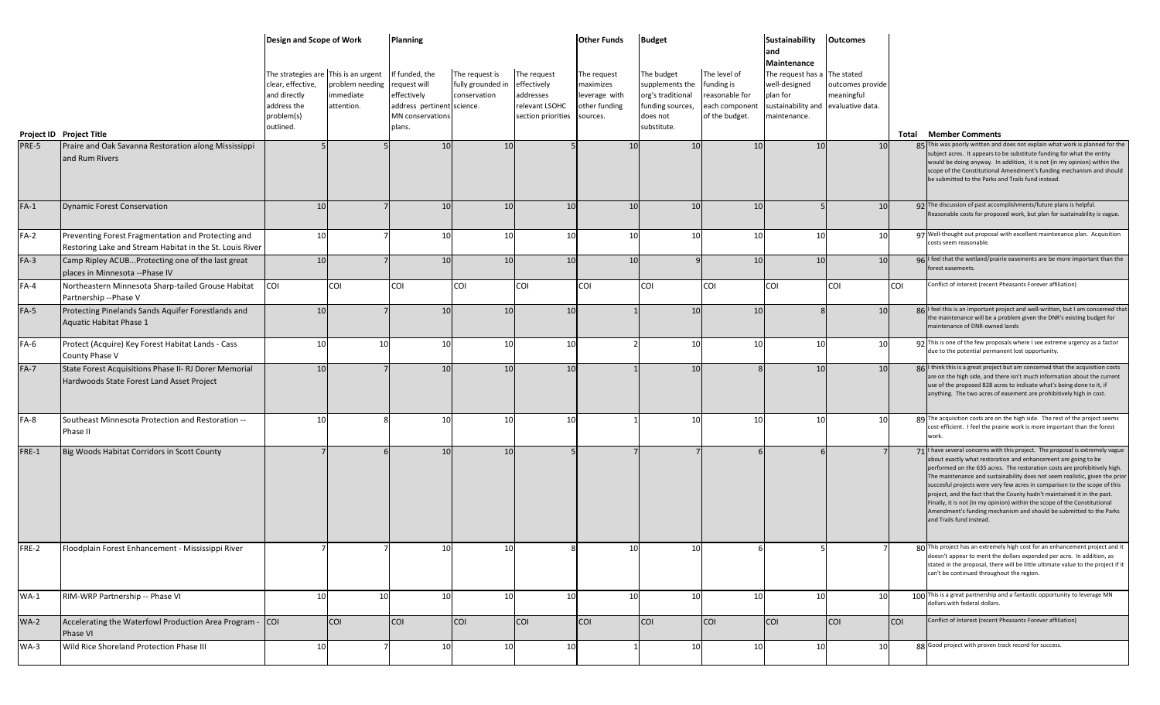|        |                                                                                                                | Design and Scope of Work                                                                                            |                                            | <b>Planning</b>                                                                                          |                                                     |                                                                                 | <b>Other Funds</b>                                                     | <b>Budget</b>                                                                                     |                                                                                  | <b>Sustainability</b>                                                                                                                   | <b>Outcomes</b>                |            |                                                                                                                                                                                                                                                                                                                                                                                                                                                                                                                                                                                                                                                    |
|--------|----------------------------------------------------------------------------------------------------------------|---------------------------------------------------------------------------------------------------------------------|--------------------------------------------|----------------------------------------------------------------------------------------------------------|-----------------------------------------------------|---------------------------------------------------------------------------------|------------------------------------------------------------------------|---------------------------------------------------------------------------------------------------|----------------------------------------------------------------------------------|-----------------------------------------------------------------------------------------------------------------------------------------|--------------------------------|------------|----------------------------------------------------------------------------------------------------------------------------------------------------------------------------------------------------------------------------------------------------------------------------------------------------------------------------------------------------------------------------------------------------------------------------------------------------------------------------------------------------------------------------------------------------------------------------------------------------------------------------------------------------|
|        | Project ID Project Title                                                                                       | The strategies are This is an urgent<br>clear, effective,<br>and directly<br>address the<br>problem(s)<br>outlined. | problem needing<br>immediate<br>attention. | f funded, the<br>request will<br>effectively<br>address pertinent science.<br>MN conservations<br>plans. | The request is<br>fully grounded in<br>conservation | The request<br>effectively<br>addresses<br>relevant LSOHC<br>section priorities | The request<br>maximizes<br>leverage with<br>other funding<br>sources. | The budget<br>supplements the<br>org's traditional<br>funding sources,<br>does not<br>substitute. | The level of<br>funding is<br>reasonable for<br>each component<br>of the budget. | land<br>Maintenance<br>The request has a The stated<br>well-designed<br>plan for<br>sustainability and evaluative data.<br>maintenance. | outcomes provide<br>meaningful |            | <b>Total Member Comments</b>                                                                                                                                                                                                                                                                                                                                                                                                                                                                                                                                                                                                                       |
| PRE-5  | Praire and Oak Savanna Restoration along Mississippi                                                           |                                                                                                                     |                                            | 10 <sup>1</sup>                                                                                          | 10                                                  |                                                                                 | 10                                                                     | 10                                                                                                | 10 <sup>1</sup>                                                                  | 10 <sup>1</sup>                                                                                                                         | 10                             |            | 85 This was poorly written and does not explain what work is planned for the<br>subject acres. It appears to be substitute funding for what the entity                                                                                                                                                                                                                                                                                                                                                                                                                                                                                             |
|        | and Rum Rivers                                                                                                 |                                                                                                                     |                                            |                                                                                                          |                                                     |                                                                                 |                                                                        |                                                                                                   |                                                                                  |                                                                                                                                         |                                |            | would be doing anyway. In addition, it is not (in my opinion) within the<br>scope of the Constitutional Amendment's funding mechanism and should<br>be submitted to the Parks and Trails fund instead.                                                                                                                                                                                                                                                                                                                                                                                                                                             |
| $FA-1$ | <b>Dynamic Forest Conservation</b>                                                                             | 10                                                                                                                  |                                            | 10                                                                                                       | 10                                                  | 10                                                                              | 10                                                                     | 10                                                                                                | 10                                                                               |                                                                                                                                         | 10                             |            | 92 The discussion of past accomplishments/future plans is helpful.<br>Reasonable costs for proposed work, but plan for sustainability is vague.                                                                                                                                                                                                                                                                                                                                                                                                                                                                                                    |
| $FA-2$ | Preventing Forest Fragmentation and Protecting and<br>Restoring Lake and Stream Habitat in the St. Louis River | 10                                                                                                                  |                                            | 10                                                                                                       | 10                                                  | 10                                                                              | 10 <sup>1</sup>                                                        | 10                                                                                                | 10                                                                               | 10                                                                                                                                      | 10                             |            | 97 Well-thought out proposal with excellent maintenance plan. Acquisition<br>costs seem reasonable.                                                                                                                                                                                                                                                                                                                                                                                                                                                                                                                                                |
| $FA-3$ | Camp Ripley ACUBProtecting one of the last great<br>places in Minnesota --Phase IV                             | 10                                                                                                                  |                                            | 10                                                                                                       | 10                                                  | 10                                                                              | 10                                                                     |                                                                                                   | 10                                                                               | 10                                                                                                                                      | 10                             |            | 96 I feel that the wetland/prairie easements are be more important than the<br>forest easements.                                                                                                                                                                                                                                                                                                                                                                                                                                                                                                                                                   |
| $FA-4$ | Northeastern Minnesota Sharp-tailed Grouse Habitat<br>Partnership -- Phase V                                   | <b>COI</b>                                                                                                          | COI                                        | COI                                                                                                      | COI                                                 | COI                                                                             | COI                                                                    | <b>COI</b>                                                                                        | COI                                                                              | <b>COI</b>                                                                                                                              | <b>COI</b>                     | <b>COI</b> | Conflict of Interest (recent Pheasants Forever affiliation)                                                                                                                                                                                                                                                                                                                                                                                                                                                                                                                                                                                        |
| $FA-5$ | Protecting Pinelands Sands Aquifer Forestlands and<br>Aquatic Habitat Phase 1                                  | 10                                                                                                                  |                                            | 10 <sup>1</sup>                                                                                          | 10                                                  | 10                                                                              |                                                                        | 10                                                                                                | 10                                                                               |                                                                                                                                         | 10                             |            | 86 I feel this is an important project and well-written, but I am concerned that<br>the maintenance will be a problem given the DNR's existing budget for<br>maintenance of DNR-owned lands                                                                                                                                                                                                                                                                                                                                                                                                                                                        |
| $FA-6$ | Protect (Acquire) Key Forest Habitat Lands - Cass<br>County Phase V                                            | 10                                                                                                                  | 10                                         | 10                                                                                                       | 10                                                  | 10                                                                              |                                                                        | 10                                                                                                | 10                                                                               | 10                                                                                                                                      | 10                             |            | 92 This is one of the few proposals where I see extreme urgency as a factor<br>due to the potential permanent lost opportunity.                                                                                                                                                                                                                                                                                                                                                                                                                                                                                                                    |
| $FA-7$ | State Forest Acquisitions Phase II- RJ Dorer Memorial<br>Hardwoods State Forest Land Asset Project             | 10                                                                                                                  |                                            | 10                                                                                                       | 10                                                  | 10                                                                              |                                                                        | 10                                                                                                |                                                                                  | 10                                                                                                                                      | 10                             |            | 86 I think this is a great project but am concerned that the acquisition costs<br>are on the high side, and there isn't much information about the current<br>use of the proposed 828 acres to indicate what's being done to it, if<br>anything. The two acres of easement are prohibitively high in cost.                                                                                                                                                                                                                                                                                                                                         |
| $FA-8$ | Southeast Minnesota Protection and Restoration --<br>Phase II                                                  | 10                                                                                                                  |                                            | 10                                                                                                       | 10                                                  | 10                                                                              |                                                                        | 10                                                                                                | 10                                                                               | 10                                                                                                                                      | 10                             |            | 89 The acquisition costs are on the high side. The rest of the project seems<br>cost-efficient. I feel the prairie work is more important than the forest<br>work.                                                                                                                                                                                                                                                                                                                                                                                                                                                                                 |
| FRE-1  | Big Woods Habitat Corridors in Scott County                                                                    |                                                                                                                     |                                            | 10                                                                                                       | 10                                                  |                                                                                 |                                                                        |                                                                                                   |                                                                                  |                                                                                                                                         |                                |            | 71   have several concerns with this project. The proposal is extremely vague<br>about exactly what restoration and enhancement are going to be<br>performed on the 635 acres. The restoration costs are prohibitively high.<br>The maintenance and sustainability does not seem realistic, given the prior<br>succesful projects were very few acres in comparison to the scope of this<br>project, and the fact that the County hadn't maintained it in the past.<br>Finally, it is not (in my opinion) within the scope of the Constitutional<br>Amendment's funding mechanism and should be submitted to the Parks<br>and Trails fund instead. |
| FRE-2  | Floodplain Forest Enhancement - Mississippi River                                                              |                                                                                                                     |                                            | 10                                                                                                       | 10                                                  |                                                                                 | 10                                                                     | 10                                                                                                |                                                                                  |                                                                                                                                         |                                |            | I his project has an extremely high cost for an enhancement project and it<br>doesn't appear to merit the dollars expended per acre. In addition, as<br>stated in the proposal, there will be little ultimate value to the project if it<br>can't be continued throughout the region.                                                                                                                                                                                                                                                                                                                                                              |
| $WA-1$ | RIM-WRP Partnership -- Phase VI                                                                                | 10                                                                                                                  | 10                                         | 10                                                                                                       | 10                                                  | 10                                                                              | 10                                                                     | 10                                                                                                | 10                                                                               | 10                                                                                                                                      | 10                             |            | 100 This is a great partnership and a fantastic opportunity to leverage MN<br>dollars with federal dollars.                                                                                                                                                                                                                                                                                                                                                                                                                                                                                                                                        |
| $WA-2$ | Accelerating the Waterfowl Production Area Program - COI<br>Phase VI                                           |                                                                                                                     | <b>COI</b>                                 | <b>COI</b>                                                                                               | <b>COI</b>                                          | <b>COI</b>                                                                      | <b>COI</b>                                                             | <b>COI</b>                                                                                        | <b>COI</b>                                                                       | <b>COI</b>                                                                                                                              | <b>COI</b>                     | <b>COI</b> | Conflict of Interest (recent Pheasants Forever affiliation)                                                                                                                                                                                                                                                                                                                                                                                                                                                                                                                                                                                        |
| $WA-3$ | Wild Rice Shoreland Protection Phase III                                                                       | 10                                                                                                                  |                                            | 10                                                                                                       | 10                                                  | 10                                                                              |                                                                        | 10                                                                                                | <b>10</b>                                                                        | 10                                                                                                                                      | 10                             |            | 88 Good project with proven track record for success.                                                                                                                                                                                                                                                                                                                                                                                                                                                                                                                                                                                              |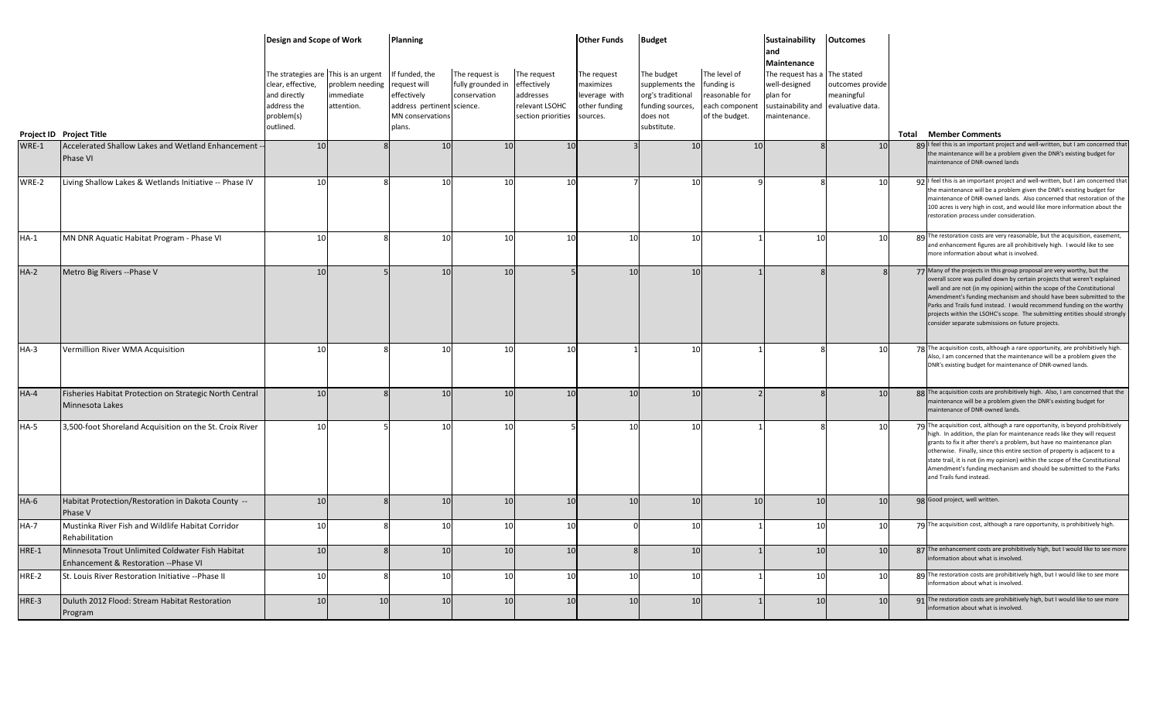|        |                                                                                           | Design and Scope of Work                                                                                            |                                            | Planning                                                                                                  |                                                     |                                                                                 | <b>Other Funds</b>                                                     | <b>Budget</b>                                                                                     |                                                                                  | Sustainability<br>and                                                                                                           | <b>Outcomes</b>                |                                                                                                                                                                                                                                                                                                                                                                                                                                                                                                                    |
|--------|-------------------------------------------------------------------------------------------|---------------------------------------------------------------------------------------------------------------------|--------------------------------------------|-----------------------------------------------------------------------------------------------------------|-----------------------------------------------------|---------------------------------------------------------------------------------|------------------------------------------------------------------------|---------------------------------------------------------------------------------------------------|----------------------------------------------------------------------------------|---------------------------------------------------------------------------------------------------------------------------------|--------------------------------|--------------------------------------------------------------------------------------------------------------------------------------------------------------------------------------------------------------------------------------------------------------------------------------------------------------------------------------------------------------------------------------------------------------------------------------------------------------------------------------------------------------------|
|        |                                                                                           | The strategies are This is an urgent<br>clear, effective,<br>and directly<br>address the<br>problem(s)<br>outlined. | problem needing<br>immediate<br>attention. | If funded, the<br>request will<br>effectively<br>address pertinent science.<br>MN conservations<br>plans. | The request is<br>fully grounded in<br>conservation | The request<br>effectively<br>addresses<br>relevant LSOHC<br>section priorities | The request<br>maximizes<br>leverage with<br>other funding<br>sources. | The budget<br>supplements the<br>org's traditional<br>funding sources,<br>does not<br>substitute. | The level of<br>funding is<br>reasonable for<br>each component<br>of the budget. | Maintenance<br>The request has a The stated<br>well-designed<br>plan for<br>sustainability and evaluative data.<br>maintenance. | outcomes provide<br>meaningful |                                                                                                                                                                                                                                                                                                                                                                                                                                                                                                                    |
|        | Project ID Project Title                                                                  |                                                                                                                     |                                            |                                                                                                           |                                                     |                                                                                 |                                                                        |                                                                                                   |                                                                                  |                                                                                                                                 |                                | <b>Total Member Comments</b>                                                                                                                                                                                                                                                                                                                                                                                                                                                                                       |
| WRE-1  | Accelerated Shallow Lakes and Wetland Enhancement<br>Phase VI                             | 10                                                                                                                  |                                            | 10 <sup>1</sup>                                                                                           | 10                                                  | 10                                                                              |                                                                        | 10                                                                                                | 10                                                                               |                                                                                                                                 | 10                             | 89 I feel this is an important project and well-written, but I am concerned that<br>the maintenance will be a problem given the DNR's existing budget for<br>maintenance of DNR-owned lands                                                                                                                                                                                                                                                                                                                        |
| WRE-2  | Living Shallow Lakes & Wetlands Initiative -- Phase IV                                    | 10                                                                                                                  |                                            | 10                                                                                                        | 10                                                  | 10                                                                              |                                                                        | 10                                                                                                |                                                                                  |                                                                                                                                 | 10                             | 92   feel this is an important project and well-written, but I am concerned that<br>the maintenance will be a problem given the DNR's existing budget for<br>maintenance of DNR-owned lands. Also concerned that restoration of the<br>100 acres is very high in cost, and would like more information about the<br>restoration process under consideration.                                                                                                                                                       |
| $HA-1$ | MN DNR Aquatic Habitat Program - Phase VI                                                 | 10                                                                                                                  |                                            | 10                                                                                                        | 10                                                  | 10                                                                              | 10                                                                     | 10                                                                                                |                                                                                  | 10                                                                                                                              | 10                             | 89 The restoration costs are very reasonable, but the acquisition, easement,<br>and enhancement figures are all prohibitively high. I would like to see<br>more information about what is involved.                                                                                                                                                                                                                                                                                                                |
| $HA-2$ | Metro Big Rivers -- Phase V                                                               | 10                                                                                                                  |                                            | 10                                                                                                        | 10                                                  |                                                                                 | 10                                                                     | 10                                                                                                |                                                                                  |                                                                                                                                 |                                | 77 Many of the projects in this group proposal are very worthy, but the<br>overall score was pulled down by certain projects that weren't explained<br>well and are not (in my opinion) within the scope of the Constitutional<br>Amendment's funding mechanism and should have been submitted to the<br>Parks and Trails fund instead. I would recommend funding on the worthy<br>projects within the LSOHC's scope. The submitting entities should strongly<br>consider separate submissions on future projects. |
| $HA-3$ | Vermillion River WMA Acquisition                                                          | 10                                                                                                                  |                                            | 10                                                                                                        | 10                                                  | 10                                                                              |                                                                        | 10                                                                                                |                                                                                  |                                                                                                                                 | 10                             | 78 The acquisition costs, although a rare opportunity, are prohibitively high<br>Also, I am concerned that the maintenance will be a problem given the<br>DNR's existing budget for maintenance of DNR-owned lands.                                                                                                                                                                                                                                                                                                |
| $HA-4$ | Fisheries Habitat Protection on Strategic North Central<br>Minnesota Lakes                | 10                                                                                                                  |                                            | 10 <sup>1</sup>                                                                                           | 10                                                  | 10                                                                              | 10                                                                     | 10                                                                                                | $\overline{z}$                                                                   |                                                                                                                                 | 10                             | 88 The acquisition costs are prohibitively high. Also, I am concerned that the<br>maintenance will be a problem given the DNR's existing budget for<br>maintenance of DNR-owned lands.                                                                                                                                                                                                                                                                                                                             |
| $HA-5$ | 3,500-foot Shoreland Acquisition on the St. Croix River                                   | 10                                                                                                                  |                                            | 10                                                                                                        | 10                                                  |                                                                                 | 10                                                                     | 10                                                                                                |                                                                                  |                                                                                                                                 | 10                             | 79 The acquisition cost, although a rare opportunity, is beyond prohibitively<br>high. In addition, the plan for maintenance reads like they will request<br>grants to fix it after there's a problem, but have no maintenance plan<br>otherwise. Finally, since this entire section of property is adjacent to a<br>state trail, it is not (in my opinion) within the scope of the Constitutional<br>Amendment's funding mechanism and should be submitted to the Parks<br>and Trails fund instead.               |
| $HA-6$ | Habitat Protection/Restoration in Dakota County --<br>Phase V                             | 10                                                                                                                  |                                            | 10 <sup>1</sup>                                                                                           | 10                                                  | 10                                                                              | 10                                                                     | 10                                                                                                | 10                                                                               | 10                                                                                                                              | 10                             | 98 Good project, well written.                                                                                                                                                                                                                                                                                                                                                                                                                                                                                     |
| $HA-7$ | Mustinka River Fish and Wildlife Habitat Corridor<br>Rehabilitation                       | 10                                                                                                                  |                                            | 10 <sup>1</sup>                                                                                           | 10                                                  | 10                                                                              | $\Omega$                                                               | 10                                                                                                |                                                                                  | 10                                                                                                                              | <b>10</b>                      | 79 The acquisition cost, although a rare opportunity, is prohibitively high.                                                                                                                                                                                                                                                                                                                                                                                                                                       |
| HRE-1  | Minnesota Trout Unlimited Coldwater Fish Habitat<br>Enhancement & Restoration -- Phase VI | 10                                                                                                                  |                                            | 10 <sup>1</sup>                                                                                           | 10                                                  | 10                                                                              |                                                                        | 10                                                                                                |                                                                                  | 10                                                                                                                              | 10                             | 87 The enhancement costs are prohibitively high, but I would like to see more<br>information about what is involved.                                                                                                                                                                                                                                                                                                                                                                                               |
| HRE-2  | St. Louis River Restoration Initiative -- Phase II                                        | 10                                                                                                                  |                                            | 10                                                                                                        | 10                                                  | 10                                                                              | 10                                                                     | 10                                                                                                |                                                                                  | 10                                                                                                                              | 10                             | 89 The restoration costs are prohibitively high, but I would like to see more<br>information about what is involved.                                                                                                                                                                                                                                                                                                                                                                                               |
| HRE-3  | Duluth 2012 Flood: Stream Habitat Restoration<br>Program                                  | 10                                                                                                                  | 10                                         | 10                                                                                                        | 10                                                  | 10                                                                              | 10                                                                     | 10                                                                                                |                                                                                  | 10                                                                                                                              | 10                             | 91 The restoration costs are prohibitively high, but I would like to see more<br>information about what is involved.                                                                                                                                                                                                                                                                                                                                                                                               |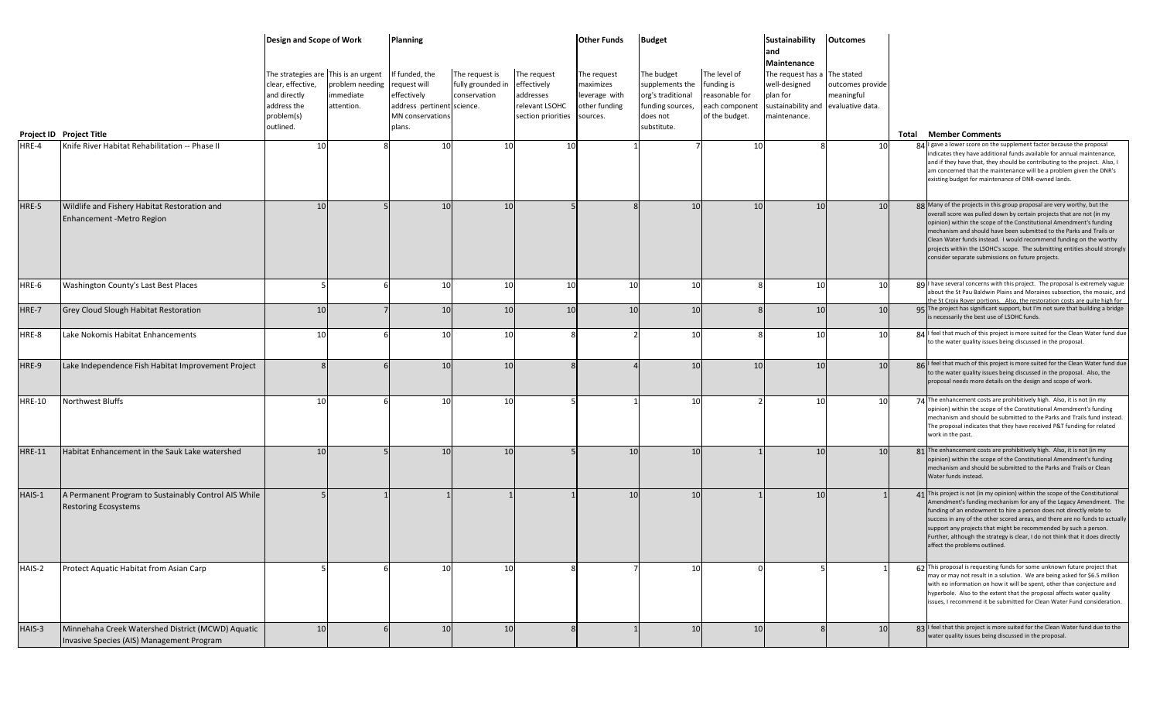|               |                                                                                                | Design and Scope of Work<br>The strategies are This is an urgent<br>clear, effective,<br>and directly<br>address the<br>problem(s)<br>outlined. | problem needing<br>immediate<br>attention. | <b>Planning</b><br>If funded, the<br>request will<br>effectively<br>address pertinent<br>MN conservations<br>plans. | The request is<br>fully grounded in<br>conservation<br>science. | The request<br>effectively<br>addresses<br>relevant LSOHC<br>section priorities sources. | <b>Other Funds</b><br>The request<br>maximizes<br>leverage with<br>other funding | <b>Budget</b><br>The budget<br>supplements the<br>org's traditional<br>funding sources,<br>does not<br>substitute. | The level of<br>funding is<br>reasonable for<br>each component<br>of the budget. | <b>Sustainability</b><br>and<br>Maintenance<br>The request has a<br>well-designed<br>plan for<br>sustainability and evaluative data.<br>maintenance. | <b>Outcomes</b><br>The stated<br>outcomes provide<br>meaningful | <b>Total Member Comments</b>                                                                                                                                                                                                                                                                                                                                                                                                                                                                            |
|---------------|------------------------------------------------------------------------------------------------|-------------------------------------------------------------------------------------------------------------------------------------------------|--------------------------------------------|---------------------------------------------------------------------------------------------------------------------|-----------------------------------------------------------------|------------------------------------------------------------------------------------------|----------------------------------------------------------------------------------|--------------------------------------------------------------------------------------------------------------------|----------------------------------------------------------------------------------|------------------------------------------------------------------------------------------------------------------------------------------------------|-----------------------------------------------------------------|---------------------------------------------------------------------------------------------------------------------------------------------------------------------------------------------------------------------------------------------------------------------------------------------------------------------------------------------------------------------------------------------------------------------------------------------------------------------------------------------------------|
| HRE-4         | Project ID Project Title<br>Knife River Habitat Rehabilitation -- Phase II                     | 10                                                                                                                                              |                                            | 10                                                                                                                  | 10                                                              | 10                                                                                       |                                                                                  |                                                                                                                    | 10                                                                               |                                                                                                                                                      | 10                                                              | 84 I gave a lower score on the supplement factor because the proposal                                                                                                                                                                                                                                                                                                                                                                                                                                   |
|               |                                                                                                |                                                                                                                                                 |                                            |                                                                                                                     |                                                                 |                                                                                          |                                                                                  |                                                                                                                    |                                                                                  |                                                                                                                                                      |                                                                 | indicates they have additional funds available for annual maintenance,<br>and if they have that, they should be contributing to the project. Also, I<br>am concerned that the maintenance will be a problem given the DNR's<br>existing budget for maintenance of DNR-owned lands.                                                                                                                                                                                                                      |
| HRE-5         | Wildlife and Fishery Habitat Restoration and<br>Enhancement - Metro Region                     | 10                                                                                                                                              |                                            | 10                                                                                                                  | 10                                                              |                                                                                          |                                                                                  | 10 <sup>1</sup>                                                                                                    | 10                                                                               | 10                                                                                                                                                   | 10                                                              | 88 Many of the projects in this group proposal are very worthy, but the<br>overall score was pulled down by certain projects that are not (in my<br>opinion) within the scope of the Constitutional Amendment's funding<br>mechanism and should have been submitted to the Parks and Trails or<br>Clean Water funds instead. I would recommend funding on the worthy<br>projects within the LSOHC's scope. The submitting entities should strongly<br>consider separate submissions on future projects. |
| HRE-6         | Washington County's Last Best Places                                                           |                                                                                                                                                 |                                            | 10                                                                                                                  | 10                                                              | 10                                                                                       | 10                                                                               | 10                                                                                                                 | $\mathsf{\mathsf{R}}$                                                            | 10                                                                                                                                                   | 10                                                              | 89   have several concerns with this project. The proposal is extremely vague<br>about the St Pau Baldwin Plains and Moraines subsection, the mosaic, and                                                                                                                                                                                                                                                                                                                                               |
| HRE-7         | <b>Grey Cloud Slough Habitat Restoration</b>                                                   | 10                                                                                                                                              |                                            | 10                                                                                                                  | 10                                                              | 10                                                                                       | 10                                                                               | 10                                                                                                                 |                                                                                  | 10                                                                                                                                                   | 10                                                              | the St Croix Rover portions. Also, the restoration costs are quite high for<br>95 The project has significant support, but I'm not sure that building a bridge<br>is necessarily the best use of LSOHC funds.                                                                                                                                                                                                                                                                                           |
| HRE-8         | Lake Nokomis Habitat Enhancements                                                              | 1 <sup>1</sup>                                                                                                                                  |                                            | 10                                                                                                                  | 10                                                              |                                                                                          |                                                                                  | 10                                                                                                                 | g                                                                                | 10                                                                                                                                                   | 10                                                              | 84 I feel that much of this project is more suited for the Clean Water fund due<br>to the water quality issues being discussed in the proposal.                                                                                                                                                                                                                                                                                                                                                         |
| HRE-9         | Lake Independence Fish Habitat Improvement Project                                             |                                                                                                                                                 |                                            | 10                                                                                                                  | 10                                                              |                                                                                          |                                                                                  | 10 <sup>1</sup>                                                                                                    | 10                                                                               | 10                                                                                                                                                   | 10                                                              | 86 I feel that much of this project is more suited for the Clean Water fund due<br>to the water quality issues being discussed in the proposal. Also, the<br>proposal needs more details on the design and scope of work.                                                                                                                                                                                                                                                                               |
| <b>HRE-10</b> | Northwest Bluffs                                                                               | 10                                                                                                                                              |                                            | 10                                                                                                                  | 10                                                              |                                                                                          |                                                                                  | 10 <sup>1</sup>                                                                                                    |                                                                                  | 10                                                                                                                                                   | 10 <sup>1</sup>                                                 | 74 The enhancement costs are prohibitively high. Also, it is not (in my<br>opinion) within the scope of the Constitutional Amendment's funding<br>mechanism and should be submitted to the Parks and Trails fund instead.<br>The proposal indicates that they have received P&T funding for related<br>work in the past.                                                                                                                                                                                |
| <b>HRE-11</b> | Habitat Enhancement in the Sauk Lake watershed                                                 | 10                                                                                                                                              |                                            | 10                                                                                                                  | 10                                                              |                                                                                          | 10                                                                               | 10                                                                                                                 |                                                                                  | 10                                                                                                                                                   | 10                                                              | 81 The enhancement costs are prohibitively high. Also, it is not (in my<br>opinion) within the scope of the Constitutional Amendment's funding<br>mechanism and should be submitted to the Parks and Trails or Clean<br>Water funds instead.                                                                                                                                                                                                                                                            |
| HAIS-1        | A Permanent Program to Sustainably Control AIS While<br><b>Restoring Ecosystems</b>            |                                                                                                                                                 |                                            |                                                                                                                     |                                                                 |                                                                                          | 10                                                                               | 10                                                                                                                 |                                                                                  | 10                                                                                                                                                   |                                                                 | 41 This project is not (in my opinion) within the scope of the Constitutional<br>Amendment's funding mechanism for any of the Legacy Amendment. The<br>funding of an endowment to hire a person does not directly relate to<br>success in any of the other scored areas, and there are no funds to actually<br>support any projects that might be recommended by such a person.<br>Further, although the strategy is clear, I do not think that it does directly<br>affect the problems outlined.       |
| HAIS-2        | Protect Aquatic Habitat from Asian Carp                                                        |                                                                                                                                                 |                                            | 10                                                                                                                  | 10                                                              |                                                                                          |                                                                                  | 10                                                                                                                 |                                                                                  |                                                                                                                                                      |                                                                 | 62 This proposal is requesting funds for some unknown future project that<br>may or may not result in a solution. We are being asked for \$6.5 million<br>with no information on how it will be spent, other than conjecture and<br>hyperbole. Also to the extent that the proposal affects water quality<br>issues, I recommend it be submitted for Clean Water Fund consideration.                                                                                                                    |
| HAIS-3        | Minnehaha Creek Watershed District (MCWD) Aquatic<br>Invasive Species (AIS) Management Program | 10                                                                                                                                              |                                            | 10                                                                                                                  | 10                                                              |                                                                                          |                                                                                  | 10                                                                                                                 | 10                                                                               |                                                                                                                                                      | 10                                                              | 83   feel that this project is more suited for the Clean Water fund due to the<br>water quality issues being discussed in the proposal.                                                                                                                                                                                                                                                                                                                                                                 |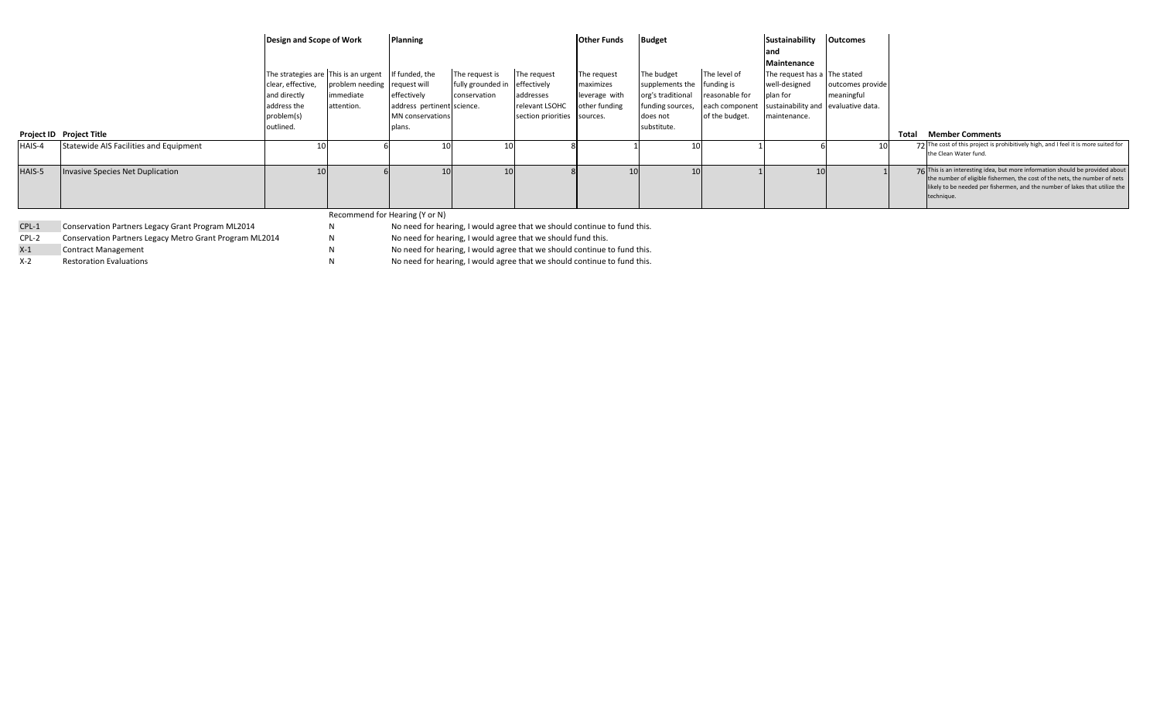|        |                                        | Design and Scope of Work    |                                                     | Planning                                  |                                     |                             | <b>Other Funds</b>             | <b>Budget</b>                         |                                  | Sustainability<br>and                           | <b>Outcomes</b>  |              |                                                                                                                                                                                                                                                          |
|--------|----------------------------------------|-----------------------------|-----------------------------------------------------|-------------------------------------------|-------------------------------------|-----------------------------|--------------------------------|---------------------------------------|----------------------------------|-------------------------------------------------|------------------|--------------|----------------------------------------------------------------------------------------------------------------------------------------------------------------------------------------------------------------------------------------------------------|
|        |                                        |                             | The strategies are This is an urgent If funded, the |                                           |                                     | The request                 |                                |                                       | The level of                     | Maintenance                                     |                  |              |                                                                                                                                                                                                                                                          |
|        |                                        | clear, effective,           | problem needing request will                        |                                           | The request is<br>fully grounded in | effectively                 | The request<br>maximizes       | The budget<br>supplements the         | funding is                       | The request has a The stated<br>well-designed   | outcomes provide |              |                                                                                                                                                                                                                                                          |
|        |                                        | and directly<br>address the | immediate<br>attention.                             | effectively<br>address pertinent science. | conservation                        | addresses<br>relevant LSOHC | leverage with<br>other funding | org's traditional<br>funding sources, | reasonable for<br>each component | plan for<br>sustainability and evaluative data. | meaningful       |              |                                                                                                                                                                                                                                                          |
|        |                                        | problem(s)                  |                                                     | MN conservations                          |                                     | section priorities sources. |                                | does not                              | of the budget.                   | maintenance.                                    |                  |              |                                                                                                                                                                                                                                                          |
|        | Project ID Project Title               | outlined.                   |                                                     | plans.                                    |                                     |                             |                                | substitute.                           |                                  |                                                 |                  | <b>Total</b> | <b>Member Comments</b>                                                                                                                                                                                                                                   |
| HAIS-4 | Statewide AIS Facilities and Equipment |                             |                                                     |                                           |                                     |                             |                                |                                       |                                  |                                                 |                  |              | The cost of this project is prohibitively high, and I feel it is more suited for<br>the Clean Water fund.                                                                                                                                                |
| HAIS-5 | Invasive Species Net Duplication       |                             |                                                     |                                           |                                     |                             |                                |                                       |                                  |                                                 |                  |              | 76 This is an interesting idea, but more information should be provided about<br>the number of eligible fishermen, the cost of the nets, the number of nets<br>likely to be needed per fishermen, and the number of lakes that utilize the<br>technique. |

## Recommend for Hearing (Y or N)

CPL-1 Conservation Partners Legacy Grant Program ML2014 N No need for hearing, I would agree that we should continue to fund this.

CPL-2 Conservation Partners Legacy Metro Grant Program ML2014 N No need for hearing, I would agree that we should fund this.

X-1 Contract Management No need for hearing, I would agree that we should continue to fund this.

X-2 Restoration Evaluations N No need for hearing, I would agree that we should continue to fund this.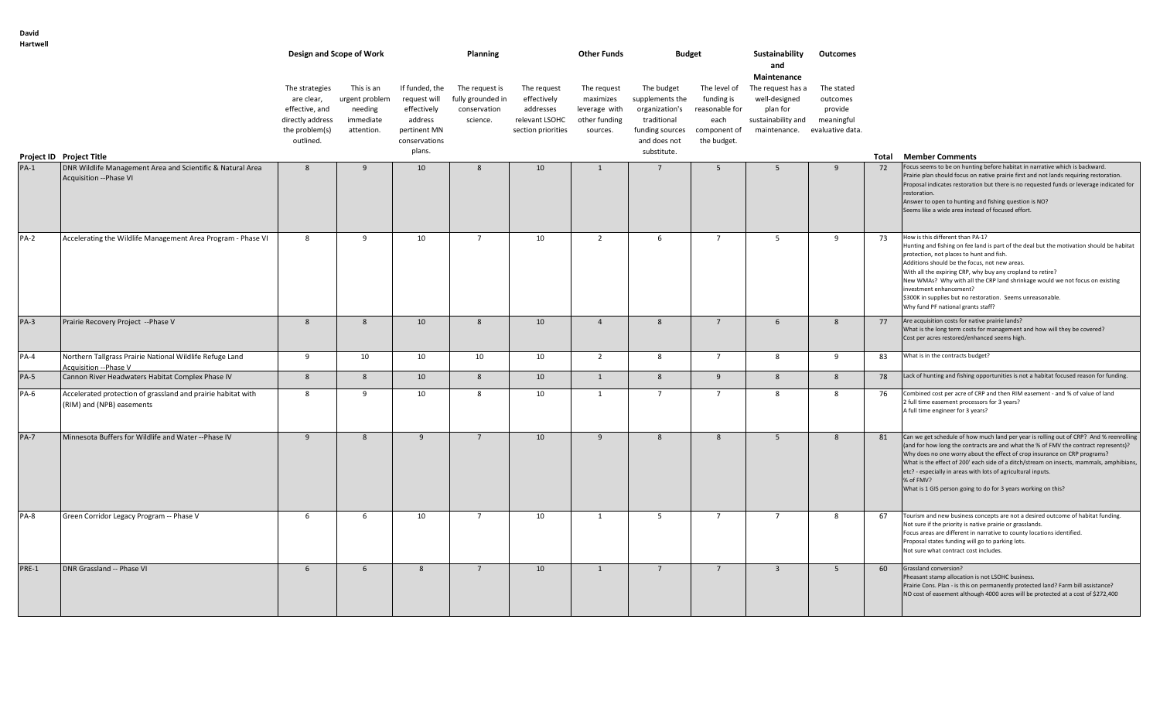| Hartwell    |                                                                                           |                                                                                                   | Design and Scope of Work                                           |                                                                                                     | Planning                                                        |                                                                                 | <b>Other Funds</b>                                                     | <b>Budget</b>                                                                                                    |                                                                                     | Sustainability<br>and                                                                                                | Outcomes                                        |    |                                                                                                                                                                                                                                                                                                                                                                                                                                                                                                        |
|-------------|-------------------------------------------------------------------------------------------|---------------------------------------------------------------------------------------------------|--------------------------------------------------------------------|-----------------------------------------------------------------------------------------------------|-----------------------------------------------------------------|---------------------------------------------------------------------------------|------------------------------------------------------------------------|------------------------------------------------------------------------------------------------------------------|-------------------------------------------------------------------------------------|----------------------------------------------------------------------------------------------------------------------|-------------------------------------------------|----|--------------------------------------------------------------------------------------------------------------------------------------------------------------------------------------------------------------------------------------------------------------------------------------------------------------------------------------------------------------------------------------------------------------------------------------------------------------------------------------------------------|
|             | Project ID Project Title                                                                  | The strategies<br>are clear,<br>effective, and<br>directly address<br>the problem(s)<br>outlined. | This is an<br>urgent problem<br>needing<br>immediate<br>attention. | If funded, the<br>request will<br>effectively<br>address<br>pertinent MN<br>conservations<br>plans. | The request is<br>fully grounded in<br>conservation<br>science. | The request<br>effectively<br>addresses<br>relevant LSOHC<br>section priorities | The request<br>maximizes<br>leverage with<br>other funding<br>sources. | The budget<br>supplements the<br>organization's<br>traditional<br>funding sources<br>and does not<br>substitute. | The level of<br>funding is<br>reasonable for<br>each<br>component of<br>the budget. | Maintenance<br>The request has a<br>well-designed<br>plan for<br>sustainability and<br>maintenance. evaluative data. | The stated<br>outcomes<br>provide<br>meaningful |    | <b>Total Member Comments</b>                                                                                                                                                                                                                                                                                                                                                                                                                                                                           |
| $PA-1$      | DNR Wildlife Management Area and Scientific & Natural Area<br>Acquisition -- Phase VI     | 8                                                                                                 | 9                                                                  | 10                                                                                                  | 8                                                               | 10                                                                              | $\overline{1}$                                                         | $\overline{7}$                                                                                                   | 5                                                                                   | 5 <sup>5</sup>                                                                                                       | -9                                              | 72 | Focus seems to be on hunting before habitat in narrative which is backward.<br>Prairie plan should focus on native prairie first and not lands requiring restoration.<br>Proposal indicates restoration but there is no requested funds or leverage indicated for<br>restoration.<br>Answer to open to hunting and fishing question is NO?<br>Seems like a wide area instead of focused effort.                                                                                                        |
| $PA-2$      | Accelerating the Wildlife Management Area Program - Phase VI                              | 8                                                                                                 | 9                                                                  | 10                                                                                                  | $\overline{7}$                                                  | 10                                                                              | $\overline{2}$                                                         | 6                                                                                                                | $7^{\circ}$                                                                         | 5                                                                                                                    | 9                                               | 73 | How is this different than PA-1?<br>Hunting and fishing on fee land is part of the deal but the motivation should be habitat<br>protection, not places to hunt and fish.<br>Additions should be the focus, not new areas.<br>With all the expiring CRP, why buy any cropland to retire?<br>New WMAs? Why with all the CRP land shrinkage would we not focus on existing<br>investment enhancement?<br>\$300K in supplies but no restoration. Seems unreasonable.<br>Why fund PF national grants staff? |
| <b>PA-3</b> | Prairie Recovery Project -- Phase V                                                       | 8                                                                                                 | 8                                                                  | 10                                                                                                  | 8                                                               | 10                                                                              | $\overline{4}$                                                         | 8                                                                                                                | $7^{\circ}$                                                                         | 6                                                                                                                    | 8                                               | 77 | Are acquisition costs for native prairie lands?<br>What is the long term costs for management and how will they be covered?<br>Cost per acres restored/enhanced seems high.                                                                                                                                                                                                                                                                                                                            |
| $PA-4$      | Northern Tallgrass Prairie National Wildlife Refuge Land<br>Acquisition -- Phase V        | 9                                                                                                 | 10                                                                 | 10                                                                                                  | 10                                                              | 10                                                                              | $\overline{2}$                                                         | 8                                                                                                                | $7^{\circ}$                                                                         | 8                                                                                                                    | -9                                              | 83 | What is in the contracts budget?                                                                                                                                                                                                                                                                                                                                                                                                                                                                       |
| <b>PA-5</b> | Cannon River Headwaters Habitat Complex Phase IV                                          | 8                                                                                                 | 8                                                                  | 10                                                                                                  | 8                                                               | 10                                                                              | $\overline{1}$                                                         | 8                                                                                                                | 9                                                                                   | 8                                                                                                                    | 8                                               | 78 | Lack of hunting and fishing opportunities is not a habitat focused reason for funding.                                                                                                                                                                                                                                                                                                                                                                                                                 |
| <b>PA-6</b> | Accelerated protection of grassland and prairie habitat with<br>(RIM) and (NPB) easements | 8                                                                                                 | 9                                                                  | 10                                                                                                  | 8                                                               | 10                                                                              | 1                                                                      | $\overline{7}$                                                                                                   | $\overline{7}$                                                                      | 8                                                                                                                    | 8                                               | 76 | Combined cost per acre of CRP and then RIM easement - and % of value of land<br>2 full time easement processors for 3 years?<br>A full time engineer for 3 years?                                                                                                                                                                                                                                                                                                                                      |
| <b>PA-7</b> | Minnesota Buffers for Wildlife and Water -- Phase IV                                      | 9                                                                                                 | 8                                                                  | 9                                                                                                   | $7^{\circ}$                                                     | 10                                                                              | 9                                                                      | 8                                                                                                                | 8                                                                                   | 5                                                                                                                    | $\mathbf{R}$                                    | 81 | Can we get schedule of how much land per year is rolling out of CRP? And % reenrolling<br>(and for how long the contracts are and what the % of FMV the contract represents)?<br>Why does no one worry about the effect of crop insurance on CRP programs?<br>What is the effect of 200' each side of a ditch/stream on insects, mammals, amphibians,<br>etc? - especially in areas with lots of agricultural inputs.<br>% of FMV?<br>What is 1 GIS person going to do for 3 years working on this?    |
| <b>PA-8</b> | Green Corridor Legacy Program -- Phase V                                                  | 6                                                                                                 | 6                                                                  | 10                                                                                                  | $7^{\circ}$                                                     | 10                                                                              | 1                                                                      | 5                                                                                                                | $7^{\circ}$                                                                         | $\overline{7}$                                                                                                       | -8                                              | 67 | Tourism and new business concepts are not a desired outcome of habitat funding.<br>Not sure if the priority is native prairie or grasslands.<br>Focus areas are different in narrative to county locations identified.<br>Proposal states funding will go to parking lots.<br>Not sure what contract cost includes.                                                                                                                                                                                    |
| PRE-1       | DNR Grassland -- Phase VI                                                                 | 6                                                                                                 | 6                                                                  | 8                                                                                                   | $7^{\circ}$                                                     | 10                                                                              | 1                                                                      | $7^{\circ}$                                                                                                      | $7^{\circ}$                                                                         | $\overline{\mathbf{3}}$                                                                                              | 5                                               | 60 | Grassland conversion?<br>Pheasant stamp allocation is not LSOHC business.<br>Prairie Cons. Plan - is this on permanently protected land? Farm bill assistance?<br>NO cost of easement although 4000 acres will be protected at a cost of \$272,400                                                                                                                                                                                                                                                     |

**David**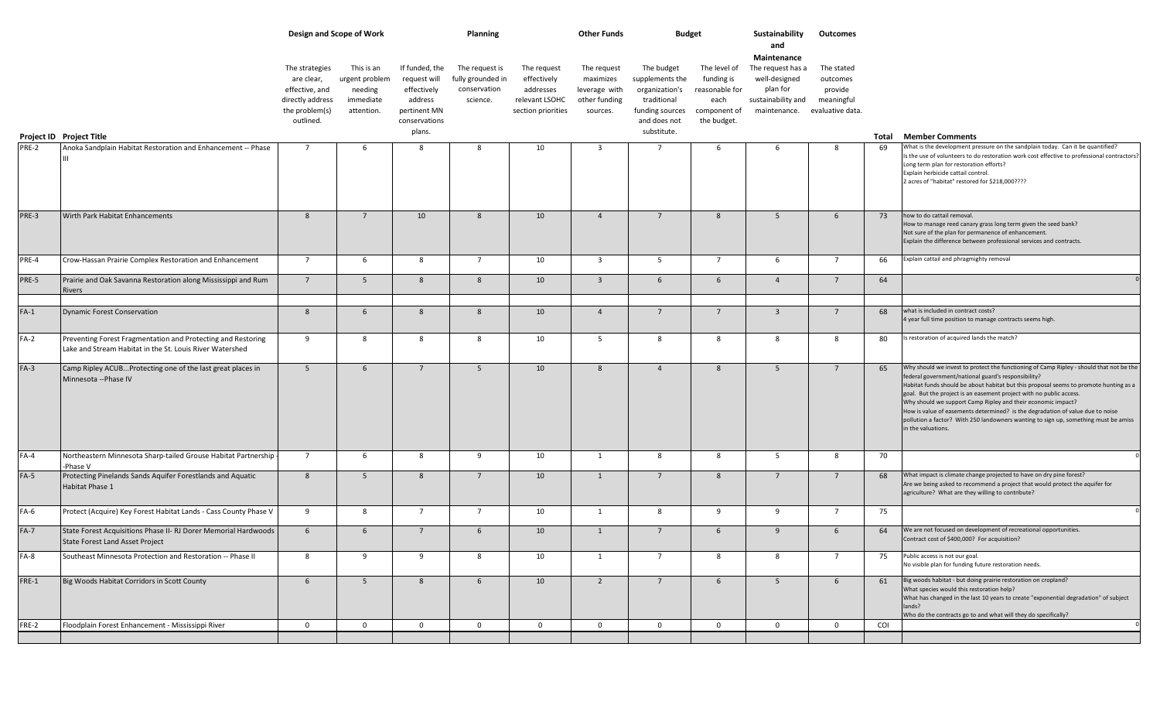|        |                                                                                                                          |                                                                                                   | Design and Scope of Work                                           |                                                                                                     | Planning                                                        |                                                                                 | <b>Other Funds</b>                                                     | Budget                                                                                                           |                                                                                     | Sustainability<br>and                                                                               | Outcomes                                                            |     |                                                                                                                                                                                                                                                                                                                                                                                                                                                                                                                                                                               |
|--------|--------------------------------------------------------------------------------------------------------------------------|---------------------------------------------------------------------------------------------------|--------------------------------------------------------------------|-----------------------------------------------------------------------------------------------------|-----------------------------------------------------------------|---------------------------------------------------------------------------------|------------------------------------------------------------------------|------------------------------------------------------------------------------------------------------------------|-------------------------------------------------------------------------------------|-----------------------------------------------------------------------------------------------------|---------------------------------------------------------------------|-----|-------------------------------------------------------------------------------------------------------------------------------------------------------------------------------------------------------------------------------------------------------------------------------------------------------------------------------------------------------------------------------------------------------------------------------------------------------------------------------------------------------------------------------------------------------------------------------|
|        | Project ID Project Title                                                                                                 | The strategies<br>are clear,<br>effective, and<br>directly address<br>the problem(s)<br>outlined. | This is an<br>urgent problem<br>needing<br>immediate<br>attention. | If funded, the<br>request will<br>effectively<br>address<br>pertinent MN<br>conservations<br>plans. | The request is<br>fully grounded in<br>conservation<br>science. | The request<br>effectively<br>addresses<br>relevant LSOHC<br>section priorities | The request<br>maximizes<br>leverage with<br>other funding<br>sources. | The budget<br>supplements the<br>organization's<br>traditional<br>funding sources<br>and does not<br>substitute. | The level of<br>funding is<br>reasonable for<br>each<br>component of<br>the budget. | Maintenance<br>The request has a<br>well-designed<br>plan for<br>sustainability and<br>maintenance. | The stated<br>outcomes<br>provide<br>meaningful<br>evaluative data. |     |                                                                                                                                                                                                                                                                                                                                                                                                                                                                                                                                                                               |
| PRE-2  | Anoka Sandplain Habitat Restoration and Enhancement -- Phase                                                             | $\overline{7}$                                                                                    | 6                                                                  |                                                                                                     | 8                                                               | 10                                                                              | $\overline{3}$                                                         | $\overline{7}$                                                                                                   | 6                                                                                   | 6                                                                                                   | -8                                                                  | 69  | <b>Total Member Comments</b><br>What is the development pressure on the sandplain today. Can it be quantified?                                                                                                                                                                                                                                                                                                                                                                                                                                                                |
|        |                                                                                                                          |                                                                                                   |                                                                    |                                                                                                     |                                                                 |                                                                                 |                                                                        |                                                                                                                  |                                                                                     |                                                                                                     |                                                                     |     | Is the use of volunteers to do restoration work cost effective to professional contractors?<br>Long term plan for restoration efforts?<br>Explain herbicide cattail control.<br>2 acres of "habitat" restored for \$218,000????                                                                                                                                                                                                                                                                                                                                               |
| PRE-3  | Wirth Park Habitat Enhancements                                                                                          | 8                                                                                                 | $7^{\circ}$                                                        | 10                                                                                                  | -8                                                              | 10                                                                              | $\overline{4}$                                                         | $7^{\circ}$                                                                                                      | 8                                                                                   | 5                                                                                                   | 6                                                                   | 73  | how to do cattail removal.<br>How to manage reed canary grass long term given the seed bank?<br>Not sure of the plan for permanence of enhancement.<br>Explain the difference between professional services and contracts.                                                                                                                                                                                                                                                                                                                                                    |
| PRE-4  | Crow-Hassan Prairie Complex Restoration and Enhancement                                                                  | $7^{\circ}$                                                                                       | 6                                                                  | 8                                                                                                   | $\overline{7}$                                                  | 10                                                                              | $\overline{3}$                                                         | 5                                                                                                                | $\overline{7}$                                                                      | 6                                                                                                   | $\overline{7}$                                                      | 66  | Explain cattail and phragmighty removal                                                                                                                                                                                                                                                                                                                                                                                                                                                                                                                                       |
| PRE-5  | Prairie and Oak Savanna Restoration along Mississippi and Rum<br>Rivers                                                  | $7^{\circ}$                                                                                       | 5 <sup>5</sup>                                                     | 8                                                                                                   | 8                                                               | 10                                                                              | $\overline{3}$                                                         | 6                                                                                                                | 6                                                                                   | $\overline{4}$                                                                                      | $7^{\circ}$                                                         | 64  |                                                                                                                                                                                                                                                                                                                                                                                                                                                                                                                                                                               |
| $FA-1$ | <b>Dynamic Forest Conservation</b>                                                                                       | 8                                                                                                 | 6                                                                  | 8                                                                                                   | -8                                                              | 10                                                                              | $\overline{4}$                                                         | $7^{\circ}$                                                                                                      | $\overline{7}$                                                                      | $\overline{\mathbf{3}}$                                                                             | $7^{\circ}$                                                         | 68  | what is included in contract costs?<br>4 year full time position to manage contracts seems high.                                                                                                                                                                                                                                                                                                                                                                                                                                                                              |
| $FA-2$ | Preventing Forest Fragmentation and Protecting and Restoring<br>Lake and Stream Habitat in the St. Louis River Watershed | 9                                                                                                 | 8                                                                  | 8                                                                                                   | 8                                                               | 10                                                                              | 5                                                                      | 8                                                                                                                | 8                                                                                   | 8                                                                                                   | 8                                                                   | 80  | Is restoration of acquired lands the match?                                                                                                                                                                                                                                                                                                                                                                                                                                                                                                                                   |
| $FA-3$ | Camp Ripley ACUBProtecting one of the last great places in<br>Minnesota -- Phase IV                                      | 5 <sup>5</sup>                                                                                    | 6                                                                  | $7^{\circ}$                                                                                         | $5\overline{5}$                                                 | 10                                                                              | 8                                                                      | $\overline{4}$                                                                                                   | 8                                                                                   | 5                                                                                                   | $7^{\circ}$                                                         | 65  | Why should we invest to protect the functioning of Camp Ripley - should that not be the<br>federal government/national guard's responsibility?<br>Habitat funds should be about habitat but this proposal seems to promote hunting as a<br>goal. But the project is an easement project with no public access.<br>Why should we support Camp Ripley and their economic impact?<br>How is value of easements determined? is the degradation of value due to noise<br>pollution a factor? With 250 landowners wanting to sign up, something must be amiss<br>in the valuations. |
| $FA-4$ | Northeastern Minnesota Sharp-tailed Grouse Habitat Partnership<br>-Phase V                                               | $7\overline{ }$                                                                                   | 6                                                                  | 8                                                                                                   | 9                                                               | 10                                                                              | $\overline{1}$                                                         | 8                                                                                                                | 8                                                                                   | 5                                                                                                   | 8                                                                   | 70  |                                                                                                                                                                                                                                                                                                                                                                                                                                                                                                                                                                               |
| $FA-5$ | Protecting Pinelands Sands Aquifer Forestlands and Aquatic<br>Habitat Phase 1                                            | 8                                                                                                 | 5                                                                  | 8                                                                                                   | $\overline{7}$                                                  | 10                                                                              | 1                                                                      | $7^{\circ}$                                                                                                      | 8                                                                                   | $7^{\circ}$                                                                                         | $7^{\circ}$                                                         | 68  | What impact is climate change projected to have on dry pine forest?<br>Are we being asked to recommend a project that would protect the aquifer for<br>agriculture? What are they willing to contribute?                                                                                                                                                                                                                                                                                                                                                                      |
| $FA-6$ | Protect (Acquire) Key Forest Habitat Lands - Cass County Phase V                                                         | 9                                                                                                 | 8                                                                  | $7^{\circ}$                                                                                         | $\overline{7}$                                                  | 10                                                                              | 1                                                                      | 8                                                                                                                | 9                                                                                   | 9                                                                                                   | $\overline{7}$                                                      | 75  |                                                                                                                                                                                                                                                                                                                                                                                                                                                                                                                                                                               |
| $FA-7$ | State Forest Acquisitions Phase II- RJ Dorer Memorial Hardwoods<br>State Forest Land Asset Project                       | 6                                                                                                 | 6                                                                  | $7^{\circ}$                                                                                         | 6                                                               | 10                                                                              | 1                                                                      | $7^{\circ}$                                                                                                      | 6                                                                                   | 9                                                                                                   | 6                                                                   | 64  | We are not focused on development of recreational opportunities.<br>Contract cost of \$400,000? For acquisition?                                                                                                                                                                                                                                                                                                                                                                                                                                                              |
| $FA-8$ | Southeast Minnesota Protection and Restoration -- Phase II                                                               | 8                                                                                                 | 9                                                                  | 9                                                                                                   | 8                                                               | 10                                                                              | 1                                                                      | $7^{\circ}$                                                                                                      | -8                                                                                  | 8                                                                                                   | $7^{\circ}$                                                         | 75  | Public access is not our goal.<br>No visible plan for funding future restoration needs.                                                                                                                                                                                                                                                                                                                                                                                                                                                                                       |
| FRE-1  | Big Woods Habitat Corridors in Scott County                                                                              | 6                                                                                                 | 5 <sup>5</sup>                                                     | 8                                                                                                   | 6                                                               | 10                                                                              | $\overline{2}$                                                         | $7\overline{ }$                                                                                                  | 6                                                                                   | $5\overline{5}$                                                                                     | 6                                                                   | 61  | Big woods habitat - but doing prairie restoration on cropland?<br>What species would this restoration help?<br>What has changed in the last 10 years to create "exponential degradation" of subject<br>lands?<br>Who do the contracts go to and what will they do specifically?                                                                                                                                                                                                                                                                                               |
| FRE-2  | Floodplain Forest Enhancement - Mississippi River                                                                        | $\overline{0}$                                                                                    | $\mathbf 0$                                                        | $\mathbf 0$                                                                                         | $\overline{0}$                                                  | $\mathbf 0$                                                                     | $\mathbf 0$                                                            | $\mathbf{0}$                                                                                                     | $\mathbf 0$                                                                         | $\mathbf 0$                                                                                         | $\mathbf 0$                                                         | COI |                                                                                                                                                                                                                                                                                                                                                                                                                                                                                                                                                                               |
|        |                                                                                                                          |                                                                                                   |                                                                    |                                                                                                     |                                                                 |                                                                                 |                                                                        |                                                                                                                  |                                                                                     |                                                                                                     |                                                                     |     |                                                                                                                                                                                                                                                                                                                                                                                                                                                                                                                                                                               |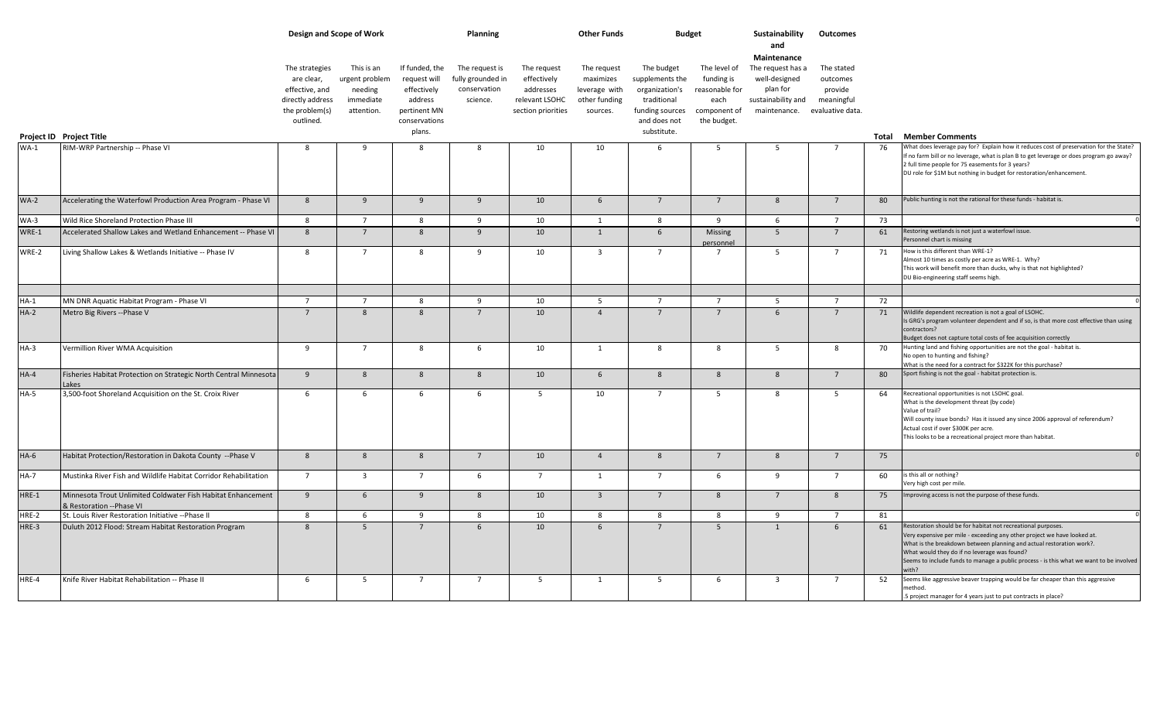|             |                                                                                          |                                                                                                   | Design and Scope of Work                                           |                                                                                                     | Planning                                                        |                                                                                 | <b>Other Funds</b>                                                     |                                                                                                                  | <b>Budget</b>                                                                       | Sustainability<br>and                                                                                                | Outcomes                                        |    |                                                                                                                                                                                                                                                                                                                                                                      |
|-------------|------------------------------------------------------------------------------------------|---------------------------------------------------------------------------------------------------|--------------------------------------------------------------------|-----------------------------------------------------------------------------------------------------|-----------------------------------------------------------------|---------------------------------------------------------------------------------|------------------------------------------------------------------------|------------------------------------------------------------------------------------------------------------------|-------------------------------------------------------------------------------------|----------------------------------------------------------------------------------------------------------------------|-------------------------------------------------|----|----------------------------------------------------------------------------------------------------------------------------------------------------------------------------------------------------------------------------------------------------------------------------------------------------------------------------------------------------------------------|
|             | Project ID Project Title                                                                 | The strategies<br>are clear,<br>effective, and<br>directly address<br>the problem(s)<br>outlined. | This is an<br>urgent problem<br>needing<br>immediate<br>attention. | If funded, the<br>request will<br>effectively<br>address<br>pertinent MN<br>conservations<br>plans. | The request is<br>fully grounded in<br>conservation<br>science. | The request<br>effectively<br>addresses<br>relevant LSOHC<br>section priorities | The request<br>maximizes<br>leverage with<br>other funding<br>sources. | The budget<br>supplements the<br>organization's<br>traditional<br>funding sources<br>and does not<br>substitute. | The level of<br>funding is<br>reasonable for<br>each<br>component of<br>the budget. | Maintenance<br>The request has a<br>well-designed<br>plan for<br>sustainability and<br>maintenance. evaluative data. | The stated<br>outcomes<br>provide<br>meaningful |    | <b>Total Member Comments</b>                                                                                                                                                                                                                                                                                                                                         |
| $WA-1$      | RIM-WRP Partnership -- Phase VI                                                          | -8                                                                                                | 9                                                                  | -8                                                                                                  | -8                                                              | 10                                                                              | 10                                                                     | -6                                                                                                               | -5                                                                                  | - 5                                                                                                                  | $\overline{7}$                                  | 76 | What does leverage pay for? Explain how it reduces cost of preservation for the State?                                                                                                                                                                                                                                                                               |
|             |                                                                                          |                                                                                                   |                                                                    |                                                                                                     |                                                                 |                                                                                 |                                                                        |                                                                                                                  |                                                                                     |                                                                                                                      |                                                 |    | f no farm bill or no leverage, what is plan B to get leverage or does program go away?<br>2 full time people for 75 easements for 3 years?<br>DU role for \$1M but nothing in budget for restoration/enhancement.                                                                                                                                                    |
| <b>WA-2</b> | Accelerating the Waterfowl Production Area Program - Phase VI                            | 8                                                                                                 | 9                                                                  | 9                                                                                                   | 9                                                               | 10                                                                              | 6                                                                      | $7^{\circ}$                                                                                                      | $7^{\circ}$                                                                         | 8                                                                                                                    | $\overline{7}$                                  | 80 | Public hunting is not the rational for these funds - habitat is.                                                                                                                                                                                                                                                                                                     |
| <b>WA-3</b> | Wild Rice Shoreland Protection Phase III                                                 | 8                                                                                                 | $7^{\circ}$                                                        | 8                                                                                                   | $\mathbf{q}$                                                    | 10                                                                              | $\mathbf{1}$                                                           | 8                                                                                                                | $\mathbf{q}$                                                                        | 6                                                                                                                    | $\overline{7}$                                  | 73 |                                                                                                                                                                                                                                                                                                                                                                      |
| WRE-1       | Accelerated Shallow Lakes and Wetland Enhancement -- Phase VI                            | 8                                                                                                 | $7^{\circ}$                                                        | 8                                                                                                   | 9                                                               | 10                                                                              | 1                                                                      | 6                                                                                                                | <b>Missing</b><br>personnel                                                         | 5                                                                                                                    | $7^{\circ}$                                     | 61 | Restoring wetlands is not just a waterfowl issue.<br>Personnel chart is missing                                                                                                                                                                                                                                                                                      |
| WRE-2       | Living Shallow Lakes & Wetlands Initiative -- Phase IV                                   | 8                                                                                                 | $\overline{7}$                                                     | 8                                                                                                   | 9                                                               | 10                                                                              | $\overline{3}$                                                         | $\overline{7}$                                                                                                   | $\overline{7}$                                                                      | 5                                                                                                                    | $\overline{7}$                                  | 71 | How is this different than WRE-1?<br>Almost 10 times as costly per acre as WRE-1. Why?<br>This work will benefit more than ducks, why is that not highlighted?<br>DU Bio-engineering staff seems high.                                                                                                                                                               |
|             |                                                                                          |                                                                                                   |                                                                    |                                                                                                     |                                                                 |                                                                                 |                                                                        |                                                                                                                  |                                                                                     |                                                                                                                      |                                                 |    |                                                                                                                                                                                                                                                                                                                                                                      |
| $HA-1$      | MN DNR Aquatic Habitat Program - Phase VI                                                | $\overline{7}$                                                                                    | $\overline{7}$                                                     | -8                                                                                                  | - 9                                                             | 10                                                                              | 5                                                                      | $\overline{7}$                                                                                                   | $\overline{7}$                                                                      | - 5                                                                                                                  | $\overline{7}$                                  | 72 |                                                                                                                                                                                                                                                                                                                                                                      |
| $HA-2$      | Metro Big Rivers -- Phase V                                                              | $\overline{7}$                                                                                    | $\mathbf{R}$                                                       | $\mathbf{8}$                                                                                        | $\overline{7}$                                                  | 10                                                                              | $\Delta$                                                               | $7^{\circ}$                                                                                                      | $\overline{7}$                                                                      | 6                                                                                                                    | $\overline{7}$                                  | 71 | Wildlife dependent recreation is not a goal of LSOHC.<br>Is GRG's program volunteer dependent and if so, is that more cost effective than using<br>contractors?<br>Budget does not capture total costs of fee acquisition correctly                                                                                                                                  |
| $HA-3$      | Vermillion River WMA Acquisition                                                         | 9                                                                                                 | $7^{\circ}$                                                        | 8                                                                                                   | 6                                                               | 10                                                                              | 1                                                                      | 8                                                                                                                | 8                                                                                   | 5                                                                                                                    | 8                                               | 70 | Hunting land and fishing opportunities are not the goal - habitat is.<br>No open to hunting and fishing?<br>What is the need for a contract for \$322K for this purchase?                                                                                                                                                                                            |
| $HA-4$      | Fisheries Habitat Protection on Strategic North Central Minnesota<br>Lakes               | 9                                                                                                 | 8                                                                  | 8                                                                                                   | 8                                                               | 10                                                                              | 6                                                                      | 8                                                                                                                | 8                                                                                   | 8                                                                                                                    | $7^{\circ}$                                     | 80 | Sport fishing is not the goal - habitat protection is.                                                                                                                                                                                                                                                                                                               |
| <b>HA-5</b> | 3,500-foot Shoreland Acquisition on the St. Croix River                                  | 6                                                                                                 | 6                                                                  | 6                                                                                                   | 6                                                               | 5                                                                               | 10                                                                     | $\overline{7}$                                                                                                   | - 5                                                                                 | 8                                                                                                                    | - 5                                             | 64 | Recreational opportunities is not LSOHC goal.<br>What is the development threat (by code)<br>Value of trail?<br>Will county issue bonds? Has it issued any since 2006 approval of referendum?<br>Actual cost if over \$300K per acre.<br>This looks to be a recreational project more than habitat.                                                                  |
| $HA-6$      | Habitat Protection/Restoration in Dakota County -- Phase V                               | 8                                                                                                 | 8                                                                  | 8                                                                                                   | 7                                                               | 10                                                                              | $\overline{4}$                                                         | 8                                                                                                                | $7^{\circ}$                                                                         | 8                                                                                                                    | $7^{\circ}$                                     | 75 |                                                                                                                                                                                                                                                                                                                                                                      |
| <b>HA-7</b> | Mustinka River Fish and Wildlife Habitat Corridor Rehabilitation                         | $7^{\circ}$                                                                                       | $\overline{3}$                                                     | $7^{\circ}$                                                                                         | 6                                                               | $7^{\circ}$                                                                     | $\mathbf{1}$                                                           | $7^{\circ}$                                                                                                      | 6                                                                                   | 9                                                                                                                    | $\overline{7}$                                  | 60 | s this all or nothing?<br>Very high cost per mile.                                                                                                                                                                                                                                                                                                                   |
| HRE-1       | Minnesota Trout Unlimited Coldwater Fish Habitat Enhancement<br>& Restoration --Phase VI | 9                                                                                                 | 6                                                                  | -9                                                                                                  | 8                                                               | 10                                                                              | $\overline{3}$                                                         | $7^{\circ}$                                                                                                      | 8                                                                                   | $\overline{7}$                                                                                                       | 8                                               | 75 | Improving access is not the purpose of these funds.                                                                                                                                                                                                                                                                                                                  |
| HRE-2       | St. Louis River Restoration Initiative -- Phase II                                       | 8                                                                                                 | 6                                                                  | -9                                                                                                  | - 8                                                             | 10                                                                              | 8                                                                      | 8                                                                                                                | 8                                                                                   | 9                                                                                                                    | $\overline{7}$                                  | 81 |                                                                                                                                                                                                                                                                                                                                                                      |
| HRE-3       | Duluth 2012 Flood: Stream Habitat Restoration Program                                    | $\mathbf{R}$                                                                                      | $\overline{5}$                                                     | $\overline{7}$                                                                                      | $\mathsf{6}$                                                    | 10                                                                              | 6                                                                      | $\overline{7}$                                                                                                   | $\overline{5}$                                                                      | $\overline{1}$                                                                                                       | $6\phantom{1}$                                  | 61 | Restoration should be for habitat not recreational purposes.<br>Very expensive per mile - exceeding any other project we have looked at.<br>What is the breakdown between planning and actual restoration work?.<br>What would they do if no leverage was found?<br>Seems to include funds to manage a public process - is this what we want to be involved<br>with? |
| HRE-4       | Knife River Habitat Rehabilitation -- Phase II                                           | 6                                                                                                 | 5                                                                  | $\overline{7}$                                                                                      | $\overline{7}$                                                  | 5                                                                               | 1                                                                      | 5                                                                                                                | 6                                                                                   | $\overline{\mathbf{3}}$                                                                                              | $\overline{7}$                                  | 52 | Seems like aggressive beaver trapping would be far cheaper than this aggressive<br>nethod.<br>5 project manager for 4 years just to put contracts in place?                                                                                                                                                                                                          |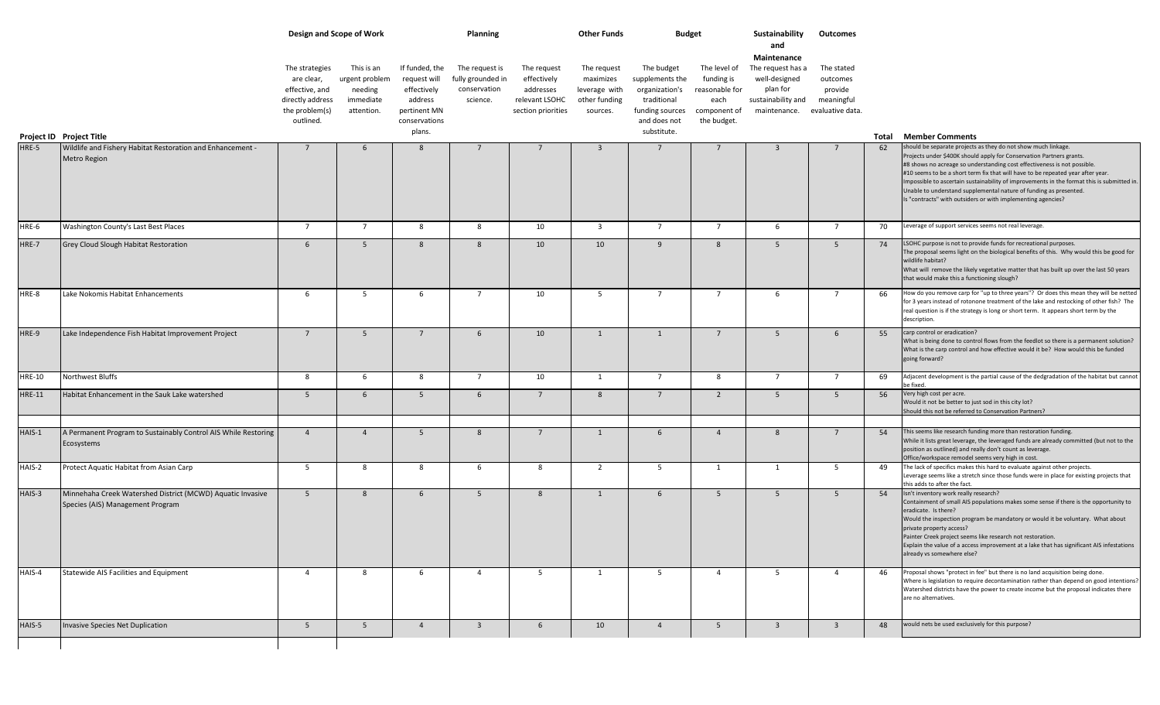|               |                                                                                                |                                                                                                   | Design and Scope of Work                                           |                                                                                                     | <b>Planning</b>                                                 |                                                                                 | <b>Other Funds</b>                                                     | <b>Budget</b>                                                                                                    |                                                                                     | Sustainability<br>and                                                                                                | Outcomes                                        |    |                                                                                                                                                                                                                                                                                                                                                                                                                                                              |
|---------------|------------------------------------------------------------------------------------------------|---------------------------------------------------------------------------------------------------|--------------------------------------------------------------------|-----------------------------------------------------------------------------------------------------|-----------------------------------------------------------------|---------------------------------------------------------------------------------|------------------------------------------------------------------------|------------------------------------------------------------------------------------------------------------------|-------------------------------------------------------------------------------------|----------------------------------------------------------------------------------------------------------------------|-------------------------------------------------|----|--------------------------------------------------------------------------------------------------------------------------------------------------------------------------------------------------------------------------------------------------------------------------------------------------------------------------------------------------------------------------------------------------------------------------------------------------------------|
|               | Project ID Project Title                                                                       | The strategies<br>are clear,<br>effective, and<br>directly address<br>the problem(s)<br>outlined. | This is an<br>urgent problem<br>needing<br>immediate<br>attention. | If funded, the<br>request will<br>effectively<br>address<br>pertinent MN<br>conservations<br>plans. | The request is<br>fully grounded in<br>conservation<br>science. | The request<br>effectively<br>addresses<br>relevant LSOHC<br>section priorities | The request<br>maximizes<br>leverage with<br>other funding<br>sources. | The budget<br>supplements the<br>organization's<br>traditional<br>funding sources<br>and does not<br>substitute. | The level of<br>funding is<br>reasonable for<br>each<br>component of<br>the budget. | Maintenance<br>The request has a<br>well-designed<br>plan for<br>sustainability and<br>maintenance. evaluative data. | The stated<br>outcomes<br>provide<br>meaningful |    | <b>Total Member Comments</b>                                                                                                                                                                                                                                                                                                                                                                                                                                 |
| HRE-5         | Wildlife and Fishery Habitat Restoration and Enhancement -<br>Metro Region                     | $7\overline{ }$                                                                                   | 6                                                                  | 8                                                                                                   | $7^{\circ}$                                                     | $7^{\circ}$                                                                     | $\overline{3}$                                                         | $\overline{7}$                                                                                                   | $7^{\circ}$                                                                         | $\overline{3}$                                                                                                       | $7^{\circ}$                                     | 62 | should be separate projects as they do not show much linkage.<br>Projects under \$400K should apply for Conservation Partners grants.<br>#8 shows no acreage so understanding cost effectiveness is not possible.<br>#10 seems to be a short term fix that will have to be repeated year after year.<br>Impossible to ascertain sustainability of improvements in the format this is submitted in.                                                           |
|               |                                                                                                |                                                                                                   |                                                                    |                                                                                                     |                                                                 |                                                                                 |                                                                        |                                                                                                                  |                                                                                     |                                                                                                                      |                                                 |    | Unable to understand supplemental nature of funding as presented.<br>Is "contracts" with outsiders or with implementing agencies?                                                                                                                                                                                                                                                                                                                            |
| HRE-6         | Washington County's Last Best Places                                                           | $7^{\circ}$                                                                                       | $\overline{7}$                                                     | 8                                                                                                   | 8                                                               | 10                                                                              | $\overline{\mathbf{3}}$                                                | $\overline{7}$                                                                                                   | $7^{\circ}$                                                                         | 6                                                                                                                    | $7^{\circ}$                                     | 70 | Leverage of support services seems not real leverage.                                                                                                                                                                                                                                                                                                                                                                                                        |
| HRE-7         | Grey Cloud Slough Habitat Restoration                                                          | 6                                                                                                 | 5 <sup>5</sup>                                                     | 8                                                                                                   | 8                                                               | 10                                                                              | 10                                                                     | 9                                                                                                                | 8                                                                                   | 5 <sup>5</sup>                                                                                                       | 5 <sup>5</sup>                                  | 74 | LSOHC purpose is not to provide funds for recreational purposes.<br>The proposal seems light on the biological benefits of this. Why would this be good for<br>wildlife habitat?<br>What will remove the likely vegetative matter that has built up over the last 50 years<br>that would make this a functioning slough?                                                                                                                                     |
| HRE-8         | Lake Nokomis Habitat Enhancements                                                              | 6                                                                                                 | - 5                                                                | 6                                                                                                   | $7\overline{ }$                                                 | 10                                                                              | 5 <sup>5</sup>                                                         | $\overline{7}$                                                                                                   | 7                                                                                   | 6                                                                                                                    | $7^{\circ}$                                     | 66 | How do you remove carp for "up to three years"? Or does this mean they will be netted<br>for 3 years instead of rotonone treatment of the lake and restocking of other fish? The<br>real question is if the strategy is long or short term. It appears short term by the<br>description.                                                                                                                                                                     |
| HRE-9         | Lake Independence Fish Habitat Improvement Project                                             | $7^{\circ}$                                                                                       | -5                                                                 | 7                                                                                                   | 6                                                               | 10                                                                              | $\mathbf{1}$                                                           | $\mathbf{1}$                                                                                                     | $7\overline{ }$                                                                     | 5                                                                                                                    | 6                                               | 55 | carp control or eradication?<br>What is being done to control flows from the feedlot so there is a permanent solution?<br>What is the carp control and how effective would it be? How would this be funded<br>going forward?                                                                                                                                                                                                                                 |
| <b>HRE-10</b> | Northwest Bluffs                                                                               | 8                                                                                                 | 6                                                                  | 8                                                                                                   | $7\overline{ }$                                                 | 10                                                                              | 1                                                                      | $7\overline{ }$                                                                                                  | 8                                                                                   | $7\overline{ }$                                                                                                      | $\overline{7}$                                  | 69 | Adjacent development is the partial cause of the dedgradation of the habitat but cannot<br>he fixed.                                                                                                                                                                                                                                                                                                                                                         |
| <b>HRE-11</b> | Habitat Enhancement in the Sauk Lake watershed                                                 | $5\overline{5}$                                                                                   | 6                                                                  | $5\overline{5}$                                                                                     | 6                                                               | $7\overline{ }$                                                                 | 8                                                                      | $7\overline{ }$                                                                                                  | $\overline{2}$                                                                      | 5 <sup>5</sup>                                                                                                       | 5                                               | 56 | Very high cost per acre.<br>Would it not be better to just sod in this city lot?<br>Should this not be referred to Conservation Partners?                                                                                                                                                                                                                                                                                                                    |
| HAIS-1        | A Permanent Program to Sustainably Control AIS While Restoring<br>Ecosystems                   | $\overline{4}$                                                                                    | $\overline{4}$                                                     | 5 <sup>5</sup>                                                                                      | 8                                                               | $7^{\circ}$                                                                     | $\mathbf{1}$                                                           | 6                                                                                                                | $\overline{4}$                                                                      | 8                                                                                                                    | $7^{\circ}$                                     | 54 | This seems like research funding more than restoration funding.<br>While it lists great leverage, the leveraged funds are already committed (but not to the<br>position as outlined) and really don't count as leverage.<br>Office/workspace remodel seems very high in cost.                                                                                                                                                                                |
| HAIS-2        | Protect Aquatic Habitat from Asian Carp                                                        | 5                                                                                                 | - 8                                                                | 8                                                                                                   | 6                                                               | 8                                                                               | $\overline{2}$                                                         | 5                                                                                                                | 1                                                                                   | -1                                                                                                                   | 5                                               | 49 | The lack of specifics makes this hard to evaluate against other projects.<br>Leverage seems like a stretch since those funds were in place for existing projects that<br>his adds to after the fact.                                                                                                                                                                                                                                                         |
| HAIS-3        | Minnehaha Creek Watershed District (MCWD) Aquatic Invasive<br>Species (AIS) Management Program | 5 <sup>5</sup>                                                                                    | 8                                                                  | 6                                                                                                   | 5                                                               | 8                                                                               | $\mathbf{1}$                                                           | 6                                                                                                                | 5                                                                                   | 5 <sup>5</sup>                                                                                                       | 5                                               | 54 | Isn't inventory work really research?<br>Containment of small AIS populations makes some sense if there is the opportunity to<br>eradicate. Is there?<br>Would the inspection program be mandatory or would it be voluntary. What about<br>private property access?<br>Painter Creek project seems like research not restoration.<br>Explain the value of a access improvement at a lake that has significant AIS infestations<br>already vs somewhere else? |
| HAIS-4        | Statewide AIS Facilities and Equipment                                                         | $\overline{4}$                                                                                    | 8                                                                  | 6                                                                                                   | $\overline{4}$                                                  | 5                                                                               | 1                                                                      | 5 <sup>5</sup>                                                                                                   | $\overline{4}$                                                                      | 5                                                                                                                    | $\overline{4}$                                  | 46 | Proposal shows "protect in fee" but there is no land acquisition being done.<br>Where is legislation to require decontamination rather than depend on good intentions?<br>Watershed districts have the power to create income but the proposal indicates there<br>are no alternatives.                                                                                                                                                                       |
| HAIS-5        | Invasive Species Net Duplication                                                               | 5 <sup>5</sup>                                                                                    | 5                                                                  | $\overline{4}$                                                                                      | $\overline{\mathbf{3}}$                                         | 6                                                                               | 10                                                                     | $\overline{4}$                                                                                                   | 5 <sup>5</sup>                                                                      | $\overline{\mathbf{3}}$                                                                                              | $\overline{\mathbf{3}}$                         | 48 | would nets be used exclusively for this purpose?                                                                                                                                                                                                                                                                                                                                                                                                             |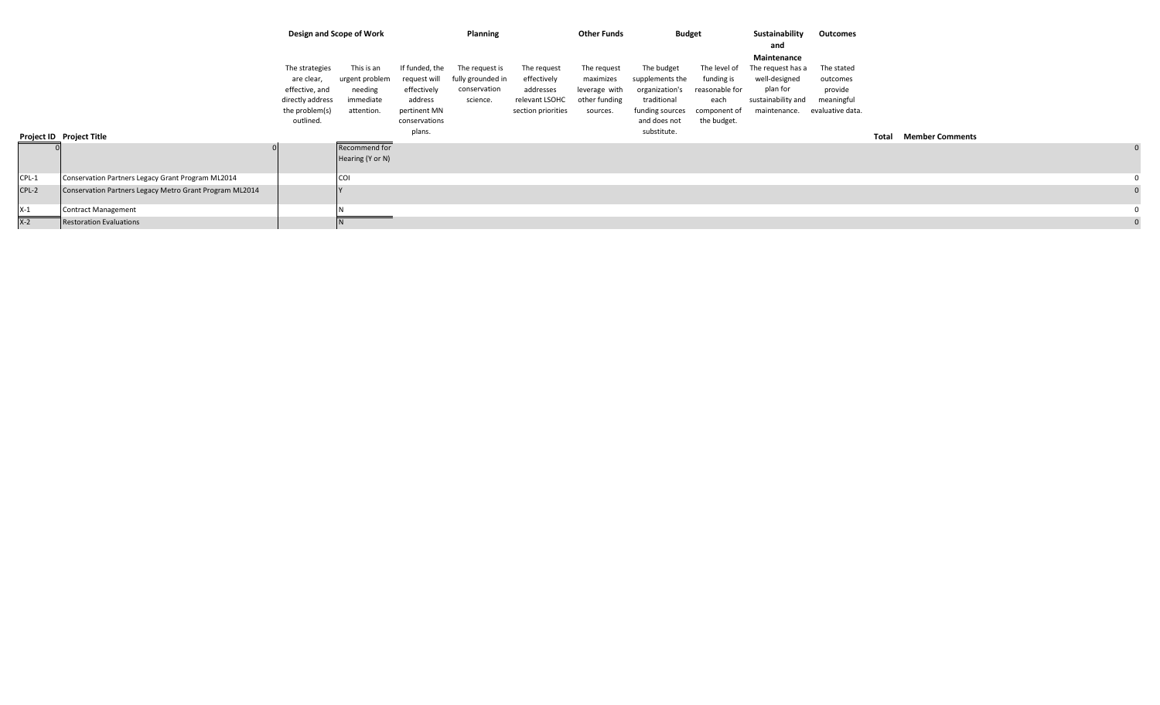|       |                                                         |                                                                                                   | Design and Scope of Work                                           |                                                                                                     | <b>Planning</b>                                                 |                                                                                 | <b>Other Funds</b>                                                     | <b>Budget</b>                                                                                                    |                                                                                     | Sustainability<br>and                                                                               | Outcomes                                                            |              |                        |  |
|-------|---------------------------------------------------------|---------------------------------------------------------------------------------------------------|--------------------------------------------------------------------|-----------------------------------------------------------------------------------------------------|-----------------------------------------------------------------|---------------------------------------------------------------------------------|------------------------------------------------------------------------|------------------------------------------------------------------------------------------------------------------|-------------------------------------------------------------------------------------|-----------------------------------------------------------------------------------------------------|---------------------------------------------------------------------|--------------|------------------------|--|
|       | Project ID Project Title                                | The strategies<br>are clear,<br>effective, and<br>directly address<br>the problem(s)<br>outlined. | This is an<br>urgent problem<br>needing<br>immediate<br>attention. | If funded, the<br>request will<br>effectively<br>address<br>pertinent MN<br>conservations<br>plans. | The request is<br>fully grounded in<br>conservation<br>science. | The request<br>effectively<br>addresses<br>relevant LSOHC<br>section priorities | The request<br>maximizes<br>leverage with<br>other funding<br>sources. | The budget<br>supplements the<br>organization's<br>traditional<br>funding sources<br>and does not<br>substitute. | The level of<br>funding is<br>reasonable for<br>each<br>component of<br>the budget. | Maintenance<br>The request has a<br>well-designed<br>plan for<br>sustainability and<br>maintenance. | The stated<br>outcomes<br>provide<br>meaningful<br>evaluative data. | <b>Total</b> | <b>Member Comments</b> |  |
|       |                                                         |                                                                                                   | Recommend for<br>Hearing (Y or N)                                  |                                                                                                     |                                                                 |                                                                                 |                                                                        |                                                                                                                  |                                                                                     |                                                                                                     |                                                                     |              |                        |  |
| CPL-1 | Conservation Partners Legacy Grant Program ML2014       |                                                                                                   | <b>COI</b>                                                         |                                                                                                     |                                                                 |                                                                                 |                                                                        |                                                                                                                  |                                                                                     |                                                                                                     |                                                                     |              |                        |  |
| CPL-2 | Conservation Partners Legacy Metro Grant Program ML2014 |                                                                                                   |                                                                    |                                                                                                     |                                                                 |                                                                                 |                                                                        |                                                                                                                  |                                                                                     |                                                                                                     |                                                                     |              |                        |  |
| $X-1$ | <b>Contract Management</b>                              |                                                                                                   |                                                                    |                                                                                                     |                                                                 |                                                                                 |                                                                        |                                                                                                                  |                                                                                     |                                                                                                     |                                                                     |              |                        |  |
| $X-2$ | <b>Restoration Evaluations</b>                          |                                                                                                   |                                                                    |                                                                                                     |                                                                 |                                                                                 |                                                                        |                                                                                                                  |                                                                                     |                                                                                                     |                                                                     |              |                        |  |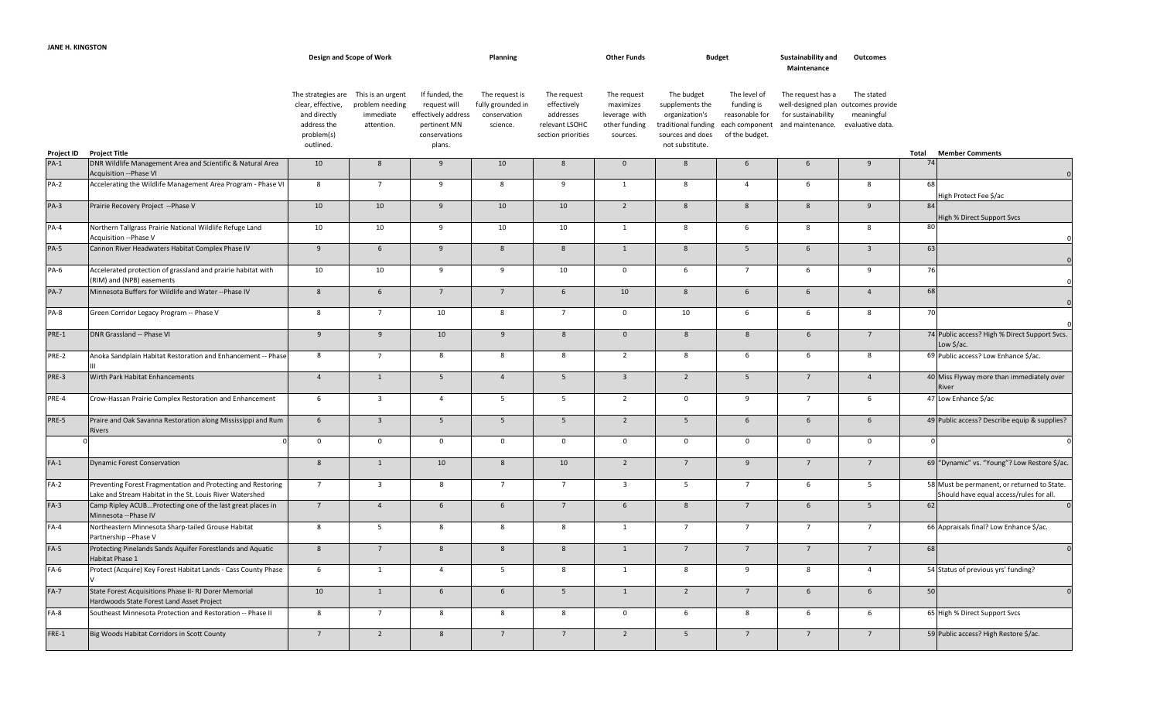|             |                                                                                                                          |                                                                                                   | Design and Scope of Work                                        |                                                                                                  | Planning                                                        |                                                                                 | <b>Other Funds</b>                                                     |                                                                                                               | <b>Budget</b>                                                                    | Sustainability and<br>Maintenance                                                                                   | Outcomes                 |                                                                                        |
|-------------|--------------------------------------------------------------------------------------------------------------------------|---------------------------------------------------------------------------------------------------|-----------------------------------------------------------------|--------------------------------------------------------------------------------------------------|-----------------------------------------------------------------|---------------------------------------------------------------------------------|------------------------------------------------------------------------|---------------------------------------------------------------------------------------------------------------|----------------------------------------------------------------------------------|---------------------------------------------------------------------------------------------------------------------|--------------------------|----------------------------------------------------------------------------------------|
| Project ID  | <b>Project Title</b>                                                                                                     | The strategies are<br>clear, effective,<br>and directly<br>address the<br>problem(s)<br>outlined. | This is an urgent<br>problem needing<br>immediate<br>attention. | If funded, the<br>request will<br>effectively address<br>pertinent MN<br>conservations<br>plans. | The request is<br>fully grounded in<br>conservation<br>science. | The request<br>effectively<br>addresses<br>relevant LSOHC<br>section priorities | The request<br>maximizes<br>leverage with<br>other funding<br>sources. | The budget<br>supplements the<br>organization's<br>traditional funding<br>sources and does<br>not substitute. | The level of<br>funding is<br>reasonable for<br>each component<br>of the budget. | The request has a<br>well-designed plan outcomes provide<br>for sustainability<br>and maintenance. evaluative data. | The stated<br>meaningful | <b>Member Comments</b><br>Total                                                        |
| $PA-1$      | DNR Wildlife Management Area and Scientific & Natural Area<br>Acquisition --Phase VI                                     | 10                                                                                                | 8                                                               | 9                                                                                                | 10                                                              | 8                                                                               | $\overline{0}$                                                         | 8                                                                                                             | $6\overline{6}$                                                                  | 6                                                                                                                   | 9                        | 74                                                                                     |
| $PA-2$      | Accelerating the Wildlife Management Area Program - Phase VI                                                             | 8                                                                                                 | $\overline{7}$                                                  | 9                                                                                                | 8                                                               | 9                                                                               | 1                                                                      | 8                                                                                                             | $\overline{4}$                                                                   | 6                                                                                                                   | 8                        | 68                                                                                     |
| $PA-3$      | Prairie Recovery Project -- Phase V                                                                                      | 10                                                                                                | 10                                                              | 9                                                                                                | 10                                                              | 10                                                                              | $\overline{2}$                                                         | 8                                                                                                             | 8                                                                                | 8                                                                                                                   | 9                        | ligh Protect Fee \$/ac<br>84<br>High % Direct Support Svcs                             |
| $PA-4$      | Northern Tallgrass Prairie National Wildlife Refuge Land<br>Acquisition -- Phase V                                       | 10                                                                                                | 10                                                              | 9                                                                                                | 10                                                              | 10                                                                              | $\mathbf{1}$                                                           | 8                                                                                                             | 6                                                                                | 8                                                                                                                   | 8                        | 80                                                                                     |
| $PA-5$      | Cannon River Headwaters Habitat Complex Phase IV                                                                         | 9                                                                                                 | $6\overline{6}$                                                 | 9                                                                                                | 8                                                               | 8                                                                               | $\mathbf{1}$                                                           | 8                                                                                                             | 5 <sup>5</sup>                                                                   | $6\overline{6}$                                                                                                     | $\overline{\mathbf{3}}$  | 63                                                                                     |
| PA-6        | Accelerated protection of grassland and prairie habitat with<br>(RIM) and (NPB) easements                                | 10                                                                                                | 10                                                              | 9                                                                                                | 9                                                               | 10                                                                              | $\overline{0}$                                                         | $\,$ 6                                                                                                        | $7^{\circ}$                                                                      | 6                                                                                                                   | 9                        | 76                                                                                     |
| <b>PA-7</b> | Minnesota Buffers for Wildlife and Water -- Phase IV                                                                     | 8                                                                                                 | $6\overline{6}$                                                 | $7\overline{ }$                                                                                  | $7\overline{ }$                                                 | 6                                                                               | 10                                                                     | 8                                                                                                             | $6\overline{6}$                                                                  | 6                                                                                                                   | $\overline{4}$           | 68                                                                                     |
| PA-8        | Green Corridor Legacy Program -- Phase V                                                                                 | 8                                                                                                 | $\overline{7}$                                                  | 10                                                                                               | 8                                                               | $\overline{7}$                                                                  | $\mathbf 0$                                                            | 10                                                                                                            | $6\overline{6}$                                                                  | $6\overline{6}$                                                                                                     | 8                        | 70                                                                                     |
| PRE-1       | DNR Grassland -- Phase VI                                                                                                | 9                                                                                                 | 9                                                               | 10                                                                                               | 9                                                               | 8                                                                               | $\overline{0}$                                                         | 8                                                                                                             | 8                                                                                | 6                                                                                                                   | $\overline{7}$           | 74 Public access? High % Direct Support Svcs.<br>Low \$/ac.                            |
| PRE-2       | Anoka Sandplain Habitat Restoration and Enhancement -- Phase                                                             | 8                                                                                                 | $\overline{7}$                                                  | 8                                                                                                | 8                                                               | 8                                                                               | $\overline{2}$                                                         | 8                                                                                                             | 6                                                                                | 6                                                                                                                   | 8                        | 69 Public access? Low Enhance \$/ac.                                                   |
| PRE-3       | Wirth Park Habitat Enhancements                                                                                          | $\overline{4}$                                                                                    | $\mathbf{1}$                                                    | 5 <sup>5</sup>                                                                                   | $\overline{4}$                                                  | $5\overline{)}$                                                                 | $\overline{\mathbf{3}}$                                                | $\overline{2}$                                                                                                | 5 <sup>5</sup>                                                                   | $7\overline{ }$                                                                                                     | $\overline{4}$           | 40 Miss Flyway more than immediately over<br>River                                     |
| PRE-4       | Crow-Hassan Prairie Complex Restoration and Enhancement                                                                  | 6                                                                                                 | $\overline{\mathbf{3}}$                                         | $\overline{4}$                                                                                   | 5                                                               | 5                                                                               | $\overline{2}$                                                         | $\pmb{0}$                                                                                                     | 9                                                                                | $\overline{7}$                                                                                                      | 6                        | 47 Low Enhance \$/ac                                                                   |
| PRE-5       | Praire and Oak Savanna Restoration along Mississippi and Rum<br>Rivers                                                   | $6\overline{6}$                                                                                   | $\overline{\mathbf{3}}$                                         | 5 <sup>5</sup>                                                                                   | $5\overline{)}$                                                 | $5\overline{)}$                                                                 | $\overline{2}$                                                         | 5                                                                                                             | $6\overline{6}$                                                                  | $6\overline{6}$                                                                                                     | $6\overline{6}$          | 49 Public access? Describe equip & supplies?                                           |
|             |                                                                                                                          | $\mathbf 0$                                                                                       | $\overline{0}$                                                  | $\overline{0}$                                                                                   | $\mathbf{0}$                                                    | $\mathbf 0$                                                                     | $\overline{0}$                                                         | $\mathbf 0$                                                                                                   | $\mathbf 0$                                                                      | $\mathbf 0$                                                                                                         | $\mathbf 0$              | $\Omega$<br>$\Omega$                                                                   |
| $FA-1$      | <b>Dynamic Forest Conservation</b>                                                                                       | $8\phantom{1}$                                                                                    | $\mathbf{1}$                                                    | 10                                                                                               | 8                                                               | 10                                                                              | $\overline{2}$                                                         | $\overline{7}$                                                                                                | 9                                                                                | $7\overline{ }$                                                                                                     | $7\overline{ }$          | 69 "Dynamic" vs. "Young"? Low Restore \$/ac.                                           |
| $FA-2$      | Preventing Forest Fragmentation and Protecting and Restoring<br>Lake and Stream Habitat in the St. Louis River Watershed | $\overline{7}$                                                                                    | $\overline{\mathbf{3}}$                                         | 8                                                                                                | $\overline{7}$                                                  | $\overline{7}$                                                                  | $\overline{\mathbf{3}}$                                                | 5                                                                                                             | $7\overline{ }$                                                                  | 6                                                                                                                   | 5                        | 58 Must be permanent, or returned to State.<br>Should have equal access/rules for all. |
| $FA-3$      | Camp Ripley ACUBProtecting one of the last great places in<br>Minnesota -- Phase IV                                      | $7\overline{ }$                                                                                   | $\overline{4}$                                                  | $6\overline{6}$                                                                                  | $6\overline{6}$                                                 | $7\overline{ }$                                                                 | $6\overline{6}$                                                        | 8                                                                                                             | $7\overline{ }$                                                                  | $6\overline{6}$                                                                                                     | 5 <sup>5</sup>           | 62                                                                                     |
| $FA-4$      | Northeastern Minnesota Sharp-tailed Grouse Habitat<br>Partnership --Phase V                                              | 8                                                                                                 | $5\overline{5}$                                                 | 8                                                                                                | 8                                                               | 8                                                                               | 1                                                                      | $\overline{7}$                                                                                                | $\overline{7}$                                                                   | $\overline{7}$                                                                                                      | $7^{\circ}$              | 66 Appraisals final? Low Enhance \$/ac.                                                |
| $FA-5$      | Protecting Pinelands Sands Aquifer Forestlands and Aquatic<br>Habitat Phase 1                                            | 8                                                                                                 | $7\overline{ }$                                                 | 8                                                                                                | 8                                                               | 8                                                                               | $\mathbf{1}$                                                           | $7\overline{ }$                                                                                               | $7\overline{ }$                                                                  | $7\overline{ }$                                                                                                     | $7\overline{ }$          | 68<br>$\mathbf 0$                                                                      |
| $FA-6$      | Protect (Acquire) Key Forest Habitat Lands - Cass County Phase                                                           | 6                                                                                                 | $\overline{1}$                                                  | $\overline{4}$                                                                                   | $5^{\circ}$                                                     | 8                                                                               | 1                                                                      | 8                                                                                                             | 9                                                                                | 8                                                                                                                   | $\overline{4}$           | 54 Status of previous yrs' funding?                                                    |
| $FA-7$      | State Forest Acquisitions Phase II- RJ Dorer Memorial<br>Hardwoods State Forest Land Asset Project                       | 10                                                                                                | $\overline{1}$                                                  | 6                                                                                                | $6\overline{6}$                                                 | $5\overline{5}$                                                                 | $\mathbf{1}$                                                           | $\overline{2}$                                                                                                | $7\overline{ }$                                                                  | $6\overline{6}$                                                                                                     | $6\overline{6}$          | 50<br>$\Omega$                                                                         |
| $FA-8$      | Southeast Minnesota Protection and Restoration -- Phase II                                                               | 8                                                                                                 | $\overline{7}$                                                  | 8                                                                                                | 8                                                               | 8                                                                               | $\mathbf 0$                                                            | 6                                                                                                             | 8                                                                                | 6                                                                                                                   | 6                        | 65 High % Direct Support Svcs                                                          |
| FRE-1       | Big Woods Habitat Corridors in Scott County                                                                              | $\overline{7}$                                                                                    | $\overline{2}$                                                  | 8                                                                                                | $7^{\circ}$                                                     | $\overline{7}$                                                                  | $\overline{2}$                                                         | 5 <sup>5</sup>                                                                                                | $\overline{7}$                                                                   | $\overline{7}$                                                                                                      | $7^{\circ}$              | 59 Public access? High Restore \$/ac.                                                  |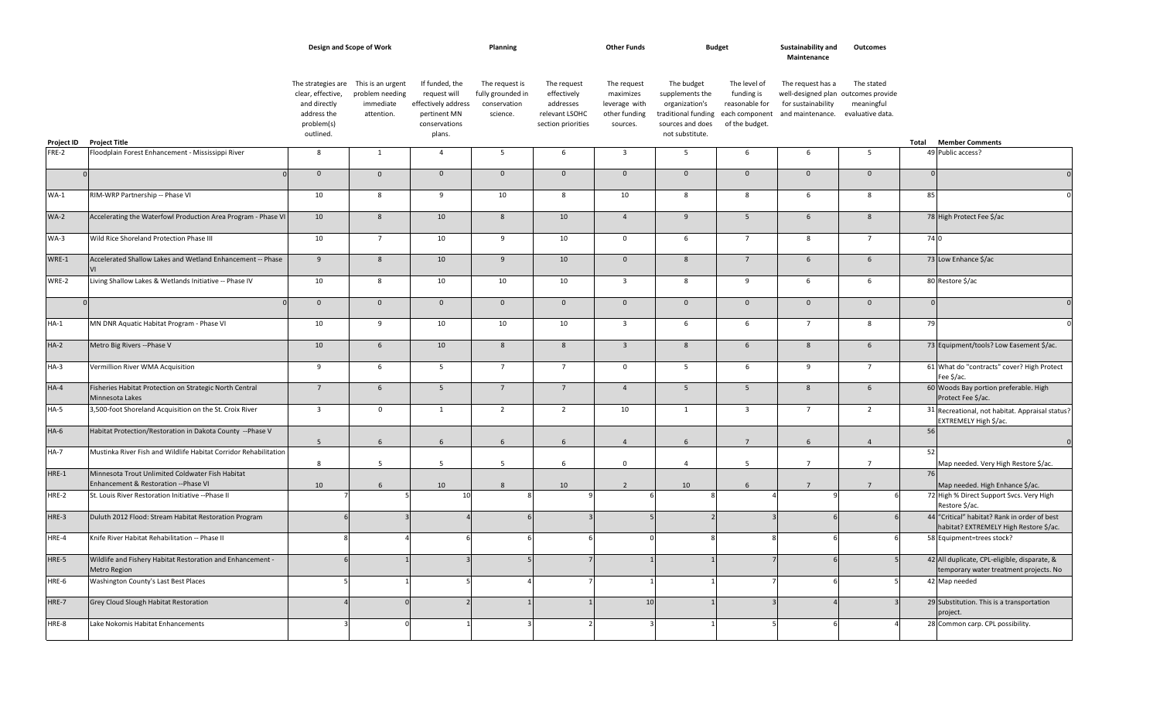|            |                                                                                          |                                                                                                   | Design and Scope of Work                                        |                                                                                                  | Planning                                                        |                                                                                 | <b>Other Funds</b>                                                     |                                                                                                               | <b>Budget</b>                                                                    | Sustainability and<br>Maintenance                           | Outcomes                                                                            |          |                                                                                        |
|------------|------------------------------------------------------------------------------------------|---------------------------------------------------------------------------------------------------|-----------------------------------------------------------------|--------------------------------------------------------------------------------------------------|-----------------------------------------------------------------|---------------------------------------------------------------------------------|------------------------------------------------------------------------|---------------------------------------------------------------------------------------------------------------|----------------------------------------------------------------------------------|-------------------------------------------------------------|-------------------------------------------------------------------------------------|----------|----------------------------------------------------------------------------------------|
| Project ID | <b>Project Title</b>                                                                     | The strategies are<br>clear, effective,<br>and directly<br>address the<br>problem(s)<br>outlined. | This is an urgent<br>problem needing<br>immediate<br>attention. | If funded, the<br>request will<br>effectively address<br>pertinent MN<br>conservations<br>plans. | The request is<br>fully grounded in<br>conservation<br>science. | The request<br>effectively<br>addresses<br>relevant LSOHC<br>section priorities | The request<br>maximizes<br>leverage with<br>other funding<br>sources. | The budget<br>supplements the<br>organization's<br>traditional funding<br>sources and does<br>not substitute. | The level of<br>funding is<br>reasonable for<br>each component<br>of the budget. | The request has a<br>for sustainability<br>and maintenance. | The stated<br>well-designed plan outcomes provide<br>meaningful<br>evaluative data. | Total    | <b>Member Comments</b>                                                                 |
| FRE-2      | Floodplain Forest Enhancement - Mississippi River                                        | 8                                                                                                 | $\mathbf{1}$                                                    | $\overline{4}$                                                                                   | 5                                                               | 6                                                                               | $\overline{\mathbf{3}}$                                                | 5                                                                                                             | 6                                                                                | 6                                                           | - 5                                                                                 |          | 49 Public access?                                                                      |
|            |                                                                                          | $\mathbf{0}$                                                                                      | $\mathbf 0$                                                     | $\mathbf{0}$                                                                                     | $\mathbf 0$                                                     | $\mathbf 0$                                                                     | $\mathbf 0$                                                            | $\mathbf{0}$                                                                                                  | $\mathbf 0$                                                                      | $\mathsf 0$                                                 | $\mathbf 0$                                                                         |          |                                                                                        |
| $WA-1$     | RIM-WRP Partnership -- Phase VI                                                          | 10                                                                                                | 8                                                               | 9                                                                                                | 10                                                              | 8                                                                               | 10                                                                     | 8                                                                                                             | 8                                                                                | 6                                                           | 8                                                                                   | 85       |                                                                                        |
| $WA-2$     | Accelerating the Waterfowl Production Area Program - Phase VI                            | 10                                                                                                | $8\phantom{1}$                                                  | 10                                                                                               | 8                                                               | 10                                                                              | $\overline{4}$                                                         | 9                                                                                                             | 5 <sup>5</sup>                                                                   | $6\overline{6}$                                             | 8                                                                                   |          | 78 High Protect Fee \$/ac                                                              |
| $WA-3$     | Wild Rice Shoreland Protection Phase III                                                 | 10                                                                                                | $\overline{7}$                                                  | 10                                                                                               | 9                                                               | 10                                                                              | $\mathbf{0}$                                                           | 6                                                                                                             | $\overline{7}$                                                                   | 8                                                           | $\overline{7}$                                                                      | 74 0     |                                                                                        |
| WRE-1      | Accelerated Shallow Lakes and Wetland Enhancement -- Phase                               | 9                                                                                                 | $8\phantom{.}$                                                  | 10                                                                                               | 9                                                               | 10                                                                              | $\mathbf 0$                                                            | $8\phantom{1}$                                                                                                | $\overline{7}$                                                                   | $6\overline{6}$                                             | $6\phantom{1}$                                                                      |          | 73 Low Enhance \$/ac                                                                   |
| WRE-2      | Living Shallow Lakes & Wetlands Initiative -- Phase IV                                   | 10                                                                                                | 8                                                               | 10                                                                                               | 10                                                              | 10                                                                              | $\overline{\mathbf{3}}$                                                | 8                                                                                                             | 9                                                                                | 6                                                           | 6                                                                                   |          | 80 Restore \$/ac                                                                       |
|            | $\Omega$<br>$\Omega$                                                                     | $\mathbf 0$                                                                                       | $\mathbf 0$                                                     | $\overline{0}$                                                                                   | $\mathbf{0}$                                                    | $\overline{0}$                                                                  | $\mathbf 0$                                                            | $\overline{0}$                                                                                                | $\overline{0}$                                                                   | $\mathsf 0$                                                 | $\mathbf 0$                                                                         | $\Omega$ | $\Omega$                                                                               |
| $HA-1$     | MN DNR Aquatic Habitat Program - Phase VI                                                | 10                                                                                                | 9                                                               | 10                                                                                               | 10                                                              | 10                                                                              | $\overline{\mathbf{3}}$                                                | 6                                                                                                             | 6                                                                                | $\overline{7}$                                              | 8                                                                                   | 79       |                                                                                        |
| $HA-2$     | Metro Big Rivers -- Phase V                                                              | 10                                                                                                | $6\overline{6}$                                                 | 10                                                                                               | 8                                                               | 8                                                                               | $\overline{\mathbf{3}}$                                                | 8                                                                                                             | 6                                                                                | 8                                                           | $6\overline{6}$                                                                     |          | 73 Equipment/tools? Low Easement \$/ac.                                                |
| $HA-3$     | Vermillion River WMA Acquisition                                                         | 9                                                                                                 | 6                                                               | 5 <sub>5</sub>                                                                                   | $\overline{7}$                                                  | $\overline{7}$                                                                  | $\mathbf 0$                                                            | 5                                                                                                             | 6                                                                                | 9                                                           | $\overline{7}$                                                                      |          | 61 What do "contracts" cover? High Protect<br>Fee \$/ac.                               |
| $HA-4$     | Fisheries Habitat Protection on Strategic North Central<br>Minnesota Lakes               | $\overline{7}$                                                                                    | 6                                                               | 5 <sup>5</sup>                                                                                   | $7\overline{ }$                                                 | $\overline{7}$                                                                  | $\overline{4}$                                                         | $5\overline{5}$                                                                                               | 5                                                                                | 8                                                           | $6\phantom{1}$                                                                      |          | 60 Woods Bay portion preferable. High<br>Protect Fee \$/ac.                            |
| $HA-5$     | 3,500-foot Shoreland Acquisition on the St. Croix River                                  | $\overline{\mathbf{3}}$                                                                           | $\mathbf 0$                                                     | 1                                                                                                | $\overline{2}$                                                  | $\overline{2}$                                                                  | 10                                                                     | $\mathbf{1}$                                                                                                  | $\overline{\mathbf{3}}$                                                          | $\overline{7}$                                              | $\overline{2}$                                                                      |          | 31 Recreational, not habitat. Appraisal status?<br>EXTREMELY High \$/ac.               |
| $HA-6$     | Habitat Protection/Restoration in Dakota County --Phase V                                | 5                                                                                                 | $6\overline{6}$                                                 | 6                                                                                                | 6                                                               | 6                                                                               | $\overline{4}$                                                         | 6                                                                                                             | $7\overline{ }$                                                                  | 6                                                           | $\overline{4}$                                                                      | 56       |                                                                                        |
| $HA-7$     | Mustinka River Fish and Wildlife Habitat Corridor Rehabilitation                         | 8                                                                                                 | 5                                                               | 5                                                                                                | 5                                                               | 6                                                                               | $\mathbf 0$                                                            | $\overline{4}$                                                                                                | $5\overline{)}$                                                                  | $\overline{7}$                                              | $\overline{7}$                                                                      | 52       | Map needed. Very High Restore \$/ac.                                                   |
| $HRE-1$    | Minnesota Trout Unlimited Coldwater Fish Habitat<br>Enhancement & Restoration --Phase VI | 10                                                                                                | $6\overline{6}$                                                 | 10                                                                                               | 8                                                               | 10                                                                              | $\overline{2}$                                                         | 10                                                                                                            | 6                                                                                | $\overline{7}$                                              | $\overline{7}$                                                                      | 76       | Map needed. High Enhance \$/ac.                                                        |
| HRE-2      | St. Louis River Restoration Initiative -- Phase II                                       |                                                                                                   |                                                                 | 1 <sup>1</sup>                                                                                   |                                                                 |                                                                                 |                                                                        |                                                                                                               |                                                                                  |                                                             |                                                                                     |          | 72 High % Direct Support Svcs. Very High<br>Restore \$/ac.                             |
| HRE-3      | Duluth 2012 Flood: Stream Habitat Restoration Program                                    |                                                                                                   |                                                                 |                                                                                                  |                                                                 |                                                                                 |                                                                        |                                                                                                               |                                                                                  |                                                             |                                                                                     |          | 44 "Critical" habitat? Rank in order of best<br>habitat? EXTREMELY High Restore \$/ac. |
| HRE-4      | Knife River Habitat Rehabilitation -- Phase II                                           |                                                                                                   | $\Delta$                                                        |                                                                                                  | 6                                                               |                                                                                 |                                                                        | $\Omega$<br>8                                                                                                 |                                                                                  |                                                             |                                                                                     |          | 58 Equipment=trees stock?                                                              |
| HRE-5      | Wildlife and Fishery Habitat Restoration and Enhancement -<br>Metro Region               | $6 \mid$                                                                                          |                                                                 |                                                                                                  | $\overline{5}$                                                  |                                                                                 |                                                                        |                                                                                                               |                                                                                  |                                                             |                                                                                     |          | 42 All duplicate, CPL-eligible, disparate, &<br>temporary water treatment projects. No |
| HRE-6      | Washington County's Last Best Places                                                     |                                                                                                   |                                                                 |                                                                                                  |                                                                 |                                                                                 |                                                                        |                                                                                                               |                                                                                  |                                                             |                                                                                     |          | 42 Map needed                                                                          |
| HRE-7      | <b>Grey Cloud Slough Habitat Restoration</b>                                             | $\Delta$                                                                                          |                                                                 |                                                                                                  |                                                                 |                                                                                 |                                                                        | 10                                                                                                            |                                                                                  |                                                             |                                                                                     |          | 29 Substitution. This is a transportation<br>project.                                  |
| HRE-8      | Lake Nokomis Habitat Enhancements                                                        |                                                                                                   |                                                                 |                                                                                                  |                                                                 |                                                                                 |                                                                        |                                                                                                               |                                                                                  |                                                             |                                                                                     |          | 28 Common carp. CPL possibility.                                                       |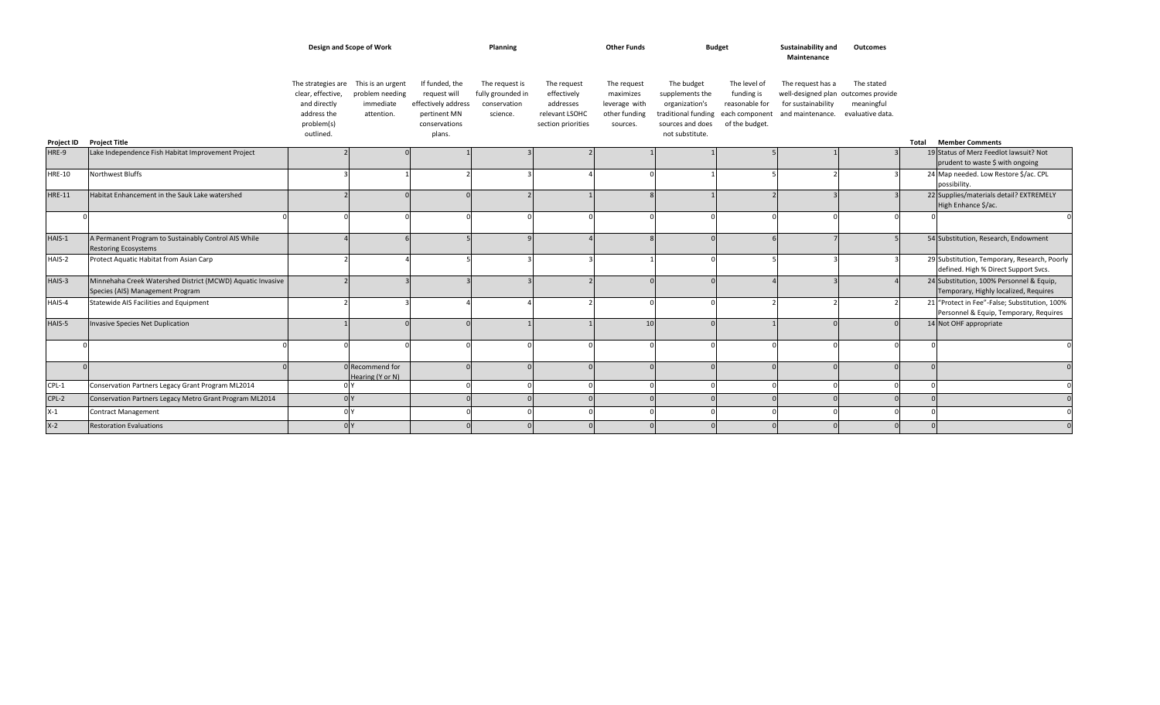|               |                                                                                                | Design and Scope of Work                                                                          |                                                                 |                                                                                                  | Planning                                                        |                                                                                 | <b>Other Funds</b>                                                     |                                                                                                                              | <b>Budget</b>                                                  | Sustainability and<br>Maintenance                                                                  | Outcomes                                     |       |                                                                                         |
|---------------|------------------------------------------------------------------------------------------------|---------------------------------------------------------------------------------------------------|-----------------------------------------------------------------|--------------------------------------------------------------------------------------------------|-----------------------------------------------------------------|---------------------------------------------------------------------------------|------------------------------------------------------------------------|------------------------------------------------------------------------------------------------------------------------------|----------------------------------------------------------------|----------------------------------------------------------------------------------------------------|----------------------------------------------|-------|-----------------------------------------------------------------------------------------|
| Project ID    | <b>Project Title</b>                                                                           | The strategies are<br>clear, effective,<br>and directly<br>address the<br>problem(s)<br>outlined. | This is an urgent<br>problem needing<br>immediate<br>attention. | If funded, the<br>request will<br>effectively address<br>pertinent MN<br>conservations<br>plans. | The request is<br>fully grounded in<br>conservation<br>science. | The request<br>effectively<br>addresses<br>relevant LSOHC<br>section priorities | The request<br>maximizes<br>leverage with<br>other funding<br>sources. | The budget<br>supplements the<br>organization's<br>traditional funding each component<br>sources and does<br>not substitute. | The level of<br>funding is<br>reasonable for<br>of the budget. | The request has a<br>well-designed plan outcomes provide<br>for sustainability<br>and maintenance. | The stated<br>meaningful<br>evaluative data. | Total | <b>Member Comments</b>                                                                  |
| HRE-9         | Lake Independence Fish Habitat Improvement Project                                             |                                                                                                   |                                                                 |                                                                                                  |                                                                 |                                                                                 |                                                                        |                                                                                                                              |                                                                |                                                                                                    |                                              |       | 19 Status of Merz Feedlot lawsuit? Not                                                  |
|               |                                                                                                |                                                                                                   |                                                                 |                                                                                                  |                                                                 |                                                                                 |                                                                        |                                                                                                                              |                                                                |                                                                                                    |                                              |       | prudent to waste \$ with ongoing                                                        |
| <b>HRE-10</b> | Northwest Bluffs                                                                               |                                                                                                   |                                                                 |                                                                                                  |                                                                 |                                                                                 |                                                                        |                                                                                                                              |                                                                |                                                                                                    |                                              |       | 24 Map needed. Low Restore \$/ac. CPL<br>possibility.                                   |
| <b>HRE-11</b> | Habitat Enhancement in the Sauk Lake watershed                                                 |                                                                                                   |                                                                 |                                                                                                  |                                                                 |                                                                                 |                                                                        |                                                                                                                              |                                                                |                                                                                                    |                                              |       | 22 Supplies/materials detail? EXTREMELY<br>High Enhance \$/ac.                          |
|               |                                                                                                |                                                                                                   |                                                                 |                                                                                                  |                                                                 |                                                                                 |                                                                        |                                                                                                                              |                                                                |                                                                                                    |                                              |       | $\Omega$                                                                                |
| HAIS-1        | A Permanent Program to Sustainably Control AIS While<br><b>Restoring Ecosystems</b>            |                                                                                                   |                                                                 |                                                                                                  |                                                                 |                                                                                 |                                                                        |                                                                                                                              |                                                                |                                                                                                    |                                              |       | 54 Substitution, Research, Endowment                                                    |
| HAIS-2        | Protect Aquatic Habitat from Asian Carp                                                        |                                                                                                   |                                                                 |                                                                                                  |                                                                 |                                                                                 |                                                                        |                                                                                                                              |                                                                |                                                                                                    |                                              |       | 29 Substitution, Temporary, Research, Poorly<br>defined. High % Direct Support Svcs.    |
| HAIS-3        | Minnehaha Creek Watershed District (MCWD) Aquatic Invasive<br>Species (AIS) Management Program |                                                                                                   |                                                                 |                                                                                                  |                                                                 |                                                                                 | $\Gamma$                                                               |                                                                                                                              |                                                                |                                                                                                    |                                              |       | 24 Substitution, 100% Personnel & Equip,<br>Temporary, Highly localized, Requires       |
| HAIS-4        | Statewide AIS Facilities and Equipment                                                         |                                                                                                   |                                                                 |                                                                                                  |                                                                 |                                                                                 | $\cap$                                                                 |                                                                                                                              |                                                                |                                                                                                    |                                              |       | 21 "Protect in Fee"-False; Substitution, 100%<br>Personnel & Equip, Temporary, Requires |
| HAIS-5        | Invasive Species Net Duplication                                                               |                                                                                                   |                                                                 |                                                                                                  |                                                                 |                                                                                 | 10 <sup>1</sup>                                                        |                                                                                                                              |                                                                |                                                                                                    |                                              |       | 14 Not OHF appropriate                                                                  |
|               |                                                                                                |                                                                                                   |                                                                 |                                                                                                  |                                                                 |                                                                                 | $\Omega$                                                               |                                                                                                                              |                                                                |                                                                                                    |                                              |       |                                                                                         |
|               |                                                                                                |                                                                                                   | Recommend for<br>Hearing (Y or N)                               |                                                                                                  |                                                                 |                                                                                 | $\Gamma$                                                               |                                                                                                                              |                                                                |                                                                                                    |                                              |       |                                                                                         |
| $CPL-1$       | Conservation Partners Legacy Grant Program ML2014                                              |                                                                                                   |                                                                 |                                                                                                  |                                                                 |                                                                                 | $\cap$                                                                 |                                                                                                                              |                                                                |                                                                                                    |                                              |       |                                                                                         |
| $CPL-2$       | Conservation Partners Legacy Metro Grant Program ML2014                                        | nlv                                                                                               |                                                                 |                                                                                                  |                                                                 |                                                                                 |                                                                        |                                                                                                                              |                                                                |                                                                                                    |                                              |       | $\Omega$                                                                                |
| $X-1$         | <b>Contract Management</b>                                                                     | n v                                                                                               |                                                                 |                                                                                                  |                                                                 |                                                                                 |                                                                        |                                                                                                                              |                                                                |                                                                                                    |                                              |       |                                                                                         |
| $X-2$         | <b>Restoration Evaluations</b>                                                                 |                                                                                                   |                                                                 |                                                                                                  |                                                                 |                                                                                 |                                                                        |                                                                                                                              |                                                                |                                                                                                    |                                              |       |                                                                                         |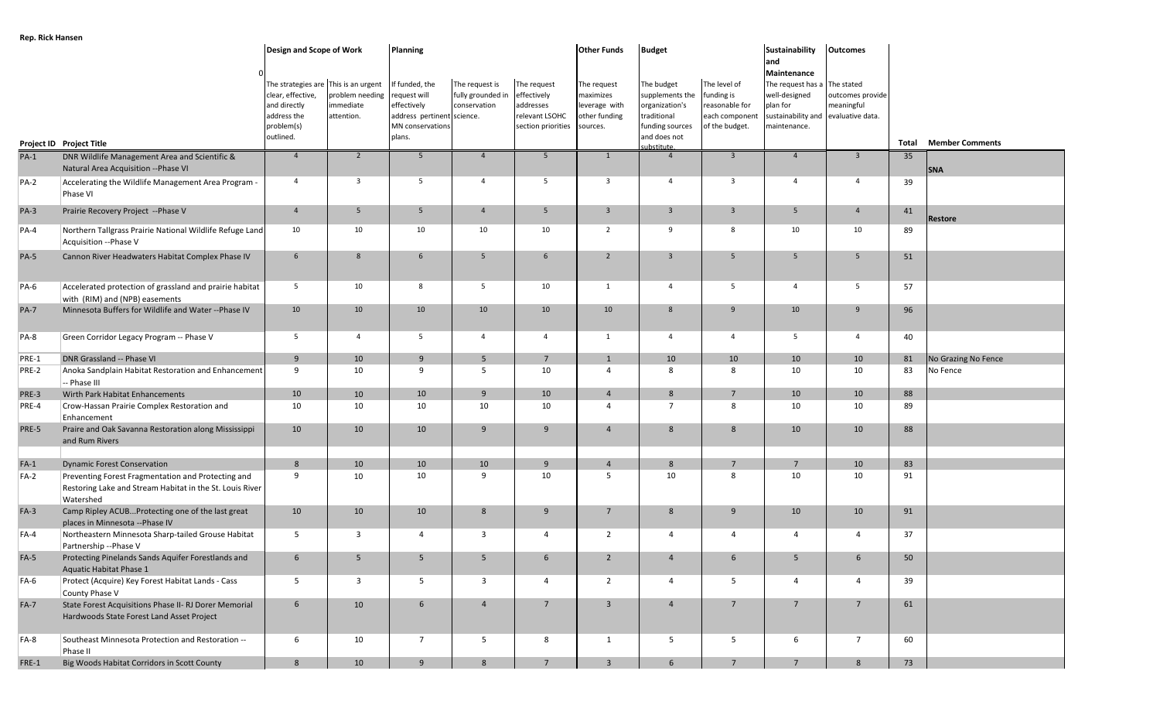| <b>Inchestration</b> |                                                                                                                             | <b>Design and Scope of Work</b>                                                                                     |                                            | Planning                                                                                                 |                                                     |                                                                                 | <b>Other Funds</b>                                                     | <b>Budget</b>                                                                                                   |                                                                                 | Sustainability                                                                                                                         | <b>Outcomes</b>                |       |                        |
|----------------------|-----------------------------------------------------------------------------------------------------------------------------|---------------------------------------------------------------------------------------------------------------------|--------------------------------------------|----------------------------------------------------------------------------------------------------------|-----------------------------------------------------|---------------------------------------------------------------------------------|------------------------------------------------------------------------|-----------------------------------------------------------------------------------------------------------------|---------------------------------------------------------------------------------|----------------------------------------------------------------------------------------------------------------------------------------|--------------------------------|-------|------------------------|
|                      | Project ID Project Title                                                                                                    | The strategies are This is an urgent<br>clear, effective,<br>and directly<br>address the<br>problem(s)<br>outlined. | problem needing<br>immediate<br>attention. | If funded, the<br>equest will<br>effectively<br>address pertinent science.<br>MN conservations<br>plans. | The request is<br>fully grounded in<br>conservation | The request<br>effectively<br>addresses<br>relevant LSOHC<br>section priorities | The request<br>maximizes<br>leverage with<br>other funding<br>sources. | The budget<br>supplements the<br>organization's<br>traditional<br>funding sources<br>and does not<br>substitute | The level of<br>funding is<br>reasonable for<br>each componen<br>of the budget. | and<br>Maintenance<br>The request has a The stated<br>well-designed<br>plan for<br>sustainability and evaluative data.<br>maintenance. | outcomes provide<br>meaningful | Total | <b>Member Comments</b> |
| $PA-1$               | DNR Wildlife Management Area and Scientific &<br>Natural Area Acquisition -- Phase VI                                       | $\overline{4}$                                                                                                      | $\overline{2}$                             | 5                                                                                                        | $\overline{4}$                                      | 5                                                                               | $\mathbf{1}$                                                           | $\overline{4}$                                                                                                  | $\overline{\mathbf{3}}$                                                         | $\overline{4}$                                                                                                                         | $\overline{\mathbf{3}}$        | 35    | <b>SNA</b>             |
| $PA-2$               | Accelerating the Wildlife Management Area Program -<br>Phase VI                                                             | $\overline{4}$                                                                                                      | $\overline{\mathbf{3}}$                    | $5\overline{5}$                                                                                          | $\overline{4}$                                      | 5                                                                               | $\overline{\mathbf{3}}$                                                | $\overline{4}$                                                                                                  | $\overline{\mathbf{3}}$                                                         | $\overline{4}$                                                                                                                         | $\overline{4}$                 | 39    |                        |
| $PA-3$               | Prairie Recovery Project -- Phase V                                                                                         | $\overline{4}$                                                                                                      | 5                                          | 5 <sup>5</sup>                                                                                           | $\overline{4}$                                      | $5\phantom{.0}$                                                                 | $\overline{3}$                                                         | $\overline{3}$                                                                                                  | $\overline{\mathbf{3}}$                                                         | 5 <sup>5</sup>                                                                                                                         | $\overline{4}$                 | 41    | Restore                |
| $PA-4$               | Northern Tallgrass Prairie National Wildlife Refuge Land<br>Acquisition -- Phase V                                          | 10                                                                                                                  | 10                                         | 10                                                                                                       | 10                                                  | 10                                                                              | $\overline{2}$                                                         | 9                                                                                                               | 8                                                                               | 10                                                                                                                                     | 10                             | 89    |                        |
| <b>PA-5</b>          | Cannon River Headwaters Habitat Complex Phase IV                                                                            | 6                                                                                                                   | 8                                          | 6                                                                                                        | 5                                                   | 6                                                                               | $\overline{2}$                                                         | $\overline{3}$                                                                                                  | 5                                                                               | 5                                                                                                                                      | 5                              | 51    |                        |
| <b>PA-6</b>          | Accelerated protection of grassland and prairie habitat<br>with (RIM) and (NPB) easements                                   | $5\overline{5}$                                                                                                     | 10                                         | 8                                                                                                        | 5                                                   | 10                                                                              | 1                                                                      | $\overline{4}$                                                                                                  | 5                                                                               | $\overline{4}$                                                                                                                         | 5                              | 57    |                        |
| <b>PA-7</b>          | Minnesota Buffers for Wildlife and Water -- Phase IV                                                                        | 10                                                                                                                  | 10                                         | 10                                                                                                       | 10                                                  | 10                                                                              | 10                                                                     | 8                                                                                                               | 9                                                                               | 10                                                                                                                                     | 9                              | 96    |                        |
| <b>PA-8</b>          | Green Corridor Legacy Program -- Phase V                                                                                    | $5\overline{5}$                                                                                                     | $\overline{4}$                             | $5\overline{5}$                                                                                          | $\overline{4}$                                      | $\overline{4}$                                                                  | 1                                                                      | $\overline{4}$                                                                                                  | $\overline{4}$                                                                  | $5\overline{)}$                                                                                                                        | $\overline{4}$                 | 40    |                        |
| PRE-1                | DNR Grassland -- Phase VI                                                                                                   | 9                                                                                                                   | 10                                         | 9                                                                                                        | 5                                                   | $\overline{7}$                                                                  | $\overline{1}$                                                         | 10                                                                                                              | 10                                                                              | 10                                                                                                                                     | 10                             | 81    | No Grazing No Fence    |
| PRE-2                | Anoka Sandplain Habitat Restoration and Enhancement<br>-- Phase III                                                         | 9                                                                                                                   | 10                                         | 9                                                                                                        | 5                                                   | 10                                                                              | $\overline{4}$                                                         | 8                                                                                                               | 8                                                                               | 10                                                                                                                                     | 10                             | 83    | No Fence               |
| PRE-3                | Wirth Park Habitat Enhancements                                                                                             | 10                                                                                                                  | 10                                         | 10                                                                                                       | 9                                                   | 10                                                                              | $\overline{4}$                                                         | 8                                                                                                               | $\overline{7}$                                                                  | 10                                                                                                                                     | 10                             | 88    |                        |
| PRE-4                | Crow-Hassan Prairie Complex Restoration and<br>Enhancement                                                                  | 10                                                                                                                  | 10                                         | 10                                                                                                       | 10                                                  | 10                                                                              | $\overline{4}$                                                         | $7^{\circ}$                                                                                                     | 8                                                                               | 10                                                                                                                                     | 10                             | 89    |                        |
| PRE-5                | Praire and Oak Savanna Restoration along Mississippi<br>and Rum Rivers                                                      | 10                                                                                                                  | 10                                         | 10                                                                                                       | 9                                                   | 9                                                                               | $\overline{4}$                                                         | 8                                                                                                               | 8                                                                               | 10                                                                                                                                     | 10                             | 88    |                        |
| $FA-1$               | <b>Dynamic Forest Conservation</b>                                                                                          | 8                                                                                                                   | 10                                         | 10                                                                                                       | 10                                                  | 9                                                                               | $\overline{4}$                                                         | 8                                                                                                               | $\overline{7}$                                                                  | $7\overline{ }$                                                                                                                        | 10                             | 83    |                        |
| $FA-2$               | Preventing Forest Fragmentation and Protecting and<br>Restoring Lake and Stream Habitat in the St. Louis River<br>Watershed | 9                                                                                                                   | 10                                         | 10                                                                                                       | 9                                                   | 10                                                                              | - 5                                                                    | 10                                                                                                              | 8                                                                               | 10                                                                                                                                     | 10                             | 91    |                        |
| $FA-3$               | Camp Ripley ACUBProtecting one of the last great<br>places in Minnesota --Phase IV                                          | 10                                                                                                                  | 10                                         | 10                                                                                                       | 8                                                   | 9                                                                               | 7                                                                      | 8                                                                                                               | 9                                                                               | 10                                                                                                                                     | 10                             | 91    |                        |
| $FA-4$               | Northeastern Minnesota Sharp-tailed Grouse Habitat<br>Partnership -- Phase V                                                | $5\overline{)}$                                                                                                     | $\overline{3}$                             | $\overline{4}$                                                                                           | $\overline{\mathbf{3}}$                             | 4                                                                               | 2                                                                      | $\overline{4}$                                                                                                  | $\overline{4}$                                                                  | 4                                                                                                                                      | $\overline{4}$                 | 37    |                        |
| $FA-5$               | Protecting Pinelands Sands Aquifer Forestlands and<br><b>Aquatic Habitat Phase 1</b>                                        | $6\phantom{.}6$                                                                                                     | 5                                          | 5                                                                                                        | 5                                                   | $6\phantom{1}6$                                                                 | $\overline{2}$                                                         | $\overline{4}$                                                                                                  | 6                                                                               | 5 <sub>5</sub>                                                                                                                         | $6\overline{6}$                | 50    |                        |
| FA-6                 | Protect (Acquire) Key Forest Habitat Lands - Cass<br>County Phase V                                                         | 5                                                                                                                   | $\overline{\mathbf{3}}$                    | 5                                                                                                        | $\overline{3}$                                      | $\overline{4}$                                                                  | $\overline{2}$                                                         | $\overline{4}$                                                                                                  | 5                                                                               | 4                                                                                                                                      | $\overline{4}$                 | 39    |                        |
| $FA-7$               | State Forest Acquisitions Phase II- RJ Dorer Memorial<br>Hardwoods State Forest Land Asset Project                          | $6\overline{6}$                                                                                                     | 10                                         | $6\overline{6}$                                                                                          | $\overline{4}$                                      | $7\overline{ }$                                                                 | $\overline{\mathbf{3}}$                                                | $\overline{4}$                                                                                                  | $7\overline{ }$                                                                 | $7\overline{ }$                                                                                                                        | $7\overline{ }$                | 61    |                        |
| FA-8                 | Southeast Minnesota Protection and Restoration --<br>Phase II                                                               | 6                                                                                                                   | 10                                         | $7\overline{ }$                                                                                          | 5                                                   | 8                                                                               | 1                                                                      | $5\overline{5}$                                                                                                 | 5                                                                               | 6                                                                                                                                      | $7\overline{ }$                | 60    |                        |

FRE-1 Big Woods Habitat Corridors in Scott County 8 | 10 | 9 | 8 | 7 | 3 | 6 | 7 | 7 | 8 | 73

**Rep. Rick Hansen**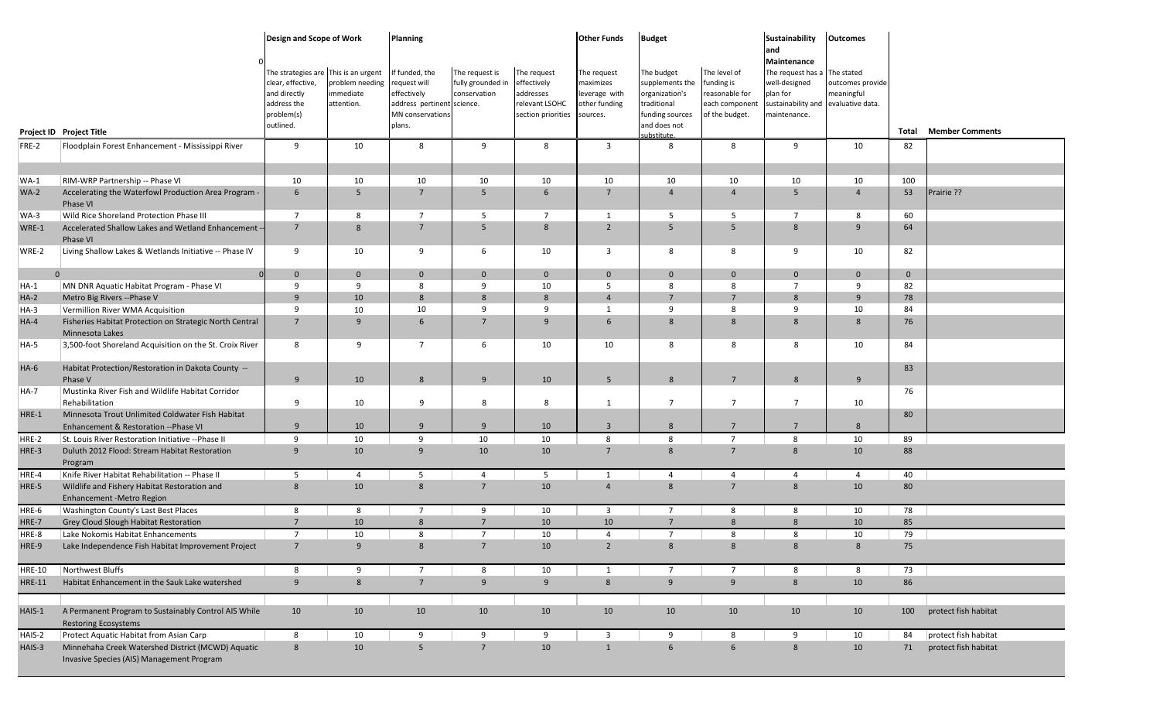|               |                                                                                                | Design and Scope of Work                                                                                            |                                            | <b>Planning</b>                                                                                           |                                                     |                                                                                 | <b>Other Funds</b>                                                     | <b>Budget</b>                                                                                     |                                                                                  | <b>Sustainability</b><br>and                                                                                                    | <b>Outcomes</b>                |                |                        |
|---------------|------------------------------------------------------------------------------------------------|---------------------------------------------------------------------------------------------------------------------|--------------------------------------------|-----------------------------------------------------------------------------------------------------------|-----------------------------------------------------|---------------------------------------------------------------------------------|------------------------------------------------------------------------|---------------------------------------------------------------------------------------------------|----------------------------------------------------------------------------------|---------------------------------------------------------------------------------------------------------------------------------|--------------------------------|----------------|------------------------|
|               |                                                                                                | The strategies are This is an urgent<br>clear, effective,<br>and directly<br>address the<br>problem(s)<br>outlined. | problem needing<br>immediate<br>attention. | If funded, the<br>request will<br>effectively<br>address pertinent science.<br>MN conservations<br>plans. | The request is<br>fully grounded in<br>conservation | The request<br>effectively<br>addresses<br>relevant LSOHC<br>section priorities | The request<br>maximizes<br>leverage with<br>other funding<br>sources. | The budget<br>supplements the<br>organization's<br>traditional<br>funding sources<br>and does not | The level of<br>funding is<br>reasonable for<br>each component<br>of the budget. | Maintenance<br>The request has a The stated<br>well-designed<br>plan for<br>sustainability and evaluative data.<br>maintenance. | outcomes provide<br>meaningful |                |                        |
|               | Project ID Project Title                                                                       |                                                                                                                     |                                            |                                                                                                           |                                                     |                                                                                 |                                                                        | <b>ubstitute</b>                                                                                  |                                                                                  |                                                                                                                                 |                                | Total          | <b>Member Comments</b> |
| FRE-2         | Floodplain Forest Enhancement - Mississippi River                                              | 9                                                                                                                   | 10                                         | 8                                                                                                         | 9                                                   | 8                                                                               | $\overline{\mathbf{3}}$                                                | 8                                                                                                 | 8                                                                                | 9                                                                                                                               | 10                             | 82             |                        |
| $WA-1$        | RIM-WRP Partnership -- Phase VI                                                                | 10                                                                                                                  | 10                                         | 10                                                                                                        | 10                                                  | 10                                                                              | 10                                                                     | 10                                                                                                | 10                                                                               | 10                                                                                                                              | 10                             | 100            |                        |
| $WA-2$        | Accelerating the Waterfowl Production Area Program -<br>Phase VI                               | 6                                                                                                                   | 5                                          | 7                                                                                                         | 5                                                   | 6                                                                               | $7\overline{ }$                                                        | $\overline{4}$                                                                                    | $\overline{4}$                                                                   | 5                                                                                                                               | $\overline{4}$                 | 53             | Prairie ??             |
| WA-3          | Wild Rice Shoreland Protection Phase III                                                       | $\overline{7}$                                                                                                      | 8                                          | 7                                                                                                         | 5                                                   | -7                                                                              | 1                                                                      | 5                                                                                                 | - 5                                                                              | 7                                                                                                                               | 8                              | 60             |                        |
| WRE-1         | Accelerated Shallow Lakes and Wetland Enhancement<br>Phase VI                                  | $7^{\circ}$                                                                                                         | 8                                          | $\overline{7}$                                                                                            | 5                                                   | 8                                                                               | $\overline{2}$                                                         | 5                                                                                                 | 5                                                                                | 8                                                                                                                               | 9                              | 64             |                        |
| WRE-2         | Living Shallow Lakes & Wetlands Initiative -- Phase IV                                         | 9                                                                                                                   | 10                                         | 9                                                                                                         | 6                                                   | 10                                                                              | $\overline{3}$                                                         | 8                                                                                                 | 8                                                                                | 9                                                                                                                               | 10 <sup>°</sup>                | 82             |                        |
|               | $\overline{0}$<br>$\Omega$                                                                     | $\mathbf{0}$                                                                                                        | $\mathbf{0}$                               | $\mathbf{0}$                                                                                              | $\mathbf{0}$                                        | $\mathbf{0}$                                                                    | $\mathbf{0}$                                                           | $\mathbf{0}$                                                                                      | $\mathbf{0}$                                                                     | $\overline{0}$                                                                                                                  | $\mathbf{0}$                   | $\overline{0}$ |                        |
| $HA-1$        | MN DNR Aquatic Habitat Program - Phase VI                                                      | 9                                                                                                                   | 9                                          | 8                                                                                                         | 9                                                   | 10                                                                              | 5                                                                      | 8                                                                                                 | 8                                                                                | $\overline{7}$                                                                                                                  | 9                              | 82             |                        |
| $HA-2$        | Metro Big Rivers -- Phase V                                                                    | 9                                                                                                                   | 10                                         | $8\phantom{1}$                                                                                            | 8                                                   | 8                                                                               | $\overline{4}$                                                         | $7\overline{ }$                                                                                   | $\overline{7}$                                                                   | 8                                                                                                                               | 9                              | 78             |                        |
| $HA-3$        | Vermillion River WMA Acquisition                                                               | 9                                                                                                                   | 10                                         | 10                                                                                                        | 9                                                   | 9                                                                               | 1                                                                      | 9                                                                                                 | 8                                                                                | q                                                                                                                               | 10                             | 84             |                        |
| $HA-4$        | Fisheries Habitat Protection on Strategic North Central<br>Minnesota Lakes                     | $7^{\circ}$                                                                                                         | 9                                          | 6                                                                                                         | $7\overline{ }$                                     | 9                                                                               | 6                                                                      | 8                                                                                                 | 8                                                                                | 8                                                                                                                               | 8                              | 76             |                        |
| HA-5          | 3,500-foot Shoreland Acquisition on the St. Croix River                                        | 8                                                                                                                   | 9                                          | $\overline{7}$                                                                                            | 6                                                   | 10                                                                              | 10                                                                     | 8                                                                                                 | 8                                                                                | 8                                                                                                                               | 10                             | 84             |                        |
| $HA-6$        | Habitat Protection/Restoration in Dakota County --<br>Phase V                                  | 9                                                                                                                   | 10                                         | 8                                                                                                         | 9                                                   | 10                                                                              | 5 <sup>5</sup>                                                         | 8                                                                                                 | $\overline{7}$                                                                   | 8                                                                                                                               | 9                              | 83             |                        |
| <b>HA-7</b>   | Mustinka River Fish and Wildlife Habitat Corridor                                              |                                                                                                                     |                                            |                                                                                                           |                                                     |                                                                                 |                                                                        |                                                                                                   |                                                                                  |                                                                                                                                 |                                | 76             |                        |
|               | Rehabilitation                                                                                 | 9                                                                                                                   | 10                                         | 9                                                                                                         | 8                                                   | 8                                                                               | 1                                                                      | $\overline{7}$                                                                                    | $\overline{7}$                                                                   | $\overline{7}$                                                                                                                  | 10                             |                |                        |
| HRE-1         | Minnesota Trout Unlimited Coldwater Fish Habitat<br>Enhancement & Restoration -- Phase VI      | $\mathbf{q}$                                                                                                        | 10                                         | 9                                                                                                         | 9                                                   | 10                                                                              | $\overline{\mathbf{3}}$                                                | 8                                                                                                 | $7\overline{ }$                                                                  | $\overline{7}$                                                                                                                  | $8\phantom{1}$                 | 80             |                        |
| HRE-2         | St. Louis River Restoration Initiative -- Phase II                                             | 9                                                                                                                   | 10                                         | 9                                                                                                         | 10                                                  | 10                                                                              | 8                                                                      | 8                                                                                                 | $\overline{7}$                                                                   | 8                                                                                                                               | 10                             | 89             |                        |
| HRE-3         | Duluth 2012 Flood: Stream Habitat Restoration<br>Program                                       | 9                                                                                                                   | 10                                         | 9                                                                                                         | 10                                                  | 10                                                                              | $7\overline{ }$                                                        | 8                                                                                                 | $7\overline{ }$                                                                  | 8                                                                                                                               | 10                             | 88             |                        |
| HRE-4         | Knife River Habitat Rehabilitation -- Phase II                                                 | 5                                                                                                                   | $\overline{4}$                             | 5                                                                                                         | $\overline{4}$                                      | 5                                                                               | $\mathbf{1}$                                                           | $\overline{4}$                                                                                    | $\overline{4}$                                                                   | $\overline{4}$                                                                                                                  | $\overline{4}$                 | 40             |                        |
| HRE-5         | Wildlife and Fishery Habitat Restoration and<br><b>Enhancement -Metro Region</b>               | 8                                                                                                                   | 10                                         | 8                                                                                                         | $7^{\circ}$                                         | 10                                                                              | $\overline{4}$                                                         | 8                                                                                                 | $7\overline{ }$                                                                  | 8                                                                                                                               | 10                             | 80             |                        |
| HRE-6         | Washington County's Last Best Places                                                           | 8                                                                                                                   | 8                                          | $\overline{7}$                                                                                            | 9                                                   | 10                                                                              | $\overline{3}$                                                         | $\overline{7}$                                                                                    | 8                                                                                | 8                                                                                                                               | 10                             | 78             |                        |
| HRE-7         | Grey Cloud Slough Habitat Restoration                                                          | $7\overline{ }$                                                                                                     | 10                                         | 8                                                                                                         | $7\overline{ }$                                     | 10                                                                              | 10 <sup>°</sup>                                                        | $7^{\circ}$                                                                                       | 8                                                                                | 8                                                                                                                               | 10                             | 85             |                        |
| HRE-8         | Lake Nokomis Habitat Enhancements                                                              | $\overline{7}$                                                                                                      | 10                                         | 8                                                                                                         | $\overline{7}$                                      | 10                                                                              | $\overline{4}$                                                         | $7^{\circ}$                                                                                       | 8                                                                                | 8                                                                                                                               | 10                             | 79             |                        |
| HRE-9         | Lake Independence Fish Habitat Improvement Project                                             | $7^{\circ}$                                                                                                         | 9                                          | 8                                                                                                         | $7^{\circ}$                                         | 10                                                                              | $\overline{2}$                                                         | 8                                                                                                 | 8                                                                                | 8                                                                                                                               | $8\phantom{1}$                 | 75             |                        |
| <b>HRE-10</b> | Northwest Bluffs                                                                               | 8                                                                                                                   | 9                                          | $\overline{7}$                                                                                            | 8                                                   | 10                                                                              | 1                                                                      | $\overline{7}$                                                                                    | $7\overline{ }$                                                                  | 8                                                                                                                               | 8                              | 73             |                        |
| <b>HRE-11</b> | Habitat Enhancement in the Sauk Lake watershed                                                 | 9                                                                                                                   | $8\phantom{1}$                             | $7\overline{ }$                                                                                           | 9                                                   | 9                                                                               | 8                                                                      | 9                                                                                                 | 9                                                                                | 8                                                                                                                               | 10                             | 86             |                        |
| HAIS-1        | A Permanent Program to Sustainably Control AIS While<br><b>Restoring Ecosystems</b>            | 10                                                                                                                  | 10                                         | 10                                                                                                        | 10                                                  | 10                                                                              | 10                                                                     | 10                                                                                                | 10                                                                               | 10                                                                                                                              | 10                             | 100            | protect fish habitat   |
| HAIS-2        | Protect Aquatic Habitat from Asian Carp                                                        | 8                                                                                                                   | 10                                         | 9                                                                                                         | 9                                                   | 9                                                                               | $\overline{\mathbf{3}}$                                                | 9                                                                                                 | 8                                                                                | 9                                                                                                                               | 10                             | 84             | protect fish habitat   |
| HAIS-3        | Minnehaha Creek Watershed District (MCWD) Aquatic<br>Invasive Species (AIS) Management Program | $8\phantom{1}$                                                                                                      | 10                                         | 5                                                                                                         | $7\overline{ }$                                     | 10                                                                              | $\mathbf{1}$                                                           | 6                                                                                                 | $6\phantom{1}6$                                                                  | $8\phantom{1}$                                                                                                                  | 10                             | 71             | protect fish habitat   |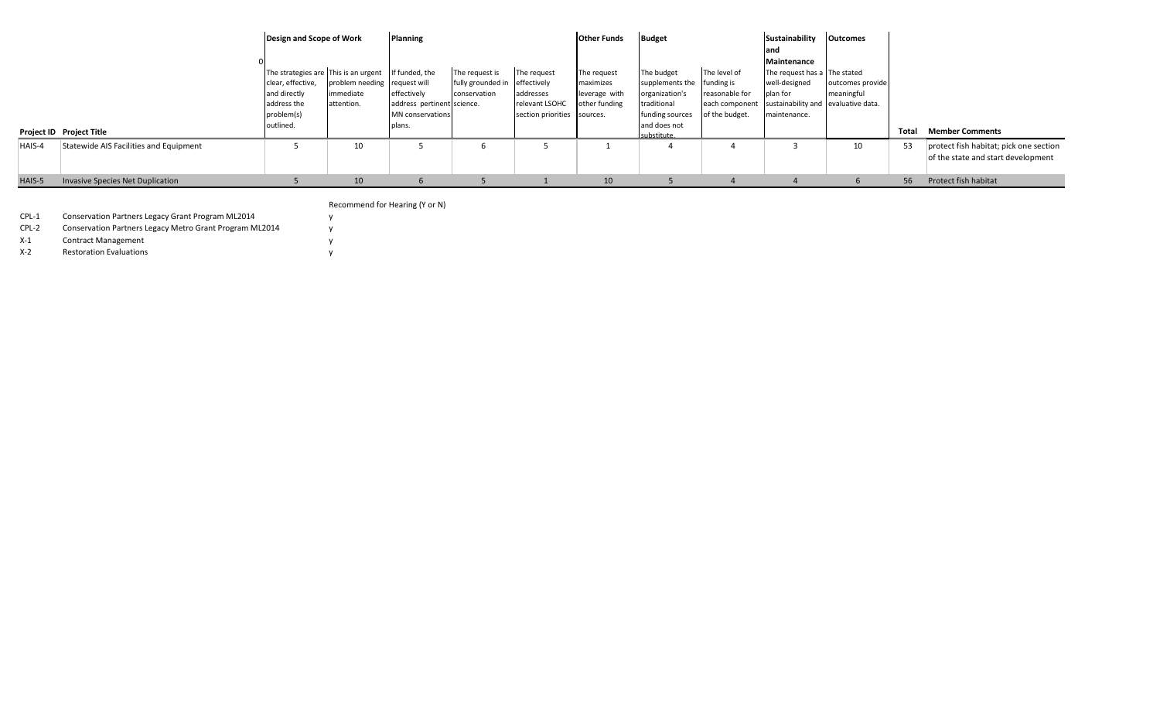|        |                                         | Design and Scope of Work                                                                                            |                                                         | Planning                                                                                         |                                                                 |                                                                           | <b>Other Funds</b>                                         | <b>Budget</b>                                                                                                              |                                                                    | Sustainability                                                                                                   | <b>Outcomes</b>                |       |                                                                              |
|--------|-----------------------------------------|---------------------------------------------------------------------------------------------------------------------|---------------------------------------------------------|--------------------------------------------------------------------------------------------------|-----------------------------------------------------------------|---------------------------------------------------------------------------|------------------------------------------------------------|----------------------------------------------------------------------------------------------------------------------------|--------------------------------------------------------------------|------------------------------------------------------------------------------------------------------------------|--------------------------------|-------|------------------------------------------------------------------------------|
|        |                                         |                                                                                                                     |                                                         |                                                                                                  |                                                                 |                                                                           |                                                            |                                                                                                                            |                                                                    | land<br>Maintenance                                                                                              |                                |       |                                                                              |
|        | Project ID Project Title                | The strategies are This is an urgent<br>clear, effective,<br>and directly<br>address the<br>problem(s)<br>outlined. | problem needing request will<br>immediate<br>attention. | If funded, the<br>effectively<br>address pertinent science.<br><b>MN</b> conservations<br>plans. | The request is<br>fully grounded in effectively<br>conservation | The request<br>addresses<br>relevant LSOHC<br>section priorities sources. | The request<br>maximizes<br>leverage with<br>other funding | The budget<br>supplements the funding is<br>organization's<br>traditional<br>funding sources<br>and does not<br>substitute | The level of<br>reasonable for<br>each component<br>of the budget. | The request has a The stated<br>well-designed<br>plan for<br>sustainability and evaluative data.<br>maintenance. | outcomes provide<br>meaningful | Total | <b>Member Comments</b>                                                       |
| HAIS-4 | Statewide AIS Facilities and Equipment  |                                                                                                                     | 10                                                      |                                                                                                  | <sub>b</sub>                                                    |                                                                           |                                                            |                                                                                                                            |                                                                    |                                                                                                                  | 10                             | 53    | protect fish habitat; pick one section<br>of the state and start development |
| HAIS-5 | <b>Invasive Species Net Duplication</b> |                                                                                                                     | 10                                                      |                                                                                                  |                                                                 |                                                                           | 10                                                         |                                                                                                                            |                                                                    |                                                                                                                  |                                | 56    | Protect fish habitat                                                         |

Recommend for Hearing (Y or N)

CPL-1 Conservation Partners Legacy Grant Program ML2014 y CPL-2 Conservation Partners Legacy Metro Grant Program ML2014 y

X-1 Contract Management y

X-2 Restoration Evaluations y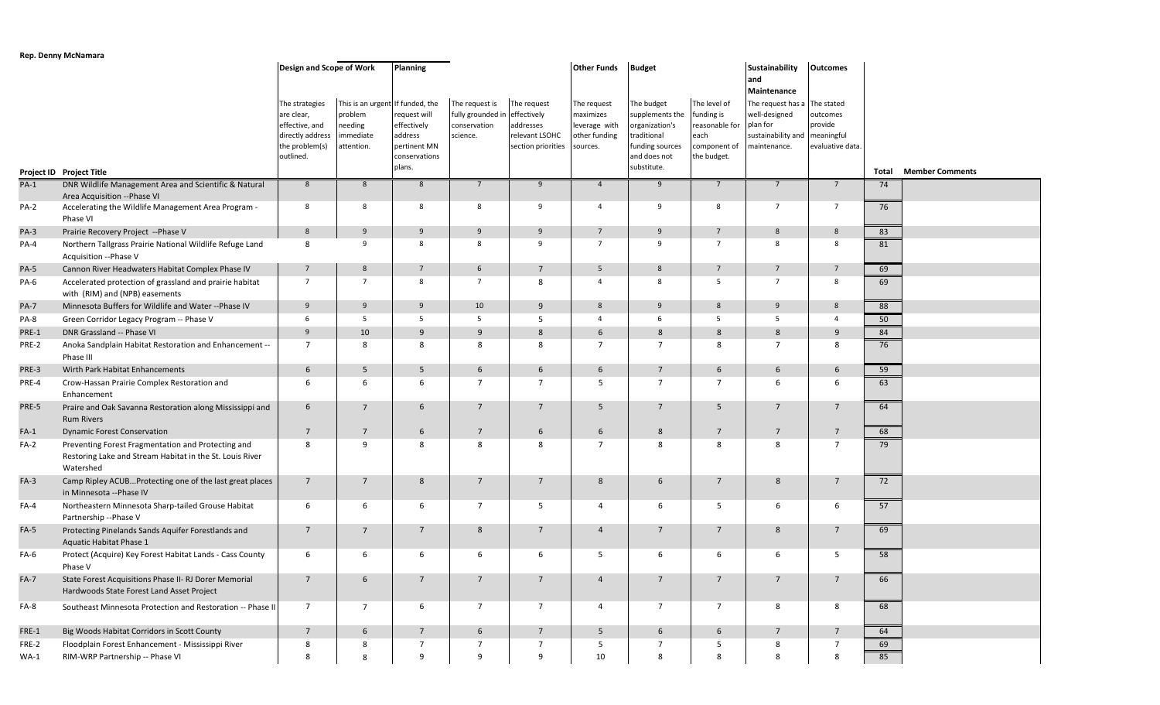## **Rep. Denny McNamara**

|             |                                                                                                                             | <b>Design and Scope of Work</b>                                                                   |                                                                                   | Planning                                                                         |                                                                             |                                                                  | <b>Other Funds</b>                                                     | <b>Budget</b>                                                                                                    |                                                                                     | <b>Sustainability</b><br>and<br>Maintenance                                                                | Outcomes                                |       |                        |
|-------------|-----------------------------------------------------------------------------------------------------------------------------|---------------------------------------------------------------------------------------------------|-----------------------------------------------------------------------------------|----------------------------------------------------------------------------------|-----------------------------------------------------------------------------|------------------------------------------------------------------|------------------------------------------------------------------------|------------------------------------------------------------------------------------------------------------------|-------------------------------------------------------------------------------------|------------------------------------------------------------------------------------------------------------|-----------------------------------------|-------|------------------------|
|             | Project ID Project Title                                                                                                    | The strategies<br>are clear,<br>effective, and<br>directly address<br>the problem(s)<br>outlined. | This is an urgent If funded, the<br>problem<br>needing<br>immediate<br>attention. | equest will<br>effectively<br>address<br>pertinent MN<br>conservations<br>plans. | The request is<br>fully grounded in effectively<br>conservation<br>science. | The request<br>addresses<br>relevant LSOHC<br>section priorities | The request<br>maximizes<br>leverage with<br>other funding<br>sources. | The budget<br>supplements the<br>organization's<br>traditional<br>funding sources<br>and does not<br>substitute. | The level of<br>funding is<br>reasonable for<br>each<br>component of<br>the budget. | The request has a The stated<br>well-designed<br>plan for<br>sustainability and meaningful<br>maintenance. | outcomes<br>provide<br>evaluative data. | Total | <b>Member Comments</b> |
| $PA-1$      | DNR Wildlife Management Area and Scientific & Natural                                                                       | $8\phantom{1}$                                                                                    | 8                                                                                 | 8                                                                                | $7^{\circ}$                                                                 | 9                                                                | $\overline{4}$                                                         | 9                                                                                                                | $7^{\circ}$                                                                         | $7\overline{ }$                                                                                            | $7\overline{ }$                         | 74    |                        |
| PA-2        | Area Acquisition -- Phase VI<br>Accelerating the Wildlife Management Area Program -<br>Phase VI                             | 8                                                                                                 | 8                                                                                 | 8                                                                                | 8                                                                           | 9                                                                | $\overline{4}$                                                         | 9                                                                                                                | 8                                                                                   | $\overline{7}$                                                                                             | $7\overline{ }$                         | 76    |                        |
| $PA-3$      | Prairie Recovery Project -- Phase V                                                                                         | 8                                                                                                 | 9                                                                                 | 9                                                                                | 9                                                                           | 9                                                                | $\overline{7}$                                                         | 9                                                                                                                | $7\overline{ }$                                                                     | 8                                                                                                          | 8                                       | 83    |                        |
| PA-4        | Northern Tallgrass Prairie National Wildlife Refuge Land<br>Acquisition -- Phase V                                          | 8                                                                                                 | 9                                                                                 | 8                                                                                | 8                                                                           | 9                                                                | $\overline{7}$                                                         | 9                                                                                                                | $\overline{7}$                                                                      | 8                                                                                                          | 8                                       | 81    |                        |
| <b>PA-5</b> | Cannon River Headwaters Habitat Complex Phase IV                                                                            | $7\overline{ }$                                                                                   | 8                                                                                 | $7\overline{ }$                                                                  | 6                                                                           | 7                                                                | 5                                                                      | 8                                                                                                                | $7\overline{ }$                                                                     | $\overline{7}$                                                                                             | $7\overline{ }$                         | 69    |                        |
| PA-6        | Accelerated protection of grassland and prairie habitat<br>with (RIM) and (NPB) easements                                   | $\overline{7}$                                                                                    | $\overline{7}$                                                                    | 8                                                                                | $\overline{7}$                                                              | 8                                                                | $\overline{4}$                                                         | 8                                                                                                                | 5                                                                                   | $\overline{7}$                                                                                             | 8                                       | 69    |                        |
| <b>PA-7</b> | Minnesota Buffers for Wildlife and Water -- Phase IV                                                                        | 9                                                                                                 | 9                                                                                 | 9                                                                                | 10                                                                          | 9                                                                | 8                                                                      | 9                                                                                                                | 8                                                                                   | 9                                                                                                          | 8                                       | 88    |                        |
| PA-8        | Green Corridor Legacy Program -- Phase V                                                                                    | 6                                                                                                 | 5                                                                                 | 5                                                                                | 5                                                                           | 5                                                                | $\overline{4}$                                                         | 6                                                                                                                | 5                                                                                   | 5                                                                                                          | $\overline{4}$                          | 50    |                        |
| PRE-1       | DNR Grassland -- Phase VI                                                                                                   | 9                                                                                                 | 10                                                                                | 9                                                                                | 9                                                                           | 8                                                                | 6                                                                      | 8                                                                                                                | 8                                                                                   | 8                                                                                                          | 9                                       | 84    |                        |
| PRE-2       | Anoka Sandplain Habitat Restoration and Enhancement --<br>Phase III                                                         | $7\overline{ }$                                                                                   | 8                                                                                 | 8                                                                                | 8                                                                           | 8                                                                | $\overline{7}$                                                         | $\overline{7}$                                                                                                   | 8                                                                                   | $\overline{7}$                                                                                             | 8                                       | 76    |                        |
| PRE-3       | Wirth Park Habitat Enhancements                                                                                             | 6                                                                                                 | 5                                                                                 | 5                                                                                | 6                                                                           | 6                                                                | 6                                                                      | $7\overline{ }$                                                                                                  | $6\phantom{.}6$                                                                     | 6                                                                                                          | 6                                       | 59    |                        |
| PRE-4       | Crow-Hassan Prairie Complex Restoration and<br>Enhancement                                                                  | 6                                                                                                 | 6                                                                                 | 6                                                                                | $\overline{7}$                                                              | $\overline{7}$                                                   | 5                                                                      | $\overline{7}$                                                                                                   | $\overline{7}$                                                                      | -6                                                                                                         | 6                                       | 63    |                        |
| PRE-5       | Praire and Oak Savanna Restoration along Mississippi and<br><b>Rum Rivers</b>                                               | 6                                                                                                 | $7\overline{ }$                                                                   | 6                                                                                | $\overline{7}$                                                              | $\overline{7}$                                                   | 5                                                                      | $7^{\circ}$                                                                                                      | 5                                                                                   | $\overline{7}$                                                                                             | $7^{\circ}$                             | 64    |                        |
| $FA-1$      | <b>Dynamic Forest Conservation</b>                                                                                          | $7\overline{ }$                                                                                   | $\overline{7}$                                                                    | 6                                                                                | $\overline{7}$                                                              | 6                                                                | 6                                                                      | 8                                                                                                                | $\overline{7}$                                                                      | $7\overline{ }$                                                                                            | $7\overline{ }$                         | 68    |                        |
| $FA-2$      | Preventing Forest Fragmentation and Protecting and<br>Restoring Lake and Stream Habitat in the St. Louis River<br>Watershed | 8                                                                                                 | 9                                                                                 | 8                                                                                | 8                                                                           | 8                                                                | $\overline{7}$                                                         | 8                                                                                                                | 8                                                                                   | 8                                                                                                          | $\overline{7}$                          | 79    |                        |
| $FA-3$      | Camp Ripley ACUB Protecting one of the last great places<br>in Minnesota -- Phase IV                                        | $7\overline{ }$                                                                                   | $7\overline{ }$                                                                   | 8                                                                                | $\overline{7}$                                                              | $\overline{7}$                                                   | 8                                                                      | 6                                                                                                                | $7\overline{ }$                                                                     | 8                                                                                                          | $7^{\circ}$                             | 72    |                        |
| FA-4        | Northeastern Minnesota Sharp-tailed Grouse Habitat<br>Partnership --Phase V                                                 | 6                                                                                                 | 6                                                                                 | 6                                                                                | $\overline{7}$                                                              | 5                                                                | $\overline{4}$                                                         | 6                                                                                                                | 5                                                                                   | 6                                                                                                          | 6                                       | 57    |                        |
| $FA-5$      | Protecting Pinelands Sands Aquifer Forestlands and<br>Aquatic Habitat Phase 1                                               | $\overline{7}$                                                                                    | $7\overline{ }$                                                                   | $7\overline{ }$                                                                  | 8                                                                           | $\overline{7}$                                                   | $\overline{4}$                                                         | $7^{\circ}$                                                                                                      | $7\overline{ }$                                                                     | 8                                                                                                          | $7^{\circ}$                             | 69    |                        |
| FA-6        | Protect (Acquire) Key Forest Habitat Lands - Cass County<br>Phase V                                                         | 6                                                                                                 | 6                                                                                 | 6                                                                                | 6                                                                           | 6                                                                | 5                                                                      | 6                                                                                                                | 6                                                                                   | 6                                                                                                          | 5                                       | 58    |                        |
| $FA-7$      | State Forest Acquisitions Phase II- RJ Dorer Memorial<br>Hardwoods State Forest Land Asset Project                          |                                                                                                   | 6                                                                                 |                                                                                  |                                                                             |                                                                  |                                                                        |                                                                                                                  |                                                                                     |                                                                                                            |                                         | 66    |                        |
| FA-8        | Southeast Minnesota Protection and Restoration -- Phase II                                                                  | $7\overline{ }$                                                                                   | $7\overline{ }$                                                                   | 6                                                                                | 7                                                                           | $\overline{7}$                                                   | $\overline{4}$                                                         | $\overline{7}$                                                                                                   | $7\overline{ }$                                                                     | 8                                                                                                          | 8                                       | 68    |                        |
| FRE-1       | Big Woods Habitat Corridors in Scott County                                                                                 | $7\overline{ }$                                                                                   | 6                                                                                 | $\overline{7}$                                                                   | 6                                                                           | $7\overline{ }$                                                  | 5                                                                      | 6                                                                                                                | 6                                                                                   | $7\overline{ }$                                                                                            | $7\overline{ }$                         | 64    |                        |
| FRE-2       | Floodplain Forest Enhancement - Mississippi River                                                                           | 8                                                                                                 | 8                                                                                 | 7                                                                                | 7                                                                           | $\overline{7}$                                                   | 5                                                                      | $\overline{7}$                                                                                                   | 5                                                                                   | 8                                                                                                          | $\overline{7}$                          | 69    |                        |
| $WA-1$      | RIM-WRP Partnership -- Phase VI                                                                                             | 8                                                                                                 | 8                                                                                 | 9                                                                                | 9                                                                           | 9                                                                | 10                                                                     | 8                                                                                                                | 8                                                                                   | 8                                                                                                          | 8                                       | 85    |                        |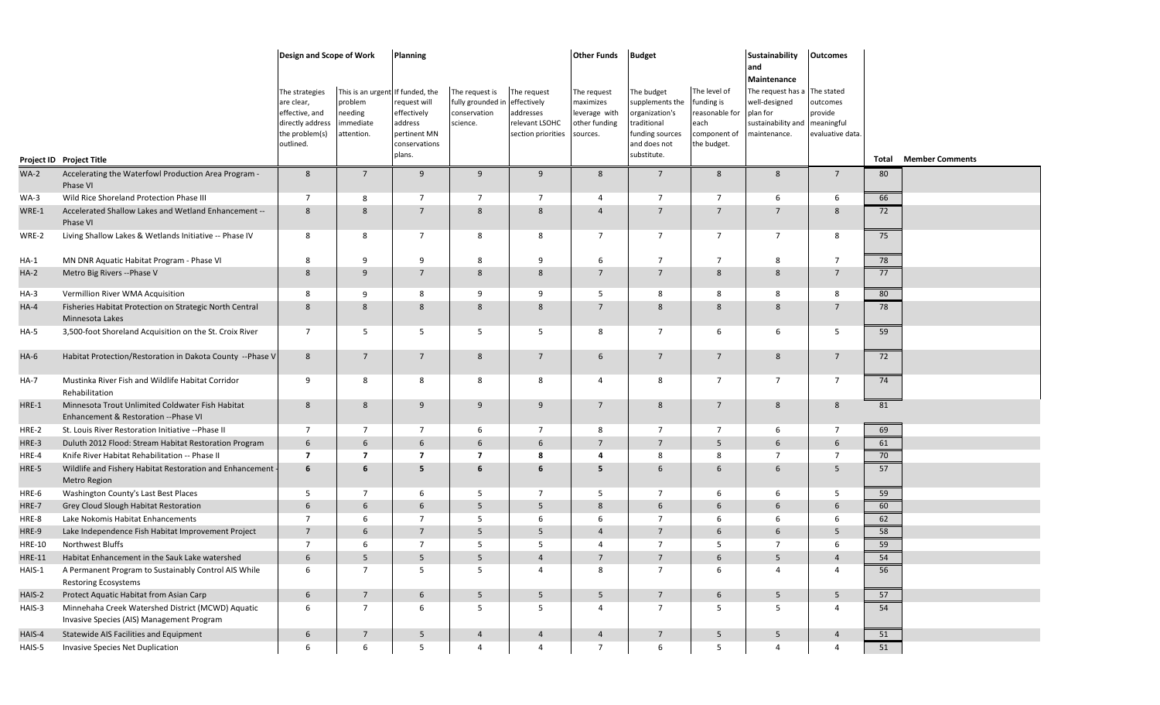|               |                                                                                                | Design and Scope of Work                                                                          |                                                                    | <b>Planning</b>                                                                                     |                                                                             |                                                                  | <b>Other Funds</b>                                                     | <b>Budget</b>                                                                                                    |                                                                                   | <b>Sustainability</b><br>and                                                                                   | <b>Outcomes</b>                                       |          |                        |
|---------------|------------------------------------------------------------------------------------------------|---------------------------------------------------------------------------------------------------|--------------------------------------------------------------------|-----------------------------------------------------------------------------------------------------|-----------------------------------------------------------------------------|------------------------------------------------------------------|------------------------------------------------------------------------|------------------------------------------------------------------------------------------------------------------|-----------------------------------------------------------------------------------|----------------------------------------------------------------------------------------------------------------|-------------------------------------------------------|----------|------------------------|
|               | Project ID Project Title                                                                       | The strategies<br>are clear,<br>effective, and<br>directly address<br>the problem(s)<br>outlined. | This is an urgent<br>problem<br>needing<br>immediate<br>attention. | If funded, the<br>request will<br>effectively<br>address<br>pertinent MN<br>conservations<br>plans. | The request is<br>fully grounded in effectively<br>conservation<br>science. | The request<br>addresses<br>relevant LSOHC<br>section priorities | The request<br>maximizes<br>leverage with<br>other funding<br>sources. | The budget<br>supplements the<br>organization's<br>traditional<br>funding sources<br>and does not<br>substitute. | The level of<br>funding is<br>easonable for<br>each<br>component of<br>he budget. | Maintenance<br>The request has a The stated<br>well-designed<br>plan for<br>sustainability and<br>maintenance. | outcomes<br>provide<br>meaningful<br>evaluative data. | Total    | <b>Member Comments</b> |
| $WA-2$        | Accelerating the Waterfowl Production Area Program -                                           | 8                                                                                                 | $\overline{7}$                                                     | 9                                                                                                   | 9                                                                           | 9                                                                | 8                                                                      | $7^{\circ}$                                                                                                      | 8                                                                                 | 8                                                                                                              | $7\overline{ }$                                       | 80       |                        |
|               | Phase VI                                                                                       |                                                                                                   |                                                                    |                                                                                                     |                                                                             |                                                                  |                                                                        |                                                                                                                  |                                                                                   |                                                                                                                |                                                       |          |                        |
| $WA-3$        | Wild Rice Shoreland Protection Phase III                                                       | $\overline{7}$                                                                                    | 8                                                                  | 7                                                                                                   | $\overline{7}$                                                              | $\overline{7}$                                                   | 4                                                                      | $\overline{7}$                                                                                                   | $\overline{7}$                                                                    | 6                                                                                                              | 6                                                     | 66       |                        |
| WRE-1         | Accelerated Shallow Lakes and Wetland Enhancement --<br>Phase VI                               | 8                                                                                                 | 8                                                                  | $7\overline{ }$                                                                                     | 8                                                                           | 8                                                                | $\overline{4}$                                                         | $7\overline{ }$                                                                                                  | $7\overline{ }$                                                                   | $7\overline{ }$                                                                                                | 8                                                     | 72       |                        |
| WRE-2         | Living Shallow Lakes & Wetlands Initiative -- Phase IV                                         | 8                                                                                                 | 8                                                                  | $\overline{7}$                                                                                      | 8                                                                           | 8                                                                | $\overline{7}$                                                         | $\overline{7}$                                                                                                   | $\overline{7}$                                                                    | $\overline{7}$                                                                                                 | 8                                                     | 75       |                        |
| HA-1          | MN DNR Aquatic Habitat Program - Phase VI                                                      | 8                                                                                                 | 9                                                                  | 9                                                                                                   | 8                                                                           | 9                                                                | 6                                                                      | $\overline{7}$                                                                                                   | $\overline{7}$                                                                    | 8                                                                                                              | -7                                                    | 78       |                        |
| $HA-2$        | Metro Big Rivers -- Phase V                                                                    | 8                                                                                                 | 9                                                                  | $7\overline{ }$                                                                                     | 8                                                                           | 8                                                                | $\overline{7}$                                                         | $7\overline{ }$                                                                                                  | 8                                                                                 | 8                                                                                                              | $7\overline{ }$                                       | 77       |                        |
| HA-3          | Vermillion River WMA Acquisition                                                               | 8                                                                                                 | 9                                                                  | 8                                                                                                   | 9                                                                           | 9                                                                | 5                                                                      | 8                                                                                                                | 8                                                                                 | 8                                                                                                              | 8                                                     | 80       |                        |
| $HA-4$        | Fisheries Habitat Protection on Strategic North Central<br>Minnesota Lakes                     | 8                                                                                                 | 8                                                                  | 8                                                                                                   | 8                                                                           | 8                                                                | $\overline{7}$                                                         | 8                                                                                                                | 8                                                                                 | 8                                                                                                              | $\overline{7}$                                        | 78       |                        |
| HA-5          | 3,500-foot Shoreland Acquisition on the St. Croix River                                        | $\overline{7}$                                                                                    | 5                                                                  | 5                                                                                                   | - 5                                                                         | 5                                                                | 8                                                                      | $7\overline{ }$                                                                                                  | 6                                                                                 | 6                                                                                                              | 5                                                     | 59       |                        |
| HA-6          | Habitat Protection/Restoration in Dakota County --Phase V                                      | 8                                                                                                 | $7\overline{ }$                                                    | $7\overline{ }$                                                                                     | 8                                                                           | $\overline{7}$                                                   | 6                                                                      | $\overline{7}$                                                                                                   | $7\overline{ }$                                                                   | 8                                                                                                              | $\overline{7}$                                        | 72       |                        |
| HA-7          | Mustinka River Fish and Wildlife Habitat Corridor<br>Rehabilitation                            | 9                                                                                                 | 8                                                                  | 8                                                                                                   | 8                                                                           | 8                                                                | 4                                                                      | 8                                                                                                                | $\overline{7}$                                                                    | $\overline{7}$                                                                                                 | $\overline{7}$                                        | 74       |                        |
| HRE-1         | Minnesota Trout Unlimited Coldwater Fish Habitat<br>Enhancement & Restoration -- Phase VI      | 8                                                                                                 | 8                                                                  | 9                                                                                                   | 9                                                                           | 9                                                                | $\overline{7}$                                                         | 8                                                                                                                | $7\overline{ }$                                                                   | 8                                                                                                              | 8                                                     | 81       |                        |
| HRE-2         | St. Louis River Restoration Initiative --Phase II                                              | $7\overline{ }$                                                                                   | 7                                                                  | 7                                                                                                   | - 6                                                                         | 7                                                                | 8                                                                      | $\overline{7}$                                                                                                   | $\overline{7}$                                                                    | 6                                                                                                              | $\overline{7}$                                        | 69       |                        |
| HRE-3         | Duluth 2012 Flood: Stream Habitat Restoration Program                                          | 6                                                                                                 | 6                                                                  | 6                                                                                                   | 6                                                                           | 6                                                                | $\overline{7}$                                                         | $\overline{7}$                                                                                                   | 5                                                                                 | 6                                                                                                              | 6                                                     | 61       |                        |
| HRE-4         | Knife River Habitat Rehabilitation -- Phase II                                                 | $\overline{7}$                                                                                    | $\overline{7}$                                                     | $\overline{7}$                                                                                      | $\overline{7}$                                                              | 8                                                                | 4                                                                      | 8                                                                                                                | 8                                                                                 | $\overline{7}$                                                                                                 | $\overline{7}$                                        | 70       |                        |
| HRE-5         | Wildlife and Fishery Habitat Restoration and Enhancement -<br>Metro Region                     | 6                                                                                                 | 6                                                                  | 5                                                                                                   | 6                                                                           | 6                                                                | 5                                                                      | 6                                                                                                                | 6                                                                                 | 6                                                                                                              | 5                                                     | 57       |                        |
| HRE-6         | Washington County's Last Best Places                                                           | 5                                                                                                 | 7                                                                  | 6                                                                                                   | -5                                                                          | 7                                                                | 5                                                                      | $\overline{7}$                                                                                                   | 6                                                                                 | 6                                                                                                              | .5                                                    | 59       |                        |
| HRE-7         | Grey Cloud Slough Habitat Restoration                                                          | 6                                                                                                 | 6                                                                  | 6                                                                                                   | -5                                                                          | 5                                                                | 8                                                                      | 6                                                                                                                | 6                                                                                 | 6                                                                                                              | 6                                                     | 60       |                        |
| HRE-8         | Lake Nokomis Habitat Enhancements                                                              | $\overline{7}$                                                                                    | 6                                                                  | $\overline{7}$                                                                                      | 5                                                                           | 6                                                                | 6                                                                      | $\overline{7}$                                                                                                   | 6                                                                                 | 6                                                                                                              | 6                                                     | 62       |                        |
| HRE-9         | Lake Independence Fish Habitat Improvement Project                                             | $7^{\circ}$                                                                                       | 6                                                                  | $7\overline{ }$                                                                                     | 5                                                                           | 5                                                                | $\overline{4}$                                                         | $7^{\circ}$                                                                                                      | 6                                                                                 | 6                                                                                                              | 5                                                     | 58       |                        |
| <b>HRE-10</b> | Northwest Bluffs                                                                               | $\overline{7}$<br>6                                                                               | 6<br>5                                                             | $\overline{7}$<br>5                                                                                 | 5<br>5                                                                      | 5<br>$\overline{4}$                                              | 4<br>$\overline{7}$                                                    | $\overline{7}$<br>$\overline{7}$                                                                                 | 5<br>6                                                                            | $\overline{7}$<br>5                                                                                            | 6<br>$\overline{4}$                                   | 59<br>54 |                        |
| <b>HRE-11</b> | Habitat Enhancement in the Sauk Lake watershed                                                 | 6                                                                                                 | $\overline{7}$                                                     | 5                                                                                                   | 5                                                                           | $\overline{4}$                                                   | 8                                                                      | $\overline{7}$                                                                                                   | 6                                                                                 | $\overline{4}$                                                                                                 | $\overline{4}$                                        | 56       |                        |
| HAIS-1        | A Permanent Program to Sustainably Control AIS While<br><b>Restoring Ecosystems</b>            |                                                                                                   |                                                                    |                                                                                                     |                                                                             |                                                                  |                                                                        |                                                                                                                  |                                                                                   |                                                                                                                |                                                       |          |                        |
| HAIS-2        | Protect Aquatic Habitat from Asian Carp                                                        | 6                                                                                                 | $7\overline{ }$                                                    | 6                                                                                                   | 5                                                                           | 5                                                                | 5                                                                      | $7\overline{ }$                                                                                                  | $6\overline{6}$                                                                   | 5                                                                                                              | 5                                                     | 57       |                        |
| HAIS-3        | Minnehaha Creek Watershed District (MCWD) Aquatic<br>Invasive Species (AIS) Management Program | 6                                                                                                 | $\overline{7}$                                                     | 6                                                                                                   | $5\overline{)}$                                                             | $5\overline{)}$                                                  | 4                                                                      | $7\overline{ }$                                                                                                  | 5                                                                                 | 5                                                                                                              | $\overline{4}$                                        | 54       |                        |
| HAIS-4        | Statewide AIS Facilities and Equipment                                                         | 6                                                                                                 | $7\overline{ }$                                                    | $5\overline{)}$                                                                                     | $\overline{4}$                                                              | $\overline{4}$                                                   | $\overline{4}$                                                         | $7\overline{ }$                                                                                                  | 5 <sup>5</sup>                                                                    | 5                                                                                                              | $\overline{4}$                                        | 51       |                        |
| HAIS-5        | Invasive Species Net Duplication                                                               | 6                                                                                                 | 6                                                                  | $5\overline{5}$                                                                                     | $\overline{4}$                                                              | $\overline{4}$                                                   | $\overline{7}$                                                         | 6                                                                                                                | 5                                                                                 | $\overline{4}$                                                                                                 | $\overline{4}$                                        | 51       |                        |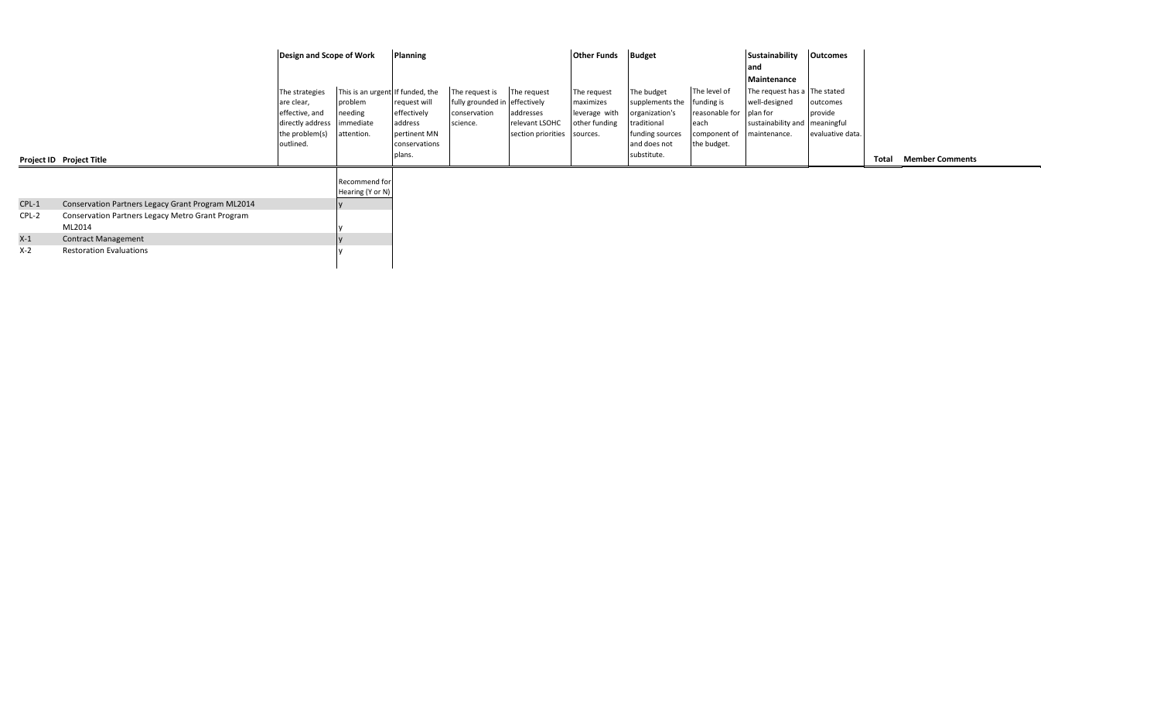|         |                                                                   | Design and Scope of Work                                                                          |                                                                                   | Planning                                                                          |                                                                             |                                                                           | <b>Other Funds</b>                                         | <b>Budget</b>                                                                                                    |                                                                                     | Sustainability                                                                                             | <b>Outcomes</b>                         |       |                        |  |
|---------|-------------------------------------------------------------------|---------------------------------------------------------------------------------------------------|-----------------------------------------------------------------------------------|-----------------------------------------------------------------------------------|-----------------------------------------------------------------------------|---------------------------------------------------------------------------|------------------------------------------------------------|------------------------------------------------------------------------------------------------------------------|-------------------------------------------------------------------------------------|------------------------------------------------------------------------------------------------------------|-----------------------------------------|-------|------------------------|--|
|         |                                                                   |                                                                                                   |                                                                                   |                                                                                   |                                                                             |                                                                           |                                                            |                                                                                                                  |                                                                                     | land<br>Maintenance                                                                                        |                                         |       |                        |  |
|         | Project ID Project Title                                          | The strategies<br>are clear,<br>effective, and<br>directly address<br>the problem(s)<br>outlined. | This is an urgent If funded, the<br>problem<br>needing<br>immediate<br>attention. | request will<br>effectively<br>address<br>pertinent MN<br>conservations<br>plans. | The request is<br>fully grounded in effectively<br>conservation<br>science. | The request<br>addresses<br>relevant LSOHC<br>section priorities sources. | The request<br>maximizes<br>leverage with<br>other funding | The budget<br>supplements the<br>organization's<br>traditional<br>funding sources<br>and does not<br>substitute. | The level of<br>funding is<br>reasonable for<br>each<br>component of<br>the budget. | The request has a The stated<br>well-designed<br>plan for<br>sustainability and meaningful<br>maintenance. | outcomes<br>provide<br>evaluative data. | Total | <b>Member Comments</b> |  |
|         |                                                                   |                                                                                                   | Recommend for<br>Hearing (Y or N)                                                 |                                                                                   |                                                                             |                                                                           |                                                            |                                                                                                                  |                                                                                     |                                                                                                            |                                         |       |                        |  |
| $CPL-1$ | Conservation Partners Legacy Grant Program ML2014                 |                                                                                                   |                                                                                   |                                                                                   |                                                                             |                                                                           |                                                            |                                                                                                                  |                                                                                     |                                                                                                            |                                         |       |                        |  |
| CPL-2   | <b>Conservation Partners Legacy Metro Grant Program</b><br>ML2014 |                                                                                                   |                                                                                   |                                                                                   |                                                                             |                                                                           |                                                            |                                                                                                                  |                                                                                     |                                                                                                            |                                         |       |                        |  |
| $X-1$   | <b>Contract Management</b>                                        |                                                                                                   |                                                                                   |                                                                                   |                                                                             |                                                                           |                                                            |                                                                                                                  |                                                                                     |                                                                                                            |                                         |       |                        |  |
| $X-2$   | <b>Restoration Evaluations</b>                                    |                                                                                                   |                                                                                   |                                                                                   |                                                                             |                                                                           |                                                            |                                                                                                                  |                                                                                     |                                                                                                            |                                         |       |                        |  |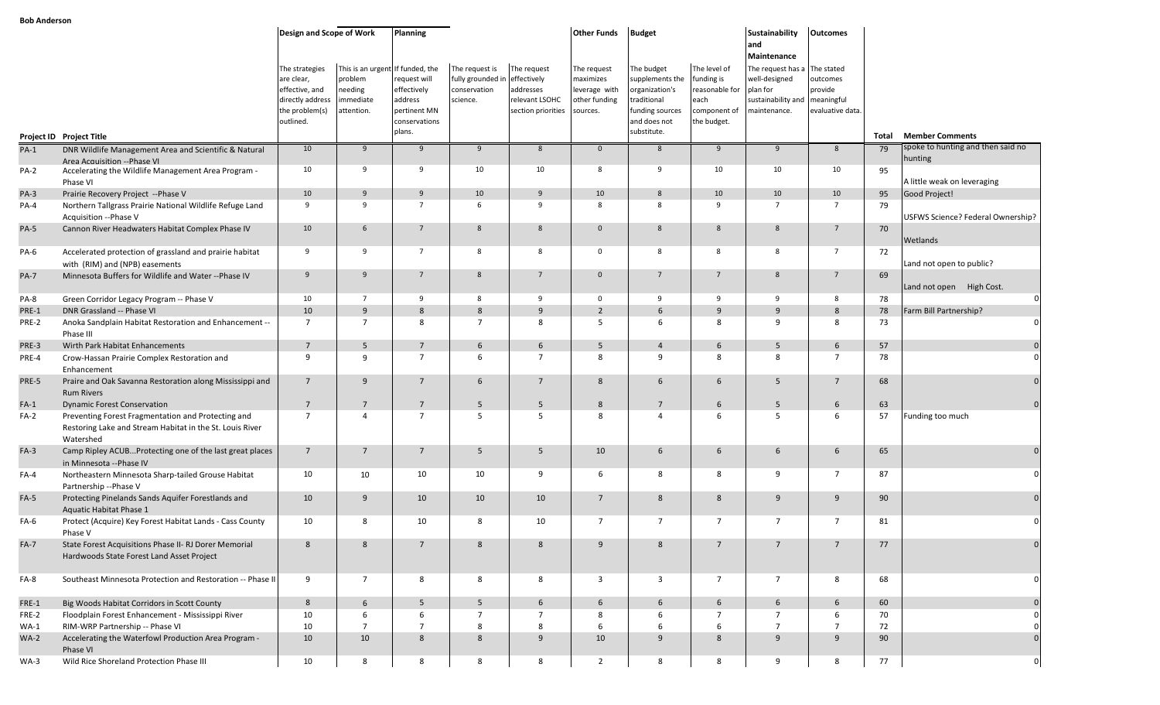|             |                                                                                                                             | Design and Scope of Work                                                                          |                                                                                   | <b>Planning</b>                                                                   |                                                                             |                                                                  | <b>Other Funds</b>                                                     | <b>Budget</b>                                                                                                    |                                                                                     | Sustainability<br>land                                                                              | <b>Outcomes</b>                                                     |       |                                                             |
|-------------|-----------------------------------------------------------------------------------------------------------------------------|---------------------------------------------------------------------------------------------------|-----------------------------------------------------------------------------------|-----------------------------------------------------------------------------------|-----------------------------------------------------------------------------|------------------------------------------------------------------|------------------------------------------------------------------------|------------------------------------------------------------------------------------------------------------------|-------------------------------------------------------------------------------------|-----------------------------------------------------------------------------------------------------|---------------------------------------------------------------------|-------|-------------------------------------------------------------|
|             |                                                                                                                             | The strategies<br>are clear,<br>effective, and<br>directly address<br>the problem(s)<br>outlined. | This is an urgent If funded, the<br>problem<br>needing<br>immediate<br>attention. | request will<br>effectively<br>address<br>pertinent MN<br>conservations<br>plans. | The request is<br>fully grounded in effectively<br>conservation<br>science. | The request<br>addresses<br>relevant LSOHC<br>section priorities | The request<br>maximizes<br>leverage with<br>other funding<br>sources. | The budget<br>supplements the<br>organization's<br>traditional<br>funding sources<br>and does not<br>substitute. | The level of<br>funding is<br>reasonable for<br>each<br>component of<br>the budget. | Maintenance<br>The request has a<br>well-designed<br>plan for<br>sustainability and<br>maintenance. | The stated<br>outcomes<br>provide<br>meaningful<br>evaluative data. |       |                                                             |
|             | Project ID Project Title                                                                                                    |                                                                                                   |                                                                                   |                                                                                   |                                                                             |                                                                  |                                                                        |                                                                                                                  |                                                                                     |                                                                                                     |                                                                     | Total | <b>Member Comments</b><br>spoke to hunting and then said no |
| $PA-1$      | DNR Wildlife Management Area and Scientific & Natural<br>Area Acquisition --Phase VI                                        | 10                                                                                                | 9                                                                                 | 9                                                                                 | 9                                                                           | 8                                                                | $\mathbf{0}$                                                           | 8                                                                                                                | 9                                                                                   | 9                                                                                                   | 8                                                                   | 79    | hunting                                                     |
| <b>PA-2</b> | Accelerating the Wildlife Management Area Program -<br>Phase VI                                                             | 10                                                                                                | 9                                                                                 | 9                                                                                 | 10                                                                          | 10                                                               | 8                                                                      | 9                                                                                                                | 10                                                                                  | 10                                                                                                  | 10                                                                  | 95    | A little weak on leveraging                                 |
| $PA-3$      | Prairie Recovery Project -- Phase V                                                                                         | 10                                                                                                | 9                                                                                 | 9                                                                                 | 10                                                                          | 9                                                                | 10                                                                     | 8                                                                                                                | 10                                                                                  | 10                                                                                                  | 10                                                                  | 95    | Good Project!                                               |
| PA-4        | Northern Tallgrass Prairie National Wildlife Refuge Land<br>Acquisition -- Phase V                                          | 9                                                                                                 | 9                                                                                 | $\overline{7}$                                                                    | 6                                                                           | 9                                                                | 8                                                                      | 8                                                                                                                | 9                                                                                   | $7^{\circ}$                                                                                         | $7^{\circ}$                                                         | 79    | USFWS Science? Federal Ownership?                           |
| <b>PA-5</b> | Cannon River Headwaters Habitat Complex Phase IV                                                                            | 10                                                                                                | 6                                                                                 | 7                                                                                 | 8                                                                           | $8\phantom{1}$                                                   | $\mathbf{0}$                                                           | 8                                                                                                                | 8                                                                                   | 8                                                                                                   | $7^{\circ}$                                                         | 70    | Wetlands                                                    |
| PA-6        | Accelerated protection of grassland and prairie habitat<br>with (RIM) and (NPB) easements                                   | 9                                                                                                 | 9                                                                                 | $\overline{7}$                                                                    | 8                                                                           | 8                                                                | $\mathbf 0$                                                            | 8                                                                                                                | 8                                                                                   | 8                                                                                                   | $\overline{7}$                                                      | 72    | Land not open to public?                                    |
| <b>PA-7</b> | Minnesota Buffers for Wildlife and Water -- Phase IV                                                                        | 9                                                                                                 | 9                                                                                 | $\overline{7}$                                                                    | $\mathbf{R}$                                                                | $\overline{7}$                                                   | $\overline{0}$                                                         | $\overline{7}$                                                                                                   | $\overline{7}$                                                                      | 8                                                                                                   | 7                                                                   | 69    | Land not open High Cost.                                    |
| PA-8        | Green Corridor Legacy Program -- Phase V                                                                                    | 10                                                                                                | $\overline{7}$                                                                    | 9                                                                                 | 8                                                                           | 9                                                                | $\mathbf 0$                                                            | 9                                                                                                                | 9                                                                                   | 9                                                                                                   | 8                                                                   | 78    | $\mathbf 0$                                                 |
| PRE-1       | DNR Grassland -- Phase VI                                                                                                   | 10                                                                                                | 9                                                                                 | 8                                                                                 | 8                                                                           | 9                                                                | $\overline{2}$                                                         | 6                                                                                                                | 9                                                                                   | 9                                                                                                   | 8                                                                   | 78    | Farm Bill Partnership?                                      |
| PRE-2       | Anoka Sandplain Habitat Restoration and Enhancement --<br>Phase III                                                         | $\overline{7}$                                                                                    | $7^{\circ}$                                                                       | 8                                                                                 | $\overline{7}$                                                              | 8                                                                | -5                                                                     | 6                                                                                                                | 8                                                                                   | 9                                                                                                   | 8                                                                   | 73    | $\Omega$                                                    |
| PRE-3       | Wirth Park Habitat Enhancements                                                                                             | $\overline{7}$                                                                                    | 5 <sup>5</sup>                                                                    | $7\overline{ }$                                                                   | 6                                                                           | 6                                                                | 5                                                                      | $\overline{4}$                                                                                                   | 6                                                                                   | 5                                                                                                   | 6                                                                   | 57    |                                                             |
| PRE-4       | Crow-Hassan Prairie Complex Restoration and<br>Enhancement                                                                  | 9                                                                                                 | 9                                                                                 | $\overline{7}$                                                                    | 6                                                                           | $\overline{7}$                                                   | 8                                                                      | 9                                                                                                                | 8                                                                                   | 8                                                                                                   | $\overline{7}$                                                      | 78    |                                                             |
| PRE-5       | Praire and Oak Savanna Restoration along Mississippi and<br><b>Rum Rivers</b>                                               | $7\overline{ }$                                                                                   | 9                                                                                 | $\overline{7}$                                                                    | 6                                                                           | $7\overline{ }$                                                  | 8                                                                      | 6                                                                                                                | 6                                                                                   | 5                                                                                                   | $7^{\circ}$                                                         | 68    |                                                             |
| $FA-1$      | <b>Dynamic Forest Conservation</b>                                                                                          | $7\overline{ }$                                                                                   | $7\overline{ }$                                                                   | $7\overline{ }$                                                                   | 5                                                                           | 5                                                                | 8                                                                      | $7\overline{ }$                                                                                                  | 6                                                                                   | 5                                                                                                   | 6                                                                   | 63    |                                                             |
| FA-2        | Preventing Forest Fragmentation and Protecting and<br>Restoring Lake and Stream Habitat in the St. Louis River<br>Watershed | $\overline{7}$                                                                                    | $\overline{4}$                                                                    | $\overline{7}$                                                                    | -5                                                                          | -5                                                               | 8                                                                      | 4                                                                                                                | 6                                                                                   | 5                                                                                                   | 6                                                                   | 57    | Funding too much                                            |
| $FA-3$      | Camp Ripley ACUBProtecting one of the last great places<br>in Minnesota -- Phase IV                                         | $7\overline{ }$                                                                                   | $7\overline{ }$                                                                   | $\overline{7}$                                                                    | 5                                                                           | 5                                                                | 10                                                                     | 6                                                                                                                | 6                                                                                   | 6                                                                                                   | 6                                                                   | 65    |                                                             |
| $FA-4$      | Northeastern Minnesota Sharp-tailed Grouse Habitat<br>Partnership -- Phase V                                                | 10                                                                                                | 10                                                                                | 10                                                                                | 10                                                                          | 9                                                                | 6                                                                      | 8                                                                                                                | 8                                                                                   | 9                                                                                                   | 7                                                                   | 87    |                                                             |
| $FA-5$      | Protecting Pinelands Sands Aquifer Forestlands and<br>Aquatic Habitat Phase 1                                               | 10                                                                                                | 9                                                                                 | 10                                                                                | 10                                                                          | 10                                                               | 7                                                                      | 8                                                                                                                | 8                                                                                   | 9                                                                                                   | 9                                                                   | 90    |                                                             |
| FA-6        | Protect (Acquire) Key Forest Habitat Lands - Cass County<br>Phase V                                                         | 10                                                                                                | 8                                                                                 | 10                                                                                | 8                                                                           | 10                                                               | $\overline{7}$                                                         | 7                                                                                                                | 7                                                                                   | $\overline{7}$                                                                                      | 7                                                                   | 81    |                                                             |
| $FA-7$      | State Forest Acquisitions Phase II- RJ Dorer Memorial<br>Hardwoods State Forest Land Asset Project                          | 8                                                                                                 | 8                                                                                 |                                                                                   | 8                                                                           | 8                                                                | 9                                                                      | 8                                                                                                                | $\overline{7}$                                                                      | 7                                                                                                   |                                                                     | 77    |                                                             |
| FA-8        | Southeast Minnesota Protection and Restoration -- Phase II                                                                  | 9                                                                                                 | $7\overline{ }$                                                                   | 8                                                                                 | 8                                                                           | 8                                                                | $\overline{3}$                                                         | $\overline{3}$                                                                                                   | $7^{\circ}$                                                                         | $\overline{7}$                                                                                      | 8                                                                   | 68    | $\mathbf 0$                                                 |
| FRE-1       | Big Woods Habitat Corridors in Scott County                                                                                 | 8                                                                                                 | $6\overline{6}$                                                                   | 5                                                                                 | 5                                                                           | $6\overline{6}$                                                  | 6                                                                      | 6                                                                                                                | $6\overline{6}$                                                                     | 6                                                                                                   | 6                                                                   | 60    |                                                             |
| FRE-2       | Floodplain Forest Enhancement - Mississippi River                                                                           | 10                                                                                                | 6                                                                                 | 6                                                                                 | $\overline{7}$                                                              | $\overline{7}$                                                   | 8                                                                      | 6                                                                                                                | $7^{\circ}$                                                                         | $\overline{7}$                                                                                      | 6                                                                   | 70    |                                                             |
| $WA-1$      | RIM-WRP Partnership -- Phase VI                                                                                             | 10                                                                                                | $\overline{7}$                                                                    | $\overline{7}$                                                                    | 8                                                                           | 8                                                                | 6                                                                      | 6                                                                                                                | 6                                                                                   | $7\overline{ }$                                                                                     | $\overline{7}$                                                      | 72    |                                                             |
| $WA-2$      | Accelerating the Waterfowl Production Area Program -<br>Phase VI                                                            | 10                                                                                                | 10                                                                                | 8                                                                                 | 8                                                                           | 9                                                                | 10                                                                     | 9                                                                                                                | 8                                                                                   | 9                                                                                                   | 9                                                                   | 90    | $\mathbf{0}$                                                |
| $WA-3$      | Wild Rice Shoreland Protection Phase III                                                                                    | 10                                                                                                | 8                                                                                 | 8                                                                                 | 8                                                                           | 8                                                                | $\overline{2}$                                                         | 8                                                                                                                | 8                                                                                   | 9                                                                                                   | 8                                                                   | 77    | $\mathbf 0$                                                 |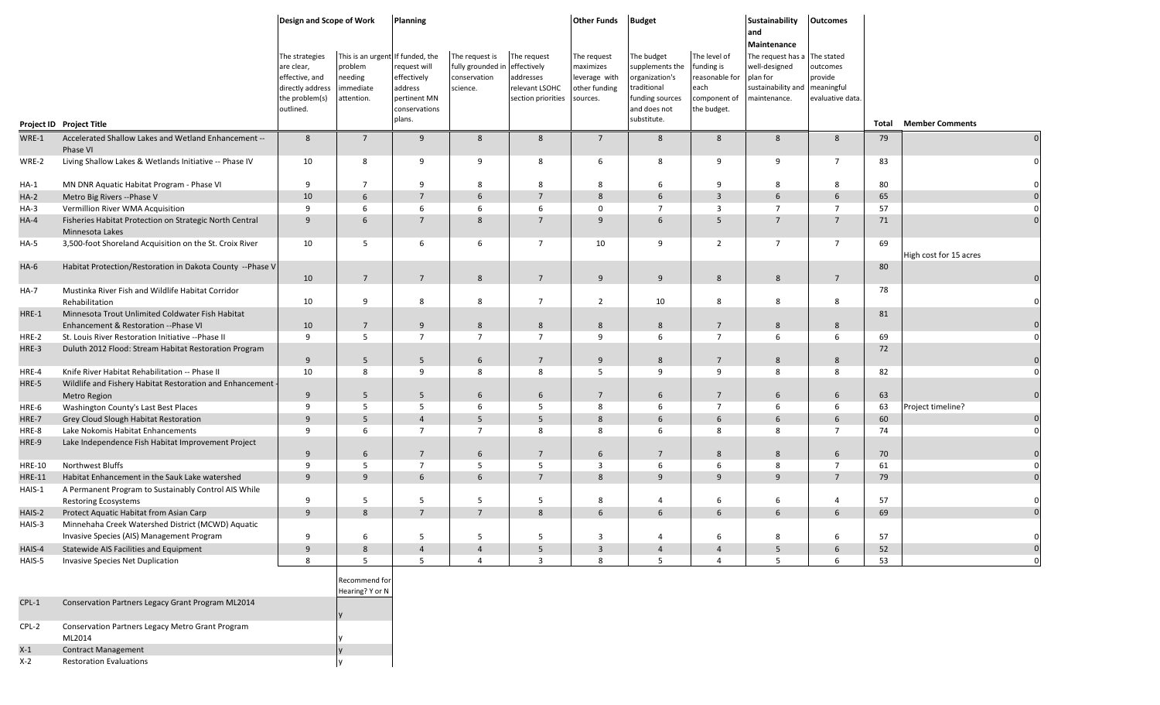|               |                                                                                          | Design and Scope of Work                                                                          |                                                                                  | <b>Planning</b>                                                                  |                                                                 |                                                                                 | <b>Other Funds</b>                                                     | <b>Budget</b>                                                                                                    |                                                                                     | Sustainability<br>and<br>Maintenance                                                 | <b>Outcomes</b>                                                     |       |                        |
|---------------|------------------------------------------------------------------------------------------|---------------------------------------------------------------------------------------------------|----------------------------------------------------------------------------------|----------------------------------------------------------------------------------|-----------------------------------------------------------------|---------------------------------------------------------------------------------|------------------------------------------------------------------------|------------------------------------------------------------------------------------------------------------------|-------------------------------------------------------------------------------------|--------------------------------------------------------------------------------------|---------------------------------------------------------------------|-------|------------------------|
|               | Project ID Project Title                                                                 | The strategies<br>are clear,<br>effective, and<br>directly address<br>the problem(s)<br>outlined. | This is an urgent If funded, the<br>problem<br>needing<br>mmediate<br>attention. | equest will<br>effectively<br>address<br>pertinent MN<br>conservations<br>plans. | The request is<br>fully grounded in<br>conservation<br>science. | The request<br>effectively<br>addresses<br>relevant LSOHC<br>section priorities | The request<br>maximizes<br>leverage with<br>other funding<br>sources. | The budget<br>supplements the<br>organization's<br>traditional<br>funding sources<br>and does not<br>substitute. | The level of<br>funding is<br>reasonable for<br>each<br>component of<br>the budget. | The request has a<br>well-designed<br>olan for<br>sustainability and<br>naintenance. | The stated<br>outcomes<br>provide<br>meaningful<br>evaluative data. | Total | <b>Member Comments</b> |
| WRE-1         | Accelerated Shallow Lakes and Wetland Enhancement --                                     | 8                                                                                                 | $7\overline{ }$                                                                  | 9                                                                                | 8                                                               | 8                                                                               | $7\overline{ }$                                                        | 8                                                                                                                | 8                                                                                   | 8                                                                                    | 8                                                                   | 79    |                        |
|               | Phase VI                                                                                 |                                                                                                   |                                                                                  |                                                                                  |                                                                 |                                                                                 |                                                                        |                                                                                                                  |                                                                                     |                                                                                      |                                                                     |       |                        |
| WRE-2         | Living Shallow Lakes & Wetlands Initiative -- Phase IV                                   | 10                                                                                                | 8                                                                                | 9                                                                                | 9                                                               | 8                                                                               | 6                                                                      | 8                                                                                                                | -9                                                                                  | 9                                                                                    | $\overline{7}$                                                      | 83    |                        |
| $HA-1$        | MN DNR Aquatic Habitat Program - Phase VI                                                | 9                                                                                                 | $\overline{7}$                                                                   | 9                                                                                | 8                                                               | 8                                                                               | 8                                                                      | 6                                                                                                                | -9                                                                                  | 8                                                                                    | 8                                                                   | 80    |                        |
| $HA-2$        | Metro Big Rivers -- Phase V                                                              | 10                                                                                                | 6                                                                                | $\overline{7}$                                                                   | 6                                                               | $\overline{7}$                                                                  | 8                                                                      | 6                                                                                                                | $\overline{3}$                                                                      | 6                                                                                    | 6                                                                   | 65    |                        |
| $HA-3$        | Vermillion River WMA Acquisition                                                         | 9                                                                                                 | 6                                                                                | 6                                                                                | 6                                                               | 6                                                                               | $\mathbf 0$                                                            | $\overline{7}$                                                                                                   | $\overline{3}$                                                                      | $\overline{7}$                                                                       | $\overline{7}$                                                      | 57    |                        |
| $HA-4$        | Fisheries Habitat Protection on Strategic North Central<br>Minnesota Lakes               | 9                                                                                                 | 6                                                                                | $\overline{7}$                                                                   | 8                                                               | $7\overline{ }$                                                                 | 9                                                                      | 6                                                                                                                | 5                                                                                   | $7\overline{ }$                                                                      | $\overline{7}$                                                      | 71    |                        |
| $HA-5$        | 3,500-foot Shoreland Acquisition on the St. Croix River                                  | 10                                                                                                | 5                                                                                | 6                                                                                | 6                                                               | $\overline{7}$                                                                  | 10                                                                     | 9                                                                                                                | $\overline{2}$                                                                      | $7\overline{ }$                                                                      | $\overline{7}$                                                      | 69    | High cost for 15 acres |
| $HA-6$        | Habitat Protection/Restoration in Dakota County --Phase V                                | 10                                                                                                | $7^{\circ}$                                                                      | $7\overline{ }$                                                                  | 8                                                               | $\overline{7}$                                                                  | 9                                                                      | 9                                                                                                                | 8                                                                                   | 8                                                                                    | $\overline{7}$                                                      | 80    |                        |
| <b>HA-7</b>   | Mustinka River Fish and Wildlife Habitat Corridor<br>Rehabilitation                      | 10                                                                                                | 9                                                                                | 8                                                                                | 8                                                               | $\overline{7}$                                                                  | $\overline{2}$                                                         | 10                                                                                                               | 8                                                                                   | 8                                                                                    | 8                                                                   | 78    |                        |
| HRE-1         | Minnesota Trout Unlimited Coldwater Fish Habitat<br>Enhancement & Restoration --Phase VI | 10                                                                                                | $7\overline{ }$                                                                  | 9                                                                                | 8                                                               | 8                                                                               | $8\phantom{1}$                                                         | 8                                                                                                                | $7\overline{ }$                                                                     | 8                                                                                    | 8                                                                   | 81    |                        |
| HRE-2         | St. Louis River Restoration Initiative -- Phase II                                       | 9                                                                                                 | 5                                                                                | $\overline{7}$                                                                   | $\overline{7}$                                                  | $\overline{7}$                                                                  | 9                                                                      | 6                                                                                                                | $\overline{7}$                                                                      | 6                                                                                    | 6                                                                   | 69    |                        |
| HRE-3         | Duluth 2012 Flood: Stream Habitat Restoration Program                                    | 9                                                                                                 | 5                                                                                | 5                                                                                | 6                                                               | $\overline{7}$                                                                  | 9                                                                      | 8                                                                                                                | $\overline{7}$                                                                      | 8                                                                                    | 8                                                                   | 72    |                        |
| HRE-4         | Knife River Habitat Rehabilitation -- Phase II                                           | 10                                                                                                | 8                                                                                | 9                                                                                | 8                                                               | 8                                                                               | 5                                                                      | 9                                                                                                                | 9                                                                                   | 8                                                                                    | 8                                                                   | 82    |                        |
| HRE-5         | Wildlife and Fishery Habitat Restoration and Enhancement -<br><b>Metro Region</b>        | 9                                                                                                 | 5                                                                                | 5                                                                                | 6                                                               | 6                                                                               | $7\overline{ }$                                                        | 6                                                                                                                | $\overline{7}$                                                                      | 6                                                                                    | 6                                                                   | 63    |                        |
| HRE-6         | Washington County's Last Best Places                                                     | 9                                                                                                 | 5                                                                                | 5                                                                                | 6                                                               | 5                                                                               | 8                                                                      | 6                                                                                                                | $\overline{7}$                                                                      | 6                                                                                    | 6                                                                   | 63    | Project timeline?      |
| HRE-7         | Grey Cloud Slough Habitat Restoration                                                    | 9                                                                                                 | 5                                                                                | $\overline{4}$                                                                   | 5                                                               | 5                                                                               | 8                                                                      | 6                                                                                                                | 6                                                                                   | 6                                                                                    | 6                                                                   | 60    |                        |
| HRE-8         | Lake Nokomis Habitat Enhancements                                                        | 9                                                                                                 | 6                                                                                | $\overline{7}$                                                                   | $\overline{7}$                                                  | 8                                                                               | 8                                                                      | 6                                                                                                                | 8                                                                                   | 8                                                                                    | $\overline{7}$                                                      | 74    |                        |
| HRE-9         | Lake Independence Fish Habitat Improvement Project                                       | 9                                                                                                 | 6                                                                                | $7\overline{ }$                                                                  | 6                                                               | $\overline{7}$                                                                  | 6                                                                      | $\overline{7}$                                                                                                   | 8                                                                                   | 8                                                                                    | 6                                                                   | 70    |                        |
| <b>HRE-10</b> | Northwest Bluffs                                                                         | 9                                                                                                 | 5                                                                                | $\overline{7}$                                                                   | 5                                                               | - 5                                                                             | 3                                                                      | 6                                                                                                                | 6                                                                                   | 8                                                                                    | $\overline{7}$                                                      | 61    |                        |
| <b>HRE-11</b> | Habitat Enhancement in the Sauk Lake watershed                                           | 9                                                                                                 | 9                                                                                | 6                                                                                | 6                                                               | $7^{\circ}$                                                                     | 8                                                                      | 9                                                                                                                | 9                                                                                   | 9                                                                                    | $\overline{7}$                                                      | 79    |                        |
| HAIS-1        | A Permanent Program to Sustainably Control AIS While                                     |                                                                                                   |                                                                                  |                                                                                  |                                                                 |                                                                                 |                                                                        |                                                                                                                  |                                                                                     |                                                                                      |                                                                     |       |                        |
|               | <b>Restoring Ecosystems</b>                                                              | 9                                                                                                 | -5                                                                               | 5                                                                                | 5                                                               | 5                                                                               | 8                                                                      | 4                                                                                                                | 6                                                                                   | 6                                                                                    | $\overline{A}$                                                      | 57    |                        |
| HAIS-2        | Protect Aquatic Habitat from Asian Carp                                                  | 9                                                                                                 | 8                                                                                | $7\overline{ }$                                                                  | $\overline{7}$                                                  | 8                                                                               | 6                                                                      | 6                                                                                                                | 6                                                                                   | 6                                                                                    | 6                                                                   | 69    |                        |
| HAIS-3        | Minnehaha Creek Watershed District (MCWD) Aquatic                                        |                                                                                                   |                                                                                  |                                                                                  |                                                                 |                                                                                 |                                                                        |                                                                                                                  |                                                                                     |                                                                                      |                                                                     |       |                        |
|               | Invasive Species (AIS) Management Program                                                | 9                                                                                                 | 6                                                                                | 5                                                                                | 5                                                               | 5                                                                               | 3                                                                      | 4                                                                                                                | 6                                                                                   | 8                                                                                    | 6                                                                   | 57    | $\mathbf 0$            |
| HAIS-4        | Statewide AIS Facilities and Equipment                                                   | 9                                                                                                 | 8                                                                                | $\overline{4}$                                                                   | $\overline{4}$                                                  | 5                                                                               | $\overline{3}$                                                         | $\overline{4}$                                                                                                   | $\overline{4}$                                                                      | 5                                                                                    | 6                                                                   | 52    | $\mathbf{0}$           |
| HAIS-5        | Invasive Species Net Duplication                                                         | 8                                                                                                 | 5                                                                                | 5                                                                                | $\overline{4}$                                                  | $\overline{\mathbf{3}}$                                                         | 8                                                                      | 5                                                                                                                | $\overline{4}$                                                                      | 5                                                                                    | 6                                                                   | 53    |                        |
|               |                                                                                          |                                                                                                   | Recommend for<br>Hearing? Y or N                                                 |                                                                                  |                                                                 |                                                                                 |                                                                        |                                                                                                                  |                                                                                     |                                                                                      |                                                                     |       |                        |
| $CPL-1$       | Conservation Partners Legacy Grant Program ML2014                                        |                                                                                                   |                                                                                  |                                                                                  |                                                                 |                                                                                 |                                                                        |                                                                                                                  |                                                                                     |                                                                                      |                                                                     |       |                        |
| CPL-2         | Conservation Partners Legacy Metro Grant Program<br>ML2014                               |                                                                                                   |                                                                                  |                                                                                  |                                                                 |                                                                                 |                                                                        |                                                                                                                  |                                                                                     |                                                                                      |                                                                     |       |                        |
| $X-1$         | <b>Contract Management</b>                                                               |                                                                                                   |                                                                                  |                                                                                  |                                                                 |                                                                                 |                                                                        |                                                                                                                  |                                                                                     |                                                                                      |                                                                     |       |                        |

X-2 Restoration Evaluations **y** and the set of the Restoration Evaluations **y** and the set of the set of the set of the set of the set of the set of the set of the set of the set of the set of the set of the set of the set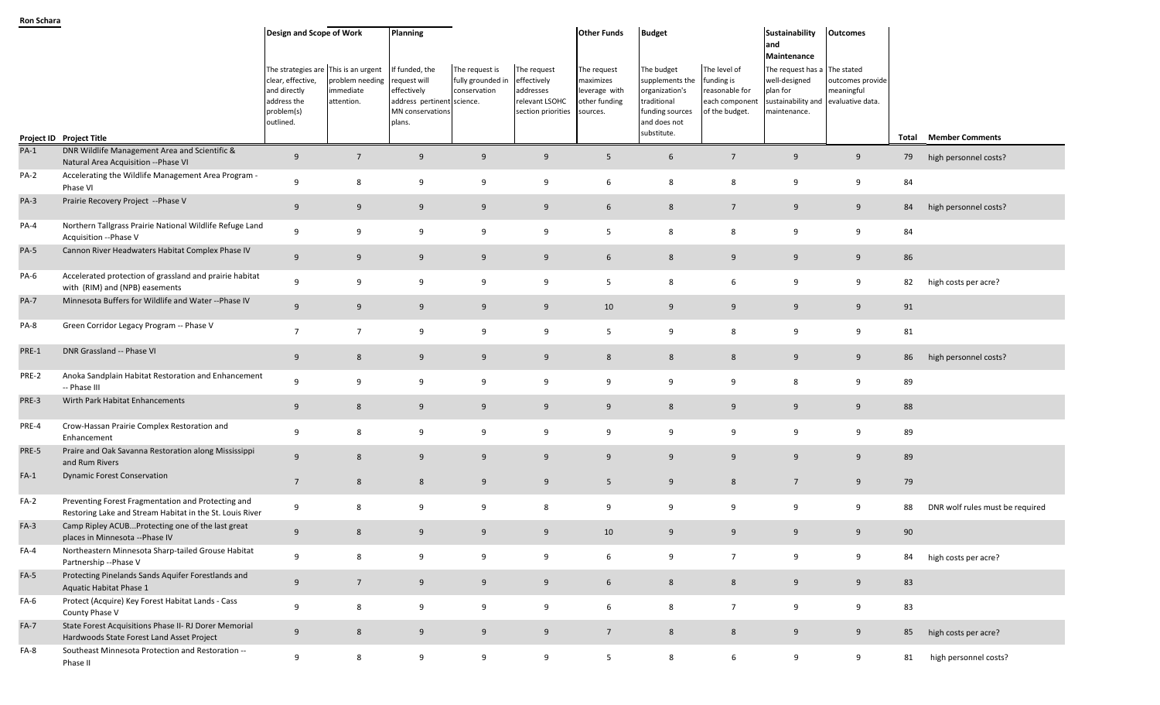|             |                                                                                                                | Design and Scope of Work<br>The strategies are<br>clear, effective,<br>and directly<br>address the<br>problem(s) | This is an urgent<br>problem needing<br>immediate<br>attention. | Planning<br>If funded, the<br>request will<br>effectively<br>address pertinent science.<br>MN conservations | The request is<br>fully grounded in<br>conservation | The request<br>effectively<br>addresses<br>relevant LSOHC<br>section priorities | <b>Other Funds</b><br>The request<br>maximizes<br>leverage with<br>other funding<br>sources. | <b>Budget</b><br>The budget<br>supplements the<br>organization's<br>traditional<br>funding sources | The level of<br>funding is<br>reasonable for<br>each component<br>of the budget. | Sustainability<br>and<br>Maintenance<br>The request has a<br>well-designed<br>plan for<br>sustainability and<br>maintenance. | <b>Outcomes</b><br>The stated<br>outcomes provide<br>meaningful<br>evaluative data. |    |                                 |
|-------------|----------------------------------------------------------------------------------------------------------------|------------------------------------------------------------------------------------------------------------------|-----------------------------------------------------------------|-------------------------------------------------------------------------------------------------------------|-----------------------------------------------------|---------------------------------------------------------------------------------|----------------------------------------------------------------------------------------------|----------------------------------------------------------------------------------------------------|----------------------------------------------------------------------------------|------------------------------------------------------------------------------------------------------------------------------|-------------------------------------------------------------------------------------|----|---------------------------------|
|             |                                                                                                                | outlined.                                                                                                        |                                                                 | plans.                                                                                                      |                                                     |                                                                                 |                                                                                              | and does not<br>substitute.                                                                        |                                                                                  |                                                                                                                              |                                                                                     |    |                                 |
| $PA-1$      | Project ID Project Title<br>DNR Wildlife Management Area and Scientific &                                      |                                                                                                                  |                                                                 |                                                                                                             |                                                     |                                                                                 |                                                                                              |                                                                                                    |                                                                                  |                                                                                                                              |                                                                                     |    | <b>Total Member Comments</b>    |
|             | Natural Area Acquisition -- Phase VI                                                                           | 9                                                                                                                | $7\overline{ }$                                                 | 9                                                                                                           | 9                                                   | 9                                                                               | $5\overline{)}$                                                                              | 6                                                                                                  | $7\overline{ }$                                                                  | 9                                                                                                                            | 9                                                                                   | 79 | high personnel costs?           |
| PA-2        | Accelerating the Wildlife Management Area Program -<br>Phase VI                                                | 9                                                                                                                | 8                                                               | 9                                                                                                           | 9                                                   | 9                                                                               | 6                                                                                            | 8                                                                                                  | 8                                                                                | 9                                                                                                                            | 9                                                                                   | 84 |                                 |
| $PA-3$      | Prairie Recovery Project --Phase V                                                                             | 9                                                                                                                | 9                                                               | 9                                                                                                           | 9                                                   | 9                                                                               | $6\phantom{.}6$                                                                              | 8                                                                                                  | $7\overline{ }$                                                                  | 9                                                                                                                            | 9                                                                                   | 84 | high personnel costs?           |
| PA-4        | Northern Tallgrass Prairie National Wildlife Refuge Land<br>Acquisition --Phase V                              | 9                                                                                                                | 9                                                               | 9                                                                                                           | 9                                                   | 9                                                                               | 5                                                                                            | 8                                                                                                  | 8                                                                                | 9                                                                                                                            | 9                                                                                   | 84 |                                 |
| PA-5        | Cannon River Headwaters Habitat Complex Phase IV                                                               | 9                                                                                                                | 9                                                               | 9                                                                                                           | 9                                                   | 9                                                                               | 6                                                                                            | 8                                                                                                  | 9                                                                                | 9                                                                                                                            | 9                                                                                   | 86 |                                 |
| PA-6        | Accelerated protection of grassland and prairie habitat<br>with (RIM) and (NPB) easements                      | 9                                                                                                                | 9                                                               | 9                                                                                                           | 9                                                   | 9                                                                               | 5                                                                                            | 8                                                                                                  | 6                                                                                | 9                                                                                                                            | 9                                                                                   | 82 | high costs per acre?            |
| <b>PA-7</b> | Minnesota Buffers for Wildlife and Water --Phase IV                                                            | 9                                                                                                                | 9                                                               | 9                                                                                                           | 9                                                   | 9                                                                               | 10                                                                                           | 9                                                                                                  | 9                                                                                | 9                                                                                                                            | 9                                                                                   | 91 |                                 |
| PA-8        | Green Corridor Legacy Program -- Phase V                                                                       | $\overline{7}$                                                                                                   | $\overline{7}$                                                  | 9                                                                                                           | 9                                                   | 9                                                                               | 5                                                                                            | 9                                                                                                  | 8                                                                                | 9                                                                                                                            | 9                                                                                   | 81 |                                 |
| PRE-1       | DNR Grassland -- Phase VI                                                                                      | 9                                                                                                                | 8                                                               | 9                                                                                                           | 9                                                   | 9                                                                               | 8                                                                                            | 8                                                                                                  | 8                                                                                | 9                                                                                                                            | 9                                                                                   | 86 | high personnel costs?           |
| PRE-2       | Anoka Sandplain Habitat Restoration and Enhancement<br>-- Phase III                                            | 9                                                                                                                | 9                                                               | 9                                                                                                           | 9                                                   | 9                                                                               | 9                                                                                            | 9                                                                                                  | 9                                                                                | 8                                                                                                                            | 9                                                                                   | 89 |                                 |
| PRE-3       | Wirth Park Habitat Enhancements                                                                                | 9                                                                                                                | 8                                                               | 9                                                                                                           | 9                                                   | 9                                                                               | 9                                                                                            | 8                                                                                                  | 9                                                                                | 9                                                                                                                            | 9                                                                                   | 88 |                                 |
| PRE-4       | Crow-Hassan Prairie Complex Restoration and<br>Enhancement                                                     | 9                                                                                                                | 8                                                               | 9                                                                                                           | 9                                                   | 9                                                                               | 9                                                                                            | 9                                                                                                  | 9                                                                                | 9                                                                                                                            | 9                                                                                   | 89 |                                 |
| PRE-5       | Praire and Oak Savanna Restoration along Mississippi<br>and Rum Rivers                                         | 9                                                                                                                | 8                                                               | 9                                                                                                           | 9                                                   | 9                                                                               | 9                                                                                            | 9                                                                                                  | 9                                                                                | 9                                                                                                                            | 9                                                                                   | 89 |                                 |
| $FA-1$      | <b>Dynamic Forest Conservation</b>                                                                             | $7\overline{ }$                                                                                                  | 8                                                               | 8                                                                                                           | 9                                                   | 9                                                                               | 5                                                                                            | 9                                                                                                  | 8                                                                                | $\overline{7}$                                                                                                               | 9                                                                                   | 79 |                                 |
| $FA-2$      | Preventing Forest Fragmentation and Protecting and<br>Restoring Lake and Stream Habitat in the St. Louis River | 9                                                                                                                | 8                                                               | 9                                                                                                           | 9                                                   | 8                                                                               | 9                                                                                            | 9                                                                                                  | 9                                                                                | 9                                                                                                                            | 9                                                                                   | 88 | DNR wolf rules must be required |
| $FA-3$      | Camp Ripley ACUBProtecting one of the last great<br>places in Minnesota --Phase IV                             | 9                                                                                                                | 8                                                               | 9                                                                                                           | 9                                                   | 9                                                                               | 10                                                                                           | 9                                                                                                  | 9                                                                                | 9                                                                                                                            | 9                                                                                   | 90 |                                 |
| $FA-4$      | Northeastern Minnesota Sharp-tailed Grouse Habitat<br>Partnership -- Phase V                                   | 9                                                                                                                | 8                                                               | 9                                                                                                           | 9                                                   | 9                                                                               | 6                                                                                            | 9                                                                                                  | $\overline{7}$                                                                   | 9                                                                                                                            | 9                                                                                   | 84 | high costs per acre?            |
| $FA-5$      | Protecting Pinelands Sands Aquifer Forestlands and<br>Aquatic Habitat Phase 1                                  | 9                                                                                                                | $7\overline{ }$                                                 | 9                                                                                                           | 9                                                   | 9                                                                               | $6\overline{6}$                                                                              | 8                                                                                                  | 8                                                                                | 9                                                                                                                            | 9                                                                                   | 83 |                                 |
| FA-6        | Protect (Acquire) Key Forest Habitat Lands - Cass<br>County Phase V                                            | 9                                                                                                                | 8                                                               | 9                                                                                                           | 9                                                   | 9                                                                               | 6                                                                                            | 8                                                                                                  | $\overline{7}$                                                                   | 9                                                                                                                            | 9                                                                                   | 83 |                                 |
| $FA-7$      | State Forest Acquisitions Phase II- RJ Dorer Memorial<br>Hardwoods State Forest Land Asset Project             | 9                                                                                                                | 8                                                               | 9                                                                                                           | 9                                                   | 9                                                                               | $7\overline{ }$                                                                              | 8                                                                                                  | $8\phantom{1}$                                                                   | 9                                                                                                                            | 9                                                                                   |    | 85 high costs per acre?         |
| FA-8        | Southeast Minnesota Protection and Restoration --                                                              |                                                                                                                  |                                                                 |                                                                                                             |                                                     |                                                                                 |                                                                                              |                                                                                                    |                                                                                  |                                                                                                                              |                                                                                     |    |                                 |

الموسية بالتابية بالتابية بالتابية بالتابية بالتابية بالتابية بالتابية بالتابية بالتابية بالتابية بالتابية بال<br>Phase II 9 9 9 9 81 high personnel costs?

**Ron Schara**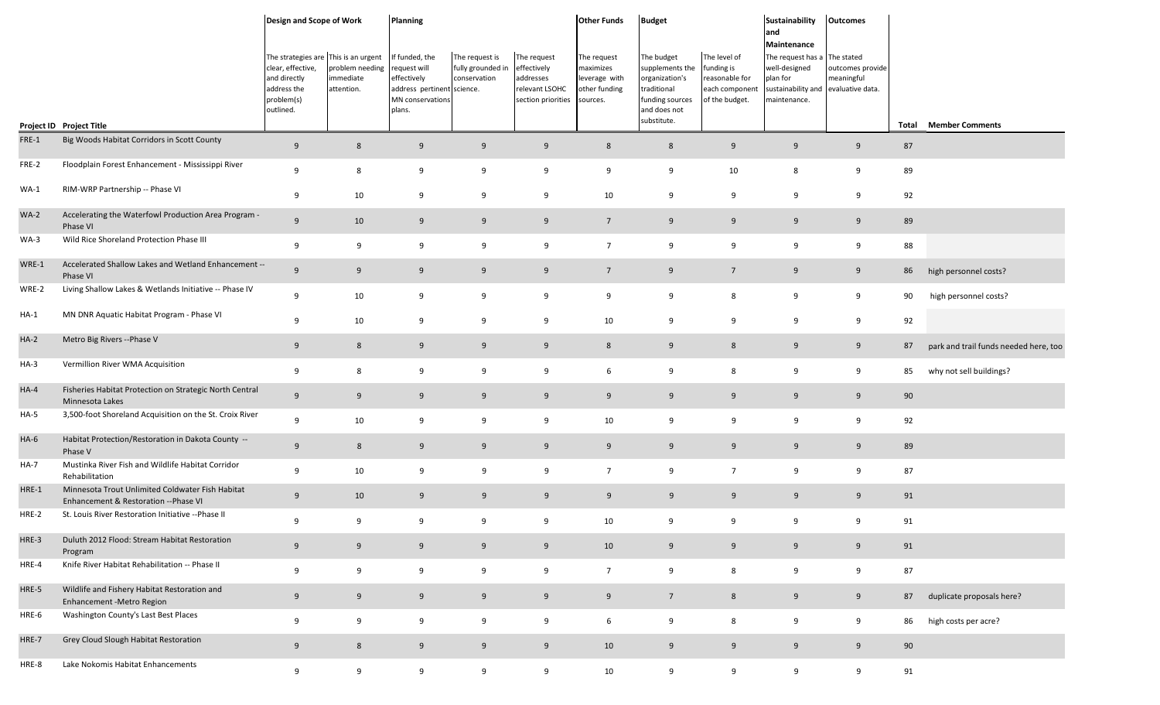|        |                                                                                           | Design and Scope of Work                                                                                            |                                            | Planning                                                                                                         |                                                     |                                                                                 | <b>Other Funds</b>                                                     | <b>Budget</b>                                                                                                    |                                                                                  | <b>Sustainability</b><br>and<br>Maintenance                                                                      | <b>Outcomes</b>                |       |                                       |
|--------|-------------------------------------------------------------------------------------------|---------------------------------------------------------------------------------------------------------------------|--------------------------------------------|------------------------------------------------------------------------------------------------------------------|-----------------------------------------------------|---------------------------------------------------------------------------------|------------------------------------------------------------------------|------------------------------------------------------------------------------------------------------------------|----------------------------------------------------------------------------------|------------------------------------------------------------------------------------------------------------------|--------------------------------|-------|---------------------------------------|
|        | Project ID Project Title                                                                  | The strategies are This is an urgent<br>clear, effective,<br>and directly<br>address the<br>problem(s)<br>outlined. | problem needing<br>immediate<br>attention. | If funded, the<br>request will<br>effectively<br>address pertinent science.<br><b>MN</b> conservations<br>plans. | The request is<br>fully grounded in<br>conservation | The request<br>effectively<br>addresses<br>relevant LSOHC<br>section priorities | The request<br>maximizes<br>leverage with<br>other funding<br>sources. | The budget<br>supplements the<br>organization's<br>traditional<br>funding sources<br>and does not<br>substitute. | The level of<br>funding is<br>reasonable for<br>each component<br>of the budget. | The request has a The stated<br>well-designed<br>plan for<br>sustainability and evaluative data.<br>maintenance. | outcomes provide<br>meaningful | Total | <b>Member Comments</b>                |
| FRE-1  | Big Woods Habitat Corridors in Scott County                                               | 9                                                                                                                   | $8\phantom{1}$                             | 9                                                                                                                | 9                                                   | 9                                                                               | 8                                                                      | 8                                                                                                                | 9                                                                                | 9                                                                                                                | 9                              | 87    |                                       |
| FRE-2  | Floodplain Forest Enhancement - Mississippi River                                         | 9                                                                                                                   | 8                                          | 9                                                                                                                | 9                                                   | 9                                                                               | 9                                                                      | 9                                                                                                                | 10                                                                               | 8                                                                                                                | 9                              | 89    |                                       |
| $WA-1$ | RIM-WRP Partnership -- Phase VI                                                           | 9                                                                                                                   | 10                                         | 9                                                                                                                | 9                                                   | 9                                                                               | 10                                                                     | 9                                                                                                                | 9                                                                                | 9                                                                                                                | 9                              | 92    |                                       |
| $WA-2$ | Accelerating the Waterfowl Production Area Program -<br>Phase VI                          | 9                                                                                                                   | 10                                         | 9                                                                                                                | 9                                                   | 9                                                                               | $7\overline{ }$                                                        | 9                                                                                                                | 9                                                                                | 9                                                                                                                | 9                              | 89    |                                       |
| $WA-3$ | Wild Rice Shoreland Protection Phase III                                                  | 9                                                                                                                   | 9                                          | 9                                                                                                                | 9                                                   | 9                                                                               | $\overline{7}$                                                         | 9                                                                                                                | 9                                                                                | 9                                                                                                                | 9                              | 88    |                                       |
| WRE-1  | Accelerated Shallow Lakes and Wetland Enhancement --<br>Phase VI                          | 9                                                                                                                   | 9                                          | 9                                                                                                                | 9                                                   | 9                                                                               | $\overline{7}$                                                         | 9                                                                                                                | $7\overline{ }$                                                                  | 9                                                                                                                | 9                              | 86    | high personnel costs?                 |
| WRE-2  | Living Shallow Lakes & Wetlands Initiative -- Phase IV                                    | 9                                                                                                                   | 10                                         | 9                                                                                                                | 9                                                   | 9                                                                               | 9                                                                      | 9                                                                                                                | 8                                                                                | 9                                                                                                                | 9                              | 90    | high personnel costs?                 |
| $HA-1$ | MN DNR Aquatic Habitat Program - Phase VI                                                 | 9                                                                                                                   | 10                                         | 9                                                                                                                | 9                                                   | 9                                                                               | 10                                                                     | 9                                                                                                                | 9                                                                                | 9                                                                                                                | 9                              | 92    |                                       |
| $HA-2$ | Metro Big Rivers -- Phase V                                                               | 9                                                                                                                   | $8\phantom{1}$                             | 9                                                                                                                | 9                                                   | 9                                                                               | 8                                                                      | 9                                                                                                                | $8\phantom{1}$                                                                   | 9                                                                                                                | 9                              | 87    | park and trail funds needed here, too |
| $HA-3$ | Vermillion River WMA Acquisition                                                          | 9                                                                                                                   | 8                                          | 9                                                                                                                | 9                                                   | 9                                                                               | 6                                                                      | 9                                                                                                                | 8                                                                                | 9                                                                                                                | 9                              | 85    | why not sell buildings?               |
| $HA-4$ | Fisheries Habitat Protection on Strategic North Central<br>Minnesota Lakes                | 9                                                                                                                   | 9                                          | 9                                                                                                                | 9                                                   | 9                                                                               | 9                                                                      | 9                                                                                                                | 9                                                                                | 9                                                                                                                | 9                              | 90    |                                       |
| $HA-5$ | 3,500-foot Shoreland Acquisition on the St. Croix River                                   | 9                                                                                                                   | 10                                         | 9                                                                                                                | 9                                                   | 9                                                                               | 10                                                                     | 9                                                                                                                | 9                                                                                | 9                                                                                                                | 9                              | 92    |                                       |
| $HA-6$ | Habitat Protection/Restoration in Dakota County --<br>Phase V                             | 9                                                                                                                   | 8                                          | 9                                                                                                                | 9                                                   | 9                                                                               | 9                                                                      | 9                                                                                                                | 9                                                                                | 9                                                                                                                | 9                              | 89    |                                       |
| $HA-7$ | Mustinka River Fish and Wildlife Habitat Corridor<br>Rehabilitation                       | 9                                                                                                                   | 10                                         | 9                                                                                                                | 9                                                   | 9                                                                               | $\overline{7}$                                                         | 9                                                                                                                | $\overline{7}$                                                                   | 9                                                                                                                | 9                              | 87    |                                       |
| HRE-1  | Minnesota Trout Unlimited Coldwater Fish Habitat<br>Enhancement & Restoration -- Phase VI | 9                                                                                                                   | 10                                         | 9                                                                                                                | 9                                                   | 9                                                                               | 9                                                                      | 9                                                                                                                | 9                                                                                | 9                                                                                                                | 9                              | 91    |                                       |
| HRE-2  | St. Louis River Restoration Initiative -- Phase II                                        | 9                                                                                                                   | 9                                          | 9                                                                                                                | 9                                                   | 9                                                                               | 10                                                                     | 9                                                                                                                | 9                                                                                | 9                                                                                                                | 9                              | 91    |                                       |
| HRE-3  | Duluth 2012 Flood: Stream Habitat Restoration<br>Program                                  | 9                                                                                                                   | 9                                          | 9                                                                                                                | 9                                                   | 9                                                                               | 10                                                                     | 9                                                                                                                | 9                                                                                | 9                                                                                                                | 9                              | 91    |                                       |
| HRE-4  | Knife River Habitat Rehabilitation -- Phase II                                            | 9                                                                                                                   | 9                                          | 9                                                                                                                | 9                                                   | 9                                                                               | $7\overline{ }$                                                        | 9                                                                                                                | 8                                                                                | 9                                                                                                                | 9                              | 87    |                                       |
| HRE-5  | Wildlife and Fishery Habitat Restoration and<br>Enhancement - Metro Region                | 9                                                                                                                   | 9                                          | 9                                                                                                                | 9                                                   | 9                                                                               | 9                                                                      | $7\overline{ }$                                                                                                  | $8\phantom{1}$                                                                   | 9                                                                                                                | 9                              | 87    | duplicate proposals here?             |
| HRE-6  | Washington County's Last Best Places                                                      | 9                                                                                                                   | 9                                          | 9                                                                                                                | 9                                                   | 9                                                                               | 6                                                                      | 9                                                                                                                | 8                                                                                | 9                                                                                                                | 9                              | 86    | high costs per acre?                  |
| HRE-7  | Grey Cloud Slough Habitat Restoration                                                     | 9                                                                                                                   | $8\phantom{.}$                             | 9                                                                                                                | 9                                                   | 9                                                                               | 10                                                                     | 9                                                                                                                | 9                                                                                | 9                                                                                                                | 9                              | 90    |                                       |
| HRE-8  | Lake Nokomis Habitat Enhancements                                                         | 9                                                                                                                   | 9                                          | 9                                                                                                                | 9                                                   | 9                                                                               | 10                                                                     | 9                                                                                                                | 9                                                                                | 9                                                                                                                | 9                              | 91    |                                       |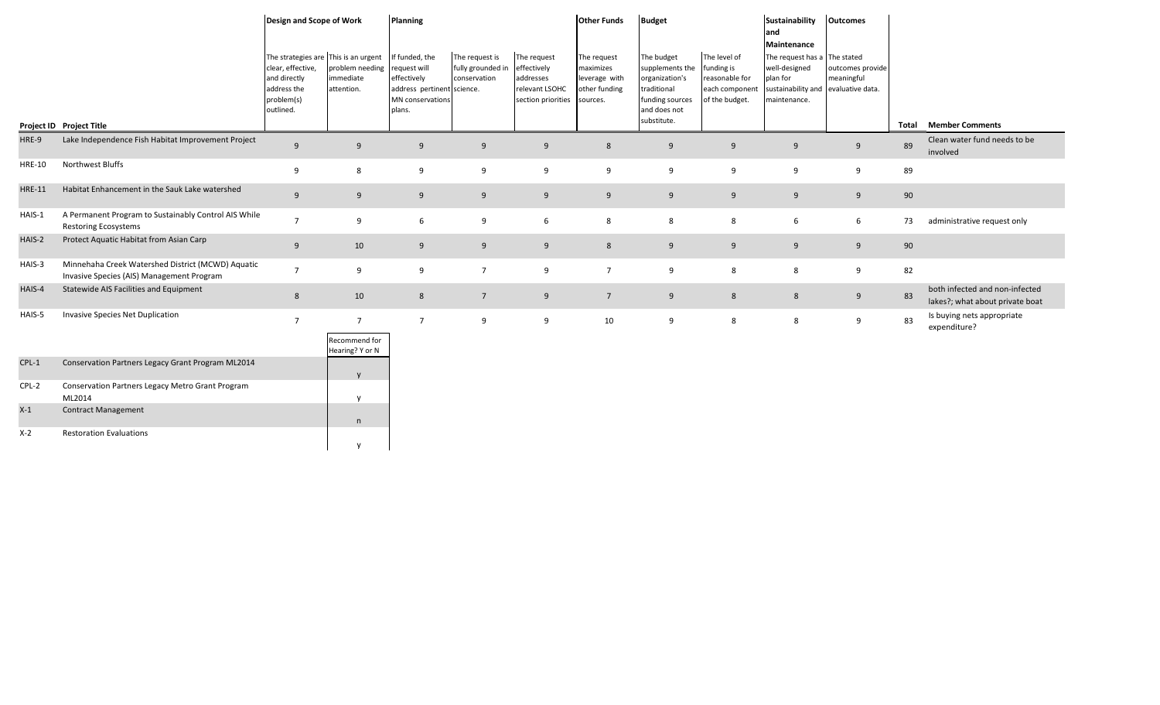|               |                                                                                                | Design and Scope of Work                                                                                            |                                                     | Planning                                                                                                  |                                                     |                                                                                 | <b>Other Funds</b>                                                     | <b>Budget</b>                                                                                                    |                                                                                  | Sustainability<br>and<br>Maintenance                                                            | <b>Outcomes</b>                                    |       |                                                                   |
|---------------|------------------------------------------------------------------------------------------------|---------------------------------------------------------------------------------------------------------------------|-----------------------------------------------------|-----------------------------------------------------------------------------------------------------------|-----------------------------------------------------|---------------------------------------------------------------------------------|------------------------------------------------------------------------|------------------------------------------------------------------------------------------------------------------|----------------------------------------------------------------------------------|-------------------------------------------------------------------------------------------------|----------------------------------------------------|-------|-------------------------------------------------------------------|
|               |                                                                                                | The strategies are This is an urgent<br>clear, effective,<br>and directly<br>address the<br>problem(s)<br>outlined. | problem needing<br>immediate<br>attention.          | If funded, the<br>request will<br>effectively<br>address pertinent science.<br>MN conservations<br>plans. | The request is<br>fully grounded in<br>conservation | The request<br>effectively<br>addresses<br>relevant LSOHC<br>section priorities | The request<br>maximizes<br>leverage with<br>other funding<br>sources. | The budget<br>supplements the<br>organization's<br>traditional<br>funding sources<br>and does not<br>substitute. | The level of<br>funding is<br>reasonable for<br>each component<br>of the budget. | The request has a The stated<br>well-designed<br>plan for<br>sustainability and<br>maintenance. | outcomes provide<br>meaningful<br>evaluative data. |       |                                                                   |
|               | Project ID Project Title                                                                       |                                                                                                                     |                                                     |                                                                                                           |                                                     |                                                                                 |                                                                        |                                                                                                                  |                                                                                  |                                                                                                 |                                                    | Total | <b>Member Comments</b>                                            |
| HRE-9         | Lake Independence Fish Habitat Improvement Project                                             | 9                                                                                                                   | 9                                                   | 9                                                                                                         | 9                                                   | 9                                                                               | 8                                                                      | 9                                                                                                                | 9                                                                                | 9                                                                                               | 9                                                  | 89    | Clean water fund needs to be<br>involved                          |
| <b>HRE-10</b> | Northwest Bluffs                                                                               | 9                                                                                                                   | 8                                                   | 9                                                                                                         | 9                                                   | 9                                                                               | 9                                                                      | 9                                                                                                                | 9                                                                                | 9                                                                                               | 9                                                  | 89    |                                                                   |
| <b>HRE-11</b> | Habitat Enhancement in the Sauk Lake watershed                                                 | 9                                                                                                                   | 9                                                   | 9                                                                                                         | 9                                                   | 9                                                                               | 9                                                                      | 9                                                                                                                | 9                                                                                | 9                                                                                               | 9                                                  | 90    |                                                                   |
| HAIS-1        | A Permanent Program to Sustainably Control AIS While<br><b>Restoring Ecosystems</b>            | $\overline{7}$                                                                                                      | 9                                                   | 6                                                                                                         | 9                                                   | 6                                                                               | 8                                                                      | 8                                                                                                                | 8                                                                                | 6                                                                                               | 6                                                  | 73    | administrative request only                                       |
| HAIS-2        | Protect Aquatic Habitat from Asian Carp                                                        | 9                                                                                                                   | 10                                                  | 9                                                                                                         | 9                                                   | 9                                                                               | 8                                                                      | 9                                                                                                                | 9                                                                                | 9                                                                                               | 9                                                  | 90    |                                                                   |
| HAIS-3        | Minnehaha Creek Watershed District (MCWD) Aquatic<br>Invasive Species (AIS) Management Program | $\overline{7}$                                                                                                      | 9                                                   | 9                                                                                                         | $\overline{7}$                                      | 9                                                                               | $\overline{7}$                                                         | 9                                                                                                                | 8                                                                                | 8                                                                                               | 9                                                  | 82    |                                                                   |
| HAIS-4        | Statewide AIS Facilities and Equipment                                                         | 8                                                                                                                   | 10                                                  | 8                                                                                                         | $7^{\circ}$                                         | 9                                                                               | $7\overline{ }$                                                        | 9                                                                                                                | 8                                                                                | 8                                                                                               | 9                                                  | 83    | both infected and non-infected<br>lakes?; what about private boat |
| HAIS-5        | Invasive Species Net Duplication                                                               | $\overline{7}$                                                                                                      | $7\overline{ }$<br>Recommend for<br>Hearing? Y or N | $\overline{7}$                                                                                            | 9                                                   | 9                                                                               | 10                                                                     | 9                                                                                                                | 8                                                                                | 8                                                                                               | 9                                                  | 83    | Is buying nets appropriate<br>expenditure?                        |
| $CPL-1$       | Conservation Partners Legacy Grant Program ML2014                                              |                                                                                                                     |                                                     |                                                                                                           |                                                     |                                                                                 |                                                                        |                                                                                                                  |                                                                                  |                                                                                                 |                                                    |       |                                                                   |
| CPL-2         | Conservation Partners Legacy Metro Grant Program<br>ML2014                                     |                                                                                                                     |                                                     |                                                                                                           |                                                     |                                                                                 |                                                                        |                                                                                                                  |                                                                                  |                                                                                                 |                                                    |       |                                                                   |
| $X-1$         | <b>Contract Management</b>                                                                     |                                                                                                                     |                                                     |                                                                                                           |                                                     |                                                                                 |                                                                        |                                                                                                                  |                                                                                  |                                                                                                 |                                                    |       |                                                                   |

n

y

X-2 Restoration Evaluations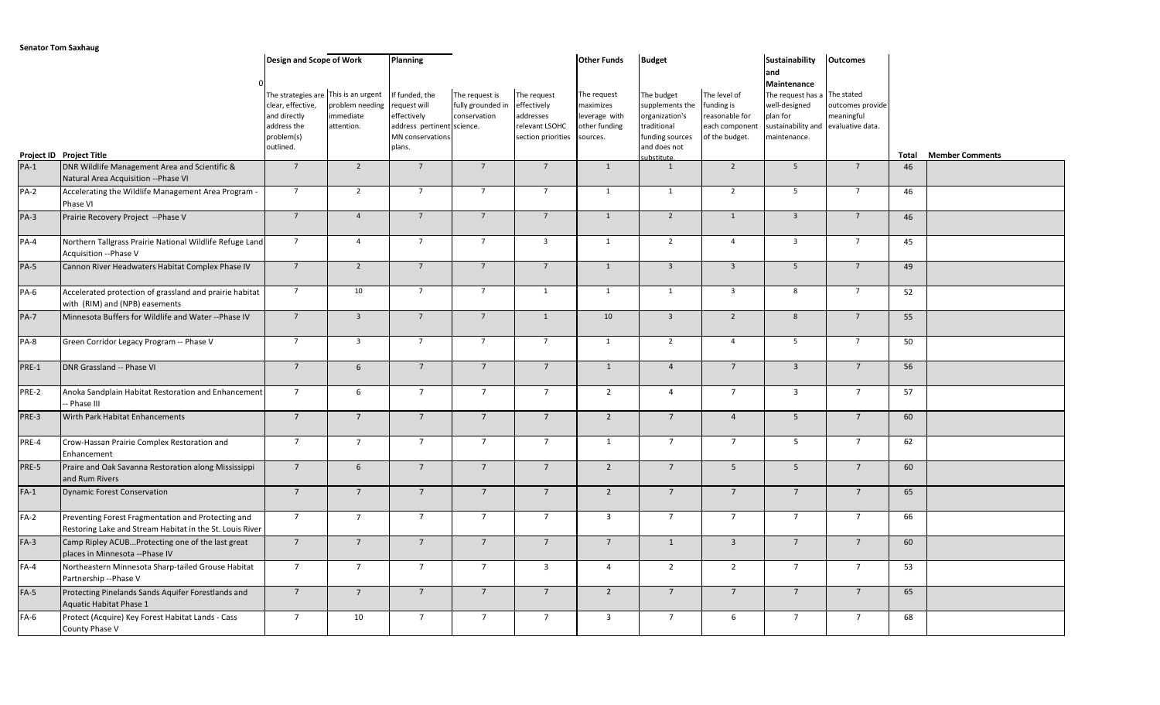|             |                                                                                                                | Design and Scope of Work                                                                                            |                                           | <b>Planning</b>                                                                                           |                                                     |                                                                                 | <b>Other Funds</b>                                                     | <b>Budget</b>                                                                                                   |                                                                                  | Sustainability<br>and                                                                               | <b>Outcomes</b>                                                  |       |                        |
|-------------|----------------------------------------------------------------------------------------------------------------|---------------------------------------------------------------------------------------------------------------------|-------------------------------------------|-----------------------------------------------------------------------------------------------------------|-----------------------------------------------------|---------------------------------------------------------------------------------|------------------------------------------------------------------------|-----------------------------------------------------------------------------------------------------------------|----------------------------------------------------------------------------------|-----------------------------------------------------------------------------------------------------|------------------------------------------------------------------|-------|------------------------|
|             | Project ID Project Title                                                                                       | The strategies are This is an urgent<br>clear, effective,<br>and directly<br>address the<br>problem(s)<br>outlined. | problem needing<br>mmediate<br>attention. | If funded, the<br>request will<br>effectively<br>address pertinent science.<br>MN conservations<br>plans. | The request is<br>fully grounded in<br>conservation | The request<br>effectively<br>addresses<br>relevant LSOHC<br>section priorities | The request<br>maximizes<br>leverage with<br>other funding<br>sources. | The budget<br>supplements the<br>organization's<br>traditional<br>funding sources<br>and does not<br>substitute | The level of<br>funding is<br>reasonable for<br>each component<br>of the budget. | Maintenance<br>The request has a<br>well-designed<br>plan for<br>sustainability and<br>maintenance. | The stated<br>outcomes provide<br>meaningful<br>evaluative data. | Total | <b>Member Comments</b> |
| $PA-1$      | DNR Wildlife Management Area and Scientific &<br>Natural Area Acquisition -- Phase VI                          | $\overline{7}$                                                                                                      | $\overline{2}$                            | $\overline{7}$                                                                                            | $\overline{7}$                                      | $\overline{7}$                                                                  | $\overline{1}$                                                         | 1                                                                                                               | $\overline{2}$                                                                   | 5 <sup>5</sup>                                                                                      | $7\overline{ }$                                                  | 46    |                        |
| PA-2        | Accelerating the Wildlife Management Area Program -<br>Phase VI                                                | $7^{\circ}$                                                                                                         | $\overline{2}$                            | $\overline{7}$                                                                                            | $7^{\circ}$                                         | $7^{\circ}$                                                                     | $\mathbf{1}$                                                           | 1                                                                                                               | $\overline{2}$                                                                   | 5 <sup>5</sup>                                                                                      | $7^{\circ}$                                                      | 46    |                        |
| PA-3        | Prairie Recovery Project -- Phase V                                                                            | $7\overline{ }$                                                                                                     | $\overline{4}$                            | $7\overline{ }$                                                                                           | $\overline{7}$                                      | $7\overline{ }$                                                                 | $\mathbf{1}$                                                           | $\overline{2}$                                                                                                  | $\mathbf{1}$                                                                     | $\overline{\mathbf{3}}$                                                                             | $7\overline{ }$                                                  | 46    |                        |
| PA-4        | Northern Tallgrass Prairie National Wildlife Refuge Land<br>Acquisition --Phase V                              | $7\overline{ }$                                                                                                     | $\overline{4}$                            | $7^{\circ}$                                                                                               | $\overline{7}$                                      | $\overline{3}$                                                                  | 1                                                                      | $\overline{2}$                                                                                                  | $\overline{4}$                                                                   | $\overline{3}$                                                                                      | $7\overline{ }$                                                  | 45    |                        |
| PA-5        | Cannon River Headwaters Habitat Complex Phase IV                                                               | $7^{\circ}$                                                                                                         | $\overline{2}$                            | $\overline{7}$                                                                                            | $7\overline{ }$                                     | $\overline{7}$                                                                  | $\mathbf{1}$                                                           | $\overline{3}$                                                                                                  | $\overline{\mathbf{3}}$                                                          | 5 <sup>5</sup>                                                                                      | $7\overline{ }$                                                  | 49    |                        |
| PA-6        | Accelerated protection of grassland and prairie habitat<br>with (RIM) and (NPB) easements                      | $7\overline{ }$                                                                                                     | 10                                        | $7^{\circ}$                                                                                               | $7\overline{ }$                                     | 1                                                                               | $\mathbf{1}$                                                           | $\mathbf{1}$                                                                                                    | $\overline{\mathbf{3}}$                                                          | 8                                                                                                   | $7\overline{ }$                                                  | 52    |                        |
| <b>PA-7</b> | Minnesota Buffers for Wildlife and Water -- Phase IV                                                           | $7^{\circ}$                                                                                                         | $\overline{\mathbf{3}}$                   | $7\overline{ }$                                                                                           | $7\overline{ }$                                     | $\mathbf{1}$                                                                    | 10                                                                     | $\overline{3}$                                                                                                  | $\overline{2}$                                                                   | 8                                                                                                   | $\overline{7}$                                                   | 55    |                        |
| PA-8        | Green Corridor Legacy Program -- Phase V                                                                       | $7^{\circ}$                                                                                                         | $\overline{3}$                            | $\overline{7}$                                                                                            | $\overline{7}$                                      | $\overline{7}$                                                                  | $\mathbf{1}$                                                           | $\overline{2}$                                                                                                  | $\overline{4}$                                                                   | 5 <sup>5</sup>                                                                                      | $\overline{7}$                                                   | 50    |                        |
| PRE-1       | DNR Grassland -- Phase VI                                                                                      | $\overline{7}$                                                                                                      | 6                                         | $7\overline{ }$                                                                                           | $7\overline{ }$                                     | $\overline{7}$                                                                  | $\mathbf{1}$                                                           | $\overline{4}$                                                                                                  | $7\overline{ }$                                                                  | $\overline{3}$                                                                                      | $\overline{7}$                                                   | 56    |                        |
| PRE-2       | Anoka Sandplain Habitat Restoration and Enhancement<br>- Phase III                                             | $7\overline{ }$                                                                                                     | 6                                         | $7^{\circ}$                                                                                               | $7\overline{ }$                                     | $7^{\circ}$                                                                     | $\overline{2}$                                                         | $\overline{4}$                                                                                                  | $7\overline{ }$                                                                  | $\overline{3}$                                                                                      | $7\overline{ }$                                                  | 57    |                        |
| PRE-3       | Wirth Park Habitat Enhancements                                                                                | $\overline{7}$                                                                                                      | $\overline{7}$                            | $7^{\circ}$                                                                                               | $\overline{7}$                                      | $7^{\circ}$                                                                     | $\overline{2}$                                                         | $7^{\circ}$                                                                                                     | $\overline{4}$                                                                   | 5 <sup>5</sup>                                                                                      | $\overline{7}$                                                   | 60    |                        |
| PRE-4       | Crow-Hassan Prairie Complex Restoration and<br>Enhancement                                                     | $7\overline{ }$                                                                                                     | $7\overline{ }$                           | $7\overline{ }$                                                                                           | $\overline{7}$                                      | $\overline{7}$                                                                  | $\mathbf{1}$                                                           | $7\overline{ }$                                                                                                 | $\overline{7}$                                                                   | 5 <sup>5</sup>                                                                                      | $7\overline{ }$                                                  | 62    |                        |
| PRE-5       | Praire and Oak Savanna Restoration along Mississippi<br>and Rum Rivers                                         | $\overline{7}$                                                                                                      | 6                                         | $7\overline{ }$                                                                                           | $7\overline{ }$                                     | $7\overline{ }$                                                                 | $\overline{2}$                                                         | $7\overline{ }$                                                                                                 | 5 <sup>5</sup>                                                                   | 5 <sup>5</sup>                                                                                      | $7\overline{ }$                                                  | 60    |                        |
| $FA-1$      | <b>Dynamic Forest Conservation</b>                                                                             | $\overline{7}$                                                                                                      | $7\overline{ }$                           | $\overline{7}$                                                                                            | $7\overline{ }$                                     | $\overline{7}$                                                                  | $\overline{2}$                                                         | $\overline{7}$                                                                                                  | $7\overline{ }$                                                                  | $7^{\circ}$                                                                                         | $7\overline{ }$                                                  | 65    |                        |
| $FA-2$      | Preventing Forest Fragmentation and Protecting and<br>Restoring Lake and Stream Habitat in the St. Louis River | $7\overline{ }$                                                                                                     | $7\overline{ }$                           | $7^{\circ}$                                                                                               | $7\overline{ }$                                     | $7\overline{ }$                                                                 | $\overline{\mathbf{3}}$                                                | $7\overline{ }$                                                                                                 | $7\overline{ }$                                                                  | $7\overline{ }$                                                                                     | $7\overline{ }$                                                  | 66    |                        |
| $FA-3$      | Camp Ripley ACUBProtecting one of the last great<br>places in Minnesota -- Phase IV                            | $7\overline{ }$                                                                                                     | $7\overline{ }$                           | $7\overline{ }$                                                                                           | $7\overline{ }$                                     | $7\overline{ }$                                                                 | $7\overline{ }$                                                        | 1                                                                                                               | $\overline{\mathbf{3}}$                                                          | $7\overline{ }$                                                                                     | $7\overline{ }$                                                  | 60    |                        |
| $FA-4$      | Northeastern Minnesota Sharp-tailed Grouse Habitat<br>Partnership -- Phase V                                   | $7\overline{ }$                                                                                                     | $7\overline{ }$                           | $\overline{7}$                                                                                            | $7\overline{ }$                                     | $\overline{3}$                                                                  | $\overline{4}$                                                         | $\overline{2}$                                                                                                  | $\overline{2}$                                                                   | $\overline{7}$                                                                                      | $7\overline{ }$                                                  | 53    |                        |
| $FA-5$      | Protecting Pinelands Sands Aquifer Forestlands and<br>Aquatic Habitat Phase 1                                  | $\overline{7}$                                                                                                      | $\overline{7}$                            | $7\overline{ }$                                                                                           | $7\overline{ }$                                     | $\overline{7}$                                                                  | $\overline{2}$                                                         | $7\overline{ }$                                                                                                 | $\overline{7}$                                                                   | $\overline{7}$                                                                                      | $7\overline{ }$                                                  | 65    |                        |
| $FA-6$      | Protect (Acquire) Key Forest Habitat Lands - Cass<br>County Phase V                                            | $\overline{7}$                                                                                                      | 10                                        | $7^{\circ}$                                                                                               | $\overline{7}$                                      | $7^{\circ}$                                                                     | $\overline{\mathbf{3}}$                                                | $\overline{7}$                                                                                                  | 6                                                                                | $7^{\circ}$                                                                                         | $7\overline{ }$                                                  | 68    |                        |

**Senator Tom Saxhaug**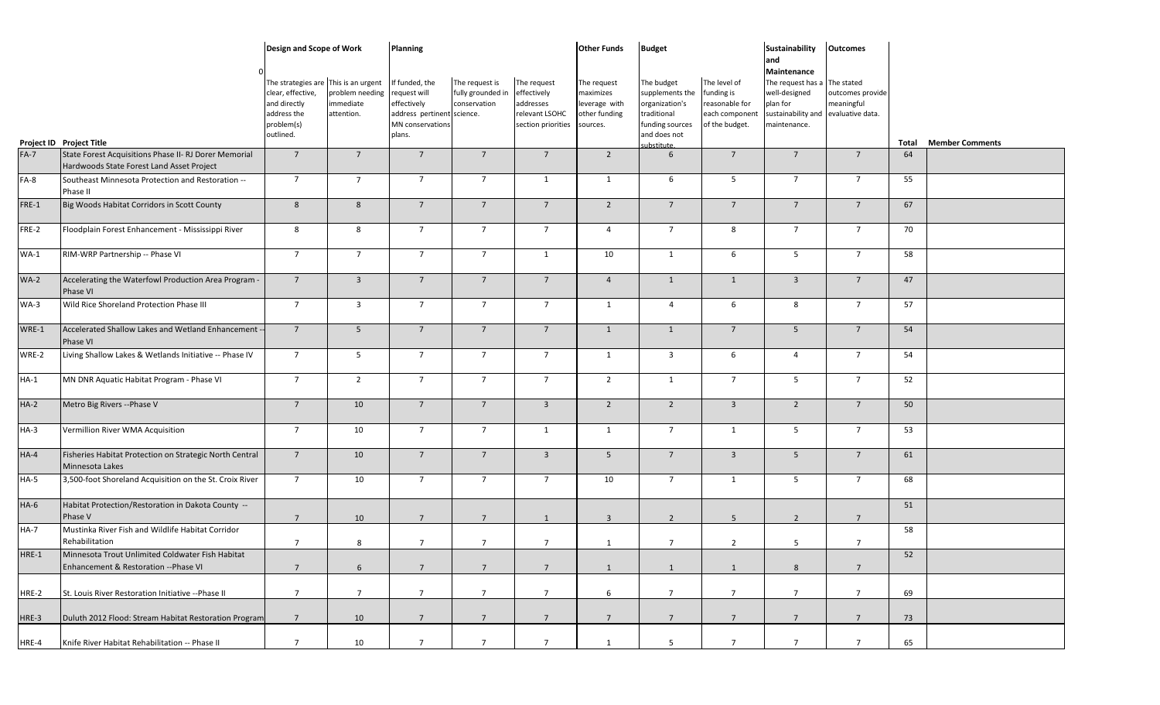|         |                                                                                                    | Design and Scope of Work                                                                                            |                                           | <b>Planning</b>                                                                                           |                                                     |                                                                                 | <b>Other Funds</b>                                                     | <b>Budget</b>                                                                                                    |                                                                                  | Sustainability                                                                                                                         | <b>Outcomes</b>                |       |                        |
|---------|----------------------------------------------------------------------------------------------------|---------------------------------------------------------------------------------------------------------------------|-------------------------------------------|-----------------------------------------------------------------------------------------------------------|-----------------------------------------------------|---------------------------------------------------------------------------------|------------------------------------------------------------------------|------------------------------------------------------------------------------------------------------------------|----------------------------------------------------------------------------------|----------------------------------------------------------------------------------------------------------------------------------------|--------------------------------|-------|------------------------|
|         | Project ID Project Title                                                                           | The strategies are This is an urgent<br>clear, effective,<br>and directly<br>address the<br>problem(s)<br>outlined. | problem needing<br>mmediate<br>attention. | If funded, the<br>request will<br>effectively<br>address pertinent science.<br>MN conservations<br>plans. | The request is<br>fully grounded in<br>conservation | The request<br>effectively<br>addresses<br>relevant LSOHC<br>section priorities | The request<br>maximizes<br>leverage with<br>other funding<br>sources. | The budget<br>supplements the<br>organization's<br>traditional<br>funding sources<br>and does not<br>substitute. | The level of<br>funding is<br>reasonable for<br>each component<br>of the budget. | and<br>Maintenance<br>The request has a The stated<br>well-designed<br>plan for<br>sustainability and evaluative data.<br>maintenance. | outcomes provide<br>meaningful | Total | <b>Member Comments</b> |
| $FA-7$  | State Forest Acquisitions Phase II- RJ Dorer Memorial<br>Hardwoods State Forest Land Asset Project | $7\overline{ }$                                                                                                     | $7\overline{ }$                           | $7^{\circ}$                                                                                               | $7^{\circ}$                                         | $\overline{7}$                                                                  | $\overline{2}$                                                         | 6                                                                                                                | $\overline{7}$                                                                   | $\overline{7}$                                                                                                                         | $7^{\circ}$                    | 64    |                        |
| $FA-8$  | Southeast Minnesota Protection and Restoration --<br>Phase II                                      | $7\overline{ }$                                                                                                     | $7\overline{ }$                           | $7\overline{ }$                                                                                           | $7\overline{ }$                                     | 1                                                                               | 1                                                                      | 6                                                                                                                | $5\overline{5}$                                                                  | $\overline{7}$                                                                                                                         | $7\overline{ }$                | 55    |                        |
| FRE-1   | Big Woods Habitat Corridors in Scott County                                                        | 8                                                                                                                   | $8\phantom{1}$                            | $7^{\circ}$                                                                                               | $\overline{7}$                                      | $\overline{7}$                                                                  | $\overline{2}$                                                         | $7\overline{ }$                                                                                                  | $7\overline{ }$                                                                  | $\overline{7}$                                                                                                                         | $\overline{7}$                 | 67    |                        |
| FRE-2   | Floodplain Forest Enhancement - Mississippi River                                                  | 8                                                                                                                   | 8                                         | $7^{\circ}$                                                                                               | $7\overline{ }$                                     | $\overline{7}$                                                                  | $\overline{4}$                                                         | $7\overline{ }$                                                                                                  | 8                                                                                | $\overline{7}$                                                                                                                         | $7\overline{ }$                | 70    |                        |
| $WA-1$  | RIM-WRP Partnership -- Phase VI                                                                    | $7\overline{ }$                                                                                                     | $7\overline{ }$                           | $7^{\circ}$                                                                                               | $7^{\circ}$                                         | $\mathbf{1}$                                                                    | 10                                                                     | 1                                                                                                                | 6                                                                                | 5 <sup>5</sup>                                                                                                                         | $7\overline{ }$                | 58    |                        |
| $WA-2$  | Accelerating the Waterfowl Production Area Program -<br>Phase VI                                   | $7\overline{ }$                                                                                                     | $\overline{\mathbf{3}}$                   | $7\overline{ }$                                                                                           | $7\overline{ }$                                     | $\overline{7}$                                                                  | $\overline{4}$                                                         | 1                                                                                                                | 1                                                                                | $\overline{3}$                                                                                                                         | $7\overline{ }$                | 47    |                        |
| $WA-3$  | Wild Rice Shoreland Protection Phase III                                                           | $\overline{7}$                                                                                                      | $\overline{\mathbf{3}}$                   | $7^{\circ}$                                                                                               | $7^{\circ}$                                         | $\overline{7}$                                                                  | $\mathbf{1}$                                                           | $\overline{4}$                                                                                                   | 6                                                                                | 8                                                                                                                                      | $7\overline{ }$                | 57    |                        |
| WRE-1   | Accelerated Shallow Lakes and Wetland Enhancement -<br>Phase VI                                    | $7\overline{ }$                                                                                                     | $5\phantom{.0}$                           | $\overline{7}$                                                                                            | $\overline{7}$                                      | $\overline{7}$                                                                  | $\mathbf{1}$                                                           | 1                                                                                                                | $7\overline{ }$                                                                  | 5                                                                                                                                      | $\overline{7}$                 | 54    |                        |
| WRE-2   | Living Shallow Lakes & Wetlands Initiative -- Phase IV                                             | $7\overline{ }$                                                                                                     | 5 <sub>5</sub>                            | $7^{\circ}$                                                                                               | $7^{\circ}$                                         | $7\overline{ }$                                                                 | 1                                                                      | $\overline{\mathbf{3}}$                                                                                          | 6                                                                                | $\overline{4}$                                                                                                                         | $7\overline{ }$                | 54    |                        |
| $HA-1$  | MN DNR Aquatic Habitat Program - Phase VI                                                          | $7\overline{ }$                                                                                                     | $\overline{2}$                            | $7^{\circ}$                                                                                               | $7^{\circ}$                                         | $7\overline{ }$                                                                 | $\overline{2}$                                                         | 1                                                                                                                | $7\overline{ }$                                                                  | $5\overline{)}$                                                                                                                        | $7\overline{ }$                | 52    |                        |
| $HA-2$  | Metro Big Rivers -- Phase V                                                                        | $7\overline{ }$                                                                                                     | 10                                        | $7^{\circ}$                                                                                               | $7^{\circ}$                                         | $\overline{\mathbf{3}}$                                                         | $\overline{2}$                                                         | $\overline{2}$                                                                                                   | $\overline{\mathbf{3}}$                                                          | $\overline{2}$                                                                                                                         | $\overline{7}$                 | 50    |                        |
| $HA-3$  | Vermillion River WMA Acquisition                                                                   | $\overline{7}$                                                                                                      | 10                                        | $\overline{7}$                                                                                            | $\overline{7}$                                      | 1                                                                               | 1                                                                      | $7\overline{ }$                                                                                                  | 1                                                                                | 5                                                                                                                                      | $7\overline{ }$                | 53    |                        |
| $HA-4$  | Fisheries Habitat Protection on Strategic North Central<br>Minnesota Lakes                         | $7\overline{ }$                                                                                                     | 10                                        | $7\overline{ }$                                                                                           | $7^{\circ}$                                         | $\overline{3}$                                                                  | 5 <sub>5</sub>                                                         | $\overline{7}$                                                                                                   | $\overline{\mathbf{3}}$                                                          | 5                                                                                                                                      | $7\overline{ }$                | 61    |                        |
| $HA-5$  | 3,500-foot Shoreland Acquisition on the St. Croix River                                            | $7^{\circ}$                                                                                                         | 10                                        | $7^{\circ}$                                                                                               | $7^{\circ}$                                         | $\overline{7}$                                                                  | 10                                                                     | $7\overline{ }$                                                                                                  | $\mathbf{1}$                                                                     | 5                                                                                                                                      | $7^{\circ}$                    | 68    |                        |
| $HA-6$  | Habitat Protection/Restoration in Dakota County --<br>Phase V                                      | $7\overline{ }$                                                                                                     | 10                                        | $7\overline{ }$                                                                                           | $\overline{7}$                                      | 1                                                                               | $\overline{3}$                                                         | $\overline{2}$                                                                                                   | 5                                                                                | $\overline{2}$                                                                                                                         | $7\overline{ }$                | 51    |                        |
| $HA-7$  | Mustinka River Fish and Wildlife Habitat Corridor<br>Rehabilitation                                | $\overline{7}$                                                                                                      | 8                                         | $\overline{7}$                                                                                            | $7^{\circ}$                                         | $\overline{7}$                                                                  | $\mathbf{1}$                                                           | $\overline{7}$                                                                                                   | $\overline{2}$                                                                   | 5                                                                                                                                      | $\overline{7}$                 | 58    |                        |
| $HRE-1$ | Minnesota Trout Unlimited Coldwater Fish Habitat<br>Enhancement & Restoration -- Phase VI          | $7\overline{ }$                                                                                                     | 6                                         | $7\overline{ }$                                                                                           | $\overline{7}$                                      | $7\overline{ }$                                                                 | 1                                                                      | $\mathbf{1}$                                                                                                     | 1                                                                                | 8                                                                                                                                      | $\overline{7}$                 | 52    |                        |
| HRE-2   | St. Louis River Restoration Initiative -- Phase II                                                 | $7\overline{ }$                                                                                                     | $7\overline{ }$                           | $7\overline{ }$                                                                                           | $7\overline{ }$                                     | $\overline{7}$                                                                  | 6                                                                      | $7\overline{ }$                                                                                                  | $\overline{7}$                                                                   | $7\overline{ }$                                                                                                                        | $7\overline{ }$                | 69    |                        |
| HRE-3   | Duluth 2012 Flood: Stream Habitat Restoration Program                                              | $7\overline{ }$                                                                                                     | 10                                        | $7\overline{ }$                                                                                           | $7\overline{ }$                                     | $\overline{7}$                                                                  | $\overline{7}$                                                         | $\overline{7}$                                                                                                   | $7\overline{ }$                                                                  | $\overline{7}$                                                                                                                         | $7\overline{ }$                | 73    |                        |
| HRE-4   | Knife River Habitat Rehabilitation -- Phase II                                                     | $\overline{7}$                                                                                                      | 10                                        | $\overline{7}$                                                                                            | $\overline{7}$                                      | $\overline{7}$                                                                  | $\mathbf{1}$                                                           | 5                                                                                                                | $\overline{7}$                                                                   | $7\overline{ }$                                                                                                                        | $\overline{7}$                 | 65    |                        |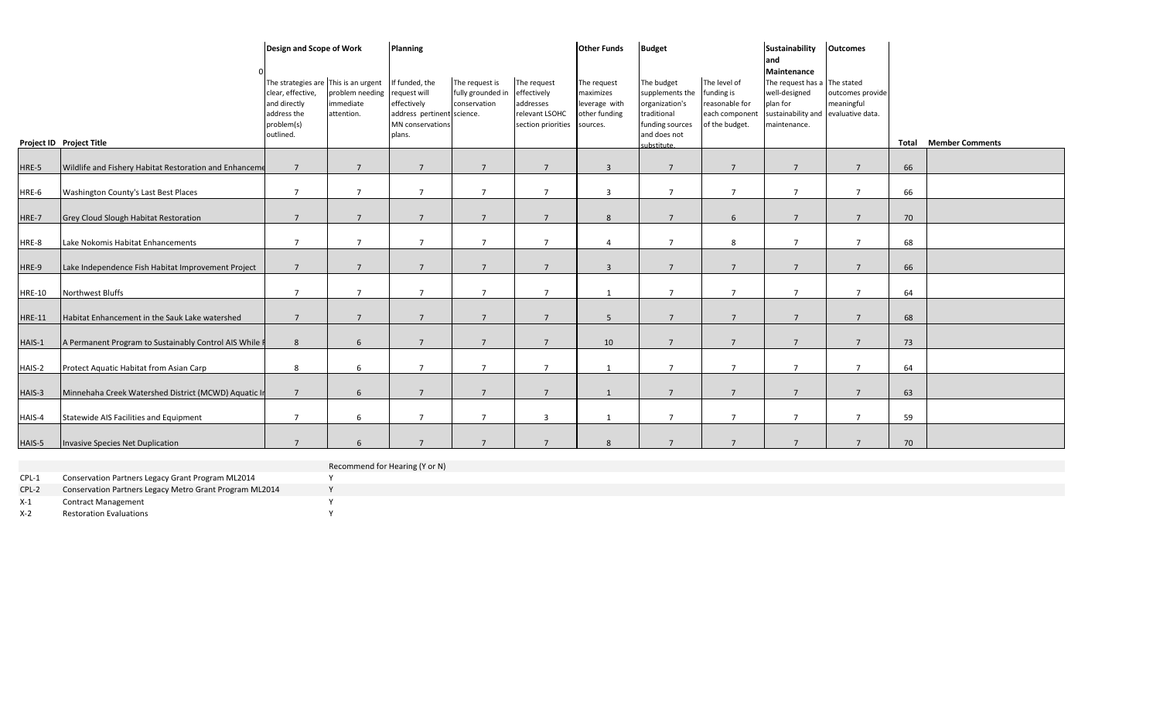|               | Project ID Project Title                               | Design and Scope of Work<br>The strategies are This is an urgent<br>clear, effective,<br>and directly<br>address the<br>problem(s)<br>outlined. | problem needing<br>immediate<br>attention. | <b>Planning</b><br>If funded, the<br>request will<br>effectively<br>address pertinent science.<br>MN conservations<br>plans. | The request is<br>fully grounded in<br>conservation | The request<br>effectively<br>addresses<br>relevant LSOHC<br>section priorities sources. | <b>Other Funds</b><br>The request<br>maximizes<br>leverage with<br>other funding | <b>Budget</b><br>The budget<br>supplements the<br>organization's<br>traditional<br>funding sources<br>and does not<br>substitute. | The level of<br>funding is<br>reasonable for<br>each component<br>of the budget. | Sustainability<br>land<br>Maintenance<br>The request has a The stated<br>well-designed<br>plan for<br>sustainability and<br>maintenance. | <b>Outcomes</b><br>outcomes provide<br>meaningful<br>evaluative data. | Total | <b>Member Comments</b> |
|---------------|--------------------------------------------------------|-------------------------------------------------------------------------------------------------------------------------------------------------|--------------------------------------------|------------------------------------------------------------------------------------------------------------------------------|-----------------------------------------------------|------------------------------------------------------------------------------------------|----------------------------------------------------------------------------------|-----------------------------------------------------------------------------------------------------------------------------------|----------------------------------------------------------------------------------|------------------------------------------------------------------------------------------------------------------------------------------|-----------------------------------------------------------------------|-------|------------------------|
| HRE-5         | Wildlife and Fishery Habitat Restoration and Enhanceme | $\overline{7}$                                                                                                                                  | 7                                          | $\overline{7}$                                                                                                               | $\overline{7}$                                      | $\overline{7}$                                                                           | $\overline{3}$                                                                   | $7\overline{ }$                                                                                                                   | $\overline{7}$                                                                   | 7                                                                                                                                        | $\overline{7}$                                                        | 66    |                        |
| HRE-6         | Washington County's Last Best Places                   | $\overline{7}$                                                                                                                                  | $\overline{7}$                             | $\overline{7}$                                                                                                               | $\overline{7}$                                      | $\overline{7}$                                                                           | $\overline{3}$                                                                   | $\overline{7}$                                                                                                                    | $\overline{7}$                                                                   | $\overline{7}$                                                                                                                           | $\overline{7}$                                                        | 66    |                        |
| HRE-7         | <b>Grey Cloud Slough Habitat Restoration</b>           | $\overline{7}$                                                                                                                                  | $\overline{7}$                             | $7^{\circ}$                                                                                                                  | 7                                                   | $\overline{7}$                                                                           | 8                                                                                | $\overline{7}$                                                                                                                    | 6                                                                                | $\overline{7}$                                                                                                                           | $7^{\circ}$                                                           | 70    |                        |
| HRE-8         | Lake Nokomis Habitat Enhancements                      | $\overline{7}$                                                                                                                                  | $\overline{7}$                             | $\overline{7}$                                                                                                               | $\overline{7}$                                      | $\overline{7}$                                                                           | $\overline{4}$                                                                   | $\overline{7}$                                                                                                                    | 8                                                                                | $\overline{7}$                                                                                                                           | $7^{\circ}$                                                           | 68    |                        |
| HRE-9         | Lake Independence Fish Habitat Improvement Project     | $\overline{7}$                                                                                                                                  | $\overline{7}$                             | $7^{\circ}$                                                                                                                  | $\overline{7}$                                      | $\overline{7}$                                                                           | $\overline{3}$                                                                   | $\overline{7}$                                                                                                                    | $\overline{7}$                                                                   | $7^{\circ}$                                                                                                                              | $7^{\circ}$                                                           | 66    |                        |
| <b>HRE-10</b> | Northwest Bluffs                                       | $\overline{7}$                                                                                                                                  | $\overline{7}$                             | $\overline{7}$                                                                                                               | $\overline{7}$                                      | $\overline{7}$                                                                           | 1                                                                                | $\overline{7}$                                                                                                                    | $\overline{7}$                                                                   | $\overline{7}$                                                                                                                           | $\overline{7}$                                                        | 64    |                        |
| <b>HRE-11</b> | Habitat Enhancement in the Sauk Lake watershed         | $\overline{7}$                                                                                                                                  | $\overline{7}$                             | $\overline{7}$                                                                                                               | $\overline{7}$                                      | $\overline{7}$                                                                           | 5                                                                                | $\overline{7}$                                                                                                                    | $\overline{7}$                                                                   | $\overline{7}$                                                                                                                           | $7^{\circ}$                                                           | 68    |                        |
| HAIS-1        | A Permanent Program to Sustainably Control AIS While F | 8                                                                                                                                               | 6                                          | $7^{\circ}$                                                                                                                  | $\overline{7}$                                      | $\overline{7}$                                                                           | 10                                                                               | $\overline{7}$                                                                                                                    | $\overline{7}$                                                                   | $\overline{7}$                                                                                                                           | $7^{\circ}$                                                           | 73    |                        |
| HAIS-2        | Protect Aquatic Habitat from Asian Carp                | 8                                                                                                                                               | 6                                          | $\overline{7}$                                                                                                               | $\overline{7}$                                      | $\overline{7}$                                                                           | 1                                                                                | $\overline{7}$                                                                                                                    | $\overline{7}$                                                                   | $\overline{7}$                                                                                                                           | $7^{\circ}$                                                           | 64    |                        |
| HAIS-3        | Minnehaha Creek Watershed District (MCWD) Aquatic In   | $\overline{7}$                                                                                                                                  | $6 \overline{6}$                           | $\overline{7}$                                                                                                               | 7                                                   | $\overline{7}$                                                                           | $\overline{1}$                                                                   | $\overline{7}$                                                                                                                    | $7\overline{ }$                                                                  | $\overline{7}$                                                                                                                           | $7^{\circ}$                                                           | 63    |                        |
| HAIS-4        | Statewide AIS Facilities and Equipment                 | $\overline{7}$                                                                                                                                  | 6                                          | $\overline{7}$                                                                                                               | $\overline{7}$                                      | $\overline{3}$                                                                           | $\mathbf{1}$                                                                     | $\overline{7}$                                                                                                                    | $\overline{7}$                                                                   | $\overline{7}$                                                                                                                           | $7^{\circ}$                                                           | 59    |                        |
| HAIS-5        | Invasive Species Net Duplication                       | $\overline{7}$                                                                                                                                  | 6                                          | $\overline{7}$                                                                                                               | $\overline{7}$                                      | $\overline{7}$                                                                           | 8                                                                                | $\overline{7}$                                                                                                                    | $\overline{7}$                                                                   | $\overline{7}$                                                                                                                           | $\overline{7}$                                                        | 70    |                        |

## Recommend for Hearing (Y or N)<br>Y

CPL-1 Conservation Partners Legacy Grant Program ML2014 CPL-2 Conservation Partners Legacy Metro Grant Program ML2014 Y

X-1 Contract Management Y

X-2 Restoration Evaluations Y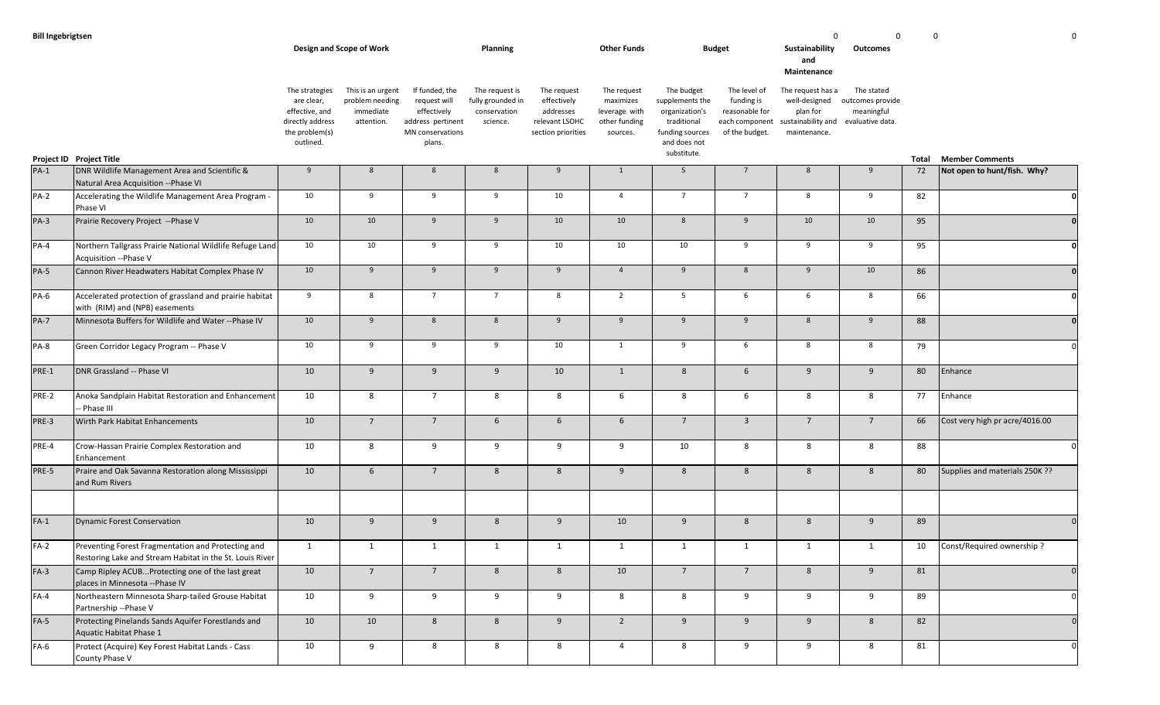|             |                                                                                                                |                                                                                                   | Design and Scope of Work                                        |                                                                                                  | <b>Planning</b>                                                 |                                                                                 | <b>Other Funds</b>                                                     |                                                                                                                  | <b>Budget</b>                                                                    | Sustainability<br>and<br>Maintenance                                                 | Outcomes                                                         |       |                                |
|-------------|----------------------------------------------------------------------------------------------------------------|---------------------------------------------------------------------------------------------------|-----------------------------------------------------------------|--------------------------------------------------------------------------------------------------|-----------------------------------------------------------------|---------------------------------------------------------------------------------|------------------------------------------------------------------------|------------------------------------------------------------------------------------------------------------------|----------------------------------------------------------------------------------|--------------------------------------------------------------------------------------|------------------------------------------------------------------|-------|--------------------------------|
|             | Project ID Project Title                                                                                       | The strategies<br>are clear,<br>effective, and<br>directly address<br>the problem(s)<br>outlined. | This is an urgent<br>problem needing<br>immediate<br>attention. | If funded, the<br>request will<br>effectively<br>address pertinent<br>MN conservations<br>plans. | The request is<br>fully grounded in<br>conservation<br>science. | The request<br>effectively<br>addresses<br>relevant LSOHC<br>section priorities | The request<br>maximizes<br>leverage with<br>other funding<br>sources. | The budget<br>supplements the<br>organization's<br>traditional<br>funding sources<br>and does not<br>substitute. | The level of<br>funding is<br>reasonable for<br>each component<br>of the budget. | The request has a<br>well-designed<br>plan for<br>sustainability and<br>maintenance. | The stated<br>outcomes provide<br>meaningful<br>evaluative data. | Total | <b>Member Comments</b>         |
| $PA-1$      | DNR Wildlife Management Area and Scientific &<br>Natural Area Acquisition -- Phase VI                          | 9                                                                                                 | 8                                                               | 8                                                                                                | 8                                                               | 9                                                                               | 1                                                                      | 5                                                                                                                | $7\overline{ }$                                                                  | 8                                                                                    | 9                                                                | 72    | Not open to hunt/fish. Why?    |
| $PA-2$      | Accelerating the Wildlife Management Area Program -<br>Phase VI                                                | 10                                                                                                | 9                                                               | 9                                                                                                | 9                                                               | 10                                                                              | $\overline{4}$                                                         | $7\overline{ }$                                                                                                  | $7^{\circ}$                                                                      | 8                                                                                    | 9                                                                | 82    | $\mathbf{0}$                   |
| $PA-3$      | Prairie Recovery Project -- Phase V                                                                            | 10                                                                                                | 10                                                              | 9                                                                                                | 9                                                               | 10                                                                              | 10                                                                     | $8\phantom{1}$                                                                                                   | 9                                                                                | 10                                                                                   | 10 <sup>10</sup>                                                 | 95    | $\mathbf{0}$                   |
| $PA-4$      | Northern Tallgrass Prairie National Wildlife Refuge Land<br>Acquisition --Phase V                              | 10                                                                                                | 10                                                              | 9                                                                                                | 9                                                               | 10                                                                              | 10                                                                     | 10                                                                                                               | 9                                                                                | 9                                                                                    | 9                                                                | 95    | -0                             |
| <b>PA-5</b> | Cannon River Headwaters Habitat Complex Phase IV                                                               | 10                                                                                                | 9                                                               | 9                                                                                                | 9                                                               | 9                                                                               | $\overline{4}$                                                         | 9                                                                                                                | 8                                                                                | 9                                                                                    | 10 <sup>10</sup>                                                 | 86    |                                |
| PA-6        | Accelerated protection of grassland and prairie habitat<br>with (RIM) and (NPB) easements                      | 9                                                                                                 | 8                                                               | $7\overline{ }$                                                                                  | $7\overline{ }$                                                 | 8                                                                               | $\overline{2}$                                                         | 5                                                                                                                | 6                                                                                | 6                                                                                    | 8                                                                | 66    | $\Omega$                       |
| <b>PA-7</b> | Minnesota Buffers for Wildlife and Water -- Phase IV                                                           | 10                                                                                                | 9                                                               | 8                                                                                                | 8                                                               | 9                                                                               | 9                                                                      | 9                                                                                                                | 9                                                                                | 8                                                                                    | 9                                                                | 88    | $\mathbf{0}$                   |
| PA-8        | Green Corridor Legacy Program -- Phase V                                                                       | 10                                                                                                | 9                                                               | 9                                                                                                | 9                                                               | 10                                                                              | $\mathbf{1}$                                                           | 9                                                                                                                | 6                                                                                | 8                                                                                    | 8                                                                | 79    | $\Omega$                       |
| PRE-1       | DNR Grassland -- Phase VI                                                                                      | 10                                                                                                | 9                                                               | 9                                                                                                | 9                                                               | 10                                                                              | $\mathbf{1}$                                                           | 8                                                                                                                | $6\phantom{.}6$                                                                  | 9                                                                                    | 9                                                                | 80    | Enhance                        |
| PRE-2       | Anoka Sandplain Habitat Restoration and Enhancement<br>- Phase III                                             | 10                                                                                                | 8                                                               | $\overline{7}$                                                                                   | 8                                                               | 8                                                                               | 6                                                                      | 8                                                                                                                | 6                                                                                | 8                                                                                    | 8                                                                | 77    | Enhance                        |
| PRE-3       | Wirth Park Habitat Enhancements                                                                                | 10                                                                                                | $7\overline{ }$                                                 | $\overline{7}$                                                                                   | 6                                                               | $6\phantom{1}$                                                                  | $6\overline{6}$                                                        | $\overline{7}$                                                                                                   | $\overline{3}$                                                                   | $7\overline{ }$                                                                      | $\overline{7}$                                                   | 66    | Cost very high pr acre/4016.00 |
| PRE-4       | Crow-Hassan Prairie Complex Restoration and<br>Enhancement                                                     | 10                                                                                                | 8                                                               | 9                                                                                                | 9                                                               | 9                                                                               | 9                                                                      | 10                                                                                                               | 8                                                                                | 8                                                                                    | 8                                                                | 88    |                                |
| PRE-5       | Praire and Oak Savanna Restoration along Mississippi<br>and Rum Rivers                                         | 10                                                                                                | $6\overline{6}$                                                 | $\overline{7}$                                                                                   | 8                                                               | 8                                                                               | 9                                                                      | 8                                                                                                                | 8                                                                                | 8                                                                                    | 8                                                                | 80    | Supplies and materials 250K ?? |
| $FA-1$      | Dynamic Forest Conservation                                                                                    | 10                                                                                                | 9                                                               | 9                                                                                                | 8                                                               | 9                                                                               | 10                                                                     | 9                                                                                                                | 8                                                                                | 8                                                                                    | 9                                                                | 89    | $\mathbf{0}$                   |
| $FA-2$      | Preventing Forest Fragmentation and Protecting and<br>Restoring Lake and Stream Habitat in the St. Louis River | 1                                                                                                 | $\mathbf{1}$                                                    | 1                                                                                                | 1                                                               | 1                                                                               | 1                                                                      | 1                                                                                                                | 1                                                                                | 1                                                                                    | 1                                                                | 10    | Const/Required ownership?      |
| $FA-3$      | Camp Ripley ACUBProtecting one of the last great<br>places in Minnesota -- Phase IV                            | 10                                                                                                | $7\overline{ }$                                                 | $7\overline{ }$                                                                                  | 8                                                               | 8                                                                               | 10                                                                     | $7\overline{ }$                                                                                                  | $\overline{7}$                                                                   | 8                                                                                    | 9                                                                | 81    | 0                              |
| $FA-4$      | Northeastern Minnesota Sharp-tailed Grouse Habitat<br>Partnership -- Phase V                                   | 10                                                                                                | 9                                                               | 9                                                                                                | 9                                                               | 9                                                                               | 8                                                                      | 8                                                                                                                | 9                                                                                | 9                                                                                    | 9                                                                | 89    | $\mathbf 0$                    |
| $FA-5$      | Protecting Pinelands Sands Aquifer Forestlands and<br>Aquatic Habitat Phase 1                                  | 10                                                                                                | $10\,$                                                          | 8                                                                                                | 8                                                               | 9                                                                               | $\overline{2}$                                                         | 9                                                                                                                | 9                                                                                | 9                                                                                    | $8\phantom{1}$                                                   | 82    | $\Omega$                       |
| $FA-6$      | Protect (Acquire) Key Forest Habitat Lands - Cass<br>County Phase V                                            | 10                                                                                                | 9                                                               | 8                                                                                                | 8                                                               | 8                                                                               | $\overline{4}$                                                         | 8                                                                                                                | 9                                                                                | 9                                                                                    | 8                                                                | 81    | 0                              |

**Bill Ingebrigtsen** 0 0 0 0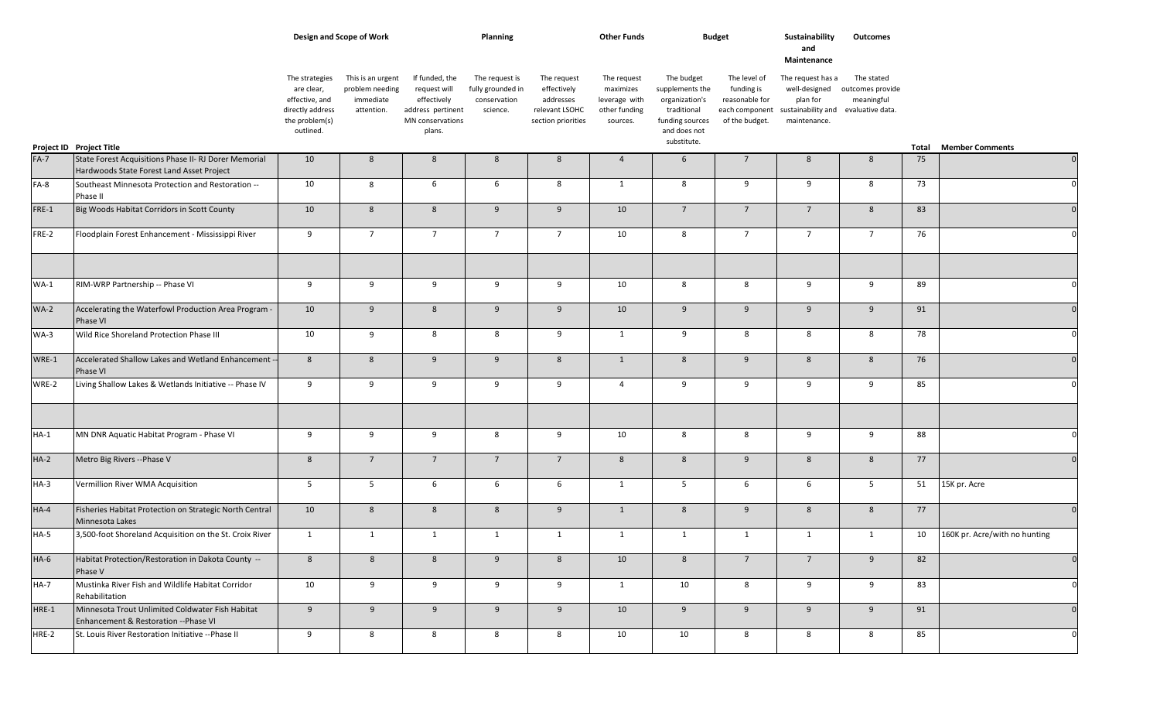|        |                                                                                                            | Design and Scope of Work                                                                          |                                                                 |                                                                                                  | Planning                                                        |                                                                                 | <b>Other Funds</b>                                                     | <b>Budget</b>                                                                                                    |                                                                                  | Sustainability<br>and<br>Maintenance                                                                  | Outcomes                                     |       |                               |
|--------|------------------------------------------------------------------------------------------------------------|---------------------------------------------------------------------------------------------------|-----------------------------------------------------------------|--------------------------------------------------------------------------------------------------|-----------------------------------------------------------------|---------------------------------------------------------------------------------|------------------------------------------------------------------------|------------------------------------------------------------------------------------------------------------------|----------------------------------------------------------------------------------|-------------------------------------------------------------------------------------------------------|----------------------------------------------|-------|-------------------------------|
|        | Project ID Project Title                                                                                   | The strategies<br>are clear,<br>effective, and<br>directly address<br>the problem(s)<br>outlined. | This is an urgent<br>problem needing<br>immediate<br>attention. | If funded, the<br>request will<br>effectively<br>address pertinent<br>MN conservations<br>plans. | The request is<br>fully grounded in<br>conservation<br>science. | The request<br>effectively<br>addresses<br>relevant LSOHC<br>section priorities | The request<br>maximizes<br>leverage with<br>other funding<br>sources. | The budget<br>supplements the<br>organization's<br>traditional<br>funding sources<br>and does not<br>substitute. | The level of<br>funding is<br>reasonable for<br>each component<br>of the budget. | The request has a<br>well-designed<br>plan for<br>sustainability and evaluative data.<br>maintenance. | The stated<br>outcomes provide<br>meaningful | Total | <b>Member Comments</b>        |
| $FA-7$ | State Forest Acquisitions Phase II- RJ Dorer Memorial                                                      | 10                                                                                                | 8                                                               | 8                                                                                                | 8                                                               | 8                                                                               | $\overline{4}$                                                         | 6                                                                                                                | $\overline{7}$                                                                   | 8                                                                                                     | 8                                            | 75    | $\overline{0}$                |
| $FA-8$ | Hardwoods State Forest Land Asset Project<br>Southeast Minnesota Protection and Restoration --<br>Phase II | 10                                                                                                | 8                                                               | 6                                                                                                | 6                                                               | 8                                                                               | $\mathbf{1}$                                                           | 8                                                                                                                | 9                                                                                | 9                                                                                                     | 8                                            | 73    | $\Omega$                      |
| FRE-1  | Big Woods Habitat Corridors in Scott County                                                                | 10                                                                                                | 8                                                               | 8                                                                                                | 9                                                               | 9                                                                               | 10                                                                     | $7^{\circ}$                                                                                                      | $7^{\circ}$                                                                      | $\overline{7}$                                                                                        | 8                                            | 83    | $\mathbf 0$                   |
| FRE-2  | Floodplain Forest Enhancement - Mississippi River                                                          | 9                                                                                                 | $7\overline{ }$                                                 | $7^{\circ}$                                                                                      | $7\overline{ }$                                                 | $7^{\circ}$                                                                     | 10                                                                     | 8                                                                                                                | $7\overline{ }$                                                                  | $7^{\circ}$                                                                                           | $7\overline{ }$                              | 76    | $\Omega$                      |
| $WA-1$ | RIM-WRP Partnership -- Phase VI                                                                            | 9                                                                                                 | 9                                                               | 9                                                                                                | 9                                                               | 9                                                                               | 10                                                                     | 8                                                                                                                | 8                                                                                | 9                                                                                                     | 9                                            | 89    | $\Omega$                      |
| $WA-2$ | Accelerating the Waterfowl Production Area Program -<br>Phase VI                                           | 10                                                                                                | 9                                                               | 8                                                                                                | 9                                                               | 9                                                                               | 10                                                                     | 9                                                                                                                | 9                                                                                | 9                                                                                                     | 9                                            | 91    | $\Omega$                      |
| $WA-3$ | Wild Rice Shoreland Protection Phase III                                                                   | 10                                                                                                | 9                                                               | 8                                                                                                | 8                                                               | 9                                                                               | 1                                                                      | 9                                                                                                                | 8                                                                                | 8                                                                                                     | 8                                            | 78    | -0                            |
| WRE-1  | Accelerated Shallow Lakes and Wetland Enhancement --<br>Phase VI                                           | 8                                                                                                 | 8                                                               | 9                                                                                                | 9                                                               | 8                                                                               | $\mathbf{1}$                                                           | 8                                                                                                                | 9                                                                                | 8                                                                                                     | 8                                            | 76    | 0                             |
| WRE-2  | Living Shallow Lakes & Wetlands Initiative -- Phase IV                                                     | 9                                                                                                 | 9                                                               | 9                                                                                                | 9                                                               | 9                                                                               | $\overline{4}$                                                         | 9                                                                                                                | 9                                                                                | 9                                                                                                     | 9                                            | 85    | $\Omega$                      |
| $HA-1$ | MN DNR Aquatic Habitat Program - Phase VI                                                                  | 9                                                                                                 | 9                                                               | 9                                                                                                | 8                                                               | 9                                                                               | 10                                                                     | 8                                                                                                                | 8                                                                                | 9                                                                                                     | 9                                            | 88    | $\Omega$                      |
| $HA-2$ | Metro Big Rivers -- Phase V                                                                                | 8                                                                                                 | $7\overline{ }$                                                 | $7\overline{ }$                                                                                  | $7\overline{ }$                                                 | $\overline{7}$                                                                  | 8                                                                      | 8                                                                                                                | 9                                                                                | 8                                                                                                     | 8                                            | 77    | -0                            |
| $HA-3$ | Vermillion River WMA Acquisition                                                                           | 5                                                                                                 | $5\overline{)}$                                                 | 6                                                                                                | 6                                                               | 6                                                                               | $\mathbf{1}$                                                           | 5                                                                                                                | 6                                                                                | 6                                                                                                     | $5^{\circ}$                                  | 51    | 15K pr. Acre                  |
| $HA-4$ | Fisheries Habitat Protection on Strategic North Central<br>Minnesota Lakes                                 | 10                                                                                                | $8\phantom{1}$                                                  | 8                                                                                                | 8                                                               | 9                                                                               | $\mathbf{1}$                                                           | 8                                                                                                                | 9                                                                                | 8                                                                                                     | $8\phantom{1}$                               | 77    | $\overline{0}$                |
| $HA-5$ | 3,500-foot Shoreland Acquisition on the St. Croix River                                                    | 1                                                                                                 | $\mathbf{1}$                                                    | 1                                                                                                | 1                                                               | $\mathbf{1}$                                                                    | 1                                                                      | 1                                                                                                                | $\mathbf{1}$                                                                     | 1                                                                                                     | 1                                            | 10    | 160K pr. Acre/with no hunting |
| $HA-6$ | Habitat Protection/Restoration in Dakota County --<br>Phase V                                              | 8                                                                                                 | 8                                                               | 8                                                                                                | 9                                                               | 8                                                                               | 10                                                                     | 8                                                                                                                | $7^{\circ}$                                                                      | $7^{\circ}$                                                                                           | 9                                            | 82    |                               |
| $HA-7$ | Mustinka River Fish and Wildlife Habitat Corridor<br>Rehabilitation                                        | 10                                                                                                | 9                                                               | 9                                                                                                | 9                                                               | 9                                                                               | $\mathbf{1}$                                                           | 10                                                                                                               | 8                                                                                | 9                                                                                                     | 9                                            | 83    | $\mathsf{C}$                  |
| HRE-1  | Minnesota Trout Unlimited Coldwater Fish Habitat<br>Enhancement & Restoration -- Phase VI                  | 9                                                                                                 | 9                                                               | 9                                                                                                | 9                                                               | 9                                                                               | 10                                                                     | 9                                                                                                                | 9                                                                                | 9                                                                                                     | 9                                            | 91    | $\Omega$                      |
| HRE-2  | St. Louis River Restoration Initiative -- Phase II                                                         | 9                                                                                                 | 8                                                               | 8                                                                                                | 8                                                               | 8                                                                               | 10                                                                     | 10                                                                                                               | 8                                                                                | 8                                                                                                     | 8                                            | 85    | $\Omega$                      |